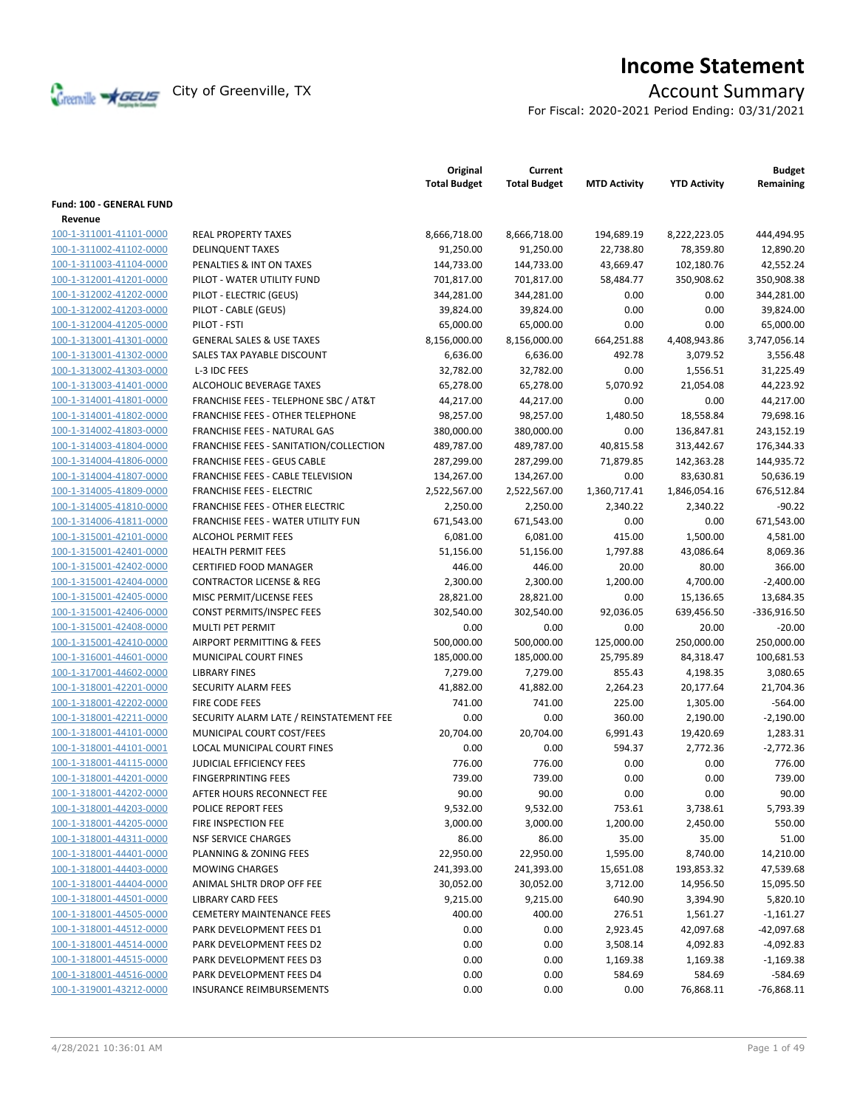

# **Income Statement**

For Fiscal: 2020-2021 Period Ending: 03/31/2021

|                          |                                                  | Original<br><b>Total Budget</b> | Current<br><b>Total Budget</b> | <b>MTD Activity</b> | <b>YTD Activity</b> | <b>Budget</b><br>Remaining |
|--------------------------|--------------------------------------------------|---------------------------------|--------------------------------|---------------------|---------------------|----------------------------|
| Fund: 100 - GENERAL FUND |                                                  |                                 |                                |                     |                     |                            |
| Revenue                  |                                                  |                                 |                                |                     |                     |                            |
| 100-1-311001-41101-0000  | <b>REAL PROPERTY TAXES</b>                       | 8,666,718.00                    | 8,666,718.00                   | 194,689.19          | 8,222,223.05        | 444,494.95                 |
| 100-1-311002-41102-0000  | <b>DELINQUENT TAXES</b>                          | 91,250.00                       | 91,250.00                      | 22,738.80           | 78,359.80           | 12,890.20                  |
| 100-1-311003-41104-0000  | PENALTIES & INT ON TAXES                         | 144,733.00                      | 144,733.00                     | 43,669.47           | 102,180.76          | 42,552.24                  |
| 100-1-312001-41201-0000  | PILOT - WATER UTILITY FUND                       | 701,817.00                      | 701,817.00                     | 58,484.77           | 350,908.62          | 350,908.38                 |
| 100-1-312002-41202-0000  | PILOT - ELECTRIC (GEUS)                          | 344,281.00                      | 344,281.00                     | 0.00                | 0.00                | 344,281.00                 |
| 100-1-312002-41203-0000  | PILOT - CABLE (GEUS)                             | 39,824.00                       | 39,824.00                      | 0.00                | 0.00                | 39,824.00                  |
| 100-1-312004-41205-0000  | PILOT - FSTI                                     | 65,000.00                       | 65,000.00                      | 0.00                | 0.00                | 65,000.00                  |
| 100-1-313001-41301-0000  | <b>GENERAL SALES &amp; USE TAXES</b>             | 8,156,000.00                    | 8,156,000.00                   | 664,251.88          | 4,408,943.86        | 3,747,056.14               |
| 100-1-313001-41302-0000  | SALES TAX PAYABLE DISCOUNT                       | 6,636.00                        | 6,636.00                       | 492.78              | 3,079.52            | 3,556.48                   |
|                          |                                                  |                                 |                                |                     |                     |                            |
| 100-1-313002-41303-0000  | L-3 IDC FEES                                     | 32,782.00                       | 32,782.00                      | 0.00                | 1,556.51            | 31,225.49                  |
| 100-1-313003-41401-0000  | ALCOHOLIC BEVERAGE TAXES                         | 65,278.00                       | 65,278.00                      | 5,070.92            | 21,054.08           | 44,223.92                  |
| 100-1-314001-41801-0000  | <b>FRANCHISE FEES - TELEPHONE SBC / AT&amp;T</b> | 44,217.00                       | 44,217.00                      | 0.00                | 0.00                | 44,217.00                  |
| 100-1-314001-41802-0000  | <b>FRANCHISE FEES - OTHER TELEPHONE</b>          | 98,257.00                       | 98,257.00                      | 1,480.50            | 18,558.84           | 79,698.16                  |
| 100-1-314002-41803-0000  | FRANCHISE FEES - NATURAL GAS                     | 380,000.00                      | 380,000.00                     | 0.00                | 136,847.81          | 243,152.19                 |
| 100-1-314003-41804-0000  | FRANCHISE FEES - SANITATION/COLLECTION           | 489,787.00                      | 489,787.00                     | 40,815.58           | 313,442.67          | 176,344.33                 |
| 100-1-314004-41806-0000  | <b>FRANCHISE FEES - GEUS CABLE</b>               | 287,299.00                      | 287,299.00                     | 71,879.85           | 142,363.28          | 144,935.72                 |
| 100-1-314004-41807-0000  | FRANCHISE FEES - CABLE TELEVISION                | 134,267.00                      | 134,267.00                     | 0.00                | 83,630.81           | 50,636.19                  |
| 100-1-314005-41809-0000  | <b>FRANCHISE FEES - ELECTRIC</b>                 | 2,522,567.00                    | 2,522,567.00                   | 1,360,717.41        | 1,846,054.16        | 676,512.84                 |
| 100-1-314005-41810-0000  | <b>FRANCHISE FEES - OTHER ELECTRIC</b>           | 2,250.00                        | 2,250.00                       | 2,340.22            | 2,340.22            | $-90.22$                   |
| 100-1-314006-41811-0000  | FRANCHISE FEES - WATER UTILITY FUN               | 671,543.00                      | 671,543.00                     | 0.00                | 0.00                | 671,543.00                 |
| 100-1-315001-42101-0000  | <b>ALCOHOL PERMIT FEES</b>                       | 6,081.00                        | 6,081.00                       | 415.00              | 1,500.00            | 4,581.00                   |
| 100-1-315001-42401-0000  | <b>HEALTH PERMIT FEES</b>                        | 51,156.00                       | 51,156.00                      | 1,797.88            | 43,086.64           | 8,069.36                   |
| 100-1-315001-42402-0000  | <b>CERTIFIED FOOD MANAGER</b>                    | 446.00                          | 446.00                         | 20.00               | 80.00               | 366.00                     |
| 100-1-315001-42404-0000  | <b>CONTRACTOR LICENSE &amp; REG</b>              | 2,300.00                        | 2,300.00                       | 1,200.00            | 4,700.00            | $-2,400.00$                |
| 100-1-315001-42405-0000  | MISC PERMIT/LICENSE FEES                         | 28,821.00                       | 28,821.00                      | 0.00                | 15,136.65           | 13,684.35                  |
| 100-1-315001-42406-0000  | CONST PERMITS/INSPEC FEES                        | 302,540.00                      | 302,540.00                     | 92,036.05           | 639,456.50          | $-336,916.50$              |
| 100-1-315001-42408-0000  | MULTI PET PERMIT                                 | 0.00                            | 0.00                           | 0.00                | 20.00               | $-20.00$                   |
| 100-1-315001-42410-0000  | AIRPORT PERMITTING & FEES                        | 500,000.00                      | 500,000.00                     | 125,000.00          | 250,000.00          | 250,000.00                 |
| 100-1-316001-44601-0000  | MUNICIPAL COURT FINES                            | 185,000.00                      | 185,000.00                     | 25,795.89           | 84,318.47           | 100,681.53                 |
| 100-1-317001-44602-0000  | <b>LIBRARY FINES</b>                             | 7,279.00                        | 7,279.00                       | 855.43              | 4,198.35            | 3,080.65                   |
| 100-1-318001-42201-0000  | SECURITY ALARM FEES                              | 41,882.00                       | 41,882.00                      | 2,264.23            | 20,177.64           | 21,704.36                  |
| 100-1-318001-42202-0000  | <b>FIRE CODE FEES</b>                            | 741.00                          | 741.00                         | 225.00              | 1,305.00            | $-564.00$                  |
| 100-1-318001-42211-0000  | SECURITY ALARM LATE / REINSTATEMENT FEE          | 0.00                            | 0.00                           | 360.00              | 2,190.00            | $-2,190.00$                |
| 100-1-318001-44101-0000  | MUNICIPAL COURT COST/FEES                        | 20,704.00                       | 20,704.00                      | 6,991.43            | 19,420.69           | 1,283.31                   |
| 100-1-318001-44101-0001  | <b>LOCAL MUNICIPAL COURT FINES</b>               | 0.00                            | 0.00                           | 594.37              | 2,772.36            | $-2,772.36$                |
| 100-1-318001-44115-0000  | JUDICIAL EFFICIENCY FEES                         | 776.00                          | 776.00                         | 0.00                | 0.00                | 776.00                     |
| 100-1-318001-44201-0000  | <b>FINGERPRINTING FEES</b>                       | 739.00                          | 739.00                         | 0.00                | 0.00                | 739.00                     |
| 100-1-318001-44202-0000  | AFTER HOURS RECONNECT FEE                        | 90.00                           | 90.00                          | 0.00                | 0.00                | 90.00                      |
| 100-1-318001-44203-0000  | POLICE REPORT FEES                               | 9,532.00                        | 9,532.00                       | 753.61              | 3,738.61            | 5,793.39                   |
| 100-1-318001-44205-0000  | FIRE INSPECTION FEE                              | 3,000.00                        | 3,000.00                       | 1,200.00            | 2,450.00            | 550.00                     |
| 100-1-318001-44311-0000  | <b>NSF SERVICE CHARGES</b>                       | 86.00                           | 86.00                          | 35.00               | 35.00               | 51.00                      |
| 100-1-318001-44401-0000  | PLANNING & ZONING FEES                           | 22,950.00                       | 22,950.00                      | 1,595.00            | 8,740.00            | 14,210.00                  |
| 100-1-318001-44403-0000  | <b>MOWING CHARGES</b>                            | 241,393.00                      | 241,393.00                     | 15,651.08           | 193,853.32          | 47,539.68                  |
| 100-1-318001-44404-0000  | ANIMAL SHLTR DROP OFF FEE                        | 30,052.00                       | 30,052.00                      | 3,712.00            | 14,956.50           | 15,095.50                  |
| 100-1-318001-44501-0000  | <b>LIBRARY CARD FEES</b>                         | 9,215.00                        | 9,215.00                       | 640.90              | 3,394.90            | 5,820.10                   |
| 100-1-318001-44505-0000  | <b>CEMETERY MAINTENANCE FEES</b>                 | 400.00                          | 400.00                         | 276.51              | 1,561.27            | $-1,161.27$                |
| 100-1-318001-44512-0000  | PARK DEVELOPMENT FEES D1                         | 0.00                            | 0.00                           | 2,923.45            | 42,097.68           | $-42,097.68$               |
| 100-1-318001-44514-0000  | PARK DEVELOPMENT FEES D2                         | 0.00                            | 0.00                           | 3,508.14            | 4,092.83            | $-4,092.83$                |
| 100-1-318001-44515-0000  | PARK DEVELOPMENT FEES D3                         | 0.00                            | 0.00                           | 1,169.38            | 1,169.38            | $-1,169.38$                |
| 100-1-318001-44516-0000  | PARK DEVELOPMENT FEES D4                         | 0.00                            | 0.00                           | 584.69              | 584.69              | $-584.69$                  |
| 100-1-319001-43212-0000  | <b>INSURANCE REIMBURSEMENTS</b>                  | 0.00                            | 0.00                           | 0.00                | 76,868.11           | $-76,868.11$               |
|                          |                                                  |                                 |                                |                     |                     |                            |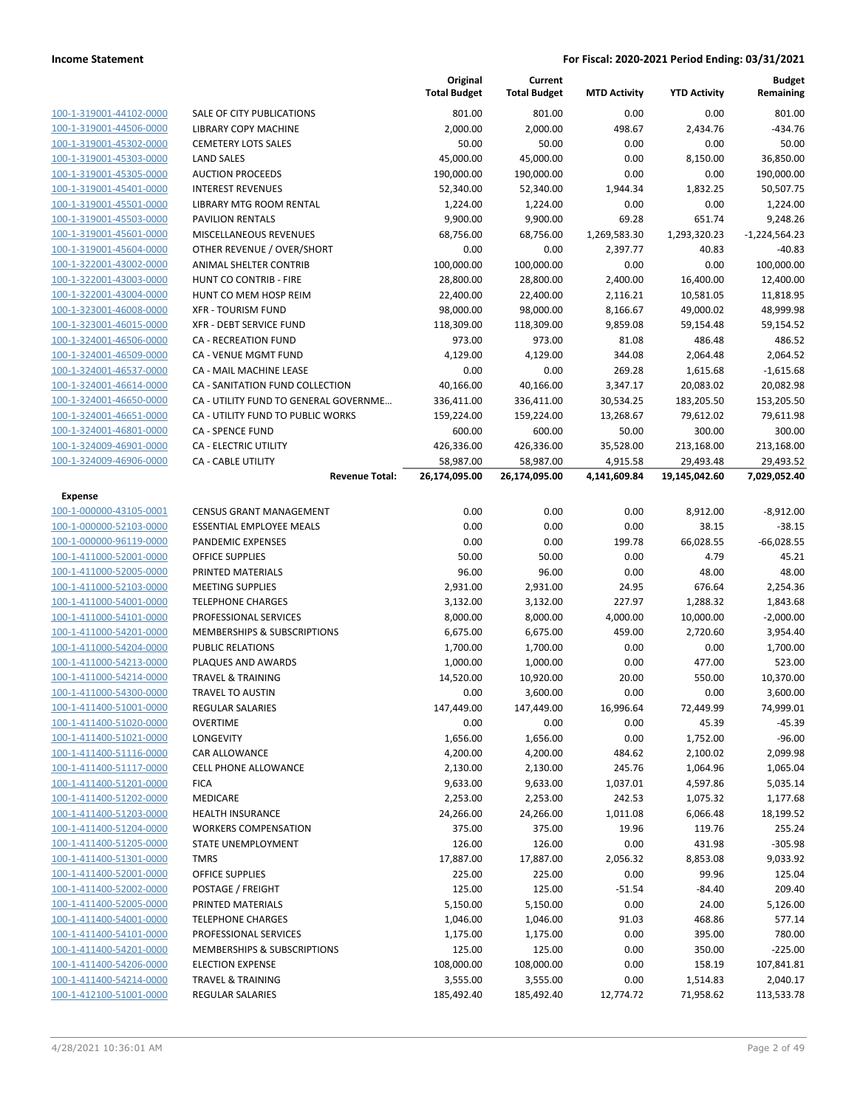|                                                    |                                                            | Original<br><b>Total Budget</b> | Current<br><b>Total Budget</b> | <b>MTD Activity</b>   | <b>YTD Activity</b>     | <b>Budget</b><br>Remaining |
|----------------------------------------------------|------------------------------------------------------------|---------------------------------|--------------------------------|-----------------------|-------------------------|----------------------------|
| 100-1-319001-44102-0000                            | SALE OF CITY PUBLICATIONS                                  | 801.00                          | 801.00                         | 0.00                  | 0.00                    | 801.00                     |
| 100-1-319001-44506-0000                            | <b>LIBRARY COPY MACHINE</b>                                | 2,000.00                        | 2,000.00                       | 498.67                | 2,434.76                | $-434.76$                  |
| 100-1-319001-45302-0000                            | <b>CEMETERY LOTS SALES</b>                                 | 50.00                           | 50.00                          | 0.00                  | 0.00                    | 50.00                      |
| 100-1-319001-45303-0000                            | <b>LAND SALES</b>                                          | 45,000.00                       | 45,000.00                      | 0.00                  | 8,150.00                | 36,850.00                  |
| 100-1-319001-45305-0000                            | <b>AUCTION PROCEEDS</b>                                    | 190,000.00                      | 190,000.00                     | 0.00                  | 0.00                    | 190,000.00                 |
| 100-1-319001-45401-0000                            | <b>INTEREST REVENUES</b>                                   | 52,340.00                       | 52,340.00                      | 1,944.34              | 1,832.25                | 50,507.75                  |
| 100-1-319001-45501-0000                            | LIBRARY MTG ROOM RENTAL                                    | 1,224.00                        | 1,224.00                       | 0.00                  | 0.00                    | 1,224.00                   |
| 100-1-319001-45503-0000                            | <b>PAVILION RENTALS</b>                                    | 9,900.00                        | 9,900.00                       | 69.28                 | 651.74                  | 9,248.26                   |
| 100-1-319001-45601-0000                            | MISCELLANEOUS REVENUES                                     | 68,756.00                       | 68,756.00                      | 1,269,583.30          | 1,293,320.23            | $-1,224,564.23$            |
| 100-1-319001-45604-0000                            | OTHER REVENUE / OVER/SHORT                                 | 0.00                            | 0.00                           | 2,397.77              | 40.83                   | $-40.83$                   |
| 100-1-322001-43002-0000                            | ANIMAL SHELTER CONTRIB                                     | 100,000.00                      | 100,000.00                     | 0.00                  | 0.00                    | 100,000.00                 |
| 100-1-322001-43003-0000                            | HUNT CO CONTRIB - FIRE                                     | 28,800.00                       | 28,800.00                      | 2,400.00              | 16,400.00               | 12,400.00                  |
| 100-1-322001-43004-0000                            | HUNT CO MEM HOSP REIM                                      | 22,400.00                       | 22,400.00                      | 2,116.21              | 10,581.05               | 11,818.95                  |
| 100-1-323001-46008-0000                            | <b>XFR - TOURISM FUND</b>                                  | 98,000.00                       | 98,000.00                      | 8,166.67              | 49,000.02               | 48,999.98                  |
| 100-1-323001-46015-0000                            | XFR - DEBT SERVICE FUND                                    | 118,309.00                      | 118,309.00                     | 9,859.08              | 59,154.48               | 59,154.52                  |
| 100-1-324001-46506-0000                            | CA - RECREATION FUND                                       | 973.00                          | 973.00                         | 81.08                 | 486.48                  | 486.52                     |
| 100-1-324001-46509-0000                            | CA - VENUE MGMT FUND                                       | 4,129.00                        | 4,129.00                       | 344.08                | 2,064.48                | 2,064.52                   |
| 100-1-324001-46537-0000<br>100-1-324001-46614-0000 | CA - MAIL MACHINE LEASE<br>CA - SANITATION FUND COLLECTION | 0.00                            | 0.00                           | 269.28                | 1,615.68                | $-1,615.68$                |
| 100-1-324001-46650-0000                            | CA - UTILITY FUND TO GENERAL GOVERNME                      | 40,166.00<br>336,411.00         | 40,166.00<br>336,411.00        | 3,347.17<br>30,534.25 | 20,083.02<br>183,205.50 | 20,082.98<br>153,205.50    |
| 100-1-324001-46651-0000                            | CA - UTILITY FUND TO PUBLIC WORKS                          | 159,224.00                      | 159,224.00                     | 13,268.67             | 79,612.02               | 79,611.98                  |
| 100-1-324001-46801-0000                            | <b>CA - SPENCE FUND</b>                                    | 600.00                          | 600.00                         | 50.00                 | 300.00                  | 300.00                     |
| 100-1-324009-46901-0000                            | <b>CA - ELECTRIC UTILITY</b>                               | 426,336.00                      | 426,336.00                     | 35,528.00             | 213,168.00              | 213,168.00                 |
| 100-1-324009-46906-0000                            | <b>CA - CABLE UTILITY</b>                                  | 58,987.00                       | 58,987.00                      | 4,915.58              | 29,493.48               | 29,493.52                  |
|                                                    | <b>Revenue Total:</b>                                      | 26,174,095.00                   | 26,174,095.00                  | 4,141,609.84          | 19,145,042.60           | 7,029,052.40               |
| Expense                                            |                                                            |                                 |                                |                       |                         |                            |
| 100-1-000000-43105-0001                            | <b>CENSUS GRANT MANAGEMENT</b>                             | 0.00                            | 0.00                           | 0.00                  | 8,912.00                | $-8,912.00$                |
| 100-1-000000-52103-0000                            | <b>ESSENTIAL EMPLOYEE MEALS</b>                            | 0.00                            | 0.00                           | 0.00                  | 38.15                   | $-38.15$                   |
| 100-1-000000-96119-0000                            | PANDEMIC EXPENSES                                          | 0.00                            | 0.00                           | 199.78                | 66,028.55               | $-66,028.55$               |
| 100-1-411000-52001-0000                            | <b>OFFICE SUPPLIES</b>                                     | 50.00                           | 50.00                          | 0.00                  | 4.79                    | 45.21                      |
| 100-1-411000-52005-0000                            | PRINTED MATERIALS                                          | 96.00                           | 96.00                          | 0.00                  | 48.00                   | 48.00                      |
| 100-1-411000-52103-0000                            | <b>MEETING SUPPLIES</b>                                    | 2,931.00                        | 2,931.00                       | 24.95                 | 676.64                  | 2,254.36                   |
| 100-1-411000-54001-0000                            | <b>TELEPHONE CHARGES</b>                                   | 3,132.00                        | 3,132.00                       | 227.97                | 1,288.32                | 1,843.68                   |
| 100-1-411000-54101-0000<br>100-1-411000-54201-0000 | PROFESSIONAL SERVICES<br>MEMBERSHIPS & SUBSCRIPTIONS       | 8,000.00<br>6,675.00            | 8,000.00<br>6,675.00           | 4,000.00<br>459.00    | 10,000.00               | $-2,000.00$<br>3,954.40    |
| 100-1-411000-54204-0000                            | <b>PUBLIC RELATIONS</b>                                    | 1,700.00                        | 1,700.00                       | 0.00                  | 2,720.60<br>0.00        | 1,700.00                   |
| 100-1-411000-54213-0000                            | PLAQUES AND AWARDS                                         | 1,000.00                        | 1,000.00                       | 0.00                  | 477.00                  | 523.00                     |
| 100-1-411000-54214-0000                            | <b>TRAVEL &amp; TRAINING</b>                               | 14,520.00                       | 10,920.00                      | 20.00                 | 550.00                  | 10,370.00                  |
| 100-1-411000-54300-0000                            | TRAVEL TO AUSTIN                                           | 0.00                            | 3,600.00                       | 0.00                  | 0.00                    | 3,600.00                   |
| 100-1-411400-51001-0000                            | REGULAR SALARIES                                           | 147,449.00                      | 147,449.00                     | 16,996.64             | 72,449.99               | 74,999.01                  |
| 100-1-411400-51020-0000                            | <b>OVERTIME</b>                                            | 0.00                            | 0.00                           | 0.00                  | 45.39                   | $-45.39$                   |
| 100-1-411400-51021-0000                            | LONGEVITY                                                  | 1,656.00                        | 1,656.00                       | 0.00                  | 1,752.00                | $-96.00$                   |
| 100-1-411400-51116-0000                            | CAR ALLOWANCE                                              | 4,200.00                        | 4,200.00                       | 484.62                | 2,100.02                | 2,099.98                   |
| 100-1-411400-51117-0000                            | CELL PHONE ALLOWANCE                                       | 2,130.00                        | 2,130.00                       | 245.76                | 1,064.96                | 1,065.04                   |
| 100-1-411400-51201-0000                            | <b>FICA</b>                                                | 9,633.00                        | 9,633.00                       | 1,037.01              | 4,597.86                | 5,035.14                   |
| 100-1-411400-51202-0000                            | MEDICARE                                                   | 2,253.00                        | 2,253.00                       | 242.53                | 1,075.32                | 1,177.68                   |
| 100-1-411400-51203-0000                            | <b>HEALTH INSURANCE</b>                                    | 24,266.00                       | 24,266.00                      | 1,011.08              | 6,066.48                | 18,199.52                  |
| 100-1-411400-51204-0000                            | <b>WORKERS COMPENSATION</b>                                | 375.00                          | 375.00                         | 19.96                 | 119.76                  | 255.24                     |
| 100-1-411400-51205-0000                            | STATE UNEMPLOYMENT                                         | 126.00                          | 126.00                         | 0.00                  | 431.98                  | $-305.98$                  |
| 100-1-411400-51301-0000                            | <b>TMRS</b>                                                | 17,887.00                       | 17,887.00                      | 2,056.32              | 8,853.08                | 9,033.92                   |
| 100-1-411400-52001-0000                            | <b>OFFICE SUPPLIES</b>                                     | 225.00                          | 225.00                         | 0.00                  | 99.96                   | 125.04                     |
| 100-1-411400-52002-0000                            | POSTAGE / FREIGHT                                          | 125.00                          | 125.00                         | $-51.54$              | $-84.40$                | 209.40                     |
| 100-1-411400-52005-0000<br>100-1-411400-54001-0000 | PRINTED MATERIALS<br><b>TELEPHONE CHARGES</b>              | 5,150.00<br>1,046.00            | 5,150.00<br>1,046.00           | 0.00<br>91.03         | 24.00<br>468.86         | 5,126.00<br>577.14         |
| 100-1-411400-54101-0000                            | PROFESSIONAL SERVICES                                      | 1,175.00                        | 1,175.00                       | 0.00                  | 395.00                  | 780.00                     |
| 100-1-411400-54201-0000                            | MEMBERSHIPS & SUBSCRIPTIONS                                | 125.00                          | 125.00                         | 0.00                  | 350.00                  | $-225.00$                  |
| 100-1-411400-54206-0000                            | <b>ELECTION EXPENSE</b>                                    | 108,000.00                      | 108,000.00                     | 0.00                  | 158.19                  | 107,841.81                 |
| 100-1-411400-54214-0000                            | <b>TRAVEL &amp; TRAINING</b>                               | 3,555.00                        | 3,555.00                       | 0.00                  | 1,514.83                | 2,040.17                   |
| 100-1-412100-51001-0000                            | REGULAR SALARIES                                           | 185,492.40                      | 185,492.40                     | 12,774.72             | 71,958.62               | 113,533.78                 |
|                                                    |                                                            |                                 |                                |                       |                         |                            |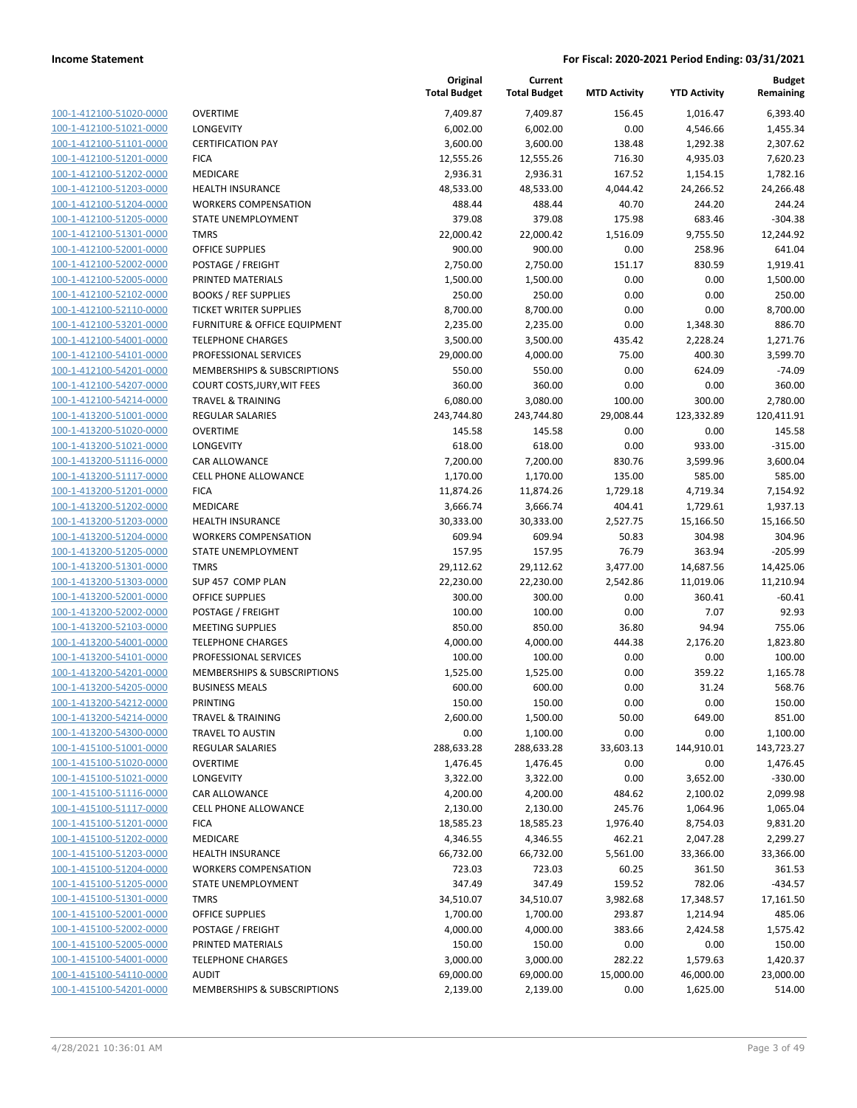| 100-1-412100-51020-0000        |
|--------------------------------|
| 100-1-412100-51021-0000        |
| 100-1-412100-51101-0000        |
| 100-1-412100-51201-0000        |
| 100-1-412100-51202-0000        |
| 100-1-412100-51203-0000        |
| 100-1-412100-51204-0000        |
| 100-1-412100-51205-0000        |
| 100-1-412100-51301-0000        |
| 100-1-412100-52001-0000        |
| 100-1-412100-52002-0000        |
| 100-1-412100-52005-0000        |
| 100-1-412100-52102-0000        |
| 100-1-412100-52110-0000        |
|                                |
| 100-1-412100-53201-0000        |
| 100-1-412100-54001-0000        |
| 100-1-412100-54101-0000        |
| 100-1-412100-54201-0000        |
| 100-1-412100-54207-0000        |
| 100-1-412100-54214-0000        |
| 100-1-413200-51001-0000        |
| 100-1-413200-51020-0000        |
| 100-1-413200-51021-0000        |
| 100-1-413200-51116-0000        |
| 100-1-413200-51117-0000        |
| 100-1-413200-51201-0000        |
| 100-1-413200-51202-0000        |
| 100-1-413200-51203-0000        |
| 100-1-413200-51204-0000        |
| 100-1-413200-51205-0000        |
| 100-1-413200-51301-0000        |
| 100-1-413200-51303-0000        |
|                                |
| 100-1-413200-52001-0000        |
| 100-1-413200-52002-0000        |
| 100-1-413200-52103-0000        |
| 100-1-413200-54001-0000        |
| 100-1-413200-54101-0000        |
| 100-1-413200-54201-0000        |
| 100-1-413200-54205-0000        |
| 100-1-413200-54212-0000        |
| <u>100-1-413200-54214-0000</u> |
| 100-1-413200-54300-0000        |
| <u>100-1-415100-51001-0000</u> |
| 100-1-415100-51020-0000        |
| 100-1-415100-51021-0000        |
| <u>100-1-415100-51116-0000</u> |
| <u>100-1-415100-51117-0000</u> |
| <u>100-1-415100-51201-0000</u> |
| <u>100-1-415100-51202-0000</u> |
| 100-1-415100-51203-0000        |
|                                |
| <u>100-1-415100-51204-0000</u> |
| <u>100-1-415100-51205-0000</u> |
| <u>100-1-415100-51301-0000</u> |
| 100-1-415100-52001-0000        |
| 100-1-415100-52002-0000        |
| <u>100-1-415100-52005-0000</u> |
| <u>100-1-415100-54001-0000</u> |
| <u>100-1-415100-54110-0000</u> |
| <u>100-1-415100-54201-0000</u> |
|                                |

|                         |                                    | Original<br><b>Total Budget</b> | Current<br><b>Total Budget</b> | <b>MTD Activity</b> | <b>YTD Activity</b> | <b>Budget</b><br>Remaining |
|-------------------------|------------------------------------|---------------------------------|--------------------------------|---------------------|---------------------|----------------------------|
| 100-1-412100-51020-0000 | <b>OVERTIME</b>                    | 7,409.87                        | 7,409.87                       | 156.45              | 1,016.47            | 6,393.40                   |
| 100-1-412100-51021-0000 | LONGEVITY                          | 6,002.00                        | 6,002.00                       | 0.00                | 4,546.66            | 1,455.34                   |
| 100-1-412100-51101-0000 | <b>CERTIFICATION PAY</b>           | 3,600.00                        | 3,600.00                       | 138.48              | 1,292.38            | 2,307.62                   |
| 100-1-412100-51201-0000 | <b>FICA</b>                        | 12,555.26                       | 12,555.26                      | 716.30              | 4,935.03            | 7,620.23                   |
| 100-1-412100-51202-0000 | MEDICARE                           | 2,936.31                        | 2,936.31                       | 167.52              | 1,154.15            | 1,782.16                   |
| 100-1-412100-51203-0000 | HEALTH INSURANCE                   | 48,533.00                       | 48,533.00                      | 4,044.42            | 24,266.52           | 24,266.48                  |
| 100-1-412100-51204-0000 | <b>WORKERS COMPENSATION</b>        | 488.44                          | 488.44                         | 40.70               | 244.20              | 244.24                     |
| 100-1-412100-51205-0000 | STATE UNEMPLOYMENT                 | 379.08                          | 379.08                         | 175.98              | 683.46              | $-304.38$                  |
| 100-1-412100-51301-0000 | <b>TMRS</b>                        | 22,000.42                       | 22,000.42                      | 1,516.09            | 9,755.50            | 12,244.92                  |
| 100-1-412100-52001-0000 | <b>OFFICE SUPPLIES</b>             | 900.00                          | 900.00                         | 0.00                | 258.96              | 641.04                     |
| 100-1-412100-52002-0000 | POSTAGE / FREIGHT                  | 2,750.00                        | 2,750.00                       | 151.17              | 830.59              | 1,919.41                   |
| 100-1-412100-52005-0000 | PRINTED MATERIALS                  | 1,500.00                        | 1,500.00                       | 0.00                | 0.00                | 1,500.00                   |
| 100-1-412100-52102-0000 | <b>BOOKS / REF SUPPLIES</b>        | 250.00                          | 250.00                         | 0.00                | 0.00                | 250.00                     |
| 100-1-412100-52110-0000 | <b>TICKET WRITER SUPPLIES</b>      | 8,700.00                        | 8,700.00                       | 0.00                | 0.00                | 8,700.00                   |
| 100-1-412100-53201-0000 | FURNITURE & OFFICE EQUIPMENT       | 2,235.00                        | 2,235.00                       | 0.00                | 1,348.30            | 886.70                     |
| 100-1-412100-54001-0000 | <b>TELEPHONE CHARGES</b>           | 3,500.00                        | 3,500.00                       | 435.42              | 2,228.24            | 1,271.76                   |
| 100-1-412100-54101-0000 | PROFESSIONAL SERVICES              | 29,000.00                       | 4,000.00                       | 75.00               | 400.30              | 3,599.70                   |
| 100-1-412100-54201-0000 | MEMBERSHIPS & SUBSCRIPTIONS        | 550.00                          | 550.00                         | 0.00                | 624.09              | $-74.09$                   |
| 100-1-412100-54207-0000 | <b>COURT COSTS, JURY, WIT FEES</b> | 360.00                          | 360.00                         | 0.00                | 0.00                | 360.00                     |
| 100-1-412100-54214-0000 | <b>TRAVEL &amp; TRAINING</b>       | 6,080.00                        | 3,080.00                       | 100.00              | 300.00              | 2,780.00                   |
| 100-1-413200-51001-0000 | REGULAR SALARIES                   | 243,744.80                      | 243,744.80                     | 29,008.44           | 123,332.89          | 120,411.91                 |
| 100-1-413200-51020-0000 | <b>OVERTIME</b>                    | 145.58                          | 145.58                         | 0.00                | 0.00                | 145.58                     |
| 100-1-413200-51021-0000 | LONGEVITY                          | 618.00                          | 618.00                         | 0.00                | 933.00              | $-315.00$                  |
| 100-1-413200-51116-0000 | CAR ALLOWANCE                      | 7,200.00                        | 7,200.00                       | 830.76              | 3,599.96            | 3,600.04                   |
| 100-1-413200-51117-0000 | <b>CELL PHONE ALLOWANCE</b>        | 1,170.00                        | 1,170.00                       | 135.00              | 585.00              | 585.00                     |
| 100-1-413200-51201-0000 | <b>FICA</b>                        | 11,874.26                       | 11,874.26                      | 1,729.18            | 4,719.34            | 7,154.92                   |
| 100-1-413200-51202-0000 | MEDICARE                           | 3,666.74                        | 3,666.74                       | 404.41              | 1,729.61            | 1,937.13                   |
| 100-1-413200-51203-0000 | <b>HEALTH INSURANCE</b>            | 30,333.00                       | 30,333.00                      | 2,527.75            | 15,166.50           | 15,166.50                  |
| 100-1-413200-51204-0000 | <b>WORKERS COMPENSATION</b>        | 609.94                          | 609.94                         | 50.83               | 304.98              | 304.96                     |
| 100-1-413200-51205-0000 | STATE UNEMPLOYMENT                 | 157.95                          | 157.95                         | 76.79               | 363.94              | $-205.99$                  |
| 100-1-413200-51301-0000 | <b>TMRS</b>                        | 29,112.62                       | 29,112.62                      | 3,477.00            | 14,687.56           | 14,425.06                  |
| 100-1-413200-51303-0000 | SUP 457 COMP PLAN                  | 22,230.00                       | 22,230.00                      | 2,542.86            | 11,019.06           | 11,210.94                  |
| 100-1-413200-52001-0000 | <b>OFFICE SUPPLIES</b>             | 300.00                          | 300.00                         | 0.00                | 360.41              | $-60.41$                   |
| 100-1-413200-52002-0000 | POSTAGE / FREIGHT                  | 100.00                          | 100.00                         | 0.00                | 7.07                | 92.93                      |
| 100-1-413200-52103-0000 | <b>MEETING SUPPLIES</b>            | 850.00                          | 850.00                         | 36.80               | 94.94               | 755.06                     |
| 100-1-413200-54001-0000 | <b>TELEPHONE CHARGES</b>           | 4,000.00                        | 4,000.00                       | 444.38              | 2,176.20            | 1,823.80                   |
| 100-1-413200-54101-0000 | PROFESSIONAL SERVICES              | 100.00                          | 100.00                         | 0.00                | 0.00                | 100.00                     |
| 100-1-413200-54201-0000 | MEMBERSHIPS & SUBSCRIPTIONS        | 1,525.00                        | 1,525.00                       | 0.00                | 359.22              | 1,165.78                   |
| 100-1-413200-54205-0000 | <b>BUSINESS MEALS</b>              | 600.00                          | 600.00                         | 0.00                | 31.24               | 568.76                     |
| 100-1-413200-54212-0000 | PRINTING                           | 150.00                          | 150.00                         | 0.00                | 0.00                | 150.00                     |
| 100-1-413200-54214-0000 | <b>TRAVEL &amp; TRAINING</b>       | 2,600.00                        | 1,500.00                       | 50.00               | 649.00              | 851.00                     |
| 100-1-413200-54300-0000 | <b>TRAVEL TO AUSTIN</b>            | 0.00                            | 1,100.00                       | 0.00                | 0.00                | 1,100.00                   |
| 100-1-415100-51001-0000 | REGULAR SALARIES                   | 288,633.28                      | 288,633.28                     | 33,603.13           | 144,910.01          | 143,723.27                 |
| 100-1-415100-51020-0000 | <b>OVERTIME</b>                    | 1,476.45                        | 1,476.45                       | 0.00                | 0.00                | 1,476.45                   |
| 100-1-415100-51021-0000 | LONGEVITY                          | 3,322.00                        | 3,322.00                       | 0.00                | 3,652.00            | $-330.00$                  |
| 100-1-415100-51116-0000 | CAR ALLOWANCE                      | 4,200.00                        | 4,200.00                       | 484.62              | 2,100.02            | 2,099.98                   |
| 100-1-415100-51117-0000 | CELL PHONE ALLOWANCE               | 2,130.00                        | 2,130.00                       | 245.76              | 1,064.96            | 1,065.04                   |
| 100-1-415100-51201-0000 | <b>FICA</b>                        | 18,585.23                       | 18,585.23                      | 1,976.40            | 8,754.03            | 9,831.20                   |
| 100-1-415100-51202-0000 | MEDICARE                           | 4,346.55                        | 4,346.55                       | 462.21              | 2,047.28            | 2,299.27                   |
| 100-1-415100-51203-0000 | <b>HEALTH INSURANCE</b>            | 66,732.00                       | 66,732.00                      | 5,561.00            | 33,366.00           | 33,366.00                  |
| 100-1-415100-51204-0000 | <b>WORKERS COMPENSATION</b>        | 723.03                          | 723.03                         | 60.25               | 361.50              | 361.53                     |
| 100-1-415100-51205-0000 | STATE UNEMPLOYMENT                 | 347.49                          | 347.49                         | 159.52              | 782.06              | $-434.57$                  |
| 100-1-415100-51301-0000 | <b>TMRS</b>                        | 34,510.07                       | 34,510.07                      | 3,982.68            | 17,348.57           | 17,161.50                  |
| 100-1-415100-52001-0000 | <b>OFFICE SUPPLIES</b>             | 1,700.00                        | 1,700.00                       | 293.87              | 1,214.94            | 485.06                     |
| 100-1-415100-52002-0000 | POSTAGE / FREIGHT                  | 4,000.00                        | 4,000.00                       | 383.66              | 2,424.58            | 1,575.42                   |
| 100-1-415100-52005-0000 | PRINTED MATERIALS                  | 150.00                          | 150.00                         | 0.00                | 0.00                | 150.00                     |
| 100-1-415100-54001-0000 | <b>TELEPHONE CHARGES</b>           | 3,000.00                        | 3,000.00                       | 282.22              | 1,579.63            | 1,420.37                   |
| 100-1-415100-54110-0000 | <b>AUDIT</b>                       | 69,000.00                       | 69,000.00                      | 15,000.00           | 46,000.00           | 23,000.00                  |
| 100-1-415100-54201-0000 | MEMBERSHIPS & SUBSCRIPTIONS        | 2,139.00                        | 2,139.00                       | 0.00                | 1,625.00            | 514.00                     |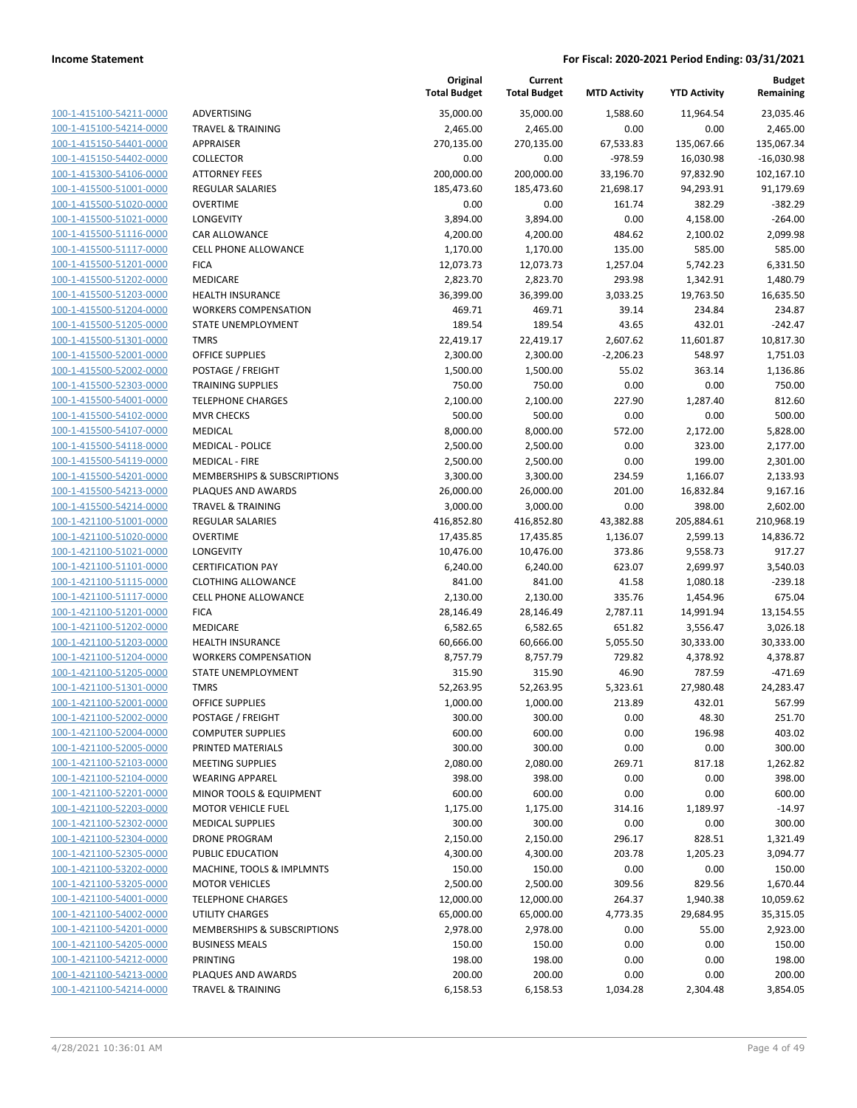| 100-1-415100-54211-0000        |
|--------------------------------|
| 100-1-415100-54214-0000        |
| 100-1-415150-54401-0000        |
| 100-1-415150-54402-0000        |
| 100-1-415300-54106-0000        |
| 100-1-415500-51001-0000        |
| 100-1-415500-51020-0000        |
| <u>100-1-415500-51021-0000</u> |
| 100-1-415500-51116-0000        |
| 100-1-415500-51117-0000        |
| 100-1-415500-51201-0000        |
| 100-1-415500-51202-0000        |
| <u>100-1-415500-51203-0000</u> |
| 100-1-415500-51204-0000        |
| 100-1-415500-51205-0000        |
| 100-1-415500-51301-0000        |
| 100-1-415500-52001-0000        |
| <u>100-1-415500-52002-0000</u> |
| 100-1-415500-52303-0000        |
| 100-1-415500-54001-0000        |
|                                |
| 100-1-415500-54102-0000        |
| 100-1-415500-54107-0000        |
| <u>100-1-415500-54118-0000</u> |
| 100-1-415500-54119-0000        |
| 100-1-415500-54201-0000        |
| 100-1-415500-54213-0000        |
| 100-1-415500-54214-0000        |
| 100-1-421100-51001-0000        |
| 100-1-421100-51020-0000        |
| 100-1-421100-51021-0000        |
| 100-1-421100-51101-0000        |
| 100-1-421100-51115-0000        |
| <u>100-1-421100-51117-0000</u> |
| 100-1-421100-51201-0000        |
| 100-1-421100-51202-0000        |
| 100-1-421100-51203-0000        |
| 100-1-421100-51204-0000        |
| <u>100-1-421100-51205-0000</u> |
| 100-1-421100-51301-0000        |
| 100-1-421100-52001-0000        |
| 100-1-421100-52002-0000        |
| 100-1-421100-52004-0000        |
| <u>100-1-421100-52005-0000</u> |
| 100-1-421100-52103-0000        |
| 100-1-421100-52104-0000        |
| 100-1-421100-52201-0000        |
|                                |
| <u>100-1-421100-52203-0000</u> |
| 100-1-421100-52302-0000        |
| <u>100-1-421100-52304-0000</u> |
| 100-1-421100-52305-0000        |
| 100-1-421100-53202-0000        |
| 100-1-421100-53205-0000        |
| <u>100-1-421100-54001-0000</u> |
| <u>100-1-421100-54002-0000</u> |
| <u>100-1-421100-54201-0000</u> |
| 100-1-421100-54205-0000        |
| <u>100-1-421100-54212-0000</u> |
| <u>100-1-421100-54213-0000</u> |
| <u>100-1-421100-54214-0000</u> |
|                                |

|                                                    |                                                  | Original<br><b>Total Budget</b> | Current<br><b>Total Budget</b> | <b>MTD Activity</b> | <b>YTD Activity</b> | <b>Budget</b><br>Remaining |
|----------------------------------------------------|--------------------------------------------------|---------------------------------|--------------------------------|---------------------|---------------------|----------------------------|
| 100-1-415100-54211-0000                            | ADVERTISING                                      | 35,000.00                       | 35,000.00                      | 1,588.60            | 11,964.54           | 23,035.46                  |
| 100-1-415100-54214-0000                            | TRAVEL & TRAINING                                | 2,465.00                        | 2,465.00                       | 0.00                | 0.00                | 2,465.00                   |
| 100-1-415150-54401-0000                            | APPRAISER                                        | 270,135.00                      | 270,135.00                     | 67,533.83           | 135,067.66          | 135,067.34                 |
| 100-1-415150-54402-0000                            | <b>COLLECTOR</b>                                 | 0.00                            | 0.00                           | $-978.59$           | 16,030.98           | $-16,030.98$               |
| 100-1-415300-54106-0000                            | <b>ATTORNEY FEES</b>                             | 200,000.00                      | 200,000.00                     | 33,196.70           | 97,832.90           | 102,167.10                 |
| 100-1-415500-51001-0000                            | <b>REGULAR SALARIES</b>                          | 185,473.60                      | 185,473.60                     | 21,698.17           | 94,293.91           | 91,179.69                  |
| 100-1-415500-51020-0000                            | <b>OVERTIME</b>                                  | 0.00                            | 0.00                           | 161.74              | 382.29              | $-382.29$                  |
| 100-1-415500-51021-0000                            | LONGEVITY                                        | 3,894.00                        | 3,894.00                       | 0.00                | 4,158.00            | $-264.00$                  |
| 100-1-415500-51116-0000                            | CAR ALLOWANCE                                    | 4,200.00                        | 4,200.00                       | 484.62              | 2,100.02            | 2,099.98                   |
| 100-1-415500-51117-0000                            | <b>CELL PHONE ALLOWANCE</b>                      | 1,170.00                        | 1,170.00                       | 135.00              | 585.00              | 585.00                     |
| 100-1-415500-51201-0000                            | <b>FICA</b>                                      | 12,073.73                       | 12,073.73                      | 1,257.04            | 5,742.23            | 6,331.50                   |
| 100-1-415500-51202-0000                            | <b>MEDICARE</b>                                  | 2,823.70                        | 2,823.70                       | 293.98              | 1,342.91            | 1,480.79                   |
| 100-1-415500-51203-0000                            | <b>HEALTH INSURANCE</b>                          | 36,399.00                       | 36,399.00                      | 3,033.25            | 19,763.50           | 16,635.50                  |
| 100-1-415500-51204-0000                            | <b>WORKERS COMPENSATION</b>                      | 469.71                          | 469.71                         | 39.14               | 234.84              | 234.87                     |
| 100-1-415500-51205-0000                            | STATE UNEMPLOYMENT                               | 189.54                          | 189.54                         | 43.65               | 432.01              | $-242.47$                  |
| 100-1-415500-51301-0000                            | <b>TMRS</b>                                      | 22,419.17                       | 22,419.17                      | 2,607.62            | 11,601.87           | 10,817.30                  |
| 100-1-415500-52001-0000                            | <b>OFFICE SUPPLIES</b>                           | 2,300.00                        | 2,300.00                       | $-2,206.23$         | 548.97              | 1,751.03                   |
| 100-1-415500-52002-0000                            | POSTAGE / FREIGHT                                | 1,500.00                        | 1,500.00                       | 55.02               | 363.14              | 1,136.86                   |
| 100-1-415500-52303-0000                            | <b>TRAINING SUPPLIES</b>                         | 750.00                          | 750.00                         | 0.00                | 0.00                | 750.00                     |
| 100-1-415500-54001-0000                            | <b>TELEPHONE CHARGES</b>                         | 2,100.00                        | 2,100.00                       | 227.90              | 1,287.40            | 812.60                     |
| 100-1-415500-54102-0000                            | <b>MVR CHECKS</b>                                | 500.00<br>8,000.00              | 500.00<br>8,000.00             | 0.00                | 0.00                | 500.00                     |
| 100-1-415500-54107-0000                            | <b>MEDICAL</b>                                   |                                 |                                | 572.00              | 2,172.00            | 5,828.00                   |
| 100-1-415500-54118-0000<br>100-1-415500-54119-0000 | <b>MEDICAL - POLICE</b><br><b>MEDICAL - FIRE</b> | 2,500.00                        | 2,500.00                       | 0.00<br>0.00        | 323.00              | 2,177.00                   |
| 100-1-415500-54201-0000                            | MEMBERSHIPS & SUBSCRIPTIONS                      | 2,500.00<br>3,300.00            | 2,500.00<br>3,300.00           | 234.59              | 199.00<br>1,166.07  | 2,301.00<br>2,133.93       |
| 100-1-415500-54213-0000                            | PLAQUES AND AWARDS                               | 26,000.00                       | 26,000.00                      | 201.00              | 16,832.84           | 9,167.16                   |
| 100-1-415500-54214-0000                            | <b>TRAVEL &amp; TRAINING</b>                     | 3,000.00                        | 3,000.00                       | 0.00                | 398.00              | 2,602.00                   |
| 100-1-421100-51001-0000                            | <b>REGULAR SALARIES</b>                          | 416,852.80                      | 416,852.80                     | 43,382.88           | 205,884.61          | 210,968.19                 |
| 100-1-421100-51020-0000                            | <b>OVERTIME</b>                                  | 17,435.85                       | 17,435.85                      | 1,136.07            | 2,599.13            | 14,836.72                  |
| 100-1-421100-51021-0000                            | LONGEVITY                                        | 10,476.00                       | 10,476.00                      | 373.86              | 9,558.73            | 917.27                     |
| 100-1-421100-51101-0000                            | <b>CERTIFICATION PAY</b>                         | 6,240.00                        | 6,240.00                       | 623.07              | 2,699.97            | 3,540.03                   |
| 100-1-421100-51115-0000                            | <b>CLOTHING ALLOWANCE</b>                        | 841.00                          | 841.00                         | 41.58               | 1,080.18            | $-239.18$                  |
| 100-1-421100-51117-0000                            | <b>CELL PHONE ALLOWANCE</b>                      | 2,130.00                        | 2,130.00                       | 335.76              | 1,454.96            | 675.04                     |
| 100-1-421100-51201-0000                            | <b>FICA</b>                                      | 28,146.49                       | 28,146.49                      | 2,787.11            | 14,991.94           | 13,154.55                  |
| 100-1-421100-51202-0000                            | <b>MEDICARE</b>                                  | 6,582.65                        | 6,582.65                       | 651.82              | 3,556.47            | 3,026.18                   |
| 100-1-421100-51203-0000                            | <b>HEALTH INSURANCE</b>                          | 60,666.00                       | 60,666.00                      | 5,055.50            | 30,333.00           | 30,333.00                  |
| 100-1-421100-51204-0000                            | <b>WORKERS COMPENSATION</b>                      | 8,757.79                        | 8,757.79                       | 729.82              | 4,378.92            | 4,378.87                   |
| 100-1-421100-51205-0000                            | <b>STATE UNEMPLOYMENT</b>                        | 315.90                          | 315.90                         | 46.90               | 787.59              | $-471.69$                  |
| 100-1-421100-51301-0000                            | <b>TMRS</b>                                      | 52,263.95                       | 52,263.95                      | 5,323.61            | 27,980.48           | 24,283.47                  |
| 100-1-421100-52001-0000                            | OFFICE SUPPLIES                                  | 1,000.00                        | 1,000.00                       | 213.89              | 432.01              | 567.99                     |
| 100-1-421100-52002-0000                            | POSTAGE / FREIGHT                                | 300.00                          | 300.00                         | 0.00                | 48.30               | 251.70                     |
| 100-1-421100-52004-0000                            | <b>COMPUTER SUPPLIES</b>                         | 600.00                          | 600.00                         | 0.00                | 196.98              | 403.02                     |
| 100-1-421100-52005-0000                            | PRINTED MATERIALS                                | 300.00                          | 300.00                         | 0.00                | 0.00                | 300.00                     |
| 100-1-421100-52103-0000                            | <b>MEETING SUPPLIES</b>                          | 2,080.00                        | 2,080.00                       | 269.71              | 817.18              | 1,262.82                   |
| 100-1-421100-52104-0000                            | <b>WEARING APPAREL</b>                           | 398.00                          | 398.00                         | 0.00                | 0.00                | 398.00                     |
| 100-1-421100-52201-0000                            | MINOR TOOLS & EQUIPMENT                          | 600.00                          | 600.00                         | 0.00                | 0.00                | 600.00                     |
| 100-1-421100-52203-0000                            | <b>MOTOR VEHICLE FUEL</b>                        | 1,175.00                        | 1,175.00                       | 314.16              | 1,189.97            | $-14.97$                   |
| 100-1-421100-52302-0000                            | <b>MEDICAL SUPPLIES</b>                          | 300.00                          | 300.00                         | 0.00                | 0.00                | 300.00                     |
| 100-1-421100-52304-0000                            | <b>DRONE PROGRAM</b>                             | 2,150.00                        | 2,150.00                       | 296.17              | 828.51              | 1,321.49                   |
| 100-1-421100-52305-0000                            | PUBLIC EDUCATION                                 | 4,300.00                        | 4,300.00                       | 203.78              | 1,205.23            | 3,094.77                   |
| 100-1-421100-53202-0000                            | MACHINE, TOOLS & IMPLMNTS                        | 150.00                          | 150.00                         | 0.00                | 0.00                | 150.00                     |
| 100-1-421100-53205-0000                            | <b>MOTOR VEHICLES</b>                            | 2,500.00                        | 2,500.00                       | 309.56              | 829.56              | 1,670.44                   |
| 100-1-421100-54001-0000                            | <b>TELEPHONE CHARGES</b>                         | 12,000.00                       | 12,000.00                      | 264.37              | 1,940.38            | 10,059.62                  |
| 100-1-421100-54002-0000                            | <b>UTILITY CHARGES</b>                           | 65,000.00                       | 65,000.00                      | 4,773.35            | 29,684.95           | 35,315.05                  |
| 100-1-421100-54201-0000                            | MEMBERSHIPS & SUBSCRIPTIONS                      | 2,978.00                        | 2,978.00                       | 0.00                | 55.00               | 2,923.00                   |
| 100-1-421100-54205-0000                            | <b>BUSINESS MEALS</b>                            | 150.00                          | 150.00                         | 0.00                | 0.00                | 150.00                     |
| 100-1-421100-54212-0000                            | PRINTING                                         | 198.00                          | 198.00                         | 0.00                | 0.00                | 198.00                     |
| 100-1-421100-54213-0000                            | PLAQUES AND AWARDS                               | 200.00                          | 200.00                         | 0.00                | 0.00                | 200.00                     |
| 100-1-421100-54214-0000                            | <b>TRAVEL &amp; TRAINING</b>                     | 6,158.53                        | 6,158.53                       | 1,034.28            | 2,304.48            | 3,854.05                   |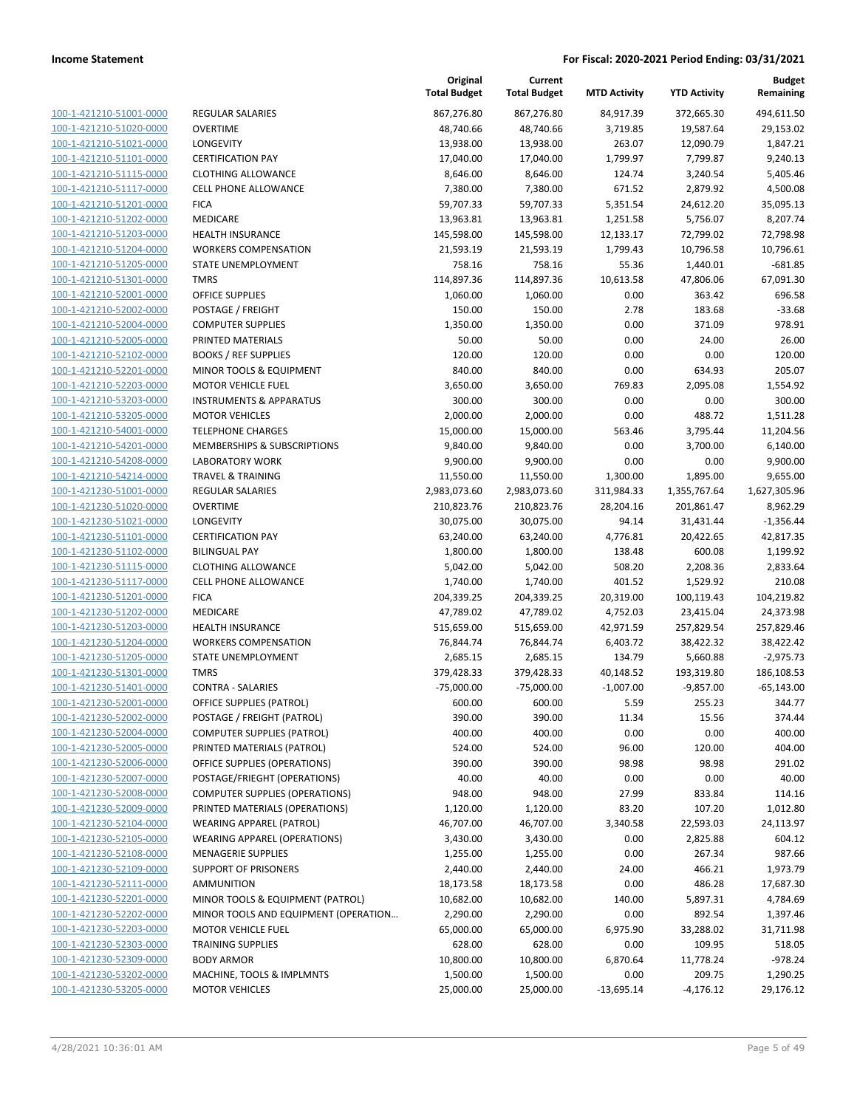| 100-1-421210-51001-0000        |
|--------------------------------|
| 100-1-421210-51020-0000        |
| 100-1-421210-51021-0000        |
| 100-1-421210-51101-0000        |
| 100-1-421210-51115-0000        |
| 100-1-421210-51117-0000        |
| 100-1-421210-51201-0000        |
| 100-1-421210-51202-0000        |
| 100-1-421210-51203-0000        |
| 100-1-421210-51204-0000        |
| 100-1-421210-51205-0000        |
| 100-1-421210-51301-0000        |
| 100-1-421210-52001-0000        |
|                                |
| 100-1-421210-52002-0000        |
| 100-1-421210-52004-0000        |
| 100-1-421210-52005-0000        |
| 100-1-421210-52102-0000        |
| 100-1-421210-52201-0000        |
| 100-1-421210-52203-0000        |
| 100-1-421210-53203-0000        |
| 100-1-421210-53205-0000        |
| 100-1-421210-54001-0000        |
| 100-1-421210-54201-0000        |
| 100-1-421210-54208-0000        |
| 100-1-421210-54214-0000        |
| 100-1-421230-51001-0000        |
| 100-1-421230-51020-0000        |
| 100-1-421230-51021-0000        |
| 100-1-421230-51101-0000        |
| 100-1-421230-51102-0000        |
| 100-1-421230-51115-0000        |
| 100-1-421230-51117-0000        |
| 100-1-421230-51201-0000        |
| 100-1-421230-51202-0000        |
| 100-1-421230-51203-0000        |
| 100-1-421230-51204-0000        |
|                                |
| 100-1-421230-51205-0000        |
| 100-1-421230-51301-0000        |
| 100-1-421230-51401-0000        |
| 100-1-421230-52001-0000        |
| 100-1-421230-52002-0000        |
| 100-1-421230-52004-0000        |
| <u>100-1-421230-52005-0000</u> |
| <u>100-1-421230-52006-0000</u> |
| <u>100-1-421230-52007-0000</u> |
| 100-1-421230-52008-0000        |
| 100-1-421230-52009-0000        |
| 100-1-421230-52104-0000        |
| <u>100-1-421230-52105-0000</u> |
| <u>100-1-421230-52108-0000</u> |
| 100-1-421230-52109-0000        |
| 100-1-421230-52111-0000        |
| <u>100-1-421230-52201-0000</u> |
| <u>100-1-421230-52202-0000</u> |
| <u>100-1-421230-52203-0000</u> |
| <u>100-1-421230-52303-0000</u> |
|                                |
| <u>100-1-421230-52309-0000</u> |
| <u>100-1-421230-53202-0000</u> |
| <u>100-1-421230-53205-0000</u> |

|                                |                                       | Original<br><b>Total Budget</b> | Current<br><b>Total Budget</b> | <b>MTD Activity</b> | <b>YTD Activity</b> | <b>Budget</b><br>Remaining |
|--------------------------------|---------------------------------------|---------------------------------|--------------------------------|---------------------|---------------------|----------------------------|
| 100-1-421210-51001-0000        | <b>REGULAR SALARIES</b>               | 867,276.80                      | 867,276.80                     | 84,917.39           | 372,665.30          | 494,611.50                 |
| 100-1-421210-51020-0000        | <b>OVERTIME</b>                       | 48,740.66                       | 48,740.66                      | 3,719.85            | 19,587.64           | 29,153.02                  |
| 100-1-421210-51021-0000        | LONGEVITY                             | 13,938.00                       | 13,938.00                      | 263.07              | 12,090.79           | 1,847.21                   |
| 100-1-421210-51101-0000        | <b>CERTIFICATION PAY</b>              | 17,040.00                       | 17,040.00                      | 1,799.97            | 7,799.87            | 9,240.13                   |
| 100-1-421210-51115-0000        | <b>CLOTHING ALLOWANCE</b>             | 8,646.00                        | 8,646.00                       | 124.74              | 3,240.54            | 5,405.46                   |
| 100-1-421210-51117-0000        | <b>CELL PHONE ALLOWANCE</b>           | 7,380.00                        | 7,380.00                       | 671.52              | 2,879.92            | 4,500.08                   |
| 100-1-421210-51201-0000        | <b>FICA</b>                           | 59,707.33                       | 59,707.33                      | 5,351.54            | 24,612.20           | 35,095.13                  |
| 100-1-421210-51202-0000        | MEDICARE                              | 13,963.81                       | 13,963.81                      | 1,251.58            | 5,756.07            | 8,207.74                   |
| 100-1-421210-51203-0000        | <b>HEALTH INSURANCE</b>               | 145,598.00                      | 145,598.00                     | 12,133.17           | 72,799.02           | 72,798.98                  |
| 100-1-421210-51204-0000        | <b>WORKERS COMPENSATION</b>           | 21,593.19                       | 21,593.19                      | 1,799.43            | 10,796.58           | 10,796.61                  |
| 100-1-421210-51205-0000        | STATE UNEMPLOYMENT                    | 758.16                          | 758.16                         | 55.36               | 1,440.01            | $-681.85$                  |
| 100-1-421210-51301-0000        | <b>TMRS</b>                           | 114,897.36                      | 114,897.36                     | 10,613.58           | 47,806.06           | 67,091.30                  |
| 100-1-421210-52001-0000        | <b>OFFICE SUPPLIES</b>                | 1,060.00                        | 1,060.00                       | 0.00                | 363.42              | 696.58                     |
| 100-1-421210-52002-0000        | POSTAGE / FREIGHT                     | 150.00                          | 150.00                         | 2.78                | 183.68              | $-33.68$                   |
| 100-1-421210-52004-0000        | <b>COMPUTER SUPPLIES</b>              | 1,350.00                        | 1,350.00                       | 0.00                | 371.09              | 978.91                     |
| 100-1-421210-52005-0000        | PRINTED MATERIALS                     | 50.00                           | 50.00                          | 0.00                | 24.00               | 26.00                      |
| 100-1-421210-52102-0000        | <b>BOOKS / REF SUPPLIES</b>           | 120.00                          | 120.00                         | 0.00                | 0.00                | 120.00                     |
| 100-1-421210-52201-0000        | MINOR TOOLS & EQUIPMENT               | 840.00                          | 840.00                         | 0.00                | 634.93              | 205.07                     |
| 100-1-421210-52203-0000        | <b>MOTOR VEHICLE FUEL</b>             | 3,650.00                        | 3,650.00                       | 769.83              | 2,095.08            | 1,554.92                   |
| 100-1-421210-53203-0000        | <b>INSTRUMENTS &amp; APPARATUS</b>    | 300.00                          | 300.00                         | 0.00                | 0.00                | 300.00                     |
| 100-1-421210-53205-0000        | <b>MOTOR VEHICLES</b>                 | 2,000.00                        | 2,000.00                       | 0.00                | 488.72              | 1,511.28                   |
| 100-1-421210-54001-0000        | <b>TELEPHONE CHARGES</b>              | 15,000.00                       | 15,000.00                      | 563.46              | 3,795.44            | 11,204.56                  |
| 100-1-421210-54201-0000        | MEMBERSHIPS & SUBSCRIPTIONS           | 9,840.00                        | 9,840.00                       | 0.00                | 3,700.00            | 6,140.00                   |
| 100-1-421210-54208-0000        | <b>LABORATORY WORK</b>                | 9,900.00                        | 9,900.00                       | 0.00                | 0.00                | 9,900.00                   |
| 100-1-421210-54214-0000        | <b>TRAVEL &amp; TRAINING</b>          | 11,550.00                       | 11,550.00                      | 1,300.00            | 1,895.00            | 9,655.00                   |
| 100-1-421230-51001-0000        | REGULAR SALARIES                      | 2,983,073.60                    | 2,983,073.60                   | 311,984.33          | 1,355,767.64        | 1,627,305.96               |
| 100-1-421230-51020-0000        | <b>OVERTIME</b>                       | 210,823.76                      | 210,823.76                     | 28,204.16           | 201,861.47          | 8,962.29                   |
| 100-1-421230-51021-0000        | LONGEVITY                             | 30,075.00                       | 30,075.00                      | 94.14               | 31,431.44           | $-1,356.44$                |
| 100-1-421230-51101-0000        | <b>CERTIFICATION PAY</b>              | 63,240.00                       | 63,240.00                      | 4,776.81            | 20,422.65           | 42,817.35                  |
| 100-1-421230-51102-0000        | <b>BILINGUAL PAY</b>                  | 1,800.00                        | 1,800.00                       | 138.48              | 600.08              | 1,199.92                   |
| 100-1-421230-51115-0000        | <b>CLOTHING ALLOWANCE</b>             | 5,042.00                        | 5,042.00                       | 508.20              | 2,208.36            | 2,833.64                   |
| 100-1-421230-51117-0000        | <b>CELL PHONE ALLOWANCE</b>           | 1,740.00                        | 1,740.00                       | 401.52              | 1,529.92            | 210.08                     |
| 100-1-421230-51201-0000        | <b>FICA</b>                           | 204,339.25                      | 204,339.25                     | 20,319.00           | 100,119.43          | 104,219.82                 |
| 100-1-421230-51202-0000        | MEDICARE                              | 47,789.02                       | 47,789.02                      | 4,752.03            | 23,415.04           | 24,373.98                  |
| 100-1-421230-51203-0000        | <b>HEALTH INSURANCE</b>               | 515,659.00                      | 515,659.00                     | 42,971.59           | 257,829.54          | 257,829.46                 |
| 100-1-421230-51204-0000        | <b>WORKERS COMPENSATION</b>           | 76,844.74                       | 76,844.74                      | 6,403.72            | 38,422.32           | 38,422.42                  |
| 100-1-421230-51205-0000        | <b>STATE UNEMPLOYMENT</b>             | 2,685.15                        | 2,685.15                       | 134.79              | 5,660.88            | $-2,975.73$                |
| 100-1-421230-51301-0000        | <b>TMRS</b>                           | 379,428.33                      | 379,428.33                     | 40,148.52           | 193,319.80          | 186,108.53                 |
| 100-1-421230-51401-0000        | <b>CONTRA - SALARIES</b>              | $-75,000.00$                    | $-75,000.00$                   | $-1,007.00$         | $-9,857.00$         | $-65,143.00$               |
| <u>100-1-421230-52001-0000</u> | OFFICE SUPPLIES (PATROL)              | 600.00                          | 600.00                         | 5.59                | 255.23              | 344.77                     |
| 100-1-421230-52002-0000        | POSTAGE / FREIGHT (PATROL)            | 390.00                          | 390.00                         | 11.34               | 15.56               | 374.44                     |
| 100-1-421230-52004-0000        | <b>COMPUTER SUPPLIES (PATROL)</b>     | 400.00                          | 400.00                         | 0.00                | 0.00                | 400.00                     |
| 100-1-421230-52005-0000        | PRINTED MATERIALS (PATROL)            | 524.00                          | 524.00                         | 96.00               | 120.00              | 404.00                     |
| 100-1-421230-52006-0000        | OFFICE SUPPLIES (OPERATIONS)          | 390.00                          | 390.00                         | 98.98               | 98.98               | 291.02                     |
| 100-1-421230-52007-0000        | POSTAGE/FRIEGHT (OPERATIONS)          | 40.00                           | 40.00                          | 0.00                | 0.00                | 40.00                      |
| 100-1-421230-52008-0000        | <b>COMPUTER SUPPLIES (OPERATIONS)</b> | 948.00                          | 948.00                         | 27.99               | 833.84              | 114.16                     |
| 100-1-421230-52009-0000        | PRINTED MATERIALS (OPERATIONS)        | 1,120.00                        | 1,120.00                       | 83.20               | 107.20              | 1,012.80                   |
| 100-1-421230-52104-0000        | <b>WEARING APPAREL (PATROL)</b>       | 46,707.00                       | 46,707.00                      | 3,340.58            | 22,593.03           | 24,113.97                  |
| 100-1-421230-52105-0000        | <b>WEARING APPAREL (OPERATIONS)</b>   | 3,430.00                        | 3,430.00                       | 0.00                | 2,825.88            | 604.12                     |
| 100-1-421230-52108-0000        | <b>MENAGERIE SUPPLIES</b>             | 1,255.00                        | 1,255.00                       | 0.00                | 267.34              | 987.66                     |
| 100-1-421230-52109-0000        | <b>SUPPORT OF PRISONERS</b>           | 2,440.00                        | 2,440.00                       | 24.00               | 466.21              | 1,973.79                   |
| 100-1-421230-52111-0000        | <b>AMMUNITION</b>                     | 18,173.58                       | 18,173.58                      | 0.00                | 486.28              | 17,687.30                  |
| 100-1-421230-52201-0000        | MINOR TOOLS & EQUIPMENT (PATROL)      | 10,682.00                       | 10,682.00                      | 140.00              | 5,897.31            | 4,784.69                   |
| 100-1-421230-52202-0000        | MINOR TOOLS AND EQUIPMENT (OPERATION  | 2,290.00                        | 2,290.00                       | 0.00                | 892.54              | 1,397.46                   |
| 100-1-421230-52203-0000        | <b>MOTOR VEHICLE FUEL</b>             | 65,000.00                       | 65,000.00                      | 6,975.90            | 33,288.02           | 31,711.98                  |
| 100-1-421230-52303-0000        | <b>TRAINING SUPPLIES</b>              | 628.00                          | 628.00                         | 0.00                | 109.95              | 518.05                     |
| 100-1-421230-52309-0000        | <b>BODY ARMOR</b>                     | 10,800.00                       | 10,800.00                      | 6,870.64            | 11,778.24           | $-978.24$                  |
| 100-1-421230-53202-0000        | MACHINE, TOOLS & IMPLMNTS             | 1,500.00                        | 1,500.00                       | 0.00                | 209.75              | 1,290.25                   |
| 100-1-421230-53205-0000        | <b>MOTOR VEHICLES</b>                 | 25,000.00                       | 25,000.00                      | $-13,695.14$        | $-4,176.12$         | 29,176.12                  |
|                                |                                       |                                 |                                |                     |                     |                            |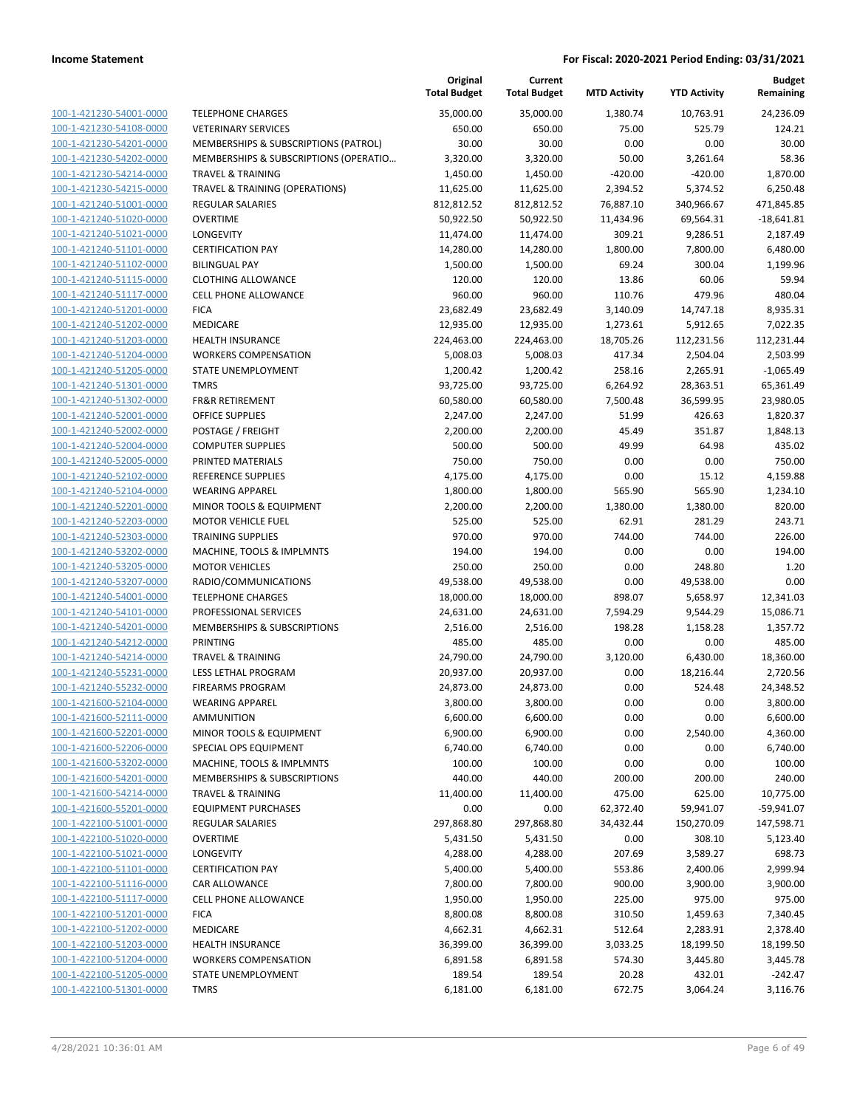|                         |                                       | Original<br><b>Total Budget</b> | Current<br><b>Total Budget</b> | <b>MTD Activity</b> | <b>YTD Activity</b> | <b>Budget</b><br>Remaining |
|-------------------------|---------------------------------------|---------------------------------|--------------------------------|---------------------|---------------------|----------------------------|
| 100-1-421230-54001-0000 | <b>TELEPHONE CHARGES</b>              | 35,000.00                       | 35,000.00                      | 1,380.74            | 10,763.91           | 24,236.09                  |
| 100-1-421230-54108-0000 | <b>VETERINARY SERVICES</b>            | 650.00                          | 650.00                         | 75.00               | 525.79              | 124.21                     |
| 100-1-421230-54201-0000 | MEMBERSHIPS & SUBSCRIPTIONS (PATROL)  | 30.00                           | 30.00                          | 0.00                | 0.00                | 30.00                      |
| 100-1-421230-54202-0000 | MEMBERSHIPS & SUBSCRIPTIONS (OPERATIO | 3,320.00                        | 3,320.00                       | 50.00               | 3,261.64            | 58.36                      |
| 100-1-421230-54214-0000 | <b>TRAVEL &amp; TRAINING</b>          | 1,450.00                        | 1,450.00                       | $-420.00$           | $-420.00$           | 1,870.00                   |
| 100-1-421230-54215-0000 | TRAVEL & TRAINING (OPERATIONS)        | 11,625.00                       | 11,625.00                      | 2,394.52            | 5,374.52            | 6,250.48                   |
| 100-1-421240-51001-0000 | REGULAR SALARIES                      | 812,812.52                      | 812,812.52                     | 76,887.10           | 340,966.67          | 471,845.85                 |
| 100-1-421240-51020-0000 | <b>OVERTIME</b>                       | 50,922.50                       | 50,922.50                      | 11,434.96           | 69,564.31           | $-18,641.81$               |
| 100-1-421240-51021-0000 | LONGEVITY                             | 11,474.00                       | 11,474.00                      | 309.21              | 9,286.51            | 2,187.49                   |
| 100-1-421240-51101-0000 | <b>CERTIFICATION PAY</b>              | 14,280.00                       | 14,280.00                      | 1,800.00            | 7,800.00            | 6,480.00                   |
| 100-1-421240-51102-0000 | <b>BILINGUAL PAY</b>                  | 1,500.00                        | 1,500.00                       | 69.24               | 300.04              | 1,199.96                   |
| 100-1-421240-51115-0000 | <b>CLOTHING ALLOWANCE</b>             | 120.00                          | 120.00                         | 13.86               | 60.06               | 59.94                      |
| 100-1-421240-51117-0000 | <b>CELL PHONE ALLOWANCE</b>           | 960.00                          | 960.00                         | 110.76              | 479.96              | 480.04                     |
| 100-1-421240-51201-0000 | <b>FICA</b>                           | 23,682.49                       | 23,682.49                      | 3,140.09            | 14,747.18           | 8,935.31                   |
| 100-1-421240-51202-0000 | MEDICARE                              | 12,935.00                       | 12,935.00                      | 1,273.61            | 5,912.65            | 7,022.35                   |
| 100-1-421240-51203-0000 | <b>HEALTH INSURANCE</b>               | 224,463.00                      | 224,463.00                     | 18,705.26           | 112,231.56          | 112,231.44                 |
| 100-1-421240-51204-0000 | <b>WORKERS COMPENSATION</b>           | 5,008.03                        | 5,008.03                       | 417.34              | 2,504.04            | 2,503.99                   |
| 100-1-421240-51205-0000 | STATE UNEMPLOYMENT                    | 1,200.42                        | 1,200.42                       | 258.16              | 2,265.91            | $-1,065.49$                |
| 100-1-421240-51301-0000 | <b>TMRS</b>                           | 93,725.00                       | 93,725.00                      | 6,264.92            | 28,363.51           | 65,361.49                  |
| 100-1-421240-51302-0000 | <b>FR&amp;R RETIREMENT</b>            | 60,580.00                       | 60,580.00                      | 7,500.48            | 36,599.95           | 23,980.05                  |
| 100-1-421240-52001-0000 | <b>OFFICE SUPPLIES</b>                | 2,247.00                        | 2,247.00                       | 51.99               | 426.63              | 1,820.37                   |
| 100-1-421240-52002-0000 | POSTAGE / FREIGHT                     | 2,200.00                        | 2,200.00                       | 45.49               | 351.87              | 1,848.13                   |
| 100-1-421240-52004-0000 | <b>COMPUTER SUPPLIES</b>              | 500.00                          | 500.00                         | 49.99               | 64.98               | 435.02                     |
| 100-1-421240-52005-0000 | PRINTED MATERIALS                     | 750.00                          | 750.00                         | 0.00                | 0.00                | 750.00                     |
| 100-1-421240-52102-0000 | <b>REFERENCE SUPPLIES</b>             | 4,175.00                        | 4,175.00                       | 0.00                | 15.12               | 4,159.88                   |
| 100-1-421240-52104-0000 | <b>WEARING APPAREL</b>                | 1,800.00                        | 1,800.00                       | 565.90              | 565.90              | 1,234.10                   |
| 100-1-421240-52201-0000 | MINOR TOOLS & EQUIPMENT               | 2,200.00                        | 2,200.00                       | 1,380.00            | 1,380.00            | 820.00                     |
| 100-1-421240-52203-0000 | <b>MOTOR VEHICLE FUEL</b>             | 525.00                          | 525.00                         | 62.91               | 281.29              | 243.71                     |
| 100-1-421240-52303-0000 | <b>TRAINING SUPPLIES</b>              | 970.00                          | 970.00                         | 744.00              | 744.00              | 226.00                     |
| 100-1-421240-53202-0000 | MACHINE, TOOLS & IMPLMNTS             | 194.00                          | 194.00                         | 0.00                | 0.00                | 194.00                     |
| 100-1-421240-53205-0000 | <b>MOTOR VEHICLES</b>                 | 250.00                          | 250.00                         | 0.00                | 248.80              | 1.20                       |
| 100-1-421240-53207-0000 | RADIO/COMMUNICATIONS                  | 49,538.00                       | 49,538.00                      | 0.00                | 49,538.00           | 0.00                       |
| 100-1-421240-54001-0000 | <b>TELEPHONE CHARGES</b>              | 18,000.00                       | 18,000.00                      | 898.07              | 5,658.97            | 12,341.03                  |
| 100-1-421240-54101-0000 | PROFESSIONAL SERVICES                 | 24,631.00                       | 24,631.00                      | 7,594.29            | 9,544.29            | 15,086.71                  |
| 100-1-421240-54201-0000 | MEMBERSHIPS & SUBSCRIPTIONS           | 2,516.00                        | 2,516.00                       | 198.28              | 1,158.28            | 1,357.72                   |
| 100-1-421240-54212-0000 | <b>PRINTING</b>                       | 485.00                          | 485.00                         | 0.00                | 0.00                | 485.00                     |
| 100-1-421240-54214-0000 | <b>TRAVEL &amp; TRAINING</b>          | 24,790.00                       | 24,790.00                      | 3,120.00            | 6,430.00            | 18,360.00                  |
| 100-1-421240-55231-0000 | LESS LETHAL PROGRAM                   | 20,937.00                       | 20,937.00                      | 0.00                | 18,216.44           | 2,720.56                   |
| 100-1-421240-55232-0000 | <b>FIREARMS PROGRAM</b>               | 24,873.00                       | 24,873.00                      | 0.00                | 524.48              | 24,348.52                  |
| 100-1-421600-52104-0000 | <b>WEARING APPAREL</b>                | 3,800.00                        | 3,800.00                       | 0.00                | 0.00                | 3,800.00                   |
| 100-1-421600-52111-0000 | AMMUNITION                            | 6,600.00                        | 6,600.00                       | 0.00                | 0.00                | 6,600.00                   |
| 100-1-421600-52201-0000 | MINOR TOOLS & EQUIPMENT               | 6,900.00                        | 6,900.00                       | 0.00                | 2,540.00            | 4,360.00                   |
| 100-1-421600-52206-0000 | SPECIAL OPS EQUIPMENT                 | 6,740.00                        | 6,740.00                       | 0.00                | 0.00                | 6,740.00                   |
| 100-1-421600-53202-0000 | MACHINE, TOOLS & IMPLMNTS             | 100.00                          | 100.00                         | 0.00                | 0.00                | 100.00                     |
| 100-1-421600-54201-0000 | MEMBERSHIPS & SUBSCRIPTIONS           | 440.00                          | 440.00                         | 200.00              | 200.00              | 240.00                     |
| 100-1-421600-54214-0000 | <b>TRAVEL &amp; TRAINING</b>          | 11,400.00                       | 11,400.00                      | 475.00              | 625.00              | 10,775.00                  |
| 100-1-421600-55201-0000 | <b>EQUIPMENT PURCHASES</b>            | 0.00                            | 0.00                           | 62,372.40           | 59,941.07           | $-59,941.07$               |
| 100-1-422100-51001-0000 | REGULAR SALARIES                      | 297,868.80                      | 297,868.80                     | 34,432.44           | 150,270.09          | 147,598.71                 |
| 100-1-422100-51020-0000 | <b>OVERTIME</b>                       | 5,431.50                        | 5,431.50                       | 0.00                | 308.10              | 5,123.40                   |
| 100-1-422100-51021-0000 | LONGEVITY                             | 4,288.00                        | 4,288.00                       | 207.69              | 3,589.27            | 698.73                     |
| 100-1-422100-51101-0000 | <b>CERTIFICATION PAY</b>              | 5,400.00                        | 5,400.00                       | 553.86              | 2,400.06            | 2,999.94                   |
| 100-1-422100-51116-0000 | CAR ALLOWANCE                         | 7,800.00                        | 7,800.00                       | 900.00              | 3,900.00            | 3,900.00                   |
| 100-1-422100-51117-0000 | CELL PHONE ALLOWANCE                  | 1,950.00                        | 1,950.00                       | 225.00              | 975.00              | 975.00                     |
| 100-1-422100-51201-0000 | <b>FICA</b>                           | 8,800.08                        | 8,800.08                       | 310.50              | 1,459.63            | 7,340.45                   |
| 100-1-422100-51202-0000 | MEDICARE                              | 4,662.31                        | 4,662.31                       | 512.64              | 2,283.91            | 2,378.40                   |
| 100-1-422100-51203-0000 | <b>HEALTH INSURANCE</b>               | 36,399.00                       | 36,399.00                      | 3,033.25            | 18,199.50           | 18,199.50                  |
| 100-1-422100-51204-0000 | <b>WORKERS COMPENSATION</b>           | 6,891.58                        | 6,891.58                       | 574.30              | 3,445.80            | 3,445.78                   |
| 100-1-422100-51205-0000 | STATE UNEMPLOYMENT                    | 189.54                          | 189.54                         | 20.28               | 432.01              | $-242.47$                  |
| 100-1-422100-51301-0000 | <b>TMRS</b>                           | 6,181.00                        | 6,181.00                       | 672.75              | 3,064.24            | 3,116.76                   |
|                         |                                       |                                 |                                |                     |                     |                            |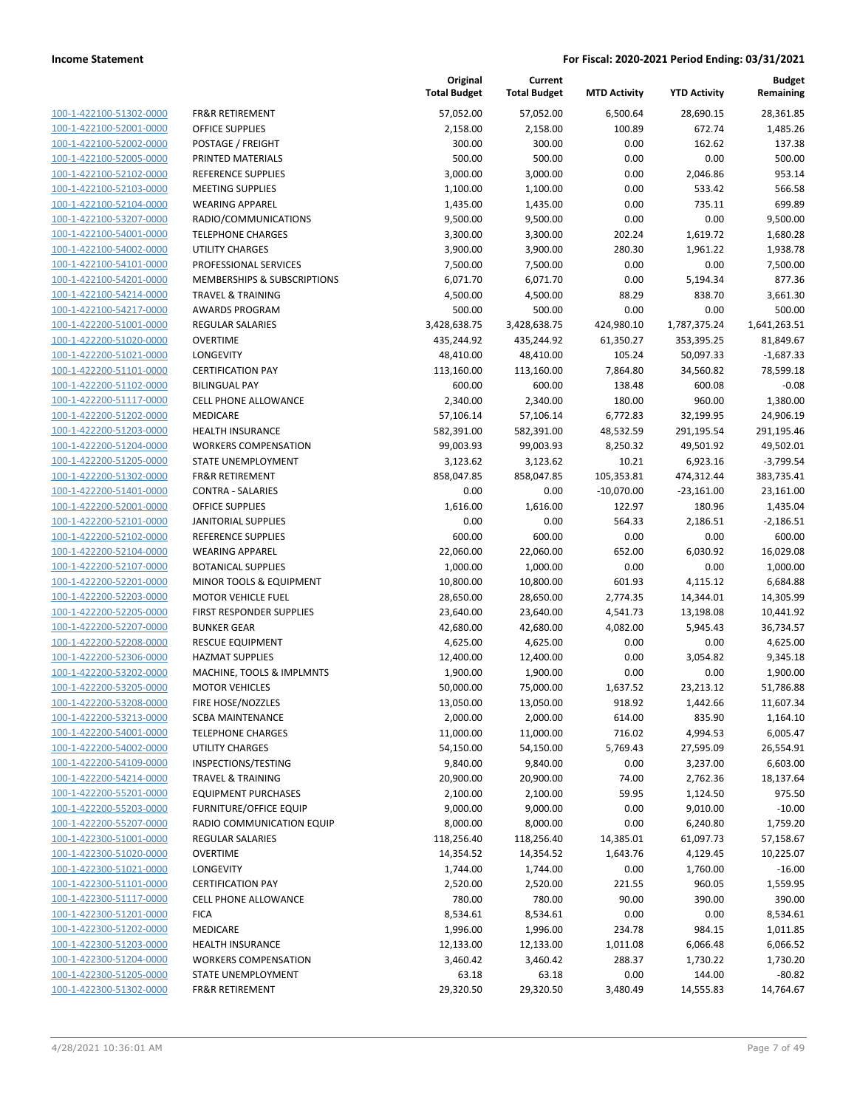100-1-422100-51302-0000 100-1-422100-52001-0000 100-1-422100-52002-0000 100-1-422100-52005-0000 PRINTED MATERIALS 500.00 500.00 0.00 0.00 500.00 100-1-422100-52102-0000 100-1-422100-52103-0000 100-1-422100-52104-0000 100-1-422100-53207-0000 100-1-422100-54001-0000 100-1-422100-54002-0000 100-1-422100-54101-0000 100-1-422100-54201-0000 100-1-422100-54214-0000 100-1-422100-54217-0000 100-1-422200-51001-0000 100-1-422200-51020-0000 100-1-422200-51021-0000 100-1-422200-51101-0000 100-1-422200-51102-0000 BILINGUAL PAY 600.00 600.00 138.48 600.08 -0.08 100-1-422200-51117-0000 100-1-422200-51202-0000 100-1-422200-51203-0000 100-1-422200-51204-0000 100-1-422200-51205-0000 100-1-422200-51302-0000 100-1-422200-51401-0000 100-1-422200-52001-0000 100-1-422200-52101-0000 100-1-422200-52102-0000 REFERENCE SUPPLIES 600.00 600.00 0.00 0.00 600.00 100-1-422200-52104-0000 100-1-422200-52107-0000 100-1-422200-52201-0000 100-1-422200-52203-0000 100-1-422200-52205-0000 100-1-422200-52207-0000 100-1-422200-52208-0000 100-1-422200-52306-0000 100-1-422200-53202-0000 100-1-422200-53205-0000 100-1-422200-53208-0000 100-1-422200-53213-0000 100-1-422200-54001-0000 100-1-422200-54002-0000 100-1-422200-54109-0000 100-1-422200-54214-0000 100-1-422200-55201-0000 100-1-422200-55203-0000 100-1-422200-55207-0000 100-1-422300-51001-0000 100-1-422300-51020-0000 100-1-422300-51021-0000 100-1-422300-51101-0000 100-1-422300-51117-0000 100-1-422300-51201-0000 100-1-422300-51202-0000 100-1-422300-51203-0000 100-1-422300-51204-0000 100-1-422300-51205-0000 100-1-422300-51302-0000

|                                                         | Original<br><b>Total Budget</b> | Current<br><b>Total Budget</b> | <b>MTD Activity</b> | <b>YTD Activity</b> | <b>Budget</b><br>Remaining |
|---------------------------------------------------------|---------------------------------|--------------------------------|---------------------|---------------------|----------------------------|
| <b>FR&amp;R RETIREMENT</b>                              | 57,052.00                       | 57,052.00                      | 6,500.64            | 28,690.15           | 28,361.85                  |
| <b>OFFICE SUPPLIES</b>                                  | 2,158.00                        | 2,158.00                       | 100.89              | 672.74              | 1,485.26                   |
| POSTAGE / FREIGHT                                       | 300.00                          | 300.00                         | 0.00                | 162.62              | 137.38                     |
| PRINTED MATERIALS                                       | 500.00                          | 500.00                         | 0.00                | 0.00                | 500.00                     |
| REFERENCE SUPPLIES                                      | 3,000.00                        | 3,000.00                       | 0.00                | 2,046.86            | 953.14                     |
| <b>MEETING SUPPLIES</b>                                 | 1,100.00                        | 1,100.00                       | 0.00                | 533.42              | 566.58                     |
| <b>WEARING APPAREL</b>                                  | 1,435.00                        | 1,435.00                       | 0.00                | 735.11              | 699.89                     |
| RADIO/COMMUNICATIONS                                    | 9,500.00                        | 9,500.00                       | 0.00                | 0.00                | 9,500.00                   |
| <b>TELEPHONE CHARGES</b>                                | 3,300.00                        | 3,300.00                       | 202.24              | 1,619.72            | 1,680.28                   |
| <b>UTILITY CHARGES</b>                                  | 3,900.00                        | 3,900.00                       | 280.30              | 1,961.22            | 1,938.78                   |
| PROFESSIONAL SERVICES                                   | 7,500.00                        | 7,500.00                       | 0.00                | 0.00                | 7,500.00                   |
| MEMBERSHIPS & SUBSCRIPTIONS                             | 6,071.70                        | 6,071.70                       | 0.00                | 5,194.34            | 877.36                     |
| <b>TRAVEL &amp; TRAINING</b>                            | 4,500.00                        | 4,500.00                       | 88.29               | 838.70              | 3,661.30                   |
| <b>AWARDS PROGRAM</b>                                   | 500.00                          | 500.00                         | 0.00                | 0.00                | 500.00                     |
| <b>REGULAR SALARIES</b>                                 | 3,428,638.75                    | 3,428,638.75                   | 424,980.10          | 1,787,375.24        | 1,641,263.51               |
| <b>OVERTIME</b>                                         | 435,244.92                      | 435,244.92                     | 61,350.27           | 353,395.25          | 81,849.67                  |
| LONGEVITY                                               | 48,410.00                       | 48,410.00                      | 105.24              | 50,097.33           | $-1,687.33$                |
| <b>CERTIFICATION PAY</b>                                | 113,160.00                      | 113,160.00                     | 7,864.80            | 34,560.82           | 78,599.18                  |
| <b>BILINGUAL PAY</b>                                    | 600.00                          | 600.00                         | 138.48              | 600.08              | $-0.08$                    |
| <b>CELL PHONE ALLOWANCE</b>                             | 2,340.00                        | 2,340.00                       | 180.00              | 960.00              | 1,380.00                   |
| <b>MEDICARE</b>                                         | 57,106.14                       | 57,106.14                      | 6,772.83            | 32,199.95           | 24,906.19                  |
| <b>HEALTH INSURANCE</b>                                 | 582,391.00                      | 582,391.00                     | 48,532.59           | 291,195.54          | 291,195.46                 |
| <b>WORKERS COMPENSATION</b>                             | 99,003.93                       | 99,003.93                      | 8,250.32            | 49,501.92           | 49,502.01                  |
| <b>STATE UNEMPLOYMENT</b>                               | 3,123.62                        | 3,123.62                       | 10.21               | 6,923.16            | $-3,799.54$                |
| <b>FR&amp;R RETIREMENT</b>                              | 858,047.85                      | 858,047.85                     | 105,353.81          | 474,312.44          | 383,735.41                 |
| <b>CONTRA - SALARIES</b>                                | 0.00                            | 0.00                           | $-10,070.00$        | $-23,161.00$        | 23,161.00                  |
| <b>OFFICE SUPPLIES</b>                                  | 1,616.00                        | 1,616.00                       | 122.97<br>564.33    | 180.96              | 1,435.04                   |
| <b>JANITORIAL SUPPLIES</b><br><b>REFERENCE SUPPLIES</b> | 0.00<br>600.00                  | 0.00<br>600.00                 | 0.00                | 2,186.51<br>0.00    | $-2,186.51$<br>600.00      |
| <b>WEARING APPAREL</b>                                  | 22,060.00                       | 22,060.00                      | 652.00              | 6,030.92            | 16,029.08                  |
| <b>BOTANICAL SUPPLIES</b>                               | 1,000.00                        | 1,000.00                       | 0.00                | 0.00                | 1,000.00                   |
| MINOR TOOLS & EQUIPMENT                                 | 10,800.00                       | 10,800.00                      | 601.93              | 4,115.12            | 6,684.88                   |
| <b>MOTOR VEHICLE FUEL</b>                               | 28,650.00                       | 28,650.00                      | 2,774.35            | 14,344.01           | 14,305.99                  |
| FIRST RESPONDER SUPPLIES                                | 23,640.00                       | 23,640.00                      | 4,541.73            | 13,198.08           | 10,441.92                  |
| <b>BUNKER GEAR</b>                                      | 42,680.00                       | 42,680.00                      | 4,082.00            | 5,945.43            | 36,734.57                  |
| <b>RESCUE EQUIPMENT</b>                                 | 4,625.00                        | 4,625.00                       | 0.00                | 0.00                | 4,625.00                   |
| <b>HAZMAT SUPPLIES</b>                                  | 12,400.00                       | 12,400.00                      | 0.00                | 3,054.82            | 9,345.18                   |
| MACHINE, TOOLS & IMPLMNTS                               | 1,900.00                        | 1,900.00                       | 0.00                | 0.00                | 1,900.00                   |
| <b>MOTOR VEHICLES</b>                                   | 50,000.00                       | 75,000.00                      | 1,637.52            | 23,213.12           | 51,786.88                  |
| FIRE HOSE/NOZZLES                                       | 13,050.00                       | 13,050.00                      | 918.92              | 1,442.66            | 11,607.34                  |
| <b>SCBA MAINTENANCE</b>                                 | 2,000.00                        | 2,000.00                       | 614.00              | 835.90              | 1,164.10                   |
| <b>TELEPHONE CHARGES</b>                                | 11,000.00                       | 11,000.00                      | 716.02              | 4,994.53            | 6,005.47                   |
| <b>UTILITY CHARGES</b>                                  | 54,150.00                       | 54,150.00                      | 5,769.43            | 27,595.09           | 26,554.91                  |
| INSPECTIONS/TESTING                                     | 9,840.00                        | 9,840.00                       | 0.00                | 3,237.00            | 6,603.00                   |
| <b>TRAVEL &amp; TRAINING</b>                            | 20,900.00                       | 20,900.00                      | 74.00               | 2,762.36            | 18,137.64                  |
| <b>EQUIPMENT PURCHASES</b>                              | 2,100.00                        | 2,100.00                       | 59.95               | 1,124.50            | 975.50                     |
| <b>FURNITURE/OFFICE EQUIP</b>                           | 9,000.00                        | 9,000.00                       | 0.00                | 9,010.00            | $-10.00$                   |
| RADIO COMMUNICATION EQUIP                               | 8,000.00                        | 8,000.00                       | 0.00                | 6,240.80            | 1,759.20                   |
| <b>REGULAR SALARIES</b>                                 | 118,256.40                      | 118,256.40                     | 14,385.01           | 61,097.73           | 57,158.67                  |
| <b>OVERTIME</b>                                         | 14,354.52                       | 14,354.52                      | 1,643.76            | 4,129.45            | 10,225.07                  |
| LONGEVITY                                               | 1,744.00                        | 1,744.00                       | 0.00                | 1,760.00            | $-16.00$                   |
| <b>CERTIFICATION PAY</b>                                | 2,520.00                        | 2,520.00                       | 221.55              | 960.05              | 1,559.95                   |
| CELL PHONE ALLOWANCE                                    | 780.00                          | 780.00                         | 90.00               | 390.00              | 390.00                     |
| <b>FICA</b>                                             | 8,534.61                        | 8,534.61                       | 0.00                | 0.00                | 8,534.61                   |
| MEDICARE                                                | 1,996.00                        | 1,996.00                       | 234.78              | 984.15              | 1,011.85                   |
| <b>HEALTH INSURANCE</b>                                 | 12,133.00                       | 12,133.00                      | 1,011.08            | 6,066.48            | 6,066.52                   |
| <b>WORKERS COMPENSATION</b>                             | 3,460.42                        | 3,460.42                       | 288.37              | 1,730.22            | 1,730.20                   |
| STATE UNEMPLOYMENT                                      | 63.18                           | 63.18                          | 0.00                | 144.00              | $-80.82$                   |
| FR&R RETIREMENT                                         | 29,320.50                       | 29,320.50                      | 3,480.49            | 14,555.83           | 14,764.67                  |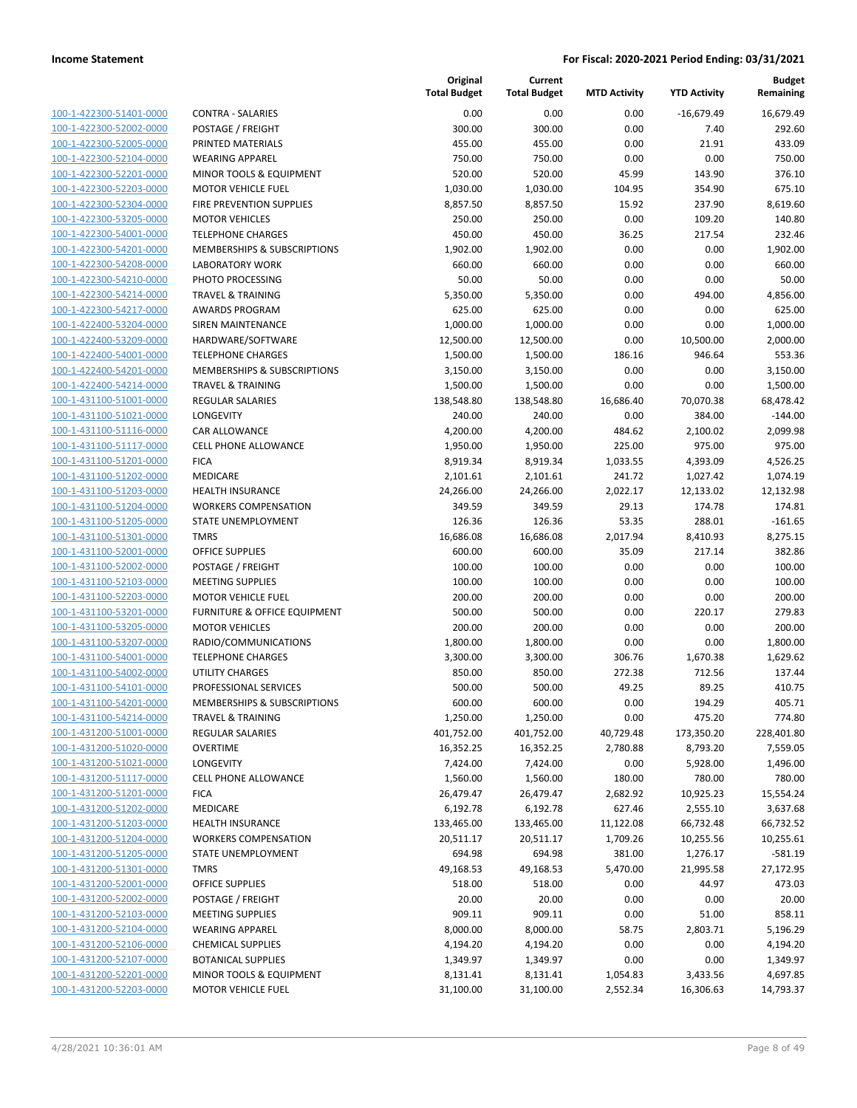| 100-1-422300-51401-0000        |
|--------------------------------|
| 100-1-422300-52002-0000        |
| 100-1-422300-52005-0000        |
| 100-1-422300-52104-0000        |
| 100-1-422300-52201-0000        |
| <u>100-1-422300-52203-0000</u> |
| 100-1-422300-52304-0000        |
| 100-1-422300-53205-0000        |
| 100-1-422300-54001-0000        |
| 100-1-422300-54201-0000        |
| 100-1-422300-54208-0000        |
| 100-1-422300-54210-0000        |
| 100-1-422300-54214-0000        |
| 100-1-422300-54217-0000        |
| 100-1-422400-53204-0000        |
| 100-1-422400-53209-0000        |
| <u>100-1-422400-54001-0000</u> |
| 100-1-422400-54201-0000        |
| 100-1-422400-54214-0000        |
| 100-1-431100-51001-0000        |
| 100-1-431100-51021-0000        |
| 100-1-431100-51116-0000        |
| 100-1-431100-51117-0000        |
| 100-1-431100-51201-0000        |
| 100-1-431100-51202-0000        |
| 100-1-431100-51203-0000        |
| 100-1-431100-51204-0000        |
|                                |
| 100-1-431100-51205-0000        |
| 100-1-431100-51301-0000        |
| 100-1-431100-52001-0000        |
| 100-1-431100-52002-0000        |
| 100-1-431100-52103-0000        |
| 100-1-431100-52203-0000        |
| 100-1-431100-53201-0000        |
| 100-1-431100-53205-0000        |
| 100-1-431100-53207-0000        |
| 100-1-431100-54001-0000        |
| 100-1-431100-54002-0000        |
| 100-1-431100-54101-0000        |
| 100-1-431100-54201-0000        |
| 100-1-431100-54214-0000        |
| <u>100-1-431200-51001-0000</u> |
| 100-1-431200-51020-0000        |
| 100-1-431200-51021-0000        |
| 100-1-431200-51117-0000        |
| <u>100-1-431200-51201-0000</u> |
| 100-1-431200-51202-0000        |
| <u>100-1-431200-51203-0000</u> |
| 100-1-431200-51204-0000        |
| <u>100-1-431200-51205-0000</u> |
| <u>100-1-431200-51301-0000</u> |
| <u>100-1-431200-52001-0000</u> |
| <u>100-1-431200-52002-0000</u> |
| 100-1-431200-52103-0000        |
| 100-1-431200-52104-0000        |
| <u>100-1-431200-52106-0000</u> |
| <u>100-1-431200-52107-0000</u> |
| <u>100-1-431200-52201-0000</u> |
| 100-1-431200-52203-0000        |
|                                |

|                         |                              | Original<br><b>Total Budget</b> | Current<br><b>Total Budget</b> | <b>MTD Activity</b> | <b>YTD Activity</b> | <b>Budget</b><br>Remaining |
|-------------------------|------------------------------|---------------------------------|--------------------------------|---------------------|---------------------|----------------------------|
| 100-1-422300-51401-0000 | <b>CONTRA - SALARIES</b>     | 0.00                            | 0.00                           | 0.00                | $-16,679.49$        | 16,679.49                  |
| 100-1-422300-52002-0000 | POSTAGE / FREIGHT            | 300.00                          | 300.00                         | 0.00                | 7.40                | 292.60                     |
| 100-1-422300-52005-0000 | PRINTED MATERIALS            | 455.00                          | 455.00                         | 0.00                | 21.91               | 433.09                     |
| 100-1-422300-52104-0000 | <b>WEARING APPAREL</b>       | 750.00                          | 750.00                         | 0.00                | 0.00                | 750.00                     |
| 100-1-422300-52201-0000 | MINOR TOOLS & EQUIPMENT      | 520.00                          | 520.00                         | 45.99               | 143.90              | 376.10                     |
| 100-1-422300-52203-0000 | <b>MOTOR VEHICLE FUEL</b>    | 1,030.00                        | 1,030.00                       | 104.95              | 354.90              | 675.10                     |
| 100-1-422300-52304-0000 | FIRE PREVENTION SUPPLIES     | 8,857.50                        | 8,857.50                       | 15.92               | 237.90              | 8,619.60                   |
| 100-1-422300-53205-0000 | <b>MOTOR VEHICLES</b>        | 250.00                          | 250.00                         | 0.00                | 109.20              | 140.80                     |
| 100-1-422300-54001-0000 | <b>TELEPHONE CHARGES</b>     | 450.00                          | 450.00                         | 36.25               | 217.54              | 232.46                     |
| 100-1-422300-54201-0000 | MEMBERSHIPS & SUBSCRIPTIONS  | 1,902.00                        | 1,902.00                       | 0.00                | 0.00                | 1,902.00                   |
| 100-1-422300-54208-0000 | <b>LABORATORY WORK</b>       | 660.00                          | 660.00                         | 0.00                | 0.00                | 660.00                     |
| 100-1-422300-54210-0000 | PHOTO PROCESSING             | 50.00                           | 50.00                          | 0.00                | 0.00                | 50.00                      |
| 100-1-422300-54214-0000 | <b>TRAVEL &amp; TRAINING</b> | 5,350.00                        | 5,350.00                       | 0.00                | 494.00              | 4,856.00                   |
| 100-1-422300-54217-0000 | <b>AWARDS PROGRAM</b>        | 625.00                          | 625.00                         | 0.00                | 0.00                | 625.00                     |
| 100-1-422400-53204-0000 | SIREN MAINTENANCE            | 1,000.00                        | 1,000.00                       | 0.00                | 0.00                | 1,000.00                   |
| 100-1-422400-53209-0000 | HARDWARE/SOFTWARE            | 12,500.00                       | 12,500.00                      | 0.00                | 10,500.00           | 2,000.00                   |
| 100-1-422400-54001-0000 | <b>TELEPHONE CHARGES</b>     | 1,500.00                        | 1,500.00                       | 186.16              | 946.64              | 553.36                     |
| 100-1-422400-54201-0000 | MEMBERSHIPS & SUBSCRIPTIONS  | 3,150.00                        | 3,150.00                       | 0.00                | 0.00                | 3,150.00                   |
| 100-1-422400-54214-0000 | <b>TRAVEL &amp; TRAINING</b> | 1,500.00                        | 1,500.00                       | 0.00                | 0.00                | 1,500.00                   |
| 100-1-431100-51001-0000 | REGULAR SALARIES             | 138,548.80                      | 138,548.80                     | 16,686.40           | 70,070.38           | 68,478.42                  |
| 100-1-431100-51021-0000 | LONGEVITY                    | 240.00                          | 240.00                         | 0.00                | 384.00              | $-144.00$                  |
| 100-1-431100-51116-0000 | CAR ALLOWANCE                | 4,200.00                        | 4,200.00                       | 484.62              | 2,100.02            | 2,099.98                   |
| 100-1-431100-51117-0000 | <b>CELL PHONE ALLOWANCE</b>  | 1,950.00                        | 1,950.00                       | 225.00              | 975.00              | 975.00                     |
| 100-1-431100-51201-0000 | <b>FICA</b>                  | 8,919.34                        | 8,919.34                       | 1,033.55            | 4,393.09            | 4,526.25                   |
| 100-1-431100-51202-0000 | MEDICARE                     | 2,101.61                        | 2,101.61                       | 241.72              | 1,027.42            | 1,074.19                   |
| 100-1-431100-51203-0000 | <b>HEALTH INSURANCE</b>      | 24,266.00                       | 24,266.00                      | 2,022.17            | 12,133.02           | 12,132.98                  |
| 100-1-431100-51204-0000 | <b>WORKERS COMPENSATION</b>  | 349.59                          | 349.59                         | 29.13               | 174.78              | 174.81                     |
| 100-1-431100-51205-0000 | STATE UNEMPLOYMENT           | 126.36                          | 126.36                         | 53.35               | 288.01              | $-161.65$                  |
| 100-1-431100-51301-0000 | <b>TMRS</b>                  | 16,686.08                       | 16,686.08                      | 2,017.94            | 8,410.93            | 8,275.15                   |
| 100-1-431100-52001-0000 | <b>OFFICE SUPPLIES</b>       | 600.00                          | 600.00                         | 35.09               | 217.14              | 382.86                     |
| 100-1-431100-52002-0000 | POSTAGE / FREIGHT            | 100.00                          | 100.00                         | 0.00                | 0.00                | 100.00                     |
| 100-1-431100-52103-0000 | <b>MEETING SUPPLIES</b>      | 100.00                          | 100.00                         | 0.00                | 0.00                | 100.00                     |
| 100-1-431100-52203-0000 | <b>MOTOR VEHICLE FUEL</b>    | 200.00                          | 200.00                         | 0.00                | 0.00                | 200.00                     |
| 100-1-431100-53201-0000 | FURNITURE & OFFICE EQUIPMENT | 500.00                          | 500.00                         | 0.00                | 220.17              | 279.83                     |
| 100-1-431100-53205-0000 | <b>MOTOR VEHICLES</b>        | 200.00                          | 200.00                         | 0.00                | 0.00                | 200.00                     |
| 100-1-431100-53207-0000 | RADIO/COMMUNICATIONS         | 1,800.00                        | 1,800.00                       | 0.00                | 0.00                | 1,800.00                   |
| 100-1-431100-54001-0000 | <b>TELEPHONE CHARGES</b>     | 3,300.00                        | 3,300.00                       | 306.76              | 1,670.38            | 1,629.62                   |
| 100-1-431100-54002-0000 | <b>UTILITY CHARGES</b>       | 850.00                          | 850.00                         | 272.38              | 712.56              | 137.44                     |
| 100-1-431100-54101-0000 | PROFESSIONAL SERVICES        | 500.00                          | 500.00                         | 49.25               | 89.25               | 410.75                     |
| 100-1-431100-54201-0000 | MEMBERSHIPS & SUBSCRIPTIONS  | 600.00                          | 600.00                         | 0.00                | 194.29              | 405.71                     |
| 100-1-431100-54214-0000 | TRAVEL & TRAINING            | 1,250.00                        | 1,250.00                       | 0.00                | 475.20              | 774.80                     |
| 100-1-431200-51001-0000 | <b>REGULAR SALARIES</b>      | 401,752.00                      | 401,752.00                     | 40,729.48           | 173,350.20          | 228,401.80                 |
| 100-1-431200-51020-0000 | OVERTIME                     | 16,352.25                       | 16,352.25                      | 2,780.88            | 8,793.20            | 7,559.05                   |
| 100-1-431200-51021-0000 | LONGEVITY                    | 7,424.00                        | 7,424.00                       | 0.00                | 5,928.00            | 1,496.00                   |
| 100-1-431200-51117-0000 | CELL PHONE ALLOWANCE         | 1,560.00                        | 1,560.00                       | 180.00              | 780.00              | 780.00                     |
| 100-1-431200-51201-0000 | <b>FICA</b>                  | 26,479.47                       | 26,479.47                      | 2,682.92            | 10,925.23           | 15,554.24                  |
| 100-1-431200-51202-0000 | MEDICARE                     | 6,192.78                        | 6,192.78                       | 627.46              | 2,555.10            | 3,637.68                   |
| 100-1-431200-51203-0000 | HEALTH INSURANCE             | 133,465.00                      | 133,465.00                     | 11,122.08           | 66,732.48           | 66,732.52                  |
| 100-1-431200-51204-0000 | <b>WORKERS COMPENSATION</b>  | 20,511.17                       | 20,511.17                      | 1,709.26            | 10,255.56           | 10,255.61                  |
| 100-1-431200-51205-0000 | STATE UNEMPLOYMENT           | 694.98                          | 694.98                         | 381.00              | 1,276.17            | $-581.19$                  |
| 100-1-431200-51301-0000 | TMRS                         | 49,168.53                       | 49,168.53                      | 5,470.00            | 21,995.58           | 27,172.95                  |
| 100-1-431200-52001-0000 | <b>OFFICE SUPPLIES</b>       | 518.00                          | 518.00                         | 0.00                | 44.97               | 473.03                     |
| 100-1-431200-52002-0000 | POSTAGE / FREIGHT            | 20.00                           | 20.00                          | 0.00                | 0.00                | 20.00                      |
| 100-1-431200-52103-0000 | <b>MEETING SUPPLIES</b>      | 909.11                          | 909.11                         | 0.00                | 51.00               | 858.11                     |
| 100-1-431200-52104-0000 | <b>WEARING APPAREL</b>       | 8,000.00                        | 8,000.00                       | 58.75               | 2,803.71            | 5,196.29                   |
| 100-1-431200-52106-0000 | <b>CHEMICAL SUPPLIES</b>     | 4,194.20                        | 4,194.20                       | 0.00                | 0.00                | 4,194.20                   |
| 100-1-431200-52107-0000 | <b>BOTANICAL SUPPLIES</b>    | 1,349.97                        | 1,349.97                       | 0.00                | 0.00                | 1,349.97                   |
| 100-1-431200-52201-0000 | MINOR TOOLS & EQUIPMENT      | 8,131.41                        | 8,131.41                       | 1,054.83            | 3,433.56            | 4,697.85                   |
| 100-1-431200-52203-0000 | <b>MOTOR VEHICLE FUEL</b>    | 31,100.00                       | 31,100.00                      | 2,552.34            | 16,306.63           | 14,793.37                  |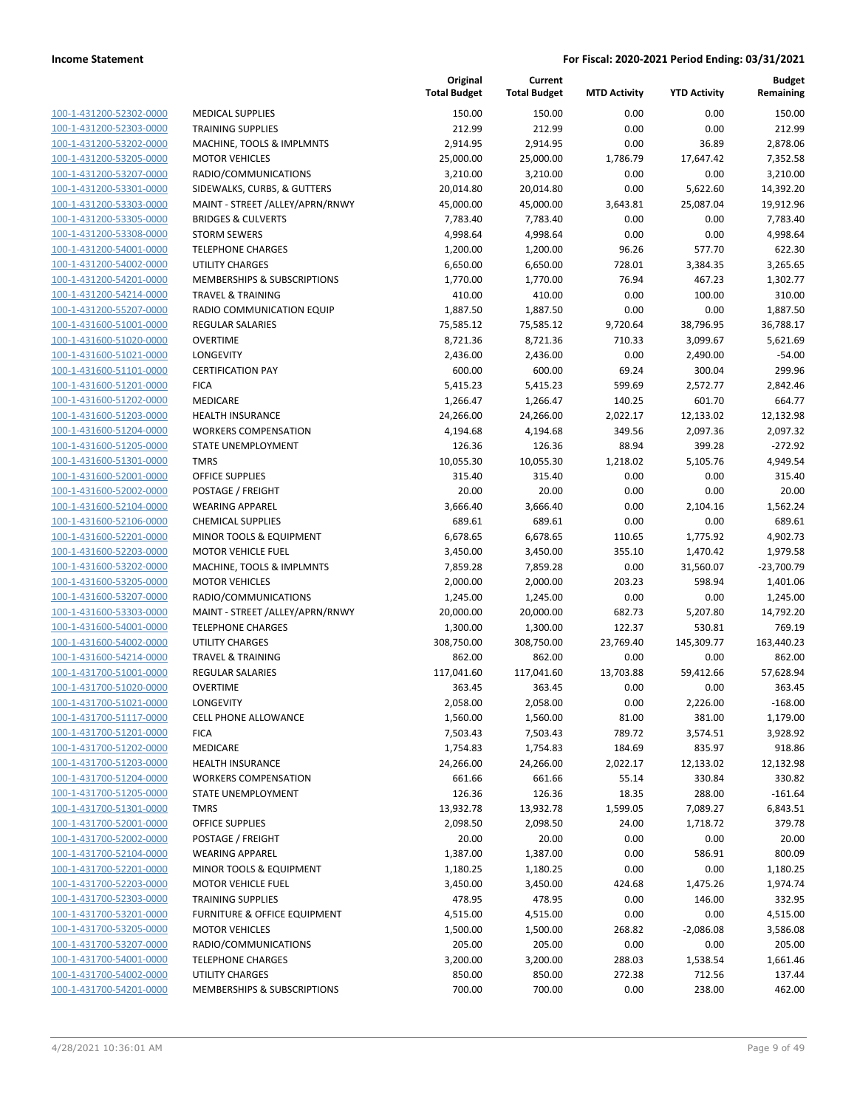|                                                    |                                                      | Original<br><b>Total Budget</b> | Current<br><b>Total Budget</b> | <b>MTD Activity</b> | <b>YTD Activity</b>  | <b>Budget</b><br>Remaining |
|----------------------------------------------------|------------------------------------------------------|---------------------------------|--------------------------------|---------------------|----------------------|----------------------------|
| 100-1-431200-52302-0000                            | <b>MEDICAL SUPPLIES</b>                              | 150.00                          | 150.00                         | 0.00                | 0.00                 | 150.00                     |
| 100-1-431200-52303-0000                            | <b>TRAINING SUPPLIES</b>                             | 212.99                          | 212.99                         | 0.00                | 0.00                 | 212.99                     |
| 100-1-431200-53202-0000                            | MACHINE, TOOLS & IMPLMNTS                            | 2,914.95                        | 2,914.95                       | 0.00                | 36.89                | 2,878.06                   |
| 100-1-431200-53205-0000                            | <b>MOTOR VEHICLES</b>                                | 25,000.00                       | 25,000.00                      | 1,786.79            | 17,647.42            | 7,352.58                   |
| 100-1-431200-53207-0000                            | RADIO/COMMUNICATIONS                                 | 3,210.00                        | 3,210.00                       | 0.00                | 0.00                 | 3,210.00                   |
| 100-1-431200-53301-0000                            | SIDEWALKS, CURBS, & GUTTERS                          | 20,014.80                       | 20,014.80                      | 0.00                | 5,622.60             | 14,392.20                  |
| 100-1-431200-53303-0000                            | MAINT - STREET /ALLEY/APRN/RNWY                      | 45,000.00                       | 45,000.00                      | 3,643.81            | 25,087.04            | 19,912.96                  |
| 100-1-431200-53305-0000                            | <b>BRIDGES &amp; CULVERTS</b>                        | 7,783.40                        | 7,783.40                       | 0.00                | 0.00                 | 7,783.40                   |
| 100-1-431200-53308-0000                            | <b>STORM SEWERS</b>                                  | 4,998.64                        | 4,998.64                       | 0.00                | 0.00                 | 4,998.64                   |
| 100-1-431200-54001-0000                            | <b>TELEPHONE CHARGES</b>                             | 1,200.00                        | 1,200.00                       | 96.26               | 577.70               | 622.30                     |
| 100-1-431200-54002-0000                            | <b>UTILITY CHARGES</b>                               | 6,650.00                        | 6,650.00                       | 728.01              | 3,384.35             | 3,265.65                   |
| 100-1-431200-54201-0000                            | MEMBERSHIPS & SUBSCRIPTIONS                          | 1,770.00                        | 1,770.00                       | 76.94               | 467.23               | 1,302.77                   |
| 100-1-431200-54214-0000                            | <b>TRAVEL &amp; TRAINING</b>                         | 410.00                          | 410.00                         | 0.00                | 100.00               | 310.00                     |
| 100-1-431200-55207-0000                            | RADIO COMMUNICATION EQUIP                            | 1,887.50                        | 1,887.50                       | 0.00                | 0.00                 | 1,887.50                   |
| 100-1-431600-51001-0000                            | <b>REGULAR SALARIES</b>                              | 75,585.12                       | 75,585.12                      | 9,720.64            | 38,796.95            | 36,788.17                  |
| 100-1-431600-51020-0000                            | <b>OVERTIME</b>                                      | 8,721.36                        | 8,721.36                       | 710.33              | 3,099.67             | 5,621.69                   |
| 100-1-431600-51021-0000                            | LONGEVITY                                            | 2,436.00                        | 2,436.00                       | 0.00                | 2,490.00             | $-54.00$                   |
| 100-1-431600-51101-0000                            | <b>CERTIFICATION PAY</b>                             | 600.00                          | 600.00                         | 69.24               | 300.04               | 299.96                     |
| 100-1-431600-51201-0000                            | <b>FICA</b>                                          | 5,415.23                        | 5,415.23                       | 599.69              | 2,572.77             | 2,842.46                   |
| 100-1-431600-51202-0000                            | MEDICARE                                             | 1,266.47                        | 1,266.47                       | 140.25              | 601.70               | 664.77                     |
| 100-1-431600-51203-0000                            | <b>HEALTH INSURANCE</b>                              | 24,266.00                       | 24,266.00                      | 2,022.17            | 12,133.02            | 12,132.98                  |
| 100-1-431600-51204-0000                            | <b>WORKERS COMPENSATION</b>                          | 4,194.68                        | 4,194.68                       | 349.56              | 2,097.36             | 2,097.32                   |
| 100-1-431600-51205-0000                            | STATE UNEMPLOYMENT                                   | 126.36                          | 126.36                         | 88.94               | 399.28               | $-272.92$                  |
| 100-1-431600-51301-0000                            | <b>TMRS</b>                                          | 10,055.30                       | 10,055.30                      | 1,218.02            | 5,105.76             | 4,949.54                   |
| 100-1-431600-52001-0000                            | <b>OFFICE SUPPLIES</b>                               | 315.40                          | 315.40                         | 0.00                | 0.00                 | 315.40                     |
| 100-1-431600-52002-0000                            | POSTAGE / FREIGHT                                    | 20.00                           | 20.00                          | 0.00                | 0.00                 | 20.00                      |
| 100-1-431600-52104-0000                            | <b>WEARING APPAREL</b>                               | 3,666.40                        | 3,666.40                       | 0.00                | 2,104.16             | 1,562.24                   |
| 100-1-431600-52106-0000<br>100-1-431600-52201-0000 | <b>CHEMICAL SUPPLIES</b>                             | 689.61                          | 689.61                         | 0.00                | 0.00                 | 689.61                     |
| 100-1-431600-52203-0000                            | MINOR TOOLS & EQUIPMENT<br><b>MOTOR VEHICLE FUEL</b> | 6,678.65<br>3,450.00            | 6,678.65<br>3,450.00           | 110.65<br>355.10    | 1,775.92<br>1,470.42 | 4,902.73<br>1,979.58       |
| 100-1-431600-53202-0000                            | MACHINE, TOOLS & IMPLMNTS                            | 7,859.28                        | 7,859.28                       | 0.00                | 31,560.07            | $-23,700.79$               |
| 100-1-431600-53205-0000                            | <b>MOTOR VEHICLES</b>                                | 2,000.00                        | 2,000.00                       | 203.23              | 598.94               | 1,401.06                   |
| 100-1-431600-53207-0000                            | RADIO/COMMUNICATIONS                                 | 1,245.00                        | 1,245.00                       | 0.00                | 0.00                 | 1,245.00                   |
| 100-1-431600-53303-0000                            | MAINT - STREET /ALLEY/APRN/RNWY                      | 20,000.00                       | 20,000.00                      | 682.73              | 5,207.80             | 14,792.20                  |
| 100-1-431600-54001-0000                            | <b>TELEPHONE CHARGES</b>                             | 1,300.00                        | 1,300.00                       | 122.37              | 530.81               | 769.19                     |
| 100-1-431600-54002-0000                            | UTILITY CHARGES                                      | 308,750.00                      | 308,750.00                     | 23,769.40           | 145,309.77           | 163,440.23                 |
| 100-1-431600-54214-0000                            | <b>TRAVEL &amp; TRAINING</b>                         | 862.00                          | 862.00                         | 0.00                | 0.00                 | 862.00                     |
| 100-1-431700-51001-0000                            | <b>REGULAR SALARIES</b>                              | 117,041.60                      | 117,041.60                     | 13,703.88           | 59,412.66            | 57,628.94                  |
| 100-1-431700-51020-0000                            | <b>OVERTIME</b>                                      | 363.45                          | 363.45                         | 0.00                | 0.00                 | 363.45                     |
| 100-1-431700-51021-0000                            | LONGEVITY                                            | 2,058.00                        | 2,058.00                       | 0.00                | 2,226.00             | $-168.00$                  |
| 100-1-431700-51117-0000                            | <b>CELL PHONE ALLOWANCE</b>                          | 1,560.00                        | 1,560.00                       | 81.00               | 381.00               | 1,179.00                   |
| 100-1-431700-51201-0000                            | <b>FICA</b>                                          | 7,503.43                        | 7,503.43                       | 789.72              | 3,574.51             | 3,928.92                   |
| 100-1-431700-51202-0000                            | MEDICARE                                             | 1,754.83                        | 1,754.83                       | 184.69              | 835.97               | 918.86                     |
| 100-1-431700-51203-0000                            | <b>HEALTH INSURANCE</b>                              | 24,266.00                       | 24,266.00                      | 2,022.17            | 12,133.02            | 12,132.98                  |
| 100-1-431700-51204-0000                            | <b>WORKERS COMPENSATION</b>                          | 661.66                          | 661.66                         | 55.14               | 330.84               | 330.82                     |
| 100-1-431700-51205-0000                            | STATE UNEMPLOYMENT                                   | 126.36                          | 126.36                         | 18.35               | 288.00               | $-161.64$                  |
| 100-1-431700-51301-0000                            | <b>TMRS</b>                                          | 13,932.78                       | 13,932.78                      | 1,599.05            | 7,089.27             | 6,843.51                   |
| 100-1-431700-52001-0000                            | <b>OFFICE SUPPLIES</b>                               | 2,098.50                        | 2,098.50                       | 24.00               | 1,718.72             | 379.78                     |
| 100-1-431700-52002-0000                            | POSTAGE / FREIGHT                                    | 20.00                           | 20.00                          | 0.00                | 0.00                 | 20.00                      |
| 100-1-431700-52104-0000                            | <b>WEARING APPAREL</b>                               | 1,387.00                        | 1,387.00                       | 0.00                | 586.91               | 800.09                     |
| 100-1-431700-52201-0000                            | MINOR TOOLS & EQUIPMENT                              | 1,180.25                        | 1,180.25                       | 0.00                | 0.00                 | 1,180.25                   |
| 100-1-431700-52203-0000                            | <b>MOTOR VEHICLE FUEL</b>                            | 3,450.00                        | 3,450.00                       | 424.68              | 1,475.26             | 1,974.74                   |
| 100-1-431700-52303-0000                            | <b>TRAINING SUPPLIES</b>                             | 478.95                          | 478.95                         | 0.00                | 146.00               | 332.95                     |
| 100-1-431700-53201-0000                            | FURNITURE & OFFICE EQUIPMENT                         | 4,515.00                        | 4,515.00                       | 0.00                | 0.00                 | 4,515.00                   |
| 100-1-431700-53205-0000                            | <b>MOTOR VEHICLES</b>                                | 1,500.00                        | 1,500.00                       | 268.82              | $-2,086.08$          | 3,586.08                   |
| 100-1-431700-53207-0000                            | RADIO/COMMUNICATIONS                                 | 205.00                          | 205.00                         | 0.00                | 0.00                 | 205.00                     |
| 100-1-431700-54001-0000                            | <b>TELEPHONE CHARGES</b>                             | 3,200.00                        | 3,200.00                       | 288.03              | 1,538.54             | 1,661.46                   |
| 100-1-431700-54002-0000<br>100-1-431700-54201-0000 | UTILITY CHARGES<br>MEMBERSHIPS & SUBSCRIPTIONS       | 850.00<br>700.00                | 850.00<br>700.00               | 272.38              | 712.56<br>238.00     | 137.44<br>462.00           |
|                                                    |                                                      |                                 |                                | 0.00                |                      |                            |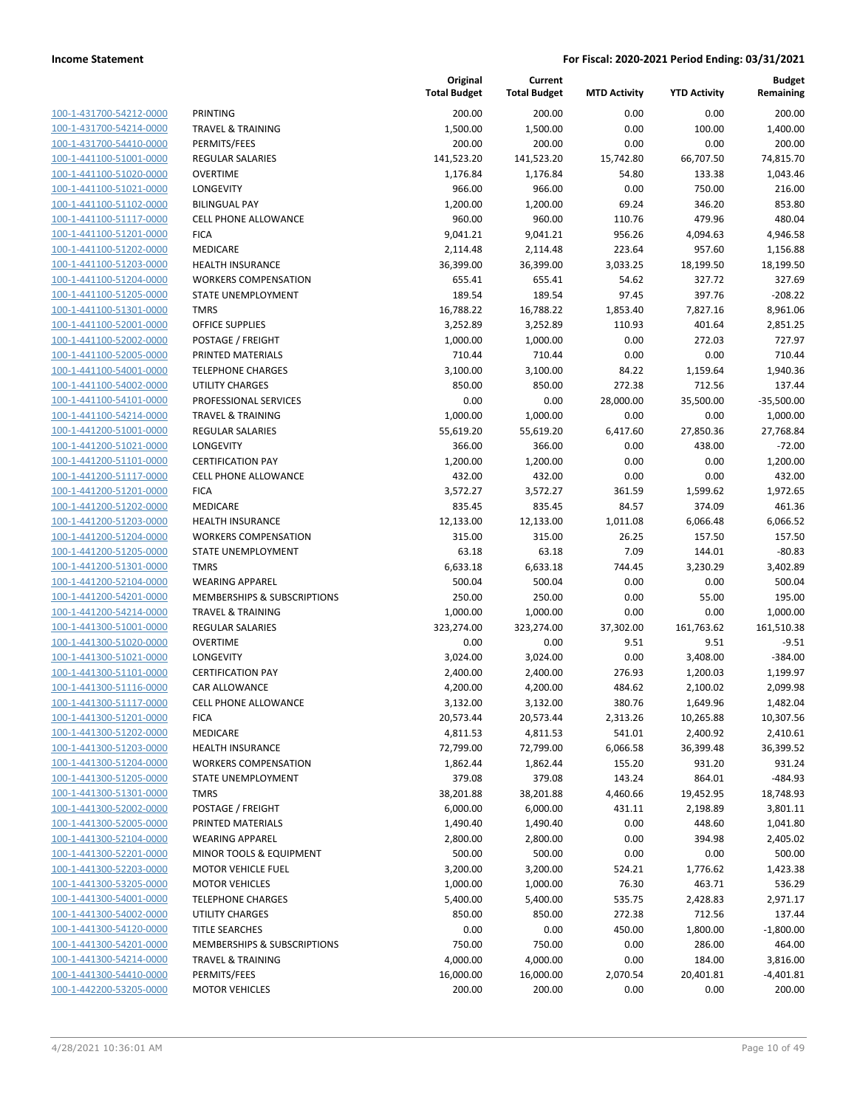| 100-1-431700-54212-0000        |
|--------------------------------|
| 100-1-431700-54214-0000        |
| 100-1-431700-54410-0000        |
| 100-1-441100-51001-0000        |
| 100-1-441100-51020-0000        |
| 100-1-441100-51021-0000        |
| 100-1-441100-51102-0000        |
| 100-1-441100-51117-0000        |
| 100-1-441100-51201-0000        |
| 100-1-441100-51202-0000        |
| 100-1-441100-51203-0000        |
| 100-1-441100-51204-0000        |
| 100-1-441100-51205-0000        |
| 100-1-441100-51301-0000        |
| 100-1-441100-52001-0000        |
| 100-1-441100-52002-0000        |
|                                |
| 100-1-441100-52005-0000        |
| 100-1-441100-54001-0000        |
| 100-1-441100-54002-0000        |
| 100-1-441100-54101-0000        |
| 100-1-441100-54214-0000        |
| 100-1-441200-51001-0000        |
| 100-1-441200-51021-0000        |
| 100-1-441200-51101-0000        |
| 100-1-441200-51117-0000        |
| 100-1-441200-51201-0000        |
| 100-1-441200-51202-0000        |
| 100-1-441200-51203-0000        |
| 100-1-441200-51204-0000        |
| 100-1-441200-51205-0000        |
| 100-1-441200-51301-0000        |
| 100-1-441200-52104-0000        |
| 100-1-441200-54201-0000        |
| 100-1-441200-54214-0000        |
| 100-1-441300-51001-0000        |
| <u>100-1-441300-51020-0000</u> |
| 100-1-441300-51021-0000        |
|                                |
| 100-1-441300-51101-0000        |
| 100-1-441300-51116-0000        |
| 100-1-441300-51117-0000        |
| 100-1-441300-51201-0000        |
| 100-1-441300-51202-0000        |
| 100-1-441300-51203-0000        |
| <u>100-1-441300-51204-0000</u> |
| <u>100-1-441300-51205-0000</u> |
| <u>100-1-441300-51301-0000</u> |
| 100-1-441300-52002-0000        |
| 100-1-441300-52005-0000        |
| <u>100-1-441300-52104-0000</u> |
| <u>100-1-441300-52201-0000</u> |
| 100-1-441300-52203-0000        |
| 100-1-441300-53205-0000        |
| 100-1-441300-54001-0000        |
| <u>100-1-441300-54002-0000</u> |
| <u>100-1-441300-54120-0000</u> |
| <u>100-1-441300-54201-0000</u> |
| 100-1-441300-54214-0000        |
|                                |
| 100-1-441300-54410-0000        |
| 100-1-442200-53205-0000        |

|                         |                              | Original<br><b>Total Budget</b> | Current<br><b>Total Budget</b> | <b>MTD Activity</b> | <b>YTD Activity</b> | <b>Budget</b><br>Remaining |
|-------------------------|------------------------------|---------------------------------|--------------------------------|---------------------|---------------------|----------------------------|
| 100-1-431700-54212-0000 | <b>PRINTING</b>              | 200.00                          | 200.00                         | 0.00                | 0.00                | 200.00                     |
| 100-1-431700-54214-0000 | <b>TRAVEL &amp; TRAINING</b> | 1,500.00                        | 1,500.00                       | 0.00                | 100.00              | 1,400.00                   |
| 100-1-431700-54410-0000 | PERMITS/FEES                 | 200.00                          | 200.00                         | 0.00                | 0.00                | 200.00                     |
| 100-1-441100-51001-0000 | <b>REGULAR SALARIES</b>      | 141,523.20                      | 141,523.20                     | 15,742.80           | 66,707.50           | 74,815.70                  |
| 100-1-441100-51020-0000 | <b>OVERTIME</b>              | 1,176.84                        | 1,176.84                       | 54.80               | 133.38              | 1,043.46                   |
| 100-1-441100-51021-0000 | LONGEVITY                    | 966.00                          | 966.00                         | 0.00                | 750.00              | 216.00                     |
| 100-1-441100-51102-0000 | <b>BILINGUAL PAY</b>         | 1,200.00                        | 1,200.00                       | 69.24               | 346.20              | 853.80                     |
| 100-1-441100-51117-0000 | <b>CELL PHONE ALLOWANCE</b>  | 960.00                          | 960.00                         | 110.76              | 479.96              | 480.04                     |
| 100-1-441100-51201-0000 | <b>FICA</b>                  | 9,041.21                        | 9,041.21                       | 956.26              | 4,094.63            | 4,946.58                   |
| 100-1-441100-51202-0000 | MEDICARE                     | 2,114.48                        | 2,114.48                       | 223.64              | 957.60              | 1,156.88                   |
| 100-1-441100-51203-0000 | <b>HEALTH INSURANCE</b>      | 36,399.00                       | 36,399.00                      | 3,033.25            | 18,199.50           | 18,199.50                  |
| 100-1-441100-51204-0000 | <b>WORKERS COMPENSATION</b>  | 655.41                          | 655.41                         | 54.62               | 327.72              | 327.69                     |
| 100-1-441100-51205-0000 | STATE UNEMPLOYMENT           | 189.54                          | 189.54                         | 97.45               | 397.76              | $-208.22$                  |
| 100-1-441100-51301-0000 | <b>TMRS</b>                  | 16,788.22                       | 16,788.22                      | 1,853.40            | 7,827.16            | 8,961.06                   |
| 100-1-441100-52001-0000 | <b>OFFICE SUPPLIES</b>       | 3,252.89                        | 3,252.89                       | 110.93              | 401.64              | 2,851.25                   |
| 100-1-441100-52002-0000 | POSTAGE / FREIGHT            | 1,000.00                        | 1,000.00                       | 0.00                | 272.03              | 727.97                     |
| 100-1-441100-52005-0000 | PRINTED MATERIALS            | 710.44                          | 710.44                         | 0.00                | 0.00                | 710.44                     |
| 100-1-441100-54001-0000 | <b>TELEPHONE CHARGES</b>     | 3,100.00                        | 3,100.00                       | 84.22               | 1,159.64            | 1,940.36                   |
| 100-1-441100-54002-0000 | <b>UTILITY CHARGES</b>       | 850.00                          | 850.00                         | 272.38              | 712.56              | 137.44                     |
| 100-1-441100-54101-0000 | PROFESSIONAL SERVICES        | 0.00                            | 0.00                           | 28,000.00           | 35,500.00           | $-35,500.00$               |
| 100-1-441100-54214-0000 | <b>TRAVEL &amp; TRAINING</b> | 1,000.00                        | 1,000.00                       | 0.00                | 0.00                | 1,000.00                   |
| 100-1-441200-51001-0000 | <b>REGULAR SALARIES</b>      | 55,619.20                       | 55,619.20                      | 6,417.60            | 27,850.36           | 27,768.84                  |
| 100-1-441200-51021-0000 | <b>LONGEVITY</b>             | 366.00                          | 366.00                         | 0.00                | 438.00              | $-72.00$                   |
| 100-1-441200-51101-0000 | <b>CERTIFICATION PAY</b>     | 1,200.00                        | 1,200.00                       | 0.00                | 0.00                | 1,200.00                   |
| 100-1-441200-51117-0000 | <b>CELL PHONE ALLOWANCE</b>  | 432.00                          | 432.00                         | 0.00                | 0.00                | 432.00                     |
| 100-1-441200-51201-0000 | <b>FICA</b>                  | 3,572.27                        | 3,572.27                       | 361.59              | 1,599.62            | 1,972.65                   |
| 100-1-441200-51202-0000 | MEDICARE                     | 835.45                          | 835.45                         | 84.57               | 374.09              | 461.36                     |
| 100-1-441200-51203-0000 | <b>HEALTH INSURANCE</b>      | 12,133.00                       | 12,133.00                      | 1,011.08            | 6,066.48            | 6,066.52                   |
| 100-1-441200-51204-0000 | <b>WORKERS COMPENSATION</b>  | 315.00                          | 315.00                         | 26.25               | 157.50              | 157.50                     |
| 100-1-441200-51205-0000 | STATE UNEMPLOYMENT           | 63.18                           | 63.18                          | 7.09                | 144.01              | $-80.83$                   |
| 100-1-441200-51301-0000 | <b>TMRS</b>                  | 6,633.18                        | 6,633.18                       | 744.45              | 3,230.29            | 3,402.89                   |
| 100-1-441200-52104-0000 | <b>WEARING APPAREL</b>       | 500.04                          | 500.04                         | 0.00                | 0.00                | 500.04                     |
| 100-1-441200-54201-0000 | MEMBERSHIPS & SUBSCRIPTIONS  | 250.00                          | 250.00                         | 0.00                | 55.00               | 195.00                     |
| 100-1-441200-54214-0000 | <b>TRAVEL &amp; TRAINING</b> | 1,000.00                        | 1,000.00                       | 0.00                | 0.00                | 1,000.00                   |
| 100-1-441300-51001-0000 | REGULAR SALARIES             | 323,274.00                      | 323,274.00                     | 37,302.00           | 161,763.62          | 161,510.38                 |
| 100-1-441300-51020-0000 | <b>OVERTIME</b>              | 0.00                            | 0.00                           | 9.51                | 9.51                | $-9.51$                    |
| 100-1-441300-51021-0000 | LONGEVITY                    | 3,024.00                        | 3,024.00                       | 0.00                | 3,408.00            | $-384.00$                  |
| 100-1-441300-51101-0000 | <b>CERTIFICATION PAY</b>     | 2,400.00                        | 2,400.00                       | 276.93              | 1,200.03            | 1,199.97                   |
| 100-1-441300-51116-0000 | <b>CAR ALLOWANCE</b>         | 4,200.00                        | 4,200.00                       | 484.62              | 2,100.02            | 2,099.98                   |
| 100-1-441300-51117-0000 | <b>CELL PHONE ALLOWANCE</b>  | 3,132.00                        | 3,132.00                       | 380.76              | 1,649.96            | 1,482.04                   |
| 100-1-441300-51201-0000 | <b>FICA</b>                  | 20,573.44                       | 20,573.44                      | 2,313.26            | 10,265.88           | 10,307.56                  |
| 100-1-441300-51202-0000 | MEDICARE                     | 4,811.53                        | 4,811.53                       | 541.01              | 2,400.92            | 2,410.61                   |
| 100-1-441300-51203-0000 | <b>HEALTH INSURANCE</b>      | 72,799.00                       | 72,799.00                      | 6,066.58            | 36,399.48           | 36,399.52                  |
| 100-1-441300-51204-0000 | <b>WORKERS COMPENSATION</b>  | 1,862.44                        | 1,862.44                       | 155.20              | 931.20              | 931.24                     |
| 100-1-441300-51205-0000 | STATE UNEMPLOYMENT           | 379.08                          | 379.08                         | 143.24              | 864.01              | $-484.93$                  |
| 100-1-441300-51301-0000 | <b>TMRS</b>                  | 38,201.88                       | 38,201.88                      | 4,460.66            | 19,452.95           | 18,748.93                  |
| 100-1-441300-52002-0000 | POSTAGE / FREIGHT            | 6,000.00                        | 6,000.00                       | 431.11              | 2,198.89            | 3,801.11                   |
| 100-1-441300-52005-0000 | PRINTED MATERIALS            | 1,490.40                        | 1,490.40                       | 0.00                | 448.60              | 1,041.80                   |
| 100-1-441300-52104-0000 | <b>WEARING APPAREL</b>       | 2,800.00                        | 2,800.00                       | 0.00                | 394.98              | 2,405.02                   |
| 100-1-441300-52201-0000 | MINOR TOOLS & EQUIPMENT      | 500.00                          | 500.00                         | 0.00                | 0.00                | 500.00                     |
| 100-1-441300-52203-0000 | <b>MOTOR VEHICLE FUEL</b>    | 3,200.00                        | 3,200.00                       | 524.21              | 1,776.62            | 1,423.38                   |
| 100-1-441300-53205-0000 | <b>MOTOR VEHICLES</b>        | 1,000.00                        | 1,000.00                       | 76.30               | 463.71              | 536.29                     |
| 100-1-441300-54001-0000 | <b>TELEPHONE CHARGES</b>     | 5,400.00                        | 5,400.00                       | 535.75              | 2,428.83            | 2,971.17                   |
| 100-1-441300-54002-0000 | UTILITY CHARGES              | 850.00                          | 850.00                         | 272.38              | 712.56              | 137.44                     |
| 100-1-441300-54120-0000 | <b>TITLE SEARCHES</b>        | 0.00                            | 0.00                           | 450.00              | 1,800.00            | $-1,800.00$                |
| 100-1-441300-54201-0000 | MEMBERSHIPS & SUBSCRIPTIONS  | 750.00                          | 750.00                         | 0.00                | 286.00              | 464.00                     |
| 100-1-441300-54214-0000 | <b>TRAVEL &amp; TRAINING</b> | 4,000.00                        | 4,000.00                       | 0.00                | 184.00              | 3,816.00                   |
| 100-1-441300-54410-0000 | PERMITS/FEES                 | 16,000.00                       | 16,000.00                      | 2,070.54            | 20,401.81           | $-4,401.81$                |
| 100-1-442200-53205-0000 | <b>MOTOR VEHICLES</b>        | 200.00                          | 200.00                         | 0.00                | 0.00                | 200.00                     |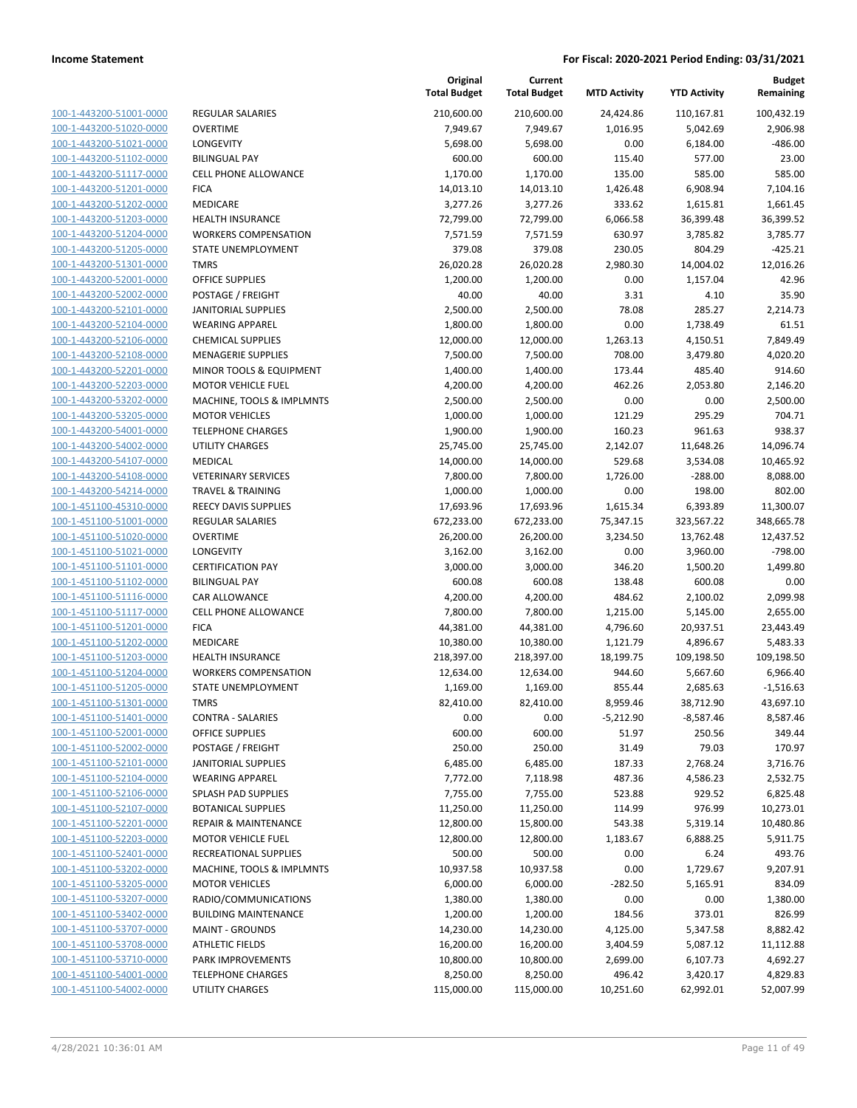| 100-1-443200-51001-0000        |
|--------------------------------|
| 100-1-443200-51020-0000        |
| 100-1-443200-51021-0000        |
| <u>100-1-443200-51102-0000</u> |
| 100-1-443200-51117-0000        |
| 100-1-443200-51201-0000        |
| 100-1-443200-51202-0000        |
|                                |
| 100-1-443200-51203-0000        |
| 100-1-443200-51204-0000        |
| 100-1-443200-51205-0000        |
| 100-1-443200-51301-0000        |
| 100-1-443200-52001-0000        |
| 100-1-443200-52002-0000        |
| <u>100-1-443200-52101-0000</u> |
| 100-1-443200-52104-0000        |
| 100-1-443200-52106-0000        |
| 100-1-443200-52108-0000        |
| 100-1-443200-52201-0000        |
| 100-1-443200-52203-0000        |
|                                |
| 100-1-443200-53202-0000        |
| 100-1-443200-53205-0000        |
| 100-1-443200-54001-0000        |
| 100-1-443200-54002-0000        |
| <u>100-1-443200-54107-0000</u> |
| 100-1-443200-54108-0000        |
| 100-1-443200-54214-0000        |
| 100-1-451100-45310-0000        |
| <u>100-1-451100-51001-0000</u> |
| 100-1-451100-51020-0000        |
| 100-1-451100-51021-0000        |
|                                |
| 100-1-451100-51101-0000        |
| 100-1-451100-51102-0000        |
| 100-1-451100-51116-0000        |
| <u>100-1-451100-51117-0000</u> |
| 100-1-451100-51201-0000        |
| 100-1-451100-51202-0000        |
| 100-1-451100-51203-0000        |
| 100-1-451100-51204-0000        |
| <u>100-1-451100-51205-0000</u> |
| 100-1-451100-51301-0000        |
| 100-1-451100-51401-0000        |
| 100-1-451100-52001-0000        |
|                                |
| 100-1-451100-52002-0000        |
| 100-1-451100-52101-0000        |
| 100-1-451100-52104-0000        |
| <u>100-1-451100-52106-0000</u> |
| 100-1-451100-52107-0000        |
| 100-1-451100-52201-0000        |
| <u>100-1-451100-52203-0000</u> |
| <u>100-1-451100-52401-0000</u> |
| 100-1-451100-53202-0000        |
| 100-1-451100-53205-0000        |
| 100-1-451100-53207-0000        |
|                                |
| <u>100-1-451100-53402-0000</u> |
| <u>100-1-451100-53707-0000</u> |
| 100-1-451100-53708-0000        |
| 100-1-451100-53710-0000        |
| <u>100-1-451100-54001-0000</u> |
| <u>100-1-451100-54002-0000</u> |
|                                |

|                              | Tota    |
|------------------------------|---------|
| REGULAR SALARIES             | 21      |
| OVERTIME                     |         |
| LONGEVITY                    |         |
| <b>BILINGUAL PAY</b>         |         |
| CELL PHONE ALLOWANCE         |         |
| FICA                         | 1       |
| MEDICARE                     |         |
| HEALTH INSURANCE             | 7       |
| <b>WORKERS COMPENSATION</b>  |         |
| STATE UNEMPLOYMENT           |         |
| <b>TMRS</b>                  | 2       |
| OFFICE SUPPLIES              |         |
| POSTAGE / FREIGHT            |         |
| <b>IANITORIAL SUPPLIES</b>   |         |
| WEARING APPAREL              |         |
| CHEMICAL SUPPLIES            | 1       |
| MENAGERIE SUPPLIES           |         |
| MINOR TOOLS & EQUIPMENT      |         |
| <b>MOTOR VEHICLE FUEL</b>    |         |
| MACHINE, TOOLS & IMPLMNTS    |         |
| MOTOR VEHICLES               |         |
| <b>TELEPHONE CHARGES</b>     |         |
| UTILITY CHARGES              | 2       |
| MEDICAL                      | 1       |
| <b>VETERINARY SERVICES</b>   |         |
| TRAVEL & TRAINING            |         |
| REECY DAVIS SUPPLIES         | 1       |
| REGULAR SALARIES             | 67      |
| OVERTIME                     | 2       |
| LONGEVITY                    |         |
| <b>CERTIFICATION PAY</b>     |         |
| <b>BILINGUAL PAY</b>         |         |
| CAR ALLOWANCE                |         |
| CELL PHONE ALLOWANCE         |         |
| FICA                         | 4       |
| MEDICARE<br>HEALTH INSURANCE | 1<br>21 |
| <b>WORKERS COMPENSATION</b>  | 1       |
| <b>STATE UNEMPLOYMENT</b>    |         |
| <b>TMRS</b>                  | 8       |
| CONTRA - SALARIES            |         |
| <b>OFFICE SUPPLIES</b>       |         |
| <b>POSTAGE / FREIGHT</b>     |         |
| <b>IANITORIAL SUPPLIES</b>   |         |
| <b>WEARING APPAREL</b>       |         |
| SPLASH PAD SUPPLIES          |         |
| BOTANICAL SUPPLIES           | 1       |
| REPAIR & MAINTENANCE         | 1       |
| <b>MOTOR VEHICLE FUEL</b>    | 1       |
| RECREATIONAL SUPPLIES        |         |
| MACHINE, TOOLS & IMPLMNTS    | 1       |
| MOTOR VEHICLES               |         |
| RADIO/COMMUNICATIONS         |         |
| <b>BUILDING MAINTENANCE</b>  |         |
| <b>MAINT - GROUNDS</b>       | 1       |
| <b>ATHLETIC FIELDS</b>       | 1       |
| PARK IMPROVEMENTS            | 1       |
| <b>TELEPHONE CHARGES</b>     |         |
| <b>JTILITY CHARGES</b>       | 11      |

|                                                    |                                                  | Original<br><b>Total Budget</b> | Current<br><b>Total Budget</b> | <b>MTD Activity</b> | <b>YTD Activity</b> | <b>Budget</b><br>Remaining |
|----------------------------------------------------|--------------------------------------------------|---------------------------------|--------------------------------|---------------------|---------------------|----------------------------|
| 100-1-443200-51001-0000                            | <b>REGULAR SALARIES</b>                          | 210,600.00                      | 210,600.00                     | 24,424.86           | 110,167.81          | 100,432.19                 |
| 100-1-443200-51020-0000                            | <b>OVERTIME</b>                                  | 7,949.67                        | 7,949.67                       | 1,016.95            | 5,042.69            | 2,906.98                   |
| 100-1-443200-51021-0000                            | LONGEVITY                                        | 5,698.00                        | 5,698.00                       | 0.00                | 6,184.00            | $-486.00$                  |
| 100-1-443200-51102-0000                            | <b>BILINGUAL PAY</b>                             | 600.00                          | 600.00                         | 115.40              | 577.00              | 23.00                      |
| 100-1-443200-51117-0000                            | <b>CELL PHONE ALLOWANCE</b>                      | 1,170.00                        | 1,170.00                       | 135.00              | 585.00              | 585.00                     |
| 100-1-443200-51201-0000                            | <b>FICA</b>                                      | 14,013.10                       | 14,013.10                      | 1,426.48            | 6,908.94            | 7,104.16                   |
| 100-1-443200-51202-0000                            | MEDICARE                                         | 3,277.26                        | 3,277.26                       | 333.62              | 1,615.81            | 1,661.45                   |
| 100-1-443200-51203-0000                            | HEALTH INSURANCE                                 | 72,799.00                       | 72,799.00                      | 6,066.58            | 36,399.48           | 36,399.52                  |
| 100-1-443200-51204-0000                            | <b>WORKERS COMPENSATION</b>                      | 7,571.59                        | 7,571.59                       | 630.97              | 3,785.82            | 3,785.77                   |
| 100-1-443200-51205-0000                            | <b>STATE UNEMPLOYMENT</b>                        | 379.08                          | 379.08                         | 230.05              | 804.29              | $-425.21$                  |
| 100-1-443200-51301-0000                            | <b>TMRS</b>                                      | 26,020.28                       | 26,020.28                      | 2,980.30            | 14,004.02           | 12,016.26                  |
| 100-1-443200-52001-0000                            | <b>OFFICE SUPPLIES</b>                           | 1,200.00                        | 1,200.00                       | 0.00                | 1,157.04            | 42.96                      |
| 100-1-443200-52002-0000                            | POSTAGE / FREIGHT                                | 40.00                           | 40.00                          | 3.31                | 4.10                | 35.90                      |
| 100-1-443200-52101-0000                            | <b>JANITORIAL SUPPLIES</b>                       | 2,500.00                        | 2,500.00                       | 78.08               | 285.27              | 2,214.73                   |
| 100-1-443200-52104-0000                            | <b>WEARING APPAREL</b>                           | 1,800.00                        | 1,800.00                       | 0.00                | 1,738.49            | 61.51                      |
| 100-1-443200-52106-0000                            | <b>CHEMICAL SUPPLIES</b>                         | 12,000.00                       | 12,000.00                      | 1,263.13            | 4,150.51            | 7,849.49                   |
| 100-1-443200-52108-0000                            | <b>MENAGERIE SUPPLIES</b>                        | 7,500.00                        | 7,500.00                       | 708.00              | 3,479.80            | 4,020.20                   |
| 100-1-443200-52201-0000                            | MINOR TOOLS & EQUIPMENT                          | 1,400.00                        | 1,400.00                       | 173.44              | 485.40              | 914.60                     |
| 100-1-443200-52203-0000                            | <b>MOTOR VEHICLE FUEL</b>                        | 4,200.00                        | 4,200.00                       | 462.26              | 2,053.80            | 2,146.20                   |
| 100-1-443200-53202-0000                            | MACHINE, TOOLS & IMPLMNTS                        | 2,500.00                        | 2,500.00                       | 0.00                | 0.00                | 2,500.00                   |
| 100-1-443200-53205-0000                            | <b>MOTOR VEHICLES</b>                            | 1,000.00                        | 1,000.00                       | 121.29              | 295.29              | 704.71                     |
| 100-1-443200-54001-0000                            | <b>TELEPHONE CHARGES</b>                         | 1,900.00                        | 1,900.00                       | 160.23              | 961.63              | 938.37                     |
| 100-1-443200-54002-0000                            | <b>UTILITY CHARGES</b>                           | 25,745.00                       | 25,745.00                      | 2,142.07            | 11,648.26           | 14,096.74                  |
| 100-1-443200-54107-0000                            | <b>MEDICAL</b>                                   | 14,000.00                       | 14,000.00                      | 529.68              | 3,534.08            | 10,465.92                  |
| 100-1-443200-54108-0000                            | <b>VETERINARY SERVICES</b>                       | 7,800.00                        | 7,800.00                       | 1,726.00            | $-288.00$           | 8,088.00                   |
| 100-1-443200-54214-0000                            | <b>TRAVEL &amp; TRAINING</b>                     | 1,000.00                        | 1,000.00                       | 0.00                | 198.00              | 802.00                     |
| 100-1-451100-45310-0000                            | <b>REECY DAVIS SUPPLIES</b>                      | 17,693.96                       | 17,693.96                      | 1,615.34            | 6,393.89            | 11,300.07                  |
| 100-1-451100-51001-0000                            | <b>REGULAR SALARIES</b>                          | 672,233.00                      | 672,233.00                     | 75,347.15           | 323,567.22          | 348,665.78                 |
| 100-1-451100-51020-0000                            | <b>OVERTIME</b><br>LONGEVITY                     | 26,200.00                       | 26,200.00                      | 3,234.50            | 13,762.48           | 12,437.52<br>$-798.00$     |
| 100-1-451100-51021-0000<br>100-1-451100-51101-0000 |                                                  | 3,162.00                        | 3,162.00                       | 0.00                | 3,960.00            | 1,499.80                   |
| 100-1-451100-51102-0000                            | <b>CERTIFICATION PAY</b><br><b>BILINGUAL PAY</b> | 3,000.00<br>600.08              | 3,000.00<br>600.08             | 346.20<br>138.48    | 1,500.20<br>600.08  | 0.00                       |
| 100-1-451100-51116-0000                            | CAR ALLOWANCE                                    | 4,200.00                        | 4,200.00                       | 484.62              | 2,100.02            | 2,099.98                   |
| 100-1-451100-51117-0000                            | <b>CELL PHONE ALLOWANCE</b>                      | 7,800.00                        | 7,800.00                       | 1,215.00            | 5,145.00            | 2,655.00                   |
| 100-1-451100-51201-0000                            | <b>FICA</b>                                      | 44,381.00                       | 44,381.00                      | 4,796.60            | 20,937.51           | 23,443.49                  |
| 100-1-451100-51202-0000                            | MEDICARE                                         | 10,380.00                       | 10,380.00                      | 1,121.79            | 4,896.67            | 5,483.33                   |
| 100-1-451100-51203-0000                            | <b>HEALTH INSURANCE</b>                          | 218,397.00                      | 218,397.00                     | 18,199.75           | 109,198.50          | 109,198.50                 |
| 100-1-451100-51204-0000                            | <b>WORKERS COMPENSATION</b>                      | 12,634.00                       | 12,634.00                      | 944.60              | 5,667.60            | 6,966.40                   |
| 100-1-451100-51205-0000                            | <b>STATE UNEMPLOYMENT</b>                        | 1,169.00                        | 1,169.00                       | 855.44              | 2,685.63            | $-1,516.63$                |
| 100-1-451100-51301-0000                            | <b>TMRS</b>                                      | 82,410.00                       | 82,410.00                      | 8,959.46            | 38,712.90           | 43,697.10                  |
| 100-1-451100-51401-0000                            | CONTRA - SALARIES                                | 0.00                            | 0.00                           | $-5,212.90$         | $-8,587.46$         | 8,587.46                   |
| 100-1-451100-52001-0000                            | OFFICE SUPPLIES                                  | 600.00                          | 600.00                         | 51.97               | 250.56              | 349.44                     |
| 100-1-451100-52002-0000                            | POSTAGE / FREIGHT                                | 250.00                          | 250.00                         | 31.49               | 79.03               | 170.97                     |
| 100-1-451100-52101-0000                            | <b>JANITORIAL SUPPLIES</b>                       | 6,485.00                        | 6,485.00                       | 187.33              | 2,768.24            | 3,716.76                   |
| 100-1-451100-52104-0000                            | <b>WEARING APPAREL</b>                           | 7,772.00                        | 7,118.98                       | 487.36              | 4,586.23            | 2,532.75                   |
| 100-1-451100-52106-0000                            | <b>SPLASH PAD SUPPLIES</b>                       | 7,755.00                        | 7,755.00                       | 523.88              | 929.52              | 6,825.48                   |
| 100-1-451100-52107-0000                            | <b>BOTANICAL SUPPLIES</b>                        | 11,250.00                       | 11,250.00                      | 114.99              | 976.99              | 10,273.01                  |
| 100-1-451100-52201-0000                            | <b>REPAIR &amp; MAINTENANCE</b>                  | 12,800.00                       | 15,800.00                      | 543.38              | 5,319.14            | 10,480.86                  |
| 100-1-451100-52203-0000                            | <b>MOTOR VEHICLE FUEL</b>                        | 12,800.00                       | 12,800.00                      | 1,183.67            | 6,888.25            | 5,911.75                   |
| 100-1-451100-52401-0000                            | RECREATIONAL SUPPLIES                            | 500.00                          | 500.00                         | 0.00                | 6.24                | 493.76                     |
| 100-1-451100-53202-0000                            | MACHINE, TOOLS & IMPLMNTS                        | 10,937.58                       | 10,937.58                      | 0.00                | 1,729.67            | 9,207.91                   |
| 100-1-451100-53205-0000                            | <b>MOTOR VEHICLES</b>                            | 6,000.00                        | 6,000.00                       | $-282.50$           | 5,165.91            | 834.09                     |
| 100-1-451100-53207-0000                            | RADIO/COMMUNICATIONS                             | 1,380.00                        | 1,380.00                       | 0.00                | 0.00                | 1,380.00                   |
| 100-1-451100-53402-0000                            | <b>BUILDING MAINTENANCE</b>                      | 1,200.00                        | 1,200.00                       | 184.56              | 373.01              | 826.99                     |
| 100-1-451100-53707-0000                            | <b>MAINT - GROUNDS</b>                           | 14,230.00                       | 14,230.00                      | 4,125.00            | 5,347.58            | 8,882.42                   |
| 100-1-451100-53708-0000                            | <b>ATHLETIC FIELDS</b>                           | 16,200.00                       | 16,200.00                      | 3,404.59            | 5,087.12            | 11,112.88                  |
| 100-1-451100-53710-0000                            | PARK IMPROVEMENTS                                | 10,800.00                       | 10,800.00                      | 2,699.00            | 6,107.73            | 4,692.27                   |
| 100-1-451100-54001-0000                            | <b>TELEPHONE CHARGES</b>                         | 8,250.00                        | 8,250.00                       | 496.42              | 3,420.17            | 4,829.83                   |
| 100-1-451100-54002-0000                            | <b>UTILITY CHARGES</b>                           | 115,000.00                      | 115,000.00                     | 10,251.60           | 62,992.01           | 52,007.99                  |
|                                                    |                                                  |                                 |                                |                     |                     |                            |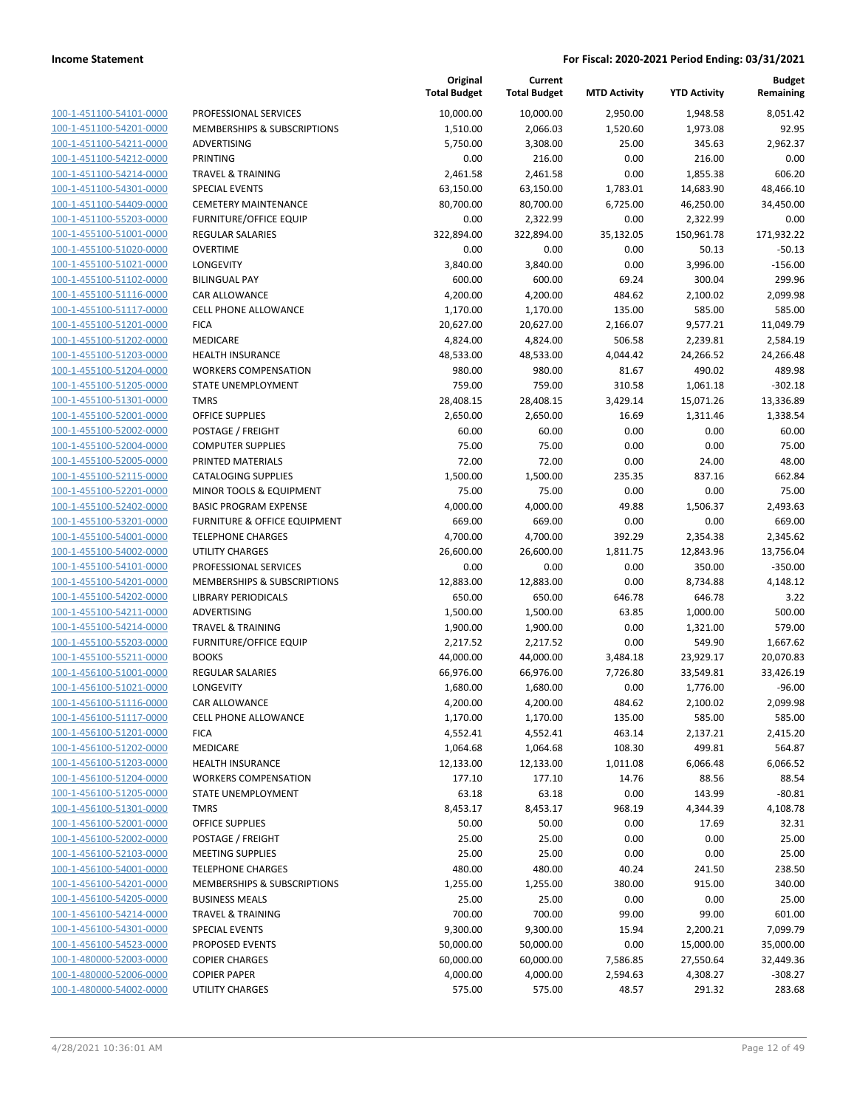| 100-1-451100-54101-0000                                   |
|-----------------------------------------------------------|
| 100-1-451100-54201-0000                                   |
| 100-1-451100-54211-0000                                   |
| <u>100-1-451100-54212-0000</u>                            |
| 100-1-451100-54214-0000                                   |
|                                                           |
| 100-1-451100-54301-0000                                   |
| 100-1-451100-54409-0000                                   |
| 100-1-451100-55203-0000                                   |
| <u>100-1-455100-51001-0000</u>                            |
| 100-1-455100-51020-0000                                   |
| 100-1-455100-51021-0000                                   |
|                                                           |
| 100-1-455100-51102-0000                                   |
| 100-1-455100-51116-0000                                   |
| <u>100-1-455100-51117-0000</u>                            |
| 100-1-455100-51201-0000                                   |
| 100-1-455100-51202-0000                                   |
| 100-1-455100-51203-0000                                   |
|                                                           |
| 100-1-455100-51204-0000                                   |
| 100-1-455100-51205-0000                                   |
| 100-1-455100-51301-0000                                   |
| 100-1-455100-52001-0000                                   |
| 100-1-455100-52002-0000                                   |
| 100-1-455100-52004-0000                                   |
| <u>100-1-455100-52005-0000</u>                            |
|                                                           |
| 100-1-455100-52115-0000                                   |
| 100-1-455100-52201-0000                                   |
| 100-1-455100-52402-0000                                   |
| 100-1-455100-53201-0000                                   |
| <u>100-1-455100-54001-0000</u>                            |
| 100-1-455100-54002-0000                                   |
| 100-1-455100-54101-0000                                   |
| 100-1-455100-54201-0000                                   |
|                                                           |
| 100-1-455100-54202-0000                                   |
| <u>100-1-455100-54211-0000</u>                            |
| 100-1-455100-54214-0000                                   |
| 100-1-455100-55203-0000                                   |
| 100-1-455100-55211-0000                                   |
| 100-1-456100-51001-0000                                   |
| <u>100-1-456100-51021-0000</u>                            |
| 100-1-456100-51116-0000                                   |
| 100-1-456100-51117-0000                                   |
| 100-1-456100-51201-0000                                   |
|                                                           |
| <u>100-1-456100-51202-0000</u>                            |
| 100-1-456100-51203-0000                                   |
| <u>100-1-456100-51204-0000</u>                            |
| 100-1-456100-51205-0000                                   |
| 100-1-456100-51301-0000                                   |
| <u>100-1-456100-52001-0000</u>                            |
| <u>100-1-456100-52002-0000</u>                            |
| <u>100-1-456100-52103-0000</u>                            |
|                                                           |
| 100-1-456100-54001-0000                                   |
| 100-1-456100-54201-0000                                   |
| <u>100-1-456100-54205-0000</u>                            |
| 100-1-456100-54214-0000                                   |
| <u>100-1-456100-54301-0000</u>                            |
| 100-1-456100-54523-0000                                   |
| 100-1-480000-52003-0000                                   |
|                                                           |
|                                                           |
| 100-1-480000-52006-0000<br><u>100-1-480000-54002-0000</u> |

|                         |                                         | Original<br><b>Total Budget</b> | Current<br><b>Total Budget</b> | <b>MTD Activity</b> | <b>YTD Activity</b> | <b>Budget</b><br>Remaining |
|-------------------------|-----------------------------------------|---------------------------------|--------------------------------|---------------------|---------------------|----------------------------|
| 100-1-451100-54101-0000 | PROFESSIONAL SERVICES                   | 10,000.00                       | 10,000.00                      | 2,950.00            | 1,948.58            | 8,051.42                   |
| 100-1-451100-54201-0000 | MEMBERSHIPS & SUBSCRIPTIONS             | 1,510.00                        | 2,066.03                       | 1,520.60            | 1,973.08            | 92.95                      |
| 100-1-451100-54211-0000 | ADVERTISING                             | 5,750.00                        | 3,308.00                       | 25.00               | 345.63              | 2,962.37                   |
| 100-1-451100-54212-0000 | PRINTING                                | 0.00                            | 216.00                         | 0.00                | 216.00              | 0.00                       |
| 100-1-451100-54214-0000 | <b>TRAVEL &amp; TRAINING</b>            | 2,461.58                        | 2,461.58                       | 0.00                | 1,855.38            | 606.20                     |
| 100-1-451100-54301-0000 | <b>SPECIAL EVENTS</b>                   | 63,150.00                       | 63,150.00                      | 1,783.01            | 14,683.90           | 48,466.10                  |
| 100-1-451100-54409-0000 | <b>CEMETERY MAINTENANCE</b>             | 80,700.00                       | 80,700.00                      | 6,725.00            | 46,250.00           | 34,450.00                  |
| 100-1-451100-55203-0000 | <b>FURNITURE/OFFICE EQUIP</b>           | 0.00                            | 2,322.99                       | 0.00                | 2,322.99            | 0.00                       |
| 100-1-455100-51001-0000 | <b>REGULAR SALARIES</b>                 | 322,894.00                      | 322,894.00                     | 35,132.05           | 150,961.78          | 171,932.22                 |
| 100-1-455100-51020-0000 | <b>OVERTIME</b>                         | 0.00                            | 0.00                           | 0.00                | 50.13               | $-50.13$                   |
| 100-1-455100-51021-0000 | LONGEVITY                               | 3,840.00                        | 3,840.00                       | 0.00                | 3,996.00            | $-156.00$                  |
| 100-1-455100-51102-0000 | <b>BILINGUAL PAY</b>                    | 600.00                          | 600.00                         | 69.24               | 300.04              | 299.96                     |
| 100-1-455100-51116-0000 | CAR ALLOWANCE                           | 4,200.00                        | 4,200.00                       | 484.62              | 2,100.02            | 2,099.98                   |
| 100-1-455100-51117-0000 | <b>CELL PHONE ALLOWANCE</b>             | 1,170.00                        | 1,170.00                       | 135.00              | 585.00              | 585.00                     |
| 100-1-455100-51201-0000 | <b>FICA</b>                             | 20,627.00                       | 20,627.00                      | 2,166.07            | 9,577.21            | 11,049.79                  |
| 100-1-455100-51202-0000 | MEDICARE                                | 4,824.00                        | 4,824.00                       | 506.58              | 2,239.81            | 2,584.19                   |
| 100-1-455100-51203-0000 | <b>HEALTH INSURANCE</b>                 | 48,533.00                       | 48,533.00                      | 4,044.42            | 24,266.52           | 24,266.48                  |
| 100-1-455100-51204-0000 | <b>WORKERS COMPENSATION</b>             | 980.00                          | 980.00                         | 81.67               | 490.02              | 489.98                     |
| 100-1-455100-51205-0000 | STATE UNEMPLOYMENT                      | 759.00                          | 759.00                         | 310.58              | 1,061.18            | $-302.18$                  |
| 100-1-455100-51301-0000 | <b>TMRS</b>                             | 28,408.15                       | 28,408.15                      | 3,429.14            | 15,071.26           | 13,336.89                  |
| 100-1-455100-52001-0000 | <b>OFFICE SUPPLIES</b>                  | 2,650.00                        | 2,650.00                       | 16.69               | 1,311.46            | 1,338.54                   |
| 100-1-455100-52002-0000 | POSTAGE / FREIGHT                       | 60.00                           | 60.00                          | 0.00                | 0.00                | 60.00                      |
| 100-1-455100-52004-0000 | <b>COMPUTER SUPPLIES</b>                | 75.00                           | 75.00                          | 0.00                | 0.00                | 75.00                      |
| 100-1-455100-52005-0000 | PRINTED MATERIALS                       | 72.00                           | 72.00                          | 0.00                | 24.00               | 48.00                      |
| 100-1-455100-52115-0000 | <b>CATALOGING SUPPLIES</b>              | 1,500.00                        | 1,500.00                       | 235.35              | 837.16              | 662.84                     |
| 100-1-455100-52201-0000 | MINOR TOOLS & EQUIPMENT                 | 75.00                           | 75.00                          | 0.00                | 0.00                | 75.00                      |
| 100-1-455100-52402-0000 | <b>BASIC PROGRAM EXPENSE</b>            | 4,000.00                        | 4,000.00                       | 49.88               | 1,506.37            | 2,493.63                   |
| 100-1-455100-53201-0000 | <b>FURNITURE &amp; OFFICE EQUIPMENT</b> | 669.00                          | 669.00                         | 0.00                | 0.00                | 669.00                     |
| 100-1-455100-54001-0000 | <b>TELEPHONE CHARGES</b>                | 4,700.00                        | 4,700.00                       | 392.29              | 2,354.38            | 2,345.62                   |
| 100-1-455100-54002-0000 | <b>UTILITY CHARGES</b>                  | 26,600.00                       | 26,600.00                      | 1,811.75            | 12,843.96           | 13,756.04                  |
| 100-1-455100-54101-0000 | PROFESSIONAL SERVICES                   | 0.00                            | 0.00                           | 0.00                | 350.00              | $-350.00$                  |
| 100-1-455100-54201-0000 | MEMBERSHIPS & SUBSCRIPTIONS             | 12,883.00                       | 12,883.00                      | 0.00                | 8,734.88            | 4,148.12                   |
| 100-1-455100-54202-0000 | <b>LIBRARY PERIODICALS</b>              | 650.00                          | 650.00                         | 646.78              | 646.78              | 3.22                       |
| 100-1-455100-54211-0000 | ADVERTISING                             | 1,500.00                        | 1,500.00                       | 63.85               | 1,000.00            | 500.00                     |
| 100-1-455100-54214-0000 | <b>TRAVEL &amp; TRAINING</b>            | 1,900.00                        | 1,900.00                       | 0.00                | 1,321.00            | 579.00                     |
| 100-1-455100-55203-0000 | <b>FURNITURE/OFFICE EQUIP</b>           | 2,217.52                        | 2,217.52                       | 0.00                | 549.90              | 1,667.62                   |
| 100-1-455100-55211-0000 | <b>BOOKS</b>                            | 44,000.00                       | 44,000.00                      | 3,484.18            | 23,929.17           | 20,070.83                  |
| 100-1-456100-51001-0000 | <b>REGULAR SALARIES</b>                 | 66,976.00                       | 66,976.00                      | 7,726.80            | 33,549.81           | 33,426.19                  |
| 100-1-456100-51021-0000 | LONGEVITY                               | 1,680.00                        | 1,680.00                       | 0.00                | 1,776.00            | $-96.00$                   |
| 100-1-456100-51116-0000 | CAR ALLOWANCE                           | 4,200.00                        | 4,200.00                       | 484.62              | 2,100.02            | 2,099.98                   |
| 100-1-456100-51117-0000 | <b>CELL PHONE ALLOWANCE</b>             | 1,170.00                        | 1,170.00                       | 135.00              | 585.00              | 585.00                     |
| 100-1-456100-51201-0000 | <b>FICA</b>                             | 4,552.41                        | 4,552.41                       | 463.14              | 2,137.21            | 2,415.20                   |
| 100-1-456100-51202-0000 | MEDICARE                                | 1,064.68                        | 1,064.68                       | 108.30              | 499.81              | 564.87                     |
| 100-1-456100-51203-0000 | <b>HEALTH INSURANCE</b>                 | 12,133.00                       | 12,133.00                      | 1,011.08            | 6,066.48            | 6,066.52                   |
| 100-1-456100-51204-0000 | <b>WORKERS COMPENSATION</b>             | 177.10                          | 177.10                         | 14.76               | 88.56               | 88.54                      |
| 100-1-456100-51205-0000 | STATE UNEMPLOYMENT                      | 63.18                           | 63.18                          | 0.00                | 143.99              | $-80.81$                   |
| 100-1-456100-51301-0000 | <b>TMRS</b>                             | 8,453.17                        | 8,453.17                       | 968.19              | 4,344.39            | 4,108.78                   |
| 100-1-456100-52001-0000 | OFFICE SUPPLIES                         | 50.00                           | 50.00                          | 0.00                | 17.69               | 32.31                      |
| 100-1-456100-52002-0000 | POSTAGE / FREIGHT                       | 25.00                           | 25.00                          | 0.00                | 0.00                | 25.00                      |
| 100-1-456100-52103-0000 | <b>MEETING SUPPLIES</b>                 | 25.00                           | 25.00                          | 0.00                | 0.00                | 25.00                      |
| 100-1-456100-54001-0000 | <b>TELEPHONE CHARGES</b>                | 480.00                          | 480.00                         | 40.24               | 241.50              | 238.50                     |
| 100-1-456100-54201-0000 | MEMBERSHIPS & SUBSCRIPTIONS             | 1,255.00                        | 1,255.00                       | 380.00              | 915.00              | 340.00                     |
| 100-1-456100-54205-0000 | <b>BUSINESS MEALS</b>                   | 25.00                           | 25.00                          | 0.00                | 0.00                | 25.00                      |
| 100-1-456100-54214-0000 | <b>TRAVEL &amp; TRAINING</b>            | 700.00                          | 700.00                         | 99.00               | 99.00               | 601.00                     |
| 100-1-456100-54301-0000 | <b>SPECIAL EVENTS</b>                   | 9,300.00                        | 9,300.00                       | 15.94               | 2,200.21            | 7,099.79                   |
| 100-1-456100-54523-0000 | PROPOSED EVENTS                         | 50,000.00                       | 50,000.00                      | 0.00                | 15,000.00           | 35,000.00                  |
| 100-1-480000-52003-0000 | <b>COPIER CHARGES</b>                   | 60,000.00                       | 60,000.00                      | 7,586.85            | 27,550.64           | 32,449.36                  |
| 100-1-480000-52006-0000 | <b>COPIER PAPER</b>                     | 4,000.00                        | 4,000.00                       | 2,594.63            | 4,308.27            | $-308.27$                  |
| 100-1-480000-54002-0000 | UTILITY CHARGES                         | 575.00                          | 575.00                         | 48.57               | 291.32              | 283.68                     |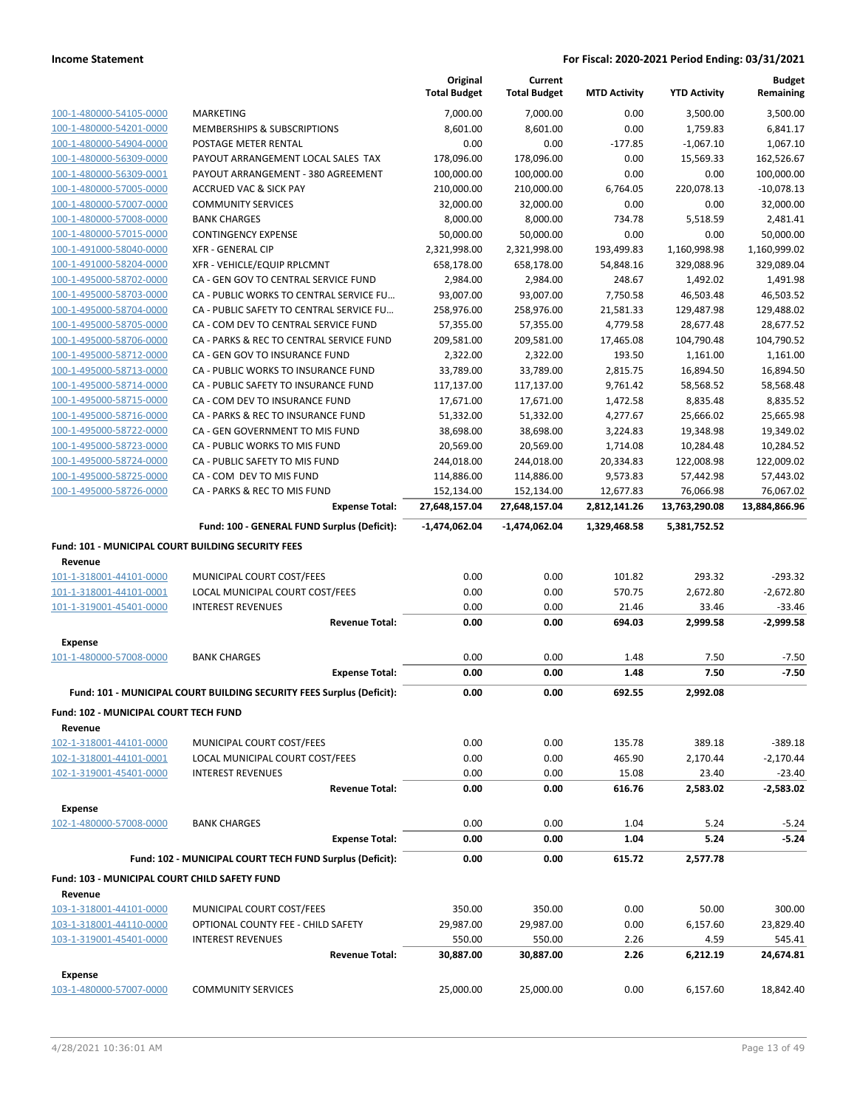|                                                      |                                                                       | Original<br><b>Total Budget</b> | Current<br><b>Total Budget</b> | <b>MTD Activity</b> | <b>YTD Activity</b> | <b>Budget</b><br>Remaining |
|------------------------------------------------------|-----------------------------------------------------------------------|---------------------------------|--------------------------------|---------------------|---------------------|----------------------------|
| 100-1-480000-54105-0000                              | <b>MARKETING</b>                                                      | 7,000.00                        | 7,000.00                       | 0.00                | 3,500.00            | 3,500.00                   |
| 100-1-480000-54201-0000                              | MEMBERSHIPS & SUBSCRIPTIONS                                           | 8,601.00                        | 8,601.00                       | 0.00                | 1,759.83            | 6,841.17                   |
| 100-1-480000-54904-0000                              | POSTAGE METER RENTAL                                                  | 0.00                            | 0.00                           | $-177.85$           | $-1,067.10$         | 1,067.10                   |
| 100-1-480000-56309-0000                              | PAYOUT ARRANGEMENT LOCAL SALES TAX                                    | 178,096.00                      | 178,096.00                     | 0.00                | 15,569.33           | 162,526.67                 |
| 100-1-480000-56309-0001                              | PAYOUT ARRANGEMENT - 380 AGREEMENT                                    | 100,000.00                      | 100,000.00                     | 0.00                | 0.00                | 100,000.00                 |
| 100-1-480000-57005-0000                              | <b>ACCRUED VAC &amp; SICK PAY</b>                                     | 210,000.00                      | 210,000.00                     | 6,764.05            | 220,078.13          | $-10,078.13$               |
| 100-1-480000-57007-0000                              | <b>COMMUNITY SERVICES</b>                                             | 32,000.00                       | 32,000.00                      | 0.00                | 0.00                | 32,000.00                  |
| 100-1-480000-57008-0000                              | <b>BANK CHARGES</b>                                                   | 8,000.00                        | 8,000.00                       | 734.78              | 5,518.59            | 2,481.41                   |
| 100-1-480000-57015-0000                              | <b>CONTINGENCY EXPENSE</b>                                            | 50,000.00                       | 50,000.00                      | 0.00                | 0.00                | 50,000.00                  |
| 100-1-491000-58040-0000                              | <b>XFR - GENERAL CIP</b>                                              | 2,321,998.00                    | 2,321,998.00                   | 193,499.83          | 1,160,998.98        | 1,160,999.02               |
| 100-1-491000-58204-0000                              | XFR - VEHICLE/EQUIP RPLCMNT                                           | 658,178.00                      | 658,178.00                     | 54,848.16           | 329,088.96          | 329,089.04                 |
| 100-1-495000-58702-0000                              | CA - GEN GOV TO CENTRAL SERVICE FUND                                  | 2,984.00                        | 2,984.00                       | 248.67              | 1,492.02            | 1,491.98                   |
| 100-1-495000-58703-0000                              | CA - PUBLIC WORKS TO CENTRAL SERVICE FU                               | 93,007.00                       | 93,007.00                      | 7,750.58            | 46,503.48           | 46,503.52                  |
| 100-1-495000-58704-0000                              | CA - PUBLIC SAFETY TO CENTRAL SERVICE FU                              | 258,976.00                      | 258,976.00                     | 21,581.33           | 129,487.98          | 129,488.02                 |
| 100-1-495000-58705-0000                              | CA - COM DEV TO CENTRAL SERVICE FUND                                  | 57,355.00                       | 57,355.00                      | 4,779.58            | 28,677.48           | 28,677.52                  |
| 100-1-495000-58706-0000                              | CA - PARKS & REC TO CENTRAL SERVICE FUND                              | 209,581.00                      | 209,581.00                     | 17,465.08           | 104,790.48          | 104,790.52                 |
| 100-1-495000-58712-0000                              | CA - GEN GOV TO INSURANCE FUND                                        | 2,322.00                        | 2,322.00                       | 193.50              | 1,161.00            | 1,161.00                   |
| 100-1-495000-58713-0000                              | CA - PUBLIC WORKS TO INSURANCE FUND                                   | 33,789.00                       | 33,789.00                      | 2,815.75            | 16,894.50           | 16,894.50                  |
| 100-1-495000-58714-0000                              | CA - PUBLIC SAFETY TO INSURANCE FUND                                  | 117,137.00                      | 117,137.00                     | 9,761.42            | 58,568.52           | 58,568.48                  |
| 100-1-495000-58715-0000                              | CA - COM DEV TO INSURANCE FUND                                        | 17,671.00                       | 17,671.00                      | 1,472.58            | 8,835.48            | 8,835.52                   |
| 100-1-495000-58716-0000                              | CA - PARKS & REC TO INSURANCE FUND                                    | 51,332.00                       | 51,332.00                      | 4,277.67            | 25,666.02           | 25,665.98                  |
| 100-1-495000-58722-0000                              | CA - GEN GOVERNMENT TO MIS FUND                                       | 38,698.00                       | 38,698.00                      | 3,224.83            | 19,348.98           | 19,349.02                  |
| 100-1-495000-58723-0000                              | CA - PUBLIC WORKS TO MIS FUND                                         | 20,569.00                       | 20,569.00                      | 1,714.08            | 10,284.48           | 10,284.52                  |
| 100-1-495000-58724-0000                              | CA - PUBLIC SAFETY TO MIS FUND                                        | 244,018.00                      | 244,018.00                     | 20,334.83           | 122,008.98          | 122,009.02                 |
| 100-1-495000-58725-0000                              | CA - COM DEV TO MIS FUND                                              | 114,886.00                      | 114,886.00                     | 9,573.83            | 57,442.98           | 57,443.02                  |
| 100-1-495000-58726-0000                              | CA - PARKS & REC TO MIS FUND                                          | 152,134.00                      | 152,134.00                     | 12,677.83           | 76,066.98           | 76,067.02                  |
|                                                      | <b>Expense Total:</b>                                                 | 27,648,157.04                   | 27,648,157.04                  | 2,812,141.26        | 13,763,290.08       | 13,884,866.96              |
|                                                      | Fund: 100 - GENERAL FUND Surplus (Deficit):                           | -1,474,062.04                   | -1,474,062.04                  | 1,329,468.58        | 5,381,752.52        |                            |
| Fund: 101 - MUNICIPAL COURT BUILDING SECURITY FEES   |                                                                       |                                 |                                |                     |                     |                            |
| Revenue                                              |                                                                       |                                 |                                |                     |                     |                            |
| 101-1-318001-44101-0000                              | MUNICIPAL COURT COST/FEES                                             | 0.00                            | 0.00                           | 101.82              | 293.32              | $-293.32$                  |
| 101-1-318001-44101-0001                              | LOCAL MUNICIPAL COURT COST/FEES                                       | 0.00                            | 0.00                           | 570.75              | 2,672.80            | $-2,672.80$                |
| 101-1-319001-45401-0000                              | <b>INTEREST REVENUES</b>                                              | 0.00                            | 0.00                           | 21.46               | 33.46               | $-33.46$                   |
|                                                      | <b>Revenue Total:</b>                                                 | 0.00                            | 0.00                           | 694.03              | 2,999.58            | $-2,999.58$                |
| Expense                                              |                                                                       |                                 |                                |                     |                     |                            |
| 101-1-480000-57008-0000                              | <b>BANK CHARGES</b>                                                   | 0.00                            | 0.00                           | 1.48                | 7.50                | $-7.50$                    |
|                                                      | <b>Expense Total:</b>                                                 | 0.00                            | 0.00                           | 1.48                | 7.50                | $-7.50$                    |
|                                                      | Fund: 101 - MUNICIPAL COURT BUILDING SECURITY FEES Surplus (Deficit): | 0.00                            | 0.00                           | 692.55              | 2,992.08            |                            |
| Fund: 102 - MUNICIPAL COURT TECH FUND                |                                                                       |                                 |                                |                     |                     |                            |
| Revenue                                              |                                                                       |                                 |                                |                     |                     |                            |
| 102-1-318001-44101-0000                              | MUNICIPAL COURT COST/FEES                                             | 0.00                            | 0.00                           | 135.78              | 389.18              | $-389.18$                  |
| 102-1-318001-44101-0001                              | LOCAL MUNICIPAL COURT COST/FEES                                       | 0.00                            | 0.00                           | 465.90              | 2,170.44            | $-2,170.44$                |
| 102-1-319001-45401-0000                              | <b>INTEREST REVENUES</b>                                              | 0.00                            | 0.00                           | 15.08               | 23.40               | $-23.40$                   |
|                                                      | <b>Revenue Total:</b>                                                 | 0.00                            | 0.00                           | 616.76              | 2,583.02            | $-2,583.02$                |
|                                                      |                                                                       |                                 |                                |                     |                     |                            |
| <b>Expense</b>                                       |                                                                       |                                 |                                |                     |                     |                            |
| 102-1-480000-57008-0000                              | <b>BANK CHARGES</b>                                                   | 0.00                            | 0.00                           | 1.04                | 5.24                | $-5.24$                    |
|                                                      | <b>Expense Total:</b>                                                 | 0.00                            | 0.00                           | 1.04                | 5.24                | $-5.24$                    |
|                                                      | Fund: 102 - MUNICIPAL COURT TECH FUND Surplus (Deficit):              | 0.00                            | 0.00                           | 615.72              | 2,577.78            |                            |
| <b>Fund: 103 - MUNICIPAL COURT CHILD SAFETY FUND</b> |                                                                       |                                 |                                |                     |                     |                            |
| Revenue                                              |                                                                       |                                 |                                |                     |                     |                            |
| 103-1-318001-44101-0000                              | MUNICIPAL COURT COST/FEES                                             | 350.00                          | 350.00                         | 0.00                | 50.00               | 300.00                     |
| 103-1-318001-44110-0000                              | OPTIONAL COUNTY FEE - CHILD SAFETY                                    | 29,987.00                       | 29,987.00                      | 0.00                | 6,157.60            | 23,829.40                  |
| 103-1-319001-45401-0000                              | <b>INTEREST REVENUES</b>                                              | 550.00                          | 550.00                         | 2.26                | 4.59                | 545.41                     |
|                                                      | <b>Revenue Total:</b>                                                 | 30,887.00                       | 30,887.00                      | 2.26                | 6,212.19            | 24,674.81                  |
| <b>Expense</b>                                       |                                                                       |                                 |                                |                     |                     |                            |
| 103-1-480000-57007-0000                              | <b>COMMUNITY SERVICES</b>                                             | 25,000.00                       | 25,000.00                      | 0.00                | 6,157.60            | 18,842.40                  |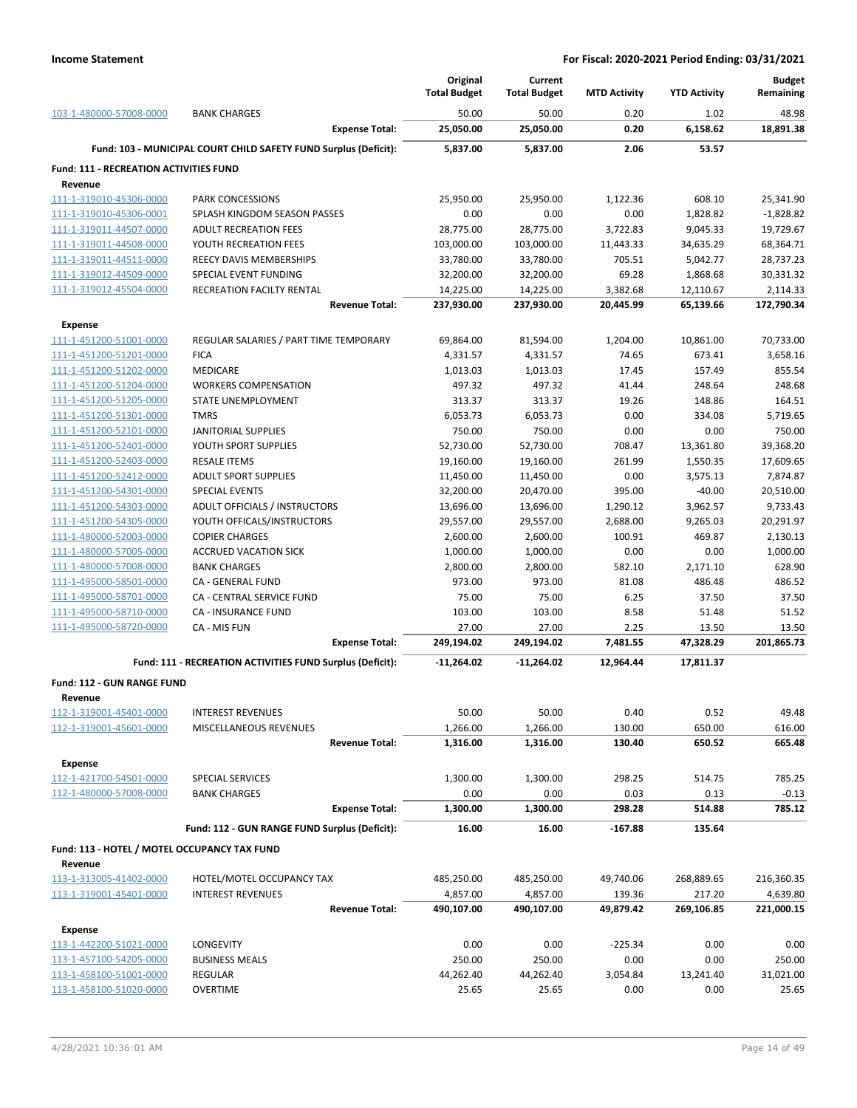|                                                          |                                                                  | Original<br><b>Total Budget</b> | Current<br><b>Total Budget</b> | <b>MTD Activity</b> | <b>YTD Activity</b>  | <b>Budget</b><br>Remaining |
|----------------------------------------------------------|------------------------------------------------------------------|---------------------------------|--------------------------------|---------------------|----------------------|----------------------------|
| 103-1-480000-57008-0000                                  | <b>BANK CHARGES</b>                                              | 50.00                           | 50.00                          | 0.20                | 1.02                 | 48.98                      |
|                                                          | <b>Expense Total:</b>                                            | 25,050.00                       | 25,050.00                      | 0.20                | 6,158.62             | 18,891.38                  |
|                                                          | Fund: 103 - MUNICIPAL COURT CHILD SAFETY FUND Surplus (Deficit): | 5,837.00                        | 5,837.00                       | 2.06                | 53.57                |                            |
| <b>Fund: 111 - RECREATION ACTIVITIES FUND</b><br>Revenue |                                                                  |                                 |                                |                     |                      |                            |
| 111-1-319010-45306-0000                                  | PARK CONCESSIONS                                                 | 25,950.00                       | 25,950.00                      | 1,122.36            | 608.10               | 25,341.90                  |
| 111-1-319010-45306-0001                                  | SPLASH KINGDOM SEASON PASSES                                     | 0.00                            | 0.00                           | 0.00                | 1,828.82             | $-1,828.82$                |
| 111-1-319011-44507-0000                                  | <b>ADULT RECREATION FEES</b>                                     | 28,775.00                       | 28,775.00                      | 3,722.83            | 9,045.33             | 19,729.67                  |
| 111-1-319011-44508-0000                                  | YOUTH RECREATION FEES                                            | 103,000.00                      | 103,000.00                     | 11,443.33           | 34,635.29            | 68,364.71                  |
| 111-1-319011-44511-0000                                  | <b>REECY DAVIS MEMBERSHIPS</b>                                   | 33,780.00                       | 33,780.00                      | 705.51              | 5,042.77             | 28,737.23                  |
| 111-1-319012-44509-0000                                  | SPECIAL EVENT FUNDING                                            | 32,200.00                       | 32,200.00                      | 69.28               | 1,868.68             | 30,331.32                  |
| 111-1-319012-45504-0000                                  | RECREATION FACILTY RENTAL                                        | 14,225.00                       | 14,225.00                      | 3,382.68            | 12,110.67            | 2,114.33                   |
|                                                          | <b>Revenue Total:</b>                                            | 237,930.00                      | 237,930.00                     | 20,445.99           | 65,139.66            | 172,790.34                 |
| <b>Expense</b>                                           |                                                                  |                                 |                                |                     |                      |                            |
| 111-1-451200-51001-0000                                  | REGULAR SALARIES / PART TIME TEMPORARY                           | 69,864.00                       | 81,594.00                      | 1,204.00            | 10,861.00            | 70,733.00                  |
| 111-1-451200-51201-0000                                  | <b>FICA</b>                                                      | 4,331.57                        | 4,331.57                       | 74.65               | 673.41               | 3,658.16                   |
| 111-1-451200-51202-0000                                  | <b>MEDICARE</b>                                                  | 1,013.03                        | 1,013.03                       | 17.45               | 157.49               | 855.54                     |
| 111-1-451200-51204-0000                                  | <b>WORKERS COMPENSATION</b>                                      | 497.32                          | 497.32                         | 41.44               | 248.64               | 248.68                     |
| 111-1-451200-51205-0000                                  | STATE UNEMPLOYMENT                                               | 313.37                          | 313.37                         | 19.26               | 148.86               | 164.51                     |
| 111-1-451200-51301-0000                                  | <b>TMRS</b>                                                      | 6,053.73                        | 6,053.73                       | 0.00                | 334.08               | 5,719.65                   |
| 111-1-451200-52101-0000                                  | <b>JANITORIAL SUPPLIES</b>                                       | 750.00                          | 750.00                         | 0.00                | 0.00                 | 750.00                     |
| 111-1-451200-52401-0000<br>111-1-451200-52403-0000       | YOUTH SPORT SUPPLIES                                             | 52,730.00                       | 52,730.00                      | 708.47              | 13,361.80            | 39,368.20                  |
| 111-1-451200-52412-0000                                  | <b>RESALE ITEMS</b><br><b>ADULT SPORT SUPPLIES</b>               | 19,160.00                       | 19,160.00                      | 261.99<br>0.00      | 1,550.35             | 17,609.65<br>7,874.87      |
| 111-1-451200-54301-0000                                  | <b>SPECIAL EVENTS</b>                                            | 11,450.00<br>32,200.00          | 11,450.00<br>20,470.00         | 395.00              | 3,575.13<br>$-40.00$ | 20,510.00                  |
| 111-1-451200-54303-0000                                  | ADULT OFFICIALS / INSTRUCTORS                                    | 13,696.00                       | 13,696.00                      | 1,290.12            | 3,962.57             | 9,733.43                   |
| 111-1-451200-54305-0000                                  | YOUTH OFFICALS/INSTRUCTORS                                       | 29,557.00                       | 29,557.00                      | 2,688.00            | 9,265.03             | 20,291.97                  |
| 111-1-480000-52003-0000                                  | <b>COPIER CHARGES</b>                                            | 2,600.00                        | 2,600.00                       | 100.91              | 469.87               | 2,130.13                   |
| 111-1-480000-57005-0000                                  | <b>ACCRUED VACATION SICK</b>                                     | 1,000.00                        | 1,000.00                       | 0.00                | 0.00                 | 1,000.00                   |
| 111-1-480000-57008-0000                                  | <b>BANK CHARGES</b>                                              | 2,800.00                        | 2,800.00                       | 582.10              | 2,171.10             | 628.90                     |
| 111-1-495000-58501-0000                                  | CA - GENERAL FUND                                                | 973.00                          | 973.00                         | 81.08               | 486.48               | 486.52                     |
| 111-1-495000-58701-0000                                  | CA - CENTRAL SERVICE FUND                                        | 75.00                           | 75.00                          | 6.25                | 37.50                | 37.50                      |
| 111-1-495000-58710-0000                                  | CA - INSURANCE FUND                                              | 103.00                          | 103.00                         | 8.58                | 51.48                | 51.52                      |
| 111-1-495000-58720-0000                                  | CA - MIS FUN                                                     | 27.00                           | 27.00                          | 2.25                | 13.50                | 13.50                      |
|                                                          | <b>Expense Total:</b>                                            | 249,194.02                      | 249,194.02                     | 7,481.55            | 47,328.29            | 201,865.73                 |
|                                                          | Fund: 111 - RECREATION ACTIVITIES FUND Surplus (Deficit):        | -11,264.02                      | $-11,264.02$                   | 12,964.44           | 17,811.37            |                            |
| <b>Fund: 112 - GUN RANGE FUND</b>                        |                                                                  |                                 |                                |                     |                      |                            |
| Revenue                                                  |                                                                  |                                 |                                |                     |                      |                            |
| 112-1-319001-45401-0000                                  | <b>INTEREST REVENUES</b>                                         | 50.00                           | 50.00                          | 0.40                | 0.52                 | 49.48                      |
| 112-1-319001-45601-0000                                  | MISCELLANEOUS REVENUES                                           | 1,266.00                        | 1,266.00                       | 130.00              | 650.00               | 616.00                     |
|                                                          | <b>Revenue Total:</b>                                            | 1,316.00                        | 1,316.00                       | 130.40              | 650.52               | 665.48                     |
| Expense                                                  |                                                                  |                                 |                                |                     |                      |                            |
| 112-1-421700-54501-0000                                  | SPECIAL SERVICES                                                 | 1,300.00                        | 1,300.00                       | 298.25              | 514.75               | 785.25                     |
| 112-1-480000-57008-0000                                  | <b>BANK CHARGES</b>                                              | 0.00                            | 0.00                           | 0.03                | 0.13                 | $-0.13$                    |
|                                                          | <b>Expense Total:</b>                                            | 1,300.00                        | 1,300.00                       | 298.28              | 514.88               | 785.12                     |
|                                                          | Fund: 112 - GUN RANGE FUND Surplus (Deficit):                    | 16.00                           | 16.00                          | $-167.88$           | 135.64               |                            |
| Fund: 113 - HOTEL / MOTEL OCCUPANCY TAX FUND             |                                                                  |                                 |                                |                     |                      |                            |
| Revenue                                                  |                                                                  |                                 |                                |                     |                      |                            |
| 113-1-313005-41402-0000                                  | HOTEL/MOTEL OCCUPANCY TAX                                        | 485,250.00                      | 485,250.00                     | 49,740.06           | 268,889.65           | 216,360.35                 |
| 113-1-319001-45401-0000                                  | <b>INTEREST REVENUES</b>                                         | 4,857.00                        | 4,857.00                       | 139.36              | 217.20               | 4,639.80                   |
|                                                          | <b>Revenue Total:</b>                                            | 490,107.00                      | 490,107.00                     | 49,879.42           | 269,106.85           | 221,000.15                 |
| <b>Expense</b>                                           |                                                                  |                                 |                                |                     |                      |                            |
| 113-1-442200-51021-0000                                  | LONGEVITY                                                        | 0.00                            | 0.00                           | $-225.34$           | 0.00                 | 0.00                       |
| 113-1-457100-54205-0000                                  | <b>BUSINESS MEALS</b>                                            | 250.00                          | 250.00                         | 0.00                | 0.00                 | 250.00                     |
| 113-1-458100-51001-0000                                  | <b>REGULAR</b>                                                   | 44,262.40                       | 44,262.40                      | 3,054.84            | 13,241.40            | 31,021.00                  |
| 113-1-458100-51020-0000                                  | OVERTIME                                                         | 25.65                           | 25.65                          | 0.00                | 0.00                 | 25.65                      |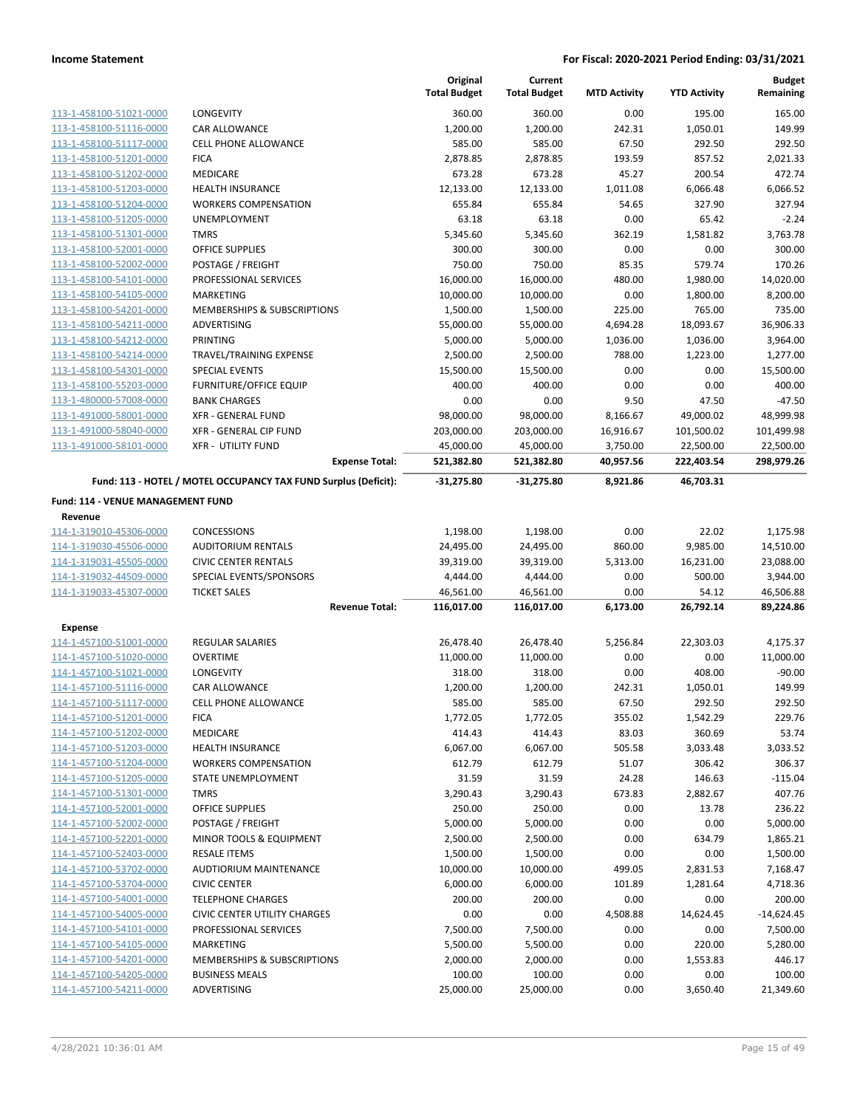|                                                    |                                                                 | Original<br><b>Total Budget</b> | Current<br><b>Total Budget</b> | <b>MTD Activity</b>   | <b>YTD Activity</b>     | <b>Budget</b><br>Remaining |
|----------------------------------------------------|-----------------------------------------------------------------|---------------------------------|--------------------------------|-----------------------|-------------------------|----------------------------|
| 113-1-458100-51021-0000                            | LONGEVITY                                                       | 360.00                          | 360.00                         | 0.00                  | 195.00                  | 165.00                     |
| 113-1-458100-51116-0000                            | <b>CAR ALLOWANCE</b>                                            | 1,200.00                        | 1,200.00                       | 242.31                | 1,050.01                | 149.99                     |
| 113-1-458100-51117-0000                            | <b>CELL PHONE ALLOWANCE</b>                                     | 585.00                          | 585.00                         | 67.50                 | 292.50                  | 292.50                     |
| 113-1-458100-51201-0000                            | <b>FICA</b>                                                     | 2,878.85                        | 2,878.85                       | 193.59                | 857.52                  | 2,021.33                   |
| 113-1-458100-51202-0000                            | <b>MEDICARE</b>                                                 | 673.28                          | 673.28                         | 45.27                 | 200.54                  | 472.74                     |
| 113-1-458100-51203-0000                            | HEALTH INSURANCE                                                | 12,133.00                       | 12,133.00                      | 1,011.08              | 6,066.48                | 6,066.52                   |
| 113-1-458100-51204-0000                            | <b>WORKERS COMPENSATION</b>                                     | 655.84                          | 655.84                         | 54.65                 | 327.90                  | 327.94                     |
| 113-1-458100-51205-0000                            | <b>UNEMPLOYMENT</b>                                             | 63.18                           | 63.18                          | 0.00                  | 65.42                   | $-2.24$                    |
| 113-1-458100-51301-0000                            | <b>TMRS</b>                                                     | 5,345.60                        | 5,345.60                       | 362.19                | 1,581.82                | 3,763.78                   |
| 113-1-458100-52001-0000                            | OFFICE SUPPLIES                                                 | 300.00                          | 300.00                         | 0.00                  | 0.00                    | 300.00                     |
| 113-1-458100-52002-0000                            | POSTAGE / FREIGHT                                               | 750.00                          | 750.00                         | 85.35                 | 579.74                  | 170.26                     |
| 113-1-458100-54101-0000                            | PROFESSIONAL SERVICES                                           | 16,000.00                       | 16,000.00                      | 480.00                | 1,980.00                | 14,020.00                  |
| 113-1-458100-54105-0000                            | <b>MARKETING</b>                                                | 10,000.00                       | 10,000.00                      | 0.00                  | 1,800.00                | 8,200.00                   |
| 113-1-458100-54201-0000                            | MEMBERSHIPS & SUBSCRIPTIONS                                     | 1,500.00                        | 1,500.00                       | 225.00                | 765.00                  | 735.00                     |
| 113-1-458100-54211-0000                            | ADVERTISING                                                     | 55,000.00                       | 55,000.00                      | 4,694.28              | 18,093.67               | 36,906.33                  |
| 113-1-458100-54212-0000                            | PRINTING                                                        | 5,000.00                        | 5,000.00                       | 1,036.00              | 1,036.00                | 3,964.00                   |
| 113-1-458100-54214-0000                            | TRAVEL/TRAINING EXPENSE                                         | 2,500.00                        | 2,500.00                       | 788.00                | 1,223.00                | 1,277.00                   |
| 113-1-458100-54301-0000                            | <b>SPECIAL EVENTS</b>                                           | 15,500.00                       | 15,500.00                      | 0.00                  | 0.00                    | 15,500.00                  |
| 113-1-458100-55203-0000                            | <b>FURNITURE/OFFICE EQUIP</b>                                   | 400.00                          | 400.00                         | 0.00                  | 0.00                    | 400.00                     |
| 113-1-480000-57008-0000                            | <b>BANK CHARGES</b>                                             | 0.00                            | 0.00                           | 9.50                  | 47.50                   | $-47.50$                   |
| 113-1-491000-58001-0000<br>113-1-491000-58040-0000 | <b>XFR - GENERAL FUND</b>                                       | 98,000.00                       | 98,000.00                      | 8,166.67              | 49,000.02               | 48,999.98                  |
| 113-1-491000-58101-0000                            | XFR - GENERAL CIP FUND<br><b>XFR - UTILITY FUND</b>             | 203,000.00                      | 203,000.00                     | 16,916.67             | 101,500.02              | 101,499.98                 |
|                                                    | <b>Expense Total:</b>                                           | 45,000.00<br>521,382.80         | 45,000.00<br>521,382.80        | 3,750.00<br>40,957.56 | 22,500.00<br>222,403.54 | 22,500.00<br>298,979.26    |
|                                                    | Fund: 113 - HOTEL / MOTEL OCCUPANCY TAX FUND Surplus (Deficit): | -31,275.80                      | $-31,275.80$                   | 8,921.86              | 46,703.31               |                            |
| Fund: 114 - VENUE MANAGEMENT FUND                  |                                                                 |                                 |                                |                       |                         |                            |
| Revenue                                            |                                                                 |                                 |                                |                       |                         |                            |
| 114-1-319010-45306-0000                            | <b>CONCESSIONS</b>                                              | 1,198.00                        | 1,198.00                       | 0.00                  | 22.02                   | 1,175.98                   |
| 114-1-319030-45506-0000                            | <b>AUDITORIUM RENTALS</b>                                       | 24,495.00                       | 24,495.00                      | 860.00                | 9,985.00                | 14,510.00                  |
| 114-1-319031-45505-0000                            | <b>CIVIC CENTER RENTALS</b>                                     | 39,319.00                       | 39,319.00                      | 5,313.00              | 16,231.00               | 23,088.00                  |
| 114-1-319032-44509-0000                            | SPECIAL EVENTS/SPONSORS                                         | 4,444.00                        | 4,444.00                       | 0.00                  | 500.00                  | 3,944.00                   |
| 114-1-319033-45307-0000                            | <b>TICKET SALES</b>                                             | 46,561.00                       | 46,561.00                      | 0.00                  | 54.12                   | 46,506.88                  |
|                                                    | <b>Revenue Total:</b>                                           | 116,017.00                      | 116,017.00                     | 6,173.00              | 26,792.14               | 89,224.86                  |
| <b>Expense</b>                                     |                                                                 |                                 |                                |                       |                         |                            |
| 114-1-457100-51001-0000                            | <b>REGULAR SALARIES</b>                                         | 26,478.40                       | 26,478.40                      | 5,256.84              | 22,303.03               | 4,175.37                   |
| 114-1-457100-51020-0000                            | <b>OVERTIME</b>                                                 | 11,000.00                       | 11,000.00                      | 0.00                  | 0.00                    | 11,000.00                  |
| 114-1-457100-51021-0000                            | LONGEVITY                                                       | 318.00                          | 318.00                         | 0.00                  | 408.00                  | $-90.00$                   |
| 114-1-457100-51116-0000                            | CAR ALLOWANCE                                                   | 1,200.00                        | 1,200.00                       | 242.31                | 1,050.01                | 149.99                     |
| 114-1-457100-51117-0000                            | CELL PHONE ALLOWANCE                                            | 585.00                          | 585.00                         | 67.50                 | 292.50                  | 292.50                     |
| 114-1-457100-51201-0000                            | <b>FICA</b>                                                     | 1,772.05                        | 1,772.05                       | 355.02                | 1,542.29                | 229.76                     |
| 114-1-457100-51202-0000                            | <b>MEDICARE</b>                                                 | 414.43                          | 414.43                         | 83.03                 | 360.69                  | 53.74                      |
| 114-1-457100-51203-0000                            | <b>HEALTH INSURANCE</b>                                         | 6,067.00                        | 6,067.00                       | 505.58                | 3,033.48                | 3,033.52                   |
| 114-1-457100-51204-0000                            | <b>WORKERS COMPENSATION</b>                                     | 612.79                          | 612.79                         | 51.07                 | 306.42                  | 306.37                     |
| 114-1-457100-51205-0000                            | <b>STATE UNEMPLOYMENT</b>                                       | 31.59                           | 31.59                          | 24.28                 | 146.63                  | $-115.04$                  |
| 114-1-457100-51301-0000                            | <b>TMRS</b>                                                     | 3,290.43                        | 3,290.43                       | 673.83                | 2,882.67                | 407.76                     |
| 114-1-457100-52001-0000                            | <b>OFFICE SUPPLIES</b>                                          | 250.00                          | 250.00                         | 0.00                  | 13.78                   | 236.22                     |
| 114-1-457100-52002-0000                            | POSTAGE / FREIGHT                                               | 5,000.00                        | 5,000.00                       | 0.00                  | 0.00                    | 5,000.00                   |
| 114-1-457100-52201-0000                            | MINOR TOOLS & EQUIPMENT                                         | 2,500.00                        | 2,500.00                       | 0.00                  | 634.79                  | 1,865.21                   |
| 114-1-457100-52403-0000                            | <b>RESALE ITEMS</b>                                             | 1,500.00                        | 1,500.00                       | 0.00                  | 0.00                    | 1,500.00                   |
| 114-1-457100-53702-0000                            | AUDTIORIUM MAINTENANCE                                          | 10,000.00                       | 10,000.00                      | 499.05                | 2,831.53                | 7,168.47                   |
| 114-1-457100-53704-0000                            | <b>CIVIC CENTER</b>                                             | 6,000.00                        | 6,000.00                       | 101.89                | 1,281.64                | 4,718.36                   |
| 114-1-457100-54001-0000                            | <b>TELEPHONE CHARGES</b>                                        | 200.00                          | 200.00                         | 0.00                  | 0.00                    | 200.00                     |
| 114-1-457100-54005-0000                            | <b>CIVIC CENTER UTILITY CHARGES</b>                             | 0.00                            | 0.00                           | 4,508.88              | 14,624.45               | $-14,624.45$               |
| 114-1-457100-54101-0000                            | PROFESSIONAL SERVICES                                           | 7,500.00                        | 7,500.00                       | 0.00                  | 0.00                    | 7,500.00                   |
| 114-1-457100-54105-0000                            | MARKETING                                                       | 5,500.00                        | 5,500.00                       | 0.00                  | 220.00                  | 5,280.00                   |
| 114-1-457100-54201-0000                            | <b>MEMBERSHIPS &amp; SUBSCRIPTIONS</b>                          | 2,000.00                        | 2,000.00                       | 0.00                  | 1,553.83                | 446.17                     |
| 114-1-457100-54205-0000                            | <b>BUSINESS MEALS</b>                                           | 100.00                          | 100.00                         | 0.00                  | 0.00                    | 100.00                     |
| 114-1-457100-54211-0000                            | ADVERTISING                                                     | 25,000.00                       | 25,000.00                      | 0.00                  | 3,650.40                | 21,349.60                  |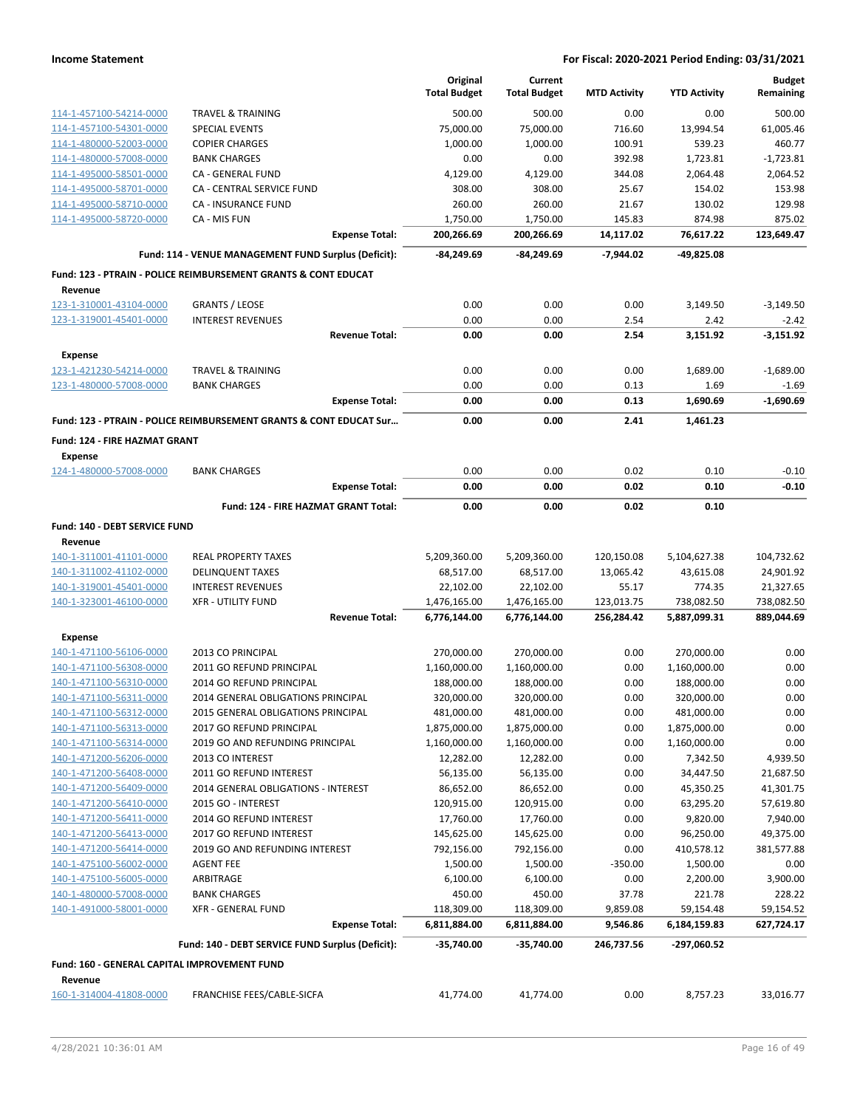|                                              |                                                                           | Original            | Current             |                     |                     | <b>Budget</b> |
|----------------------------------------------|---------------------------------------------------------------------------|---------------------|---------------------|---------------------|---------------------|---------------|
|                                              |                                                                           | <b>Total Budget</b> | <b>Total Budget</b> | <b>MTD Activity</b> | <b>YTD Activity</b> | Remaining     |
| 114-1-457100-54214-0000                      | <b>TRAVEL &amp; TRAINING</b>                                              | 500.00              | 500.00              | 0.00                | 0.00                | 500.00        |
| 114-1-457100-54301-0000                      | <b>SPECIAL EVENTS</b>                                                     | 75,000.00           | 75,000.00           | 716.60              | 13,994.54           | 61,005.46     |
| 114-1-480000-52003-0000                      | <b>COPIER CHARGES</b>                                                     | 1,000.00            | 1,000.00            | 100.91              | 539.23              | 460.77        |
| 114-1-480000-57008-0000                      | <b>BANK CHARGES</b>                                                       | 0.00                | 0.00                | 392.98              | 1,723.81            | $-1,723.81$   |
| 114-1-495000-58501-0000                      | CA - GENERAL FUND                                                         | 4,129.00            | 4,129.00            | 344.08              | 2,064.48            | 2,064.52      |
| 114-1-495000-58701-0000                      | CA - CENTRAL SERVICE FUND                                                 | 308.00              | 308.00              | 25.67               | 154.02              | 153.98        |
| 114-1-495000-58710-0000                      | CA - INSURANCE FUND                                                       | 260.00              | 260.00              | 21.67               | 130.02              | 129.98        |
| 114-1-495000-58720-0000                      | CA - MIS FUN                                                              | 1,750.00            | 1,750.00            | 145.83              | 874.98              | 875.02        |
|                                              | <b>Expense Total:</b>                                                     | 200,266.69          | 200,266.69          | 14,117.02           | 76,617.22           | 123,649.47    |
|                                              | Fund: 114 - VENUE MANAGEMENT FUND Surplus (Deficit):                      | -84,249.69          | -84,249.69          | $-7.944.02$         | $-49,825.08$        |               |
|                                              | <b>Fund: 123 - PTRAIN - POLICE REIMBURSEMENT GRANTS &amp; CONT EDUCAT</b> |                     |                     |                     |                     |               |
| Revenue                                      |                                                                           |                     |                     |                     |                     |               |
| 123-1-310001-43104-0000                      | <b>GRANTS / LEOSE</b>                                                     | 0.00                | 0.00                | 0.00                | 3,149.50            | $-3,149.50$   |
| 123-1-319001-45401-0000                      | <b>INTEREST REVENUES</b>                                                  | 0.00                | 0.00                | 2.54                | 2.42                | $-2.42$       |
|                                              | <b>Revenue Total:</b>                                                     | 0.00                | 0.00                | 2.54                | 3,151.92            | $-3,151.92$   |
| Expense                                      |                                                                           |                     |                     |                     |                     |               |
| 123-1-421230-54214-0000                      | <b>TRAVEL &amp; TRAINING</b>                                              | 0.00                | 0.00                | 0.00                | 1,689.00            | $-1,689.00$   |
| 123-1-480000-57008-0000                      | <b>BANK CHARGES</b>                                                       | 0.00                | 0.00                | 0.13                | 1.69                | $-1.69$       |
|                                              | <b>Expense Total:</b>                                                     | 0.00                | 0.00                | 0.13                | 1,690.69            | $-1,690.69$   |
|                                              | Fund: 123 - PTRAIN - POLICE REIMBURSEMENT GRANTS & CONT EDUCAT Sur        | 0.00                | 0.00                | 2.41                | 1,461.23            |               |
|                                              |                                                                           |                     |                     |                     |                     |               |
| Fund: 124 - FIRE HAZMAT GRANT<br>Expense     |                                                                           |                     |                     |                     |                     |               |
| 124-1-480000-57008-0000                      | <b>BANK CHARGES</b>                                                       | 0.00                | 0.00                | 0.02                | 0.10                | $-0.10$       |
|                                              | <b>Expense Total:</b>                                                     | 0.00                | 0.00                | 0.02                | 0.10                | $-0.10$       |
|                                              |                                                                           |                     |                     |                     |                     |               |
|                                              | Fund: 124 - FIRE HAZMAT GRANT Total:                                      | 0.00                | 0.00                | 0.02                | 0.10                |               |
| Fund: 140 - DEBT SERVICE FUND                |                                                                           |                     |                     |                     |                     |               |
| Revenue                                      |                                                                           |                     |                     |                     |                     |               |
| 140-1-311001-41101-0000                      | <b>REAL PROPERTY TAXES</b>                                                | 5,209,360.00        | 5,209,360.00        | 120,150.08          | 5,104,627.38        | 104,732.62    |
| 140-1-311002-41102-0000                      | <b>DELINQUENT TAXES</b>                                                   | 68,517.00           | 68,517.00           | 13,065.42           | 43,615.08           | 24,901.92     |
| 140-1-319001-45401-0000                      | <b>INTEREST REVENUES</b>                                                  | 22,102.00           | 22,102.00           | 55.17               | 774.35              | 21,327.65     |
| 140-1-323001-46100-0000                      | <b>XFR - UTILITY FUND</b>                                                 | 1,476,165.00        | 1,476,165.00        | 123,013.75          | 738,082.50          | 738,082.50    |
|                                              | <b>Revenue Total:</b>                                                     | 6,776,144.00        | 6,776,144.00        | 256,284.42          | 5,887,099.31        | 889,044.69    |
| <b>Expense</b>                               |                                                                           |                     |                     |                     |                     |               |
| 140-1-471100-56106-0000                      | 2013 CO PRINCIPAL                                                         | 270,000.00          | 270,000.00          | 0.00                | 270,000.00          | 0.00          |
| 140-1-471100-56308-0000                      | 2011 GO REFUND PRINCIPAL                                                  | 1,160,000.00        | 1,160,000.00        | 0.00                | 1,160,000.00        | 0.00          |
| 140-1-471100-56310-0000                      | 2014 GO REFUND PRINCIPAL                                                  | 188,000.00          | 188,000.00          | 0.00                | 188,000.00          | 0.00          |
| 140-1-471100-56311-0000                      | 2014 GENERAL OBLIGATIONS PRINCIPAL                                        | 320,000.00          | 320,000.00          | 0.00                | 320,000.00          | 0.00          |
| 140-1-471100-56312-0000                      | 2015 GENERAL OBLIGATIONS PRINCIPAL                                        | 481,000.00          | 481,000.00          | 0.00                | 481,000.00          | 0.00          |
| 140-1-471100-56313-0000                      | 2017 GO REFUND PRINCIPAL                                                  | 1,875,000.00        | 1,875,000.00        | 0.00                | 1,875,000.00        | 0.00          |
| 140-1-471100-56314-0000                      | 2019 GO AND REFUNDING PRINCIPAL                                           | 1,160,000.00        | 1,160,000.00        | 0.00                | 1,160,000.00        | 0.00          |
| 140-1-471200-56206-0000                      | 2013 CO INTEREST                                                          | 12,282.00           | 12,282.00           | 0.00                | 7,342.50            | 4,939.50      |
| 140-1-471200-56408-0000                      | 2011 GO REFUND INTEREST                                                   | 56,135.00           | 56,135.00           | 0.00                | 34,447.50           | 21,687.50     |
| 140-1-471200-56409-0000                      | 2014 GENERAL OBLIGATIONS - INTEREST                                       | 86,652.00           | 86,652.00           | 0.00                | 45,350.25           | 41,301.75     |
| 140-1-471200-56410-0000                      | 2015 GO - INTEREST                                                        | 120,915.00          | 120,915.00          | 0.00                | 63,295.20           | 57,619.80     |
| 140-1-471200-56411-0000                      | 2014 GO REFUND INTEREST                                                   | 17,760.00           | 17,760.00           | 0.00                | 9,820.00            | 7,940.00      |
| 140-1-471200-56413-0000                      | 2017 GO REFUND INTEREST                                                   | 145,625.00          | 145,625.00          | 0.00                | 96,250.00           | 49,375.00     |
| 140-1-471200-56414-0000                      | 2019 GO AND REFUNDING INTEREST                                            | 792,156.00          | 792,156.00          | 0.00                | 410,578.12          | 381,577.88    |
| 140-1-475100-56002-0000                      | <b>AGENT FEE</b>                                                          | 1,500.00            | 1,500.00            | $-350.00$           | 1,500.00            | 0.00          |
| 140-1-475100-56005-0000                      | ARBITRAGE                                                                 | 6,100.00            | 6,100.00            | 0.00                | 2,200.00            | 3,900.00      |
| 140-1-480000-57008-0000                      | <b>BANK CHARGES</b>                                                       | 450.00              | 450.00              | 37.78               | 221.78              | 228.22        |
| 140-1-491000-58001-0000                      | XFR - GENERAL FUND                                                        | 118,309.00          | 118,309.00          | 9,859.08            | 59,154.48           | 59,154.52     |
|                                              | <b>Expense Total:</b>                                                     | 6,811,884.00        | 6,811,884.00        | 9,546.86            | 6,184,159.83        | 627,724.17    |
|                                              | Fund: 140 - DEBT SERVICE FUND Surplus (Deficit):                          | $-35,740.00$        | $-35,740.00$        | 246,737.56          | -297,060.52         |               |
| Fund: 160 - GENERAL CAPITAL IMPROVEMENT FUND |                                                                           |                     |                     |                     |                     |               |
| Revenue                                      |                                                                           |                     |                     |                     |                     |               |
| 160-1-314004-41808-0000                      | FRANCHISE FEES/CABLE-SICFA                                                | 41,774.00           | 41,774.00           | 0.00                | 8,757.23            | 33,016.77     |
|                                              |                                                                           |                     |                     |                     |                     |               |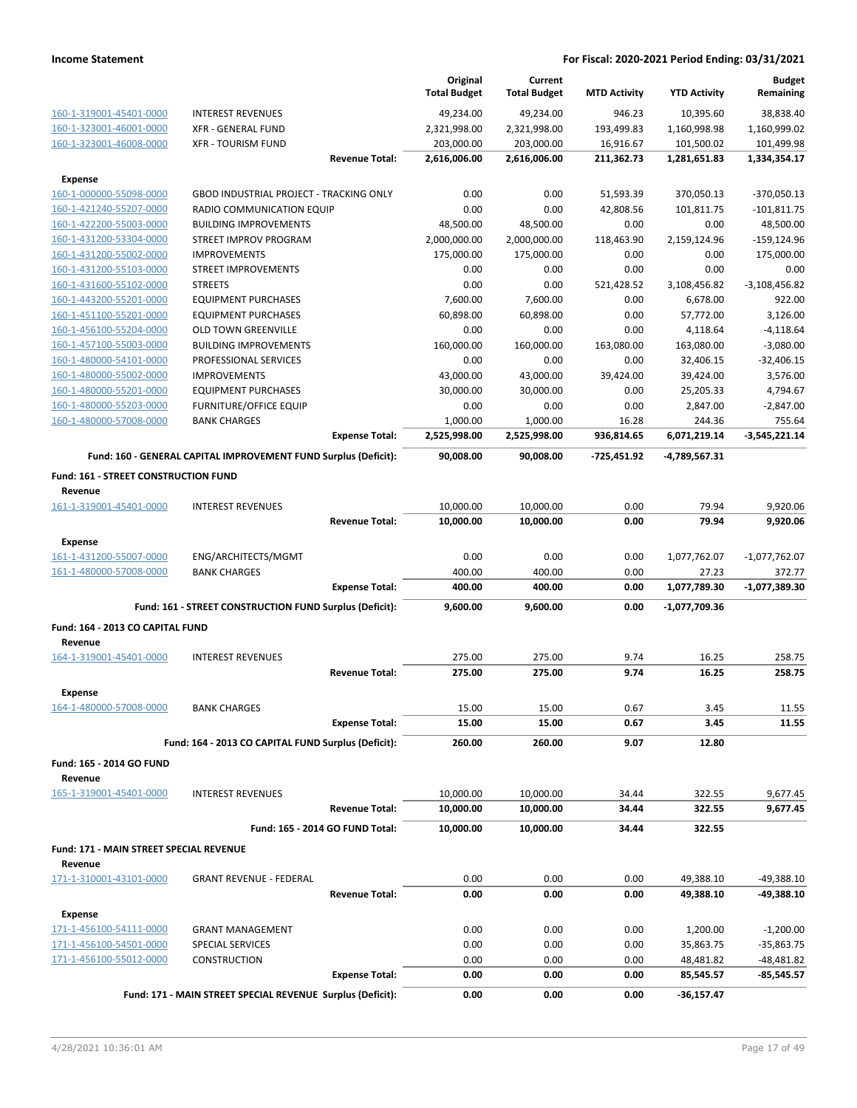|                                                    |                                                                 | Original<br><b>Total Budget</b> | Current<br><b>Total Budget</b> | <b>MTD Activity</b> | <b>YTD Activity</b>   | <b>Budget</b><br>Remaining |
|----------------------------------------------------|-----------------------------------------------------------------|---------------------------------|--------------------------------|---------------------|-----------------------|----------------------------|
| 160-1-319001-45401-0000                            | <b>INTEREST REVENUES</b>                                        | 49,234.00                       | 49,234.00                      | 946.23              | 10,395.60             | 38,838.40                  |
| 160-1-323001-46001-0000                            | <b>XFR - GENERAL FUND</b>                                       | 2,321,998.00                    | 2,321,998.00                   | 193,499.83          | 1,160,998.98          | 1,160,999.02               |
| 160-1-323001-46008-0000                            | <b>XFR - TOURISM FUND</b>                                       | 203,000.00                      | 203,000.00                     | 16,916.67           | 101,500.02            | 101,499.98                 |
|                                                    | <b>Revenue Total:</b>                                           | 2,616,006.00                    | 2,616,006.00                   | 211,362.73          | 1,281,651.83          | 1,334,354.17               |
| <b>Expense</b>                                     |                                                                 |                                 |                                |                     |                       |                            |
| 160-1-000000-55098-0000                            | <b>GBOD INDUSTRIAL PROJECT - TRACKING ONLY</b>                  | 0.00                            | 0.00                           | 51,593.39           | 370,050.13            | $-370,050.13$              |
| 160-1-421240-55207-0000                            | RADIO COMMUNICATION EQUIP                                       | 0.00                            | 0.00                           | 42,808.56           | 101,811.75            | $-101,811.75$              |
| 160-1-422200-55003-0000                            | <b>BUILDING IMPROVEMENTS</b>                                    | 48,500.00                       | 48,500.00                      | 0.00                | 0.00                  | 48,500.00                  |
| 160-1-431200-53304-0000                            | STREET IMPROV PROGRAM                                           | 2,000,000.00                    | 2,000,000.00                   | 118,463.90          | 2,159,124.96          | $-159, 124.96$             |
| 160-1-431200-55002-0000                            | <b>IMPROVEMENTS</b>                                             | 175,000.00                      | 175,000.00                     | 0.00                | 0.00                  | 175,000.00                 |
| 160-1-431200-55103-0000                            | <b>STREET IMPROVEMENTS</b>                                      | 0.00                            | 0.00                           | 0.00                | 0.00                  | 0.00                       |
| 160-1-431600-55102-0000                            | <b>STREETS</b>                                                  | 0.00                            | 0.00                           | 521,428.52          | 3,108,456.82          | $-3,108,456.82$            |
| 160-1-443200-55201-0000<br>160-1-451100-55201-0000 | <b>EQUIPMENT PURCHASES</b><br><b>EQUIPMENT PURCHASES</b>        | 7,600.00<br>60,898.00           | 7,600.00<br>60,898.00          | 0.00<br>0.00        | 6,678.00<br>57,772.00 | 922.00<br>3,126.00         |
| 160-1-456100-55204-0000                            | <b>OLD TOWN GREENVILLE</b>                                      | 0.00                            | 0.00                           | 0.00                | 4,118.64              | $-4,118.64$                |
| 160-1-457100-55003-0000                            | <b>BUILDING IMPROVEMENTS</b>                                    | 160,000.00                      | 160,000.00                     | 163,080.00          | 163,080.00            | $-3,080.00$                |
| 160-1-480000-54101-0000                            | PROFESSIONAL SERVICES                                           | 0.00                            | 0.00                           | 0.00                | 32,406.15             | $-32,406.15$               |
| 160-1-480000-55002-0000                            | <b>IMPROVEMENTS</b>                                             | 43,000.00                       | 43,000.00                      | 39,424.00           | 39,424.00             | 3,576.00                   |
| 160-1-480000-55201-0000                            | <b>EQUIPMENT PURCHASES</b>                                      | 30,000.00                       | 30,000.00                      | 0.00                | 25,205.33             | 4,794.67                   |
| 160-1-480000-55203-0000                            | <b>FURNITURE/OFFICE EQUIP</b>                                   | 0.00                            | 0.00                           | 0.00                | 2,847.00              | $-2,847.00$                |
| 160-1-480000-57008-0000                            | <b>BANK CHARGES</b>                                             | 1,000.00                        | 1,000.00                       | 16.28               | 244.36                | 755.64                     |
|                                                    | <b>Expense Total:</b>                                           | 2,525,998.00                    | 2,525,998.00                   | 936,814.65          | 6,071,219.14          | $-3,545,221.14$            |
|                                                    | Fund: 160 - GENERAL CAPITAL IMPROVEMENT FUND Surplus (Deficit): | 90,008.00                       | 90,008.00                      | -725,451.92         | -4,789,567.31         |                            |
| Fund: 161 - STREET CONSTRUCTION FUND               |                                                                 |                                 |                                |                     |                       |                            |
| Revenue                                            |                                                                 |                                 |                                |                     |                       |                            |
| 161-1-319001-45401-0000                            | <b>INTEREST REVENUES</b>                                        | 10,000.00                       | 10,000.00                      | 0.00                | 79.94                 | 9,920.06                   |
|                                                    | <b>Revenue Total:</b>                                           | 10,000.00                       | 10,000.00                      | 0.00                | 79.94                 | 9,920.06                   |
| <b>Expense</b>                                     |                                                                 |                                 |                                |                     |                       |                            |
| 161-1-431200-55007-0000                            | ENG/ARCHITECTS/MGMT                                             | 0.00                            | 0.00                           | 0.00                | 1,077,762.07          | $-1,077,762.07$            |
| 161-1-480000-57008-0000                            | <b>BANK CHARGES</b>                                             | 400.00                          | 400.00                         | 0.00                | 27.23                 | 372.77                     |
|                                                    | <b>Expense Total:</b>                                           | 400.00                          | 400.00                         | 0.00                | 1,077,789.30          | -1,077,389.30              |
|                                                    | Fund: 161 - STREET CONSTRUCTION FUND Surplus (Deficit):         | 9,600.00                        | 9,600.00                       | 0.00                | -1,077,709.36         |                            |
| Fund: 164 - 2013 CO CAPITAL FUND                   |                                                                 |                                 |                                |                     |                       |                            |
| Revenue                                            |                                                                 |                                 |                                |                     |                       |                            |
| 164-1-319001-45401-0000                            | <b>INTEREST REVENUES</b>                                        | 275.00                          | 275.00                         | 9.74                | 16.25                 | 258.75                     |
|                                                    | <b>Revenue Total:</b>                                           | 275.00                          | 275.00                         | 9.74                | 16.25                 | 258.75                     |
| Expense                                            |                                                                 |                                 |                                |                     |                       |                            |
| 164-1-480000-57008-0000                            | <b>BANK CHARGES</b><br><b>Expense Total:</b>                    | 15.00<br>15.00                  | 15.00<br>15.00                 | 0.67<br>0.67        | 3.45<br>3.45          | 11.55<br>11.55             |
|                                                    |                                                                 |                                 |                                |                     |                       |                            |
|                                                    | Fund: 164 - 2013 CO CAPITAL FUND Surplus (Deficit):             | 260.00                          | 260.00                         | 9.07                | 12.80                 |                            |
| Fund: 165 - 2014 GO FUND<br>Revenue                |                                                                 |                                 |                                |                     |                       |                            |
| 165-1-319001-45401-0000                            | <b>INTEREST REVENUES</b>                                        | 10,000.00                       | 10,000.00                      | 34.44               | 322.55                | 9,677.45                   |
|                                                    | <b>Revenue Total:</b>                                           | 10,000.00                       | 10,000.00                      | 34.44               | 322.55                | 9,677.45                   |
|                                                    | Fund: 165 - 2014 GO FUND Total:                                 | 10,000.00                       | 10,000.00                      | 34.44               | 322.55                |                            |
| <b>Fund: 171 - MAIN STREET SPECIAL REVENUE</b>     |                                                                 |                                 |                                |                     |                       |                            |
| Revenue                                            |                                                                 |                                 |                                |                     |                       |                            |
| 171-1-310001-43101-0000                            | <b>GRANT REVENUE - FEDERAL</b>                                  | 0.00                            | 0.00                           | 0.00                | 49,388.10             | $-49,388.10$               |
|                                                    | <b>Revenue Total:</b>                                           | 0.00                            | 0.00                           | 0.00                | 49,388.10             | -49,388.10                 |
| <b>Expense</b>                                     |                                                                 |                                 |                                |                     |                       |                            |
| 171-1-456100-54111-0000                            | <b>GRANT MANAGEMENT</b>                                         | 0.00                            | 0.00                           | 0.00                | 1,200.00              | $-1,200.00$                |
| 171-1-456100-54501-0000                            | SPECIAL SERVICES                                                | 0.00                            | 0.00                           | 0.00                | 35,863.75             | $-35,863.75$               |
| 171-1-456100-55012-0000                            | <b>CONSTRUCTION</b>                                             | 0.00                            | 0.00                           | 0.00                | 48,481.82             | $-48,481.82$               |
|                                                    | <b>Expense Total:</b>                                           | 0.00                            | 0.00                           | 0.00                | 85,545.57             | $-85,545.57$               |
|                                                    | Fund: 171 - MAIN STREET SPECIAL REVENUE Surplus (Deficit):      | 0.00                            | 0.00                           | 0.00                | -36,157.47            |                            |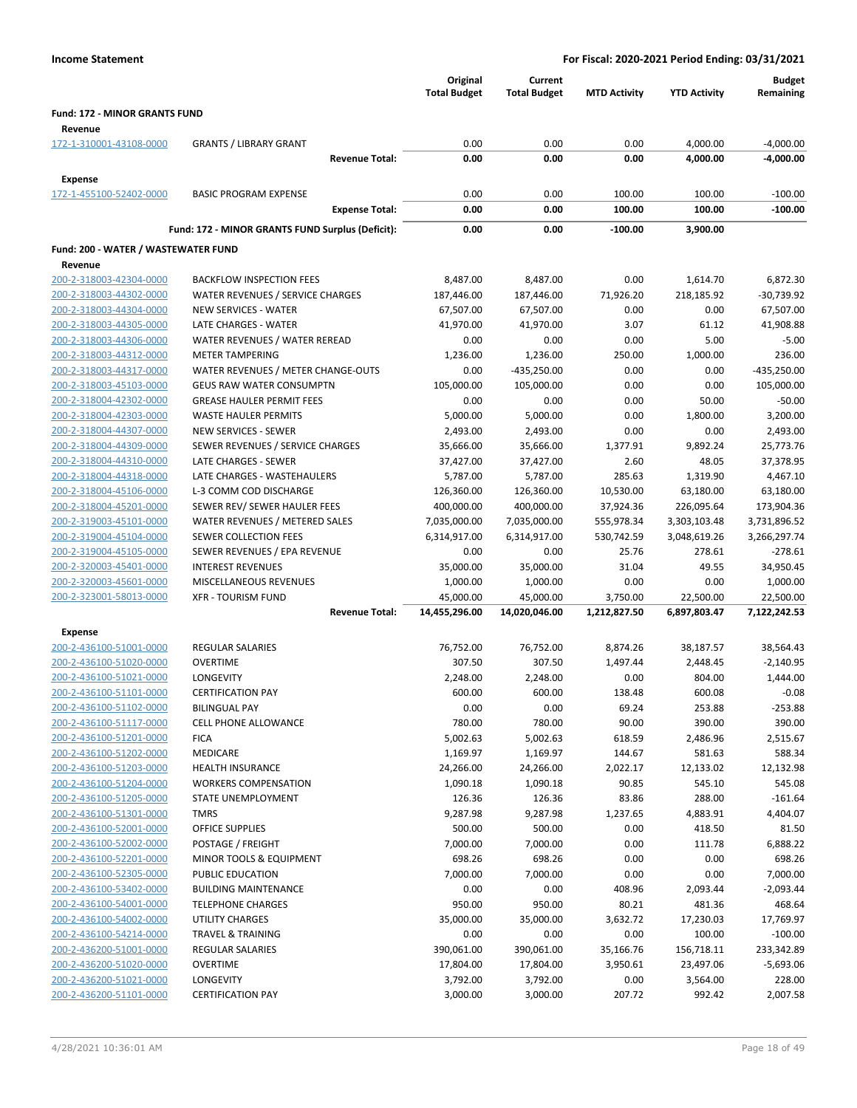|                                                    |                                                         | Original<br><b>Total Budget</b> | Current<br><b>Total Budget</b> | <b>MTD Activity</b>      | <b>YTD Activity</b>          | <b>Budget</b><br>Remaining   |
|----------------------------------------------------|---------------------------------------------------------|---------------------------------|--------------------------------|--------------------------|------------------------------|------------------------------|
| Fund: 172 - MINOR GRANTS FUND                      |                                                         |                                 |                                |                          |                              |                              |
| Revenue<br>172-1-310001-43108-0000                 | <b>GRANTS / LIBRARY GRANT</b>                           | 0.00                            | 0.00                           | 0.00                     | 4,000.00                     | $-4,000.00$                  |
|                                                    | <b>Revenue Total:</b>                                   | 0.00                            | 0.00                           | 0.00                     | 4,000.00                     | $-4,000.00$                  |
| <b>Expense</b>                                     |                                                         |                                 |                                |                          |                              |                              |
| 172-1-455100-52402-0000                            | <b>BASIC PROGRAM EXPENSE</b>                            | 0.00                            | 0.00                           | 100.00                   | 100.00                       | $-100.00$                    |
|                                                    | <b>Expense Total:</b>                                   | 0.00                            | 0.00                           | 100.00                   | 100.00                       | $-100.00$                    |
|                                                    | Fund: 172 - MINOR GRANTS FUND Surplus (Deficit):        | 0.00                            | 0.00                           | $-100.00$                | 3,900.00                     |                              |
| Fund: 200 - WATER / WASTEWATER FUND                |                                                         |                                 |                                |                          |                              |                              |
| Revenue                                            |                                                         |                                 |                                |                          |                              |                              |
| 200-2-318003-42304-0000                            | <b>BACKFLOW INSPECTION FEES</b>                         | 8,487.00                        | 8,487.00                       | 0.00                     | 1,614.70                     | 6,872.30                     |
| 200-2-318003-44302-0000                            | WATER REVENUES / SERVICE CHARGES                        | 187,446.00                      | 187,446.00                     | 71,926.20                | 218,185.92                   | -30,739.92                   |
| 200-2-318003-44304-0000                            | <b>NEW SERVICES - WATER</b>                             | 67,507.00                       | 67,507.00                      | 0.00                     | 0.00                         | 67,507.00                    |
| 200-2-318003-44305-0000                            | LATE CHARGES - WATER                                    | 41,970.00                       | 41,970.00                      | 3.07                     | 61.12                        | 41,908.88                    |
| 200-2-318003-44306-0000                            | WATER REVENUES / WATER REREAD                           | 0.00                            | 0.00                           | 0.00                     | 5.00                         | $-5.00$                      |
| 200-2-318003-44312-0000                            | <b>METER TAMPERING</b>                                  | 1,236.00                        | 1,236.00                       | 250.00                   | 1,000.00                     | 236.00                       |
| 200-2-318003-44317-0000                            | WATER REVENUES / METER CHANGE-OUTS                      | 0.00                            | $-435,250.00$                  | 0.00                     | 0.00                         | $-435,250.00$                |
| 200-2-318003-45103-0000                            | <b>GEUS RAW WATER CONSUMPTN</b>                         | 105,000.00                      | 105,000.00                     | 0.00                     | 0.00                         | 105,000.00                   |
| 200-2-318004-42302-0000                            | <b>GREASE HAULER PERMIT FEES</b>                        | 0.00                            | 0.00                           | 0.00                     | 50.00                        | $-50.00$                     |
| 200-2-318004-42303-0000                            | <b>WASTE HAULER PERMITS</b>                             | 5,000.00                        | 5,000.00                       | 0.00                     | 1,800.00                     | 3,200.00                     |
| 200-2-318004-44307-0000                            | <b>NEW SERVICES - SEWER</b>                             | 2,493.00                        | 2,493.00                       | 0.00                     | 0.00                         | 2,493.00                     |
| 200-2-318004-44309-0000                            | SEWER REVENUES / SERVICE CHARGES                        | 35,666.00                       | 35,666.00                      | 1,377.91                 | 9,892.24                     | 25,773.76                    |
| 200-2-318004-44310-0000                            | LATE CHARGES - SEWER                                    | 37,427.00                       | 37,427.00                      | 2.60                     | 48.05                        | 37,378.95                    |
| 200-2-318004-44318-0000                            | LATE CHARGES - WASTEHAULERS                             | 5,787.00                        | 5,787.00                       | 285.63                   | 1,319.90                     | 4,467.10                     |
| 200-2-318004-45106-0000                            | L-3 COMM COD DISCHARGE                                  | 126,360.00                      | 126,360.00                     | 10,530.00                | 63,180.00                    | 63,180.00                    |
| 200-2-318004-45201-0000                            | SEWER REV/ SEWER HAULER FEES                            | 400,000.00                      | 400,000.00                     | 37,924.36                | 226,095.64                   | 173,904.36                   |
| 200-2-319003-45101-0000<br>200-2-319004-45104-0000 | WATER REVENUES / METERED SALES<br>SEWER COLLECTION FEES | 7,035,000.00<br>6,314,917.00    | 7,035,000.00<br>6,314,917.00   | 555,978.34<br>530,742.59 | 3,303,103.48<br>3,048,619.26 | 3,731,896.52<br>3,266,297.74 |
| 200-2-319004-45105-0000                            | SEWER REVENUES / EPA REVENUE                            | 0.00                            | 0.00                           | 25.76                    | 278.61                       | $-278.61$                    |
| 200-2-320003-45401-0000                            | <b>INTEREST REVENUES</b>                                | 35,000.00                       | 35,000.00                      | 31.04                    | 49.55                        | 34,950.45                    |
| 200-2-320003-45601-0000                            | MISCELLANEOUS REVENUES                                  | 1,000.00                        | 1,000.00                       | 0.00                     | 0.00                         | 1,000.00                     |
| 200-2-323001-58013-0000                            | <b>XFR - TOURISM FUND</b>                               | 45,000.00                       | 45,000.00                      | 3,750.00                 | 22,500.00                    | 22,500.00                    |
|                                                    | <b>Revenue Total:</b>                                   | 14,455,296.00                   | 14,020,046.00                  | 1,212,827.50             | 6,897,803.47                 | 7,122,242.53                 |
| <b>Expense</b>                                     |                                                         |                                 |                                |                          |                              |                              |
| 200-2-436100-51001-0000                            | <b>REGULAR SALARIES</b>                                 | 76,752.00                       | 76,752.00                      | 8,874.26                 | 38,187.57                    | 38,564.43                    |
| 200-2-436100-51020-0000                            | <b>OVERTIME</b>                                         | 307.50                          | 307.50                         | 1,497.44                 | 2,448.45                     | $-2,140.95$                  |
| 200-2-436100-51021-0000                            | LONGEVITY                                               | 2,248.00                        | 2,248.00                       | 0.00                     | 804.00                       | 1,444.00                     |
| 200-2-436100-51101-0000                            | <b>CERTIFICATION PAY</b>                                | 600.00                          | 600.00                         | 138.48                   | 600.08                       | $-0.08$                      |
| 200-2-436100-51102-0000                            | <b>BILINGUAL PAY</b>                                    | 0.00                            | 0.00                           | 69.24                    | 253.88                       | -253.88                      |
| 200-2-436100-51117-0000                            | <b>CELL PHONE ALLOWANCE</b>                             | 780.00                          | 780.00                         | 90.00                    | 390.00                       | 390.00                       |
| 200-2-436100-51201-0000                            | <b>FICA</b>                                             | 5,002.63                        | 5,002.63                       | 618.59                   | 2,486.96                     | 2,515.67                     |
| 200-2-436100-51202-0000                            | <b>MEDICARE</b>                                         | 1,169.97                        | 1,169.97                       | 144.67                   | 581.63                       | 588.34                       |
| 200-2-436100-51203-0000                            | <b>HEALTH INSURANCE</b>                                 | 24,266.00                       | 24,266.00                      | 2,022.17                 | 12,133.02                    | 12,132.98                    |
| 200-2-436100-51204-0000                            | <b>WORKERS COMPENSATION</b>                             | 1,090.18                        | 1,090.18                       | 90.85                    | 545.10                       | 545.08                       |
| 200-2-436100-51205-0000                            | STATE UNEMPLOYMENT                                      | 126.36                          | 126.36                         | 83.86                    | 288.00                       | $-161.64$                    |
| 200-2-436100-51301-0000                            | <b>TMRS</b>                                             | 9,287.98                        | 9,287.98                       | 1,237.65                 | 4,883.91                     | 4,404.07                     |
| 200-2-436100-52001-0000                            | OFFICE SUPPLIES                                         | 500.00                          | 500.00                         | 0.00                     | 418.50                       | 81.50                        |
| 200-2-436100-52002-0000                            | POSTAGE / FREIGHT                                       | 7,000.00                        | 7,000.00                       | 0.00                     | 111.78                       | 6,888.22                     |
| 200-2-436100-52201-0000                            | MINOR TOOLS & EQUIPMENT                                 | 698.26                          | 698.26                         | 0.00                     | 0.00                         | 698.26                       |
| 200-2-436100-52305-0000                            | PUBLIC EDUCATION                                        | 7,000.00                        | 7,000.00                       | 0.00                     | 0.00                         | 7,000.00                     |
| 200-2-436100-53402-0000                            | <b>BUILDING MAINTENANCE</b>                             | 0.00                            | 0.00                           | 408.96                   | 2,093.44                     | $-2,093.44$                  |
| 200-2-436100-54001-0000<br>200-2-436100-54002-0000 | <b>TELEPHONE CHARGES</b><br>UTILITY CHARGES             | 950.00<br>35,000.00             | 950.00<br>35,000.00            | 80.21<br>3,632.72        | 481.36<br>17,230.03          | 468.64<br>17,769.97          |
| 200-2-436100-54214-0000                            | <b>TRAVEL &amp; TRAINING</b>                            | 0.00                            | 0.00                           | 0.00                     | 100.00                       | $-100.00$                    |
| 200-2-436200-51001-0000                            | REGULAR SALARIES                                        | 390,061.00                      | 390,061.00                     | 35,166.76                | 156,718.11                   | 233,342.89                   |
| 200-2-436200-51020-0000                            | <b>OVERTIME</b>                                         | 17,804.00                       | 17,804.00                      | 3,950.61                 | 23,497.06                    | $-5,693.06$                  |
| 200-2-436200-51021-0000                            | <b>LONGEVITY</b>                                        | 3,792.00                        | 3,792.00                       | 0.00                     | 3,564.00                     | 228.00                       |
| 200-2-436200-51101-0000                            | <b>CERTIFICATION PAY</b>                                | 3,000.00                        | 3,000.00                       | 207.72                   | 992.42                       | 2,007.58                     |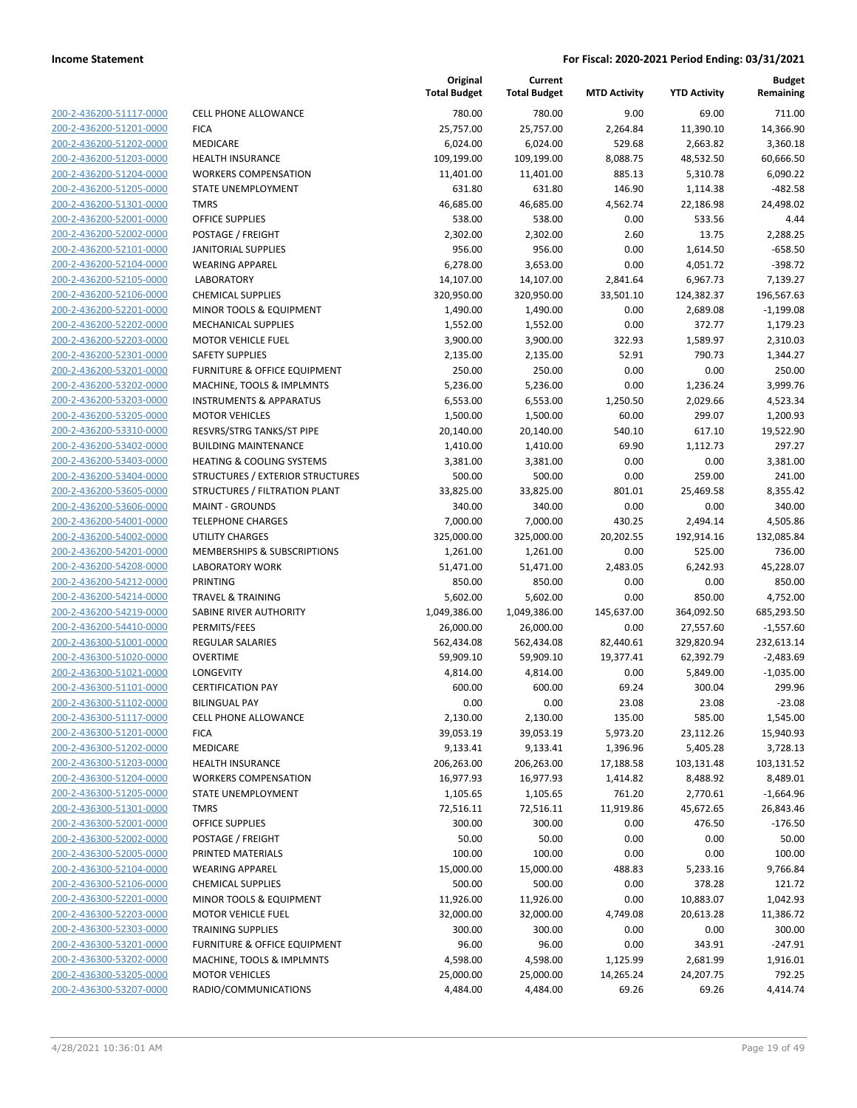| 200-2-436200-51117-0000        |
|--------------------------------|
| 200-2-436200-51201-0000        |
| 2-436200-51202-0000<br>200-    |
| 200-2-436200-51203-0000        |
| 200-2-436200-51204-0000        |
| <u>200-2-436200-51205-0000</u> |
| 200-2-436200-51301-0000        |
| 2-436200-52001-0000<br>200-    |
| 200-2-436200-52002-0000        |
| 200-2-436200-52101-0000        |
| <u>200-2-436200-52104-0000</u> |
| 200-2-436200-52105-0000        |
| 2-436200-52106-0000<br>200-    |
| 200-2-436200-52201-0000        |
| 200-2-436200-52202-0000        |
| <u>200-2-436200-52203-0000</u> |
| 200-2-436200-52301-0000        |
| 2-436200-53201-0000<br>200-    |
| 200-2-436200-53202-0000        |
| 200-2-436200-53203-0000        |
| <u>200-2-436200-53205-0000</u> |
| 200-2-436200-53310-0000        |
| 2-436200-53402-0000<br>200-    |
| 200-2-436200-53403-0000        |
| 200-2-436200-53404-0000        |
| <u>200-2-436200-53605-0000</u> |
| 200-2-436200-53606-0000        |
| 2-436200-54001-0000<br>200-    |
| 200-2-436200-54002-0000        |
| 200-2-436200-54201-0000        |
| 200-2-436200-54208-0000        |
| 200-2-436200-54212-0000        |
| 2-436200-54214-0000<br>200-    |
| 200-2-436200-54219-0000        |
| 200-2-436200-54410-0000        |
| <u>200-2-436300-51001-0000</u> |
| 200-2-436300-51020-0000        |
| 2-436300-51021-0000<br>200-    |
| 200-2-436300-51101-0000        |
| 200-2-436300-51102-0000        |
| 200-2-436300-51117-0000        |
| <u>200-2-436300-51201-0000</u> |
| 200-2-436300-51202-0000        |
| 200-2-436300-51203-0000        |
| 200-2-436300-51204-0000        |
| <u>200-2-436300-51205-0000</u> |
| 200-2-436300-51301-0000        |
| 200-2-436300-52001-0000        |
| 200-2-436300-52002-0000        |
| <u>200-2-436300-52005-0000</u> |
| <u>200-2-436300-52104-0000</u> |
| <u>200-2-436300-52106-0000</u> |
| 200-2-436300-52201-0000        |
| 200-2-436300-52203-0000        |
| 200-2-436300-52303-0000        |
| <u>200-2-436300-53201-0000</u> |
| 200-2-436300-53202-0000        |
| 200-2-436300-53205-0000        |
| 200-2-436300-53207-0000        |

|                         |                                      | Original<br><b>Total Budget</b> | Current<br><b>Total Budget</b> | <b>MTD Activity</b> | <b>YTD Activity</b> | <b>Budget</b><br>Remaining |
|-------------------------|--------------------------------------|---------------------------------|--------------------------------|---------------------|---------------------|----------------------------|
| 200-2-436200-51117-0000 | <b>CELL PHONE ALLOWANCE</b>          | 780.00                          | 780.00                         | 9.00                | 69.00               | 711.00                     |
| 200-2-436200-51201-0000 | <b>FICA</b>                          | 25,757.00                       | 25,757.00                      | 2,264.84            | 11,390.10           | 14,366.90                  |
| 200-2-436200-51202-0000 | MEDICARE                             | 6,024.00                        | 6,024.00                       | 529.68              | 2,663.82            | 3,360.18                   |
| 200-2-436200-51203-0000 | <b>HEALTH INSURANCE</b>              | 109,199.00                      | 109,199.00                     | 8,088.75            | 48,532.50           | 60,666.50                  |
| 200-2-436200-51204-0000 | <b>WORKERS COMPENSATION</b>          | 11,401.00                       | 11,401.00                      | 885.13              | 5,310.78            | 6,090.22                   |
| 200-2-436200-51205-0000 | STATE UNEMPLOYMENT                   | 631.80                          | 631.80                         | 146.90              | 1,114.38            | $-482.58$                  |
| 200-2-436200-51301-0000 | <b>TMRS</b>                          | 46,685.00                       | 46,685.00                      | 4,562.74            | 22,186.98           | 24,498.02                  |
| 200-2-436200-52001-0000 | <b>OFFICE SUPPLIES</b>               | 538.00                          | 538.00                         | 0.00                | 533.56              | 4.44                       |
| 200-2-436200-52002-0000 | POSTAGE / FREIGHT                    | 2,302.00                        | 2,302.00                       | 2.60                | 13.75               | 2,288.25                   |
| 200-2-436200-52101-0000 | <b>JANITORIAL SUPPLIES</b>           | 956.00                          | 956.00                         | 0.00                | 1,614.50            | $-658.50$                  |
| 200-2-436200-52104-0000 | <b>WEARING APPAREL</b>               | 6,278.00                        | 3,653.00                       | 0.00                | 4,051.72            | $-398.72$                  |
| 200-2-436200-52105-0000 | <b>LABORATORY</b>                    | 14,107.00                       | 14,107.00                      | 2,841.64            | 6,967.73            | 7,139.27                   |
| 200-2-436200-52106-0000 | <b>CHEMICAL SUPPLIES</b>             | 320,950.00                      | 320,950.00                     | 33,501.10           | 124,382.37          | 196,567.63                 |
| 200-2-436200-52201-0000 | MINOR TOOLS & EQUIPMENT              | 1,490.00                        | 1,490.00                       | 0.00                | 2,689.08            | $-1,199.08$                |
| 200-2-436200-52202-0000 | <b>MECHANICAL SUPPLIES</b>           | 1,552.00                        | 1,552.00                       | 0.00                | 372.77              | 1,179.23                   |
| 200-2-436200-52203-0000 | <b>MOTOR VEHICLE FUEL</b>            | 3,900.00                        | 3,900.00                       | 322.93              | 1,589.97            | 2,310.03                   |
| 200-2-436200-52301-0000 | <b>SAFETY SUPPLIES</b>               | 2,135.00                        | 2,135.00                       | 52.91               | 790.73              | 1,344.27                   |
| 200-2-436200-53201-0000 | FURNITURE & OFFICE EQUIPMENT         | 250.00                          | 250.00                         | 0.00                | 0.00                | 250.00                     |
| 200-2-436200-53202-0000 | MACHINE, TOOLS & IMPLMNTS            | 5,236.00                        | 5,236.00                       | 0.00                | 1,236.24            | 3,999.76                   |
| 200-2-436200-53203-0000 | <b>INSTRUMENTS &amp; APPARATUS</b>   | 6,553.00                        | 6,553.00                       | 1,250.50            | 2,029.66            | 4,523.34                   |
| 200-2-436200-53205-0000 | <b>MOTOR VEHICLES</b>                | 1,500.00                        | 1,500.00                       | 60.00               | 299.07              | 1,200.93                   |
| 200-2-436200-53310-0000 | RESVRS/STRG TANKS/ST PIPE            | 20,140.00                       | 20,140.00                      | 540.10              | 617.10              | 19,522.90                  |
| 200-2-436200-53402-0000 | <b>BUILDING MAINTENANCE</b>          | 1,410.00                        | 1,410.00                       | 69.90               | 1,112.73            | 297.27                     |
| 200-2-436200-53403-0000 | <b>HEATING &amp; COOLING SYSTEMS</b> | 3,381.00                        | 3,381.00                       | 0.00                | 0.00                | 3,381.00                   |
| 200-2-436200-53404-0000 | STRUCTURES / EXTERIOR STRUCTURES     | 500.00                          | 500.00                         | 0.00                | 259.00              | 241.00                     |
| 200-2-436200-53605-0000 | STRUCTURES / FILTRATION PLANT        | 33,825.00                       | 33,825.00                      | 801.01              | 25,469.58           | 8,355.42                   |
| 200-2-436200-53606-0000 | <b>MAINT - GROUNDS</b>               | 340.00                          | 340.00                         | 0.00                | 0.00                | 340.00                     |
| 200-2-436200-54001-0000 | <b>TELEPHONE CHARGES</b>             | 7,000.00                        | 7,000.00                       | 430.25              | 2,494.14            | 4,505.86                   |
| 200-2-436200-54002-0000 | <b>UTILITY CHARGES</b>               | 325,000.00                      | 325,000.00                     | 20,202.55           | 192,914.16          | 132,085.84                 |
| 200-2-436200-54201-0000 | MEMBERSHIPS & SUBSCRIPTIONS          | 1,261.00                        | 1,261.00                       | 0.00                | 525.00              | 736.00                     |
| 200-2-436200-54208-0000 | <b>LABORATORY WORK</b>               | 51,471.00                       | 51,471.00                      | 2,483.05            | 6,242.93            | 45,228.07                  |
| 200-2-436200-54212-0000 | PRINTING                             | 850.00                          | 850.00                         | 0.00                | 0.00                | 850.00                     |
| 200-2-436200-54214-0000 | <b>TRAVEL &amp; TRAINING</b>         | 5,602.00                        | 5,602.00                       | 0.00                | 850.00              | 4,752.00                   |
| 200-2-436200-54219-0000 | SABINE RIVER AUTHORITY               | 1,049,386.00                    | 1,049,386.00                   | 145,637.00          | 364,092.50          | 685,293.50                 |
| 200-2-436200-54410-0000 | PERMITS/FEES                         | 26,000.00                       | 26,000.00                      | 0.00                | 27,557.60           | $-1,557.60$                |
| 200-2-436300-51001-0000 | <b>REGULAR SALARIES</b>              | 562,434.08                      | 562,434.08                     | 82,440.61           | 329,820.94          | 232,613.14                 |
| 200-2-436300-51020-0000 | <b>OVERTIME</b>                      | 59,909.10                       | 59,909.10                      | 19,377.41           | 62,392.79           | $-2,483.69$                |
| 200-2-436300-51021-0000 | <b>LONGEVITY</b>                     | 4,814.00                        | 4,814.00                       | 0.00                | 5,849.00            | $-1,035.00$                |
| 200-2-436300-51101-0000 | <b>CERTIFICATION PAY</b>             | 600.00                          | 600.00                         | 69.24               | 300.04              | 299.96                     |
| 200-2-436300-51102-0000 | <b>BILINGUAL PAY</b>                 | 0.00                            | 0.00                           | 23.08               | 23.08               | $-23.08$                   |
| 200-2-436300-51117-0000 | <b>CELL PHONE ALLOWANCE</b>          | 2,130.00                        | 2,130.00                       | 135.00              | 585.00              | 1,545.00                   |
| 200-2-436300-51201-0000 | <b>FICA</b>                          | 39,053.19                       | 39,053.19                      | 5,973.20            | 23,112.26           | 15,940.93                  |
| 200-2-436300-51202-0000 | MEDICARE                             | 9,133.41                        | 9,133.41                       | 1,396.96            | 5,405.28            | 3,728.13                   |
| 200-2-436300-51203-0000 | <b>HEALTH INSURANCE</b>              | 206,263.00                      | 206,263.00                     | 17,188.58           | 103,131.48          | 103,131.52                 |
| 200-2-436300-51204-0000 | <b>WORKERS COMPENSATION</b>          | 16,977.93                       | 16,977.93                      | 1,414.82            | 8,488.92            | 8,489.01                   |
| 200-2-436300-51205-0000 | <b>STATE UNEMPLOYMENT</b>            | 1,105.65                        | 1,105.65                       | 761.20              | 2,770.61            | $-1,664.96$                |
| 200-2-436300-51301-0000 | <b>TMRS</b>                          | 72,516.11                       | 72,516.11                      | 11,919.86           | 45,672.65           | 26,843.46                  |
| 200-2-436300-52001-0000 | <b>OFFICE SUPPLIES</b>               | 300.00                          | 300.00                         | 0.00                | 476.50              | $-176.50$                  |
| 200-2-436300-52002-0000 | POSTAGE / FREIGHT                    | 50.00                           | 50.00                          | 0.00                | 0.00                | 50.00                      |
| 200-2-436300-52005-0000 | PRINTED MATERIALS                    | 100.00                          | 100.00                         | 0.00                | 0.00                | 100.00                     |
| 200-2-436300-52104-0000 | <b>WEARING APPAREL</b>               | 15,000.00                       | 15,000.00                      | 488.83              | 5,233.16            | 9,766.84                   |
| 200-2-436300-52106-0000 | <b>CHEMICAL SUPPLIES</b>             | 500.00                          | 500.00                         | 0.00                | 378.28              | 121.72                     |
| 200-2-436300-52201-0000 | MINOR TOOLS & EQUIPMENT              | 11,926.00                       | 11,926.00                      | 0.00                | 10,883.07           | 1,042.93                   |
| 200-2-436300-52203-0000 | <b>MOTOR VEHICLE FUEL</b>            | 32,000.00                       | 32,000.00                      | 4,749.08            | 20,613.28           | 11,386.72                  |
| 200-2-436300-52303-0000 | <b>TRAINING SUPPLIES</b>             | 300.00                          | 300.00                         | 0.00                | 0.00                | 300.00                     |
| 200-2-436300-53201-0000 | FURNITURE & OFFICE EQUIPMENT         | 96.00                           | 96.00                          | 0.00                | 343.91              | $-247.91$                  |
| 200-2-436300-53202-0000 | MACHINE, TOOLS & IMPLMNTS            | 4,598.00                        | 4,598.00                       | 1,125.99            | 2,681.99            | 1,916.01                   |
| 200-2-436300-53205-0000 | <b>MOTOR VEHICLES</b>                | 25,000.00                       | 25,000.00                      | 14,265.24           | 24,207.75           | 792.25                     |
| 200-2-436300-53207-0000 | RADIO/COMMUNICATIONS                 | 4,484.00                        | 4,484.00                       | 69.26               | 69.26               | 4,414.74                   |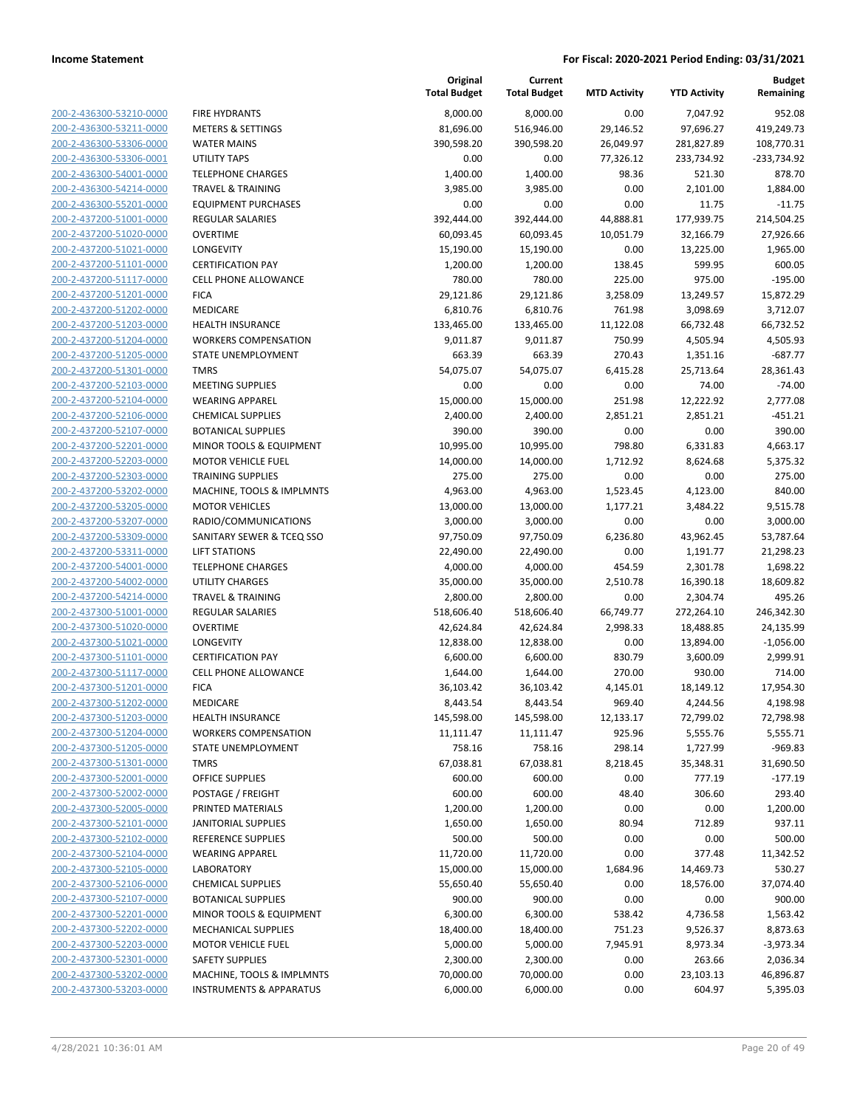| 200-2-436300-53210-0000        |
|--------------------------------|
| 200-2-436300-53211-0000        |
| 200-2-436300-53306-0000        |
| 200-2-436300-53306-0001        |
| 200-2-436300-54001-0000        |
| 200-2-436300-54214-0000        |
|                                |
| 200-2-436300-55201-0000        |
| 200-2-437200-51001-0000        |
| 200-2-437200-51020-0000        |
| 200-2-437200-51021-0000        |
| 200-2-437200-51101-0000        |
| 200-2-437200-51117-0000        |
| 200-2-437200-51201-0000        |
| 200-2-437200-51202-0000        |
| 200-2-437200-51203-0000        |
| 200-2-437200-51204-0000        |
| 200-2-437200-51205-0000        |
|                                |
| 200-2-437200-51301-0000        |
| 200-2-437200-52103-0000        |
| 200-2-437200-52104-0000        |
| 200-2-437200-52106-0000        |
| 200-2-437200-52107-0000        |
| 200-2-437200-52201-0000        |
| 200-2-437200-52203-0000        |
| 200-2-437200-52303-0000        |
| 200-2-437200-53202-0000        |
| 200-2-437200-53205-0000        |
|                                |
| 200-2-437200-53207-0000        |
| 200-2-437200-53309-0000        |
| 200-2-437200-53311-0000        |
| 200-2-437200-54001-0000        |
| 200-2-437200-54002-0000        |
| 200-2-437200-54214-0000        |
| 200-2-437300-51001-0000        |
| 200-2-437300-51020-0000        |
| 200-2-437300-51021-0000        |
| 200-2-437300-51101-0000        |
| 200-2-437300-51117-0000        |
| 200-2-437300-51201-0000        |
| 200-2-437300-51202-0000        |
|                                |
| 200-2-437300-51203-0000        |
| 200-2-437300-51204-0000        |
| 200-2-437300-51205-0000        |
| <u>200-2-437300-51301-0000</u> |
| 200-2-437300-52001-0000        |
| 200-2-437300-52002-0000        |
| 200-2-437300-52005-0000        |
| <u>200-2-437300-52101-0000</u> |
| <u>200-2-437300-52102-0000</u> |
| 200-2-437300-52104-0000        |
| 200-2-437300-52105-0000        |
|                                |
| 200-2-437300-52106-0000        |
| 200-2-437300-52107-0000        |
| <u>200-2-437300-52201-0000</u> |
| 200-2-437300-52202-0000        |
| 200-2-437300-52203-0000        |
| 200-2-437300-52301-0000        |
| <u>200-2-437300-53202-0000</u> |
| 200-2-437300-53203-0000        |
|                                |

|                                                    |                                                         | Original<br><b>Total Budget</b> | Current<br><b>Total Budget</b> | <b>MTD Activity</b>   | <b>YTD Activity</b>    | <b>Budget</b><br>Remaining |
|----------------------------------------------------|---------------------------------------------------------|---------------------------------|--------------------------------|-----------------------|------------------------|----------------------------|
| 200-2-436300-53210-0000                            | <b>FIRE HYDRANTS</b>                                    | 8,000.00                        | 8,000.00                       | 0.00                  | 7,047.92               | 952.08                     |
| 200-2-436300-53211-0000                            | <b>METERS &amp; SETTINGS</b>                            | 81,696.00                       | 516,946.00                     | 29,146.52             | 97,696.27              | 419,249.73                 |
| 200-2-436300-53306-0000                            | <b>WATER MAINS</b>                                      | 390,598.20                      | 390,598.20                     | 26,049.97             | 281,827.89             | 108,770.31                 |
| 200-2-436300-53306-0001                            | <b>UTILITY TAPS</b>                                     | 0.00                            | 0.00                           | 77,326.12             | 233,734.92             | $-233,734.92$              |
| 200-2-436300-54001-0000                            | <b>TELEPHONE CHARGES</b>                                | 1,400.00                        | 1,400.00                       | 98.36                 | 521.30                 | 878.70                     |
| 200-2-436300-54214-0000                            | <b>TRAVEL &amp; TRAINING</b>                            | 3,985.00                        | 3,985.00                       | 0.00                  | 2,101.00               | 1,884.00                   |
| 200-2-436300-55201-0000                            | <b>EQUIPMENT PURCHASES</b>                              | 0.00                            | 0.00                           | 0.00                  | 11.75                  | $-11.75$                   |
| 200-2-437200-51001-0000                            | <b>REGULAR SALARIES</b>                                 | 392,444.00                      | 392,444.00                     | 44,888.81             | 177,939.75             | 214,504.25                 |
| 200-2-437200-51020-0000                            | <b>OVERTIME</b>                                         | 60,093.45                       | 60,093.45                      | 10,051.79             | 32,166.79              | 27,926.66                  |
| 200-2-437200-51021-0000                            | LONGEVITY                                               | 15,190.00                       | 15,190.00                      | 0.00                  | 13,225.00              | 1,965.00                   |
| 200-2-437200-51101-0000                            | <b>CERTIFICATION PAY</b>                                | 1,200.00                        | 1,200.00                       | 138.45                | 599.95                 | 600.05                     |
| 200-2-437200-51117-0000                            | CELL PHONE ALLOWANCE                                    | 780.00                          | 780.00                         | 225.00                | 975.00                 | $-195.00$                  |
| 200-2-437200-51201-0000                            | <b>FICA</b>                                             | 29,121.86                       | 29,121.86                      | 3,258.09              | 13,249.57              | 15,872.29                  |
| 200-2-437200-51202-0000                            | MEDICARE                                                | 6,810.76                        | 6,810.76                       | 761.98                | 3,098.69               | 3,712.07                   |
| 200-2-437200-51203-0000                            | <b>HEALTH INSURANCE</b>                                 | 133,465.00                      | 133,465.00                     | 11,122.08             | 66,732.48              | 66,732.52                  |
| 200-2-437200-51204-0000                            | <b>WORKERS COMPENSATION</b>                             | 9,011.87                        | 9,011.87                       | 750.99                | 4,505.94               | 4,505.93                   |
| 200-2-437200-51205-0000                            | STATE UNEMPLOYMENT                                      | 663.39                          | 663.39                         | 270.43                | 1,351.16               | $-687.77$                  |
| 200-2-437200-51301-0000                            | <b>TMRS</b>                                             | 54,075.07                       | 54,075.07                      | 6,415.28              | 25,713.64              | 28,361.43                  |
| 200-2-437200-52103-0000                            | <b>MEETING SUPPLIES</b>                                 | 0.00                            | 0.00                           | 0.00                  | 74.00                  | $-74.00$                   |
| 200-2-437200-52104-0000                            | <b>WEARING APPAREL</b>                                  | 15,000.00                       | 15,000.00                      | 251.98                | 12,222.92              | 2,777.08                   |
| 200-2-437200-52106-0000                            | <b>CHEMICAL SUPPLIES</b>                                | 2,400.00                        | 2,400.00                       | 2,851.21              | 2,851.21               | $-451.21$                  |
| 200-2-437200-52107-0000                            | <b>BOTANICAL SUPPLIES</b>                               | 390.00                          | 390.00                         | 0.00                  | 0.00                   | 390.00                     |
| 200-2-437200-52201-0000                            | MINOR TOOLS & EQUIPMENT                                 | 10,995.00                       | 10,995.00                      | 798.80                | 6,331.83               | 4,663.17                   |
| 200-2-437200-52203-0000                            | <b>MOTOR VEHICLE FUEL</b>                               | 14,000.00                       | 14,000.00                      | 1,712.92              | 8,624.68               | 5,375.32                   |
| 200-2-437200-52303-0000                            | <b>TRAINING SUPPLIES</b>                                | 275.00                          | 275.00                         | 0.00                  | 0.00                   | 275.00                     |
| 200-2-437200-53202-0000                            | MACHINE, TOOLS & IMPLMNTS                               | 4,963.00                        | 4,963.00                       | 1,523.45              | 4,123.00               | 840.00                     |
| 200-2-437200-53205-0000                            | <b>MOTOR VEHICLES</b>                                   | 13,000.00                       | 13,000.00                      | 1,177.21              | 3,484.22               | 9,515.78                   |
| 200-2-437200-53207-0000                            | RADIO/COMMUNICATIONS                                    | 3,000.00                        | 3,000.00                       | 0.00                  | 0.00                   | 3,000.00                   |
| 200-2-437200-53309-0000                            | SANITARY SEWER & TCEQ SSO                               | 97,750.09                       | 97,750.09                      | 6,236.80              | 43,962.45              | 53,787.64                  |
| 200-2-437200-53311-0000                            | <b>LIFT STATIONS</b>                                    | 22,490.00                       | 22,490.00                      | 0.00                  | 1,191.77               | 21,298.23                  |
| 200-2-437200-54001-0000                            | <b>TELEPHONE CHARGES</b>                                | 4,000.00                        | 4,000.00                       | 454.59                | 2,301.78               | 1,698.22                   |
| 200-2-437200-54002-0000                            | <b>UTILITY CHARGES</b>                                  | 35,000.00                       | 35,000.00                      | 2,510.78              | 16,390.18              | 18,609.82                  |
| 200-2-437200-54214-0000<br>200-2-437300-51001-0000 | <b>TRAVEL &amp; TRAINING</b><br><b>REGULAR SALARIES</b> | 2,800.00                        | 2,800.00                       | 0.00                  | 2,304.74<br>272,264.10 | 495.26<br>246,342.30       |
| 200-2-437300-51020-0000                            | <b>OVERTIME</b>                                         | 518,606.40<br>42,624.84         | 518,606.40<br>42,624.84        | 66,749.77<br>2,998.33 | 18,488.85              | 24,135.99                  |
| 200-2-437300-51021-0000                            | LONGEVITY                                               | 12,838.00                       | 12,838.00                      | 0.00                  | 13,894.00              | $-1,056.00$                |
| 200-2-437300-51101-0000                            | <b>CERTIFICATION PAY</b>                                | 6,600.00                        | 6,600.00                       | 830.79                | 3,600.09               | 2,999.91                   |
| 200-2-437300-51117-0000                            | <b>CELL PHONE ALLOWANCE</b>                             | 1,644.00                        | 1,644.00                       | 270.00                | 930.00                 | 714.00                     |
| 200-2-437300-51201-0000                            | <b>FICA</b>                                             | 36,103.42                       | 36,103.42                      | 4,145.01              | 18,149.12              | 17,954.30                  |
| 200-2-437300-51202-0000                            | MEDICARE                                                | 8,443.54                        | 8,443.54                       | 969.40                | 4,244.56               | 4,198.98                   |
| 200-2-437300-51203-0000                            | <b>HEALTH INSURANCE</b>                                 | 145,598.00                      | 145,598.00                     | 12,133.17             | 72,799.02              | 72,798.98                  |
| 200-2-437300-51204-0000                            | <b>WORKERS COMPENSATION</b>                             | 11,111.47                       | 11,111.47                      | 925.96                | 5,555.76               | 5,555.71                   |
| 200-2-437300-51205-0000                            | STATE UNEMPLOYMENT                                      | 758.16                          | 758.16                         | 298.14                | 1,727.99               | $-969.83$                  |
| 200-2-437300-51301-0000                            | <b>TMRS</b>                                             | 67,038.81                       | 67,038.81                      | 8,218.45              | 35,348.31              | 31,690.50                  |
| 200-2-437300-52001-0000                            | OFFICE SUPPLIES                                         | 600.00                          | 600.00                         | 0.00                  | 777.19                 | $-177.19$                  |
| 200-2-437300-52002-0000                            | POSTAGE / FREIGHT                                       | 600.00                          | 600.00                         | 48.40                 | 306.60                 | 293.40                     |
| 200-2-437300-52005-0000                            | PRINTED MATERIALS                                       | 1,200.00                        | 1,200.00                       | 0.00                  | 0.00                   | 1,200.00                   |
| 200-2-437300-52101-0000                            | JANITORIAL SUPPLIES                                     | 1,650.00                        | 1,650.00                       | 80.94                 | 712.89                 | 937.11                     |
| 200-2-437300-52102-0000                            | <b>REFERENCE SUPPLIES</b>                               | 500.00                          | 500.00                         | 0.00                  | 0.00                   | 500.00                     |
| 200-2-437300-52104-0000                            | <b>WEARING APPAREL</b>                                  | 11,720.00                       | 11,720.00                      | 0.00                  | 377.48                 | 11,342.52                  |
| 200-2-437300-52105-0000                            | <b>LABORATORY</b>                                       | 15,000.00                       | 15,000.00                      | 1,684.96              | 14,469.73              | 530.27                     |
| 200-2-437300-52106-0000                            | <b>CHEMICAL SUPPLIES</b>                                | 55,650.40                       | 55,650.40                      | 0.00                  | 18,576.00              | 37,074.40                  |
| 200-2-437300-52107-0000                            | <b>BOTANICAL SUPPLIES</b>                               | 900.00                          | 900.00                         | 0.00                  | 0.00                   | 900.00                     |
| 200-2-437300-52201-0000                            | MINOR TOOLS & EQUIPMENT                                 | 6,300.00                        | 6,300.00                       | 538.42                | 4,736.58               | 1,563.42                   |
| 200-2-437300-52202-0000                            | MECHANICAL SUPPLIES                                     | 18,400.00                       | 18,400.00                      | 751.23                | 9,526.37               | 8,873.63                   |
| 200-2-437300-52203-0000                            | <b>MOTOR VEHICLE FUEL</b>                               | 5,000.00                        | 5,000.00                       | 7,945.91              | 8,973.34               | $-3,973.34$                |
| 200-2-437300-52301-0000                            | <b>SAFETY SUPPLIES</b>                                  | 2,300.00                        | 2,300.00                       | 0.00                  | 263.66                 | 2,036.34                   |
| 200-2-437300-53202-0000                            | MACHINE, TOOLS & IMPLMNTS                               | 70,000.00                       | 70,000.00                      | 0.00                  | 23,103.13              | 46,896.87                  |
| 200-2-437300-53203-0000                            | <b>INSTRUMENTS &amp; APPARATUS</b>                      | 6,000.00                        | 6,000.00                       | 0.00                  | 604.97                 | 5,395.03                   |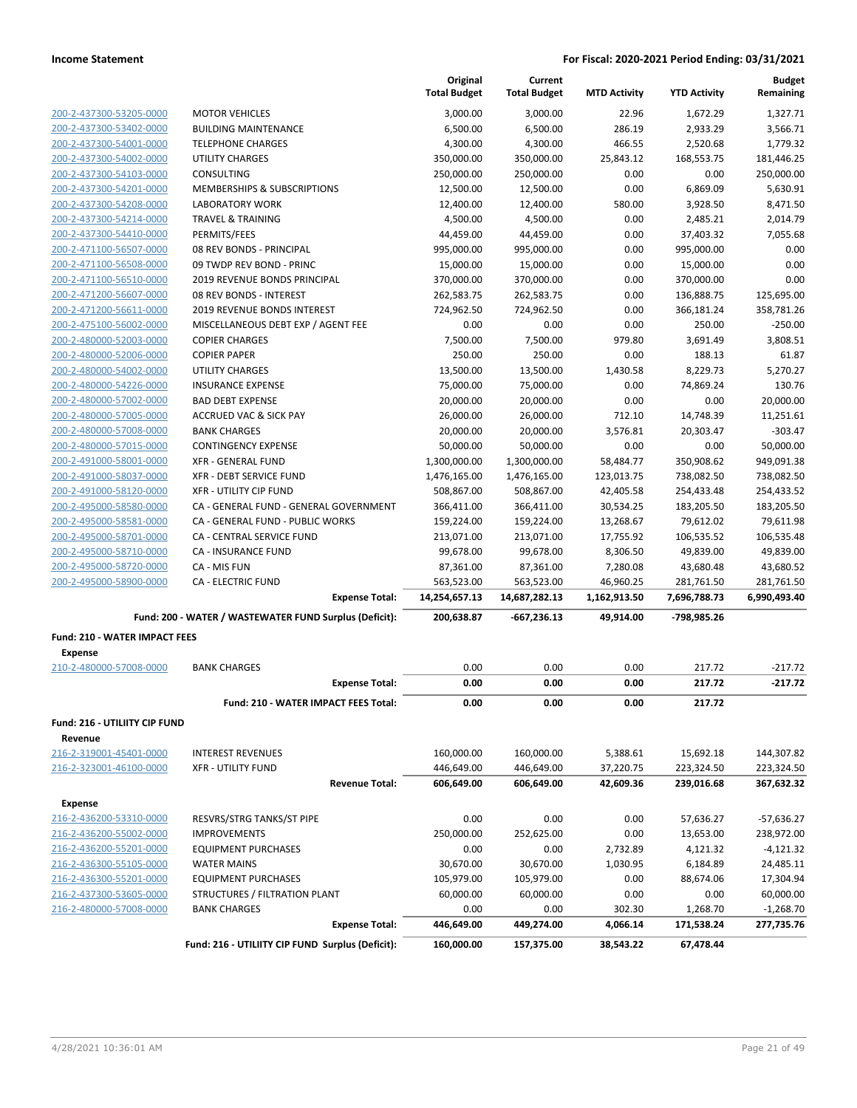|                                                        |                                                        | Original<br><b>Total Budget</b> | Current<br><b>Total Budget</b> | <b>MTD Activity</b> | <b>YTD Activity</b> | <b>Budget</b><br>Remaining |
|--------------------------------------------------------|--------------------------------------------------------|---------------------------------|--------------------------------|---------------------|---------------------|----------------------------|
| 200-2-437300-53205-0000                                | <b>MOTOR VEHICLES</b>                                  | 3,000.00                        | 3,000.00                       | 22.96               | 1,672.29            | 1,327.71                   |
| 200-2-437300-53402-0000                                | <b>BUILDING MAINTENANCE</b>                            | 6,500.00                        | 6,500.00                       | 286.19              | 2,933.29            | 3,566.71                   |
| 200-2-437300-54001-0000                                | <b>TELEPHONE CHARGES</b>                               | 4,300.00                        | 4,300.00                       | 466.55              | 2,520.68            | 1,779.32                   |
| 200-2-437300-54002-0000                                | <b>UTILITY CHARGES</b>                                 | 350,000.00                      | 350,000.00                     | 25,843.12           | 168,553.75          | 181,446.25                 |
| 200-2-437300-54103-0000                                | <b>CONSULTING</b>                                      | 250,000.00                      | 250,000.00                     | 0.00                | 0.00                | 250,000.00                 |
| 200-2-437300-54201-0000                                | MEMBERSHIPS & SUBSCRIPTIONS                            | 12,500.00                       | 12,500.00                      | 0.00                | 6,869.09            | 5,630.91                   |
| 200-2-437300-54208-0000                                | <b>LABORATORY WORK</b>                                 | 12,400.00                       | 12,400.00                      | 580.00              | 3,928.50            | 8,471.50                   |
| 200-2-437300-54214-0000                                | <b>TRAVEL &amp; TRAINING</b>                           | 4,500.00                        | 4,500.00                       | 0.00                | 2,485.21            | 2,014.79                   |
| 200-2-437300-54410-0000                                | PERMITS/FEES                                           | 44,459.00                       | 44,459.00                      | 0.00                | 37,403.32           | 7,055.68                   |
| 200-2-471100-56507-0000                                | 08 REV BONDS - PRINCIPAL                               | 995,000.00                      | 995,000.00                     | 0.00                | 995,000.00          | 0.00                       |
| 200-2-471100-56508-0000                                | 09 TWDP REV BOND - PRINC                               | 15,000.00                       | 15,000.00                      | 0.00                | 15,000.00           | 0.00                       |
| 200-2-471100-56510-0000                                | 2019 REVENUE BONDS PRINCIPAL                           | 370,000.00                      | 370,000.00                     | 0.00                | 370,000.00          | 0.00                       |
| 200-2-471200-56607-0000                                | 08 REV BONDS - INTEREST                                | 262,583.75                      | 262,583.75                     | 0.00                | 136,888.75          | 125,695.00                 |
| 200-2-471200-56611-0000                                | 2019 REVENUE BONDS INTEREST                            | 724,962.50                      | 724,962.50                     | 0.00                | 366,181.24          | 358,781.26                 |
| 200-2-475100-56002-0000                                | MISCELLANEOUS DEBT EXP / AGENT FEE                     | 0.00                            | 0.00                           | 0.00                | 250.00              | $-250.00$                  |
| 200-2-480000-52003-0000                                | <b>COPIER CHARGES</b>                                  | 7,500.00                        | 7,500.00                       | 979.80              | 3,691.49            | 3,808.51                   |
| 200-2-480000-52006-0000                                | <b>COPIER PAPER</b>                                    | 250.00                          | 250.00                         | 0.00                | 188.13              | 61.87                      |
| 200-2-480000-54002-0000                                | <b>UTILITY CHARGES</b>                                 | 13,500.00                       | 13,500.00                      | 1,430.58            | 8,229.73            | 5,270.27                   |
| 200-2-480000-54226-0000                                | <b>INSURANCE EXPENSE</b>                               | 75,000.00                       | 75,000.00                      | 0.00                | 74,869.24           | 130.76                     |
| 200-2-480000-57002-0000                                | <b>BAD DEBT EXPENSE</b>                                | 20,000.00                       | 20,000.00                      | 0.00                | 0.00                | 20,000.00                  |
| 200-2-480000-57005-0000                                | <b>ACCRUED VAC &amp; SICK PAY</b>                      | 26,000.00                       | 26,000.00                      | 712.10              | 14,748.39           | 11,251.61                  |
| 200-2-480000-57008-0000                                | <b>BANK CHARGES</b>                                    | 20,000.00                       | 20,000.00                      | 3,576.81            | 20,303.47           | $-303.47$                  |
| 200-2-480000-57015-0000                                | <b>CONTINGENCY EXPENSE</b>                             | 50,000.00                       | 50,000.00                      | 0.00                | 0.00                | 50,000.00                  |
| 200-2-491000-58001-0000                                | <b>XFR - GENERAL FUND</b>                              | 1,300,000.00                    | 1,300,000.00                   | 58,484.77           | 350,908.62          | 949,091.38                 |
| 200-2-491000-58037-0000                                | <b>XFR - DEBT SERVICE FUND</b>                         | 1,476,165.00                    | 1,476,165.00                   | 123,013.75          | 738,082.50          | 738,082.50                 |
| 200-2-491000-58120-0000                                | <b>XFR - UTILITY CIP FUND</b>                          | 508,867.00                      | 508,867.00                     | 42,405.58           | 254,433.48          | 254,433.52                 |
| 200-2-495000-58580-0000                                | CA - GENERAL FUND - GENERAL GOVERNMENT                 | 366,411.00                      | 366,411.00                     | 30,534.25           | 183,205.50          | 183,205.50                 |
| 200-2-495000-58581-0000                                | CA - GENERAL FUND - PUBLIC WORKS                       | 159,224.00                      | 159,224.00                     | 13,268.67           | 79,612.02           | 79,611.98                  |
| 200-2-495000-58701-0000                                | CA - CENTRAL SERVICE FUND                              | 213,071.00                      | 213,071.00                     | 17,755.92           | 106,535.52          | 106,535.48                 |
| 200-2-495000-58710-0000                                | CA - INSURANCE FUND                                    | 99,678.00                       | 99,678.00                      | 8,306.50            | 49,839.00           | 49,839.00                  |
| 200-2-495000-58720-0000                                | CA - MIS FUN                                           | 87,361.00                       | 87,361.00                      | 7,280.08            | 43,680.48           | 43,680.52                  |
| 200-2-495000-58900-0000                                | <b>CA - ELECTRIC FUND</b>                              | 563,523.00                      | 563,523.00                     | 46,960.25           | 281,761.50          | 281,761.50                 |
|                                                        | <b>Expense Total:</b>                                  | 14,254,657.13                   | 14,687,282.13                  | 1,162,913.50        | 7,696,788.73        | 6,990,493.40               |
|                                                        | Fund: 200 - WATER / WASTEWATER FUND Surplus (Deficit): | 200.638.87                      | -667,236.13                    | 49.914.00           | -798,985.26         |                            |
|                                                        |                                                        |                                 |                                |                     |                     |                            |
| <b>Fund: 210 - WATER IMPACT FEES</b><br><b>Expense</b> |                                                        |                                 |                                |                     |                     |                            |
| 210-2-480000-57008-0000                                | <b>BANK CHARGES</b>                                    | 0.00                            | 0.00                           | 0.00                | 217.72              | $-217.72$                  |
|                                                        | <b>Expense Total:</b>                                  | 0.00                            | 0.00                           | 0.00                | 217.72              | $-217.72$                  |
|                                                        | Fund: 210 - WATER IMPACT FEES Total:                   | 0.00                            | 0.00                           | 0.00                | 217.72              |                            |
| Fund: 216 - UTILIITY CIP FUND                          |                                                        |                                 |                                |                     |                     |                            |
| Revenue                                                |                                                        |                                 |                                |                     |                     |                            |
| 216-2-319001-45401-0000                                | <b>INTEREST REVENUES</b>                               | 160,000.00                      | 160,000.00                     | 5,388.61            | 15,692.18           | 144,307.82                 |
| 216-2-323001-46100-0000                                | <b>XFR - UTILITY FUND</b>                              | 446,649.00                      | 446,649.00                     | 37,220.75           | 223,324.50          | 223,324.50                 |
|                                                        | <b>Revenue Total:</b>                                  | 606,649.00                      | 606,649.00                     | 42,609.36           | 239,016.68          | 367,632.32                 |
|                                                        |                                                        |                                 |                                |                     |                     |                            |
| <b>Expense</b>                                         |                                                        |                                 |                                |                     |                     |                            |
| 216-2-436200-53310-0000                                | RESVRS/STRG TANKS/ST PIPE                              | 0.00                            | 0.00                           | 0.00                | 57,636.27           | $-57,636.27$               |
| 216-2-436200-55002-0000                                | <b>IMPROVEMENTS</b>                                    | 250,000.00                      | 252,625.00                     | 0.00                | 13,653.00           | 238,972.00                 |
| 216-2-436200-55201-0000                                | <b>EQUIPMENT PURCHASES</b>                             | 0.00                            | 0.00                           | 2,732.89            | 4,121.32            | $-4,121.32$                |
| 216-2-436300-55105-0000                                | <b>WATER MAINS</b>                                     | 30,670.00                       | 30,670.00                      | 1,030.95            | 6,184.89            | 24,485.11                  |
| 216-2-436300-55201-0000                                | <b>EQUIPMENT PURCHASES</b>                             | 105,979.00                      | 105,979.00                     | 0.00                | 88,674.06           | 17,304.94                  |
| 216-2-437300-53605-0000                                | STRUCTURES / FILTRATION PLANT                          | 60,000.00                       | 60,000.00                      | 0.00                | 0.00                | 60,000.00                  |
| 216-2-480000-57008-0000                                | <b>BANK CHARGES</b>                                    | 0.00                            | 0.00                           | 302.30              | 1,268.70            | $-1,268.70$                |
|                                                        | <b>Expense Total:</b>                                  | 446,649.00                      | 449,274.00                     | 4,066.14            | 171,538.24          | 277,735.76                 |

**Fund: 216 - UTILIITY CIP FUND Surplus (Deficit): 160,000.00 157,375.00 38,543.22 67,478.44**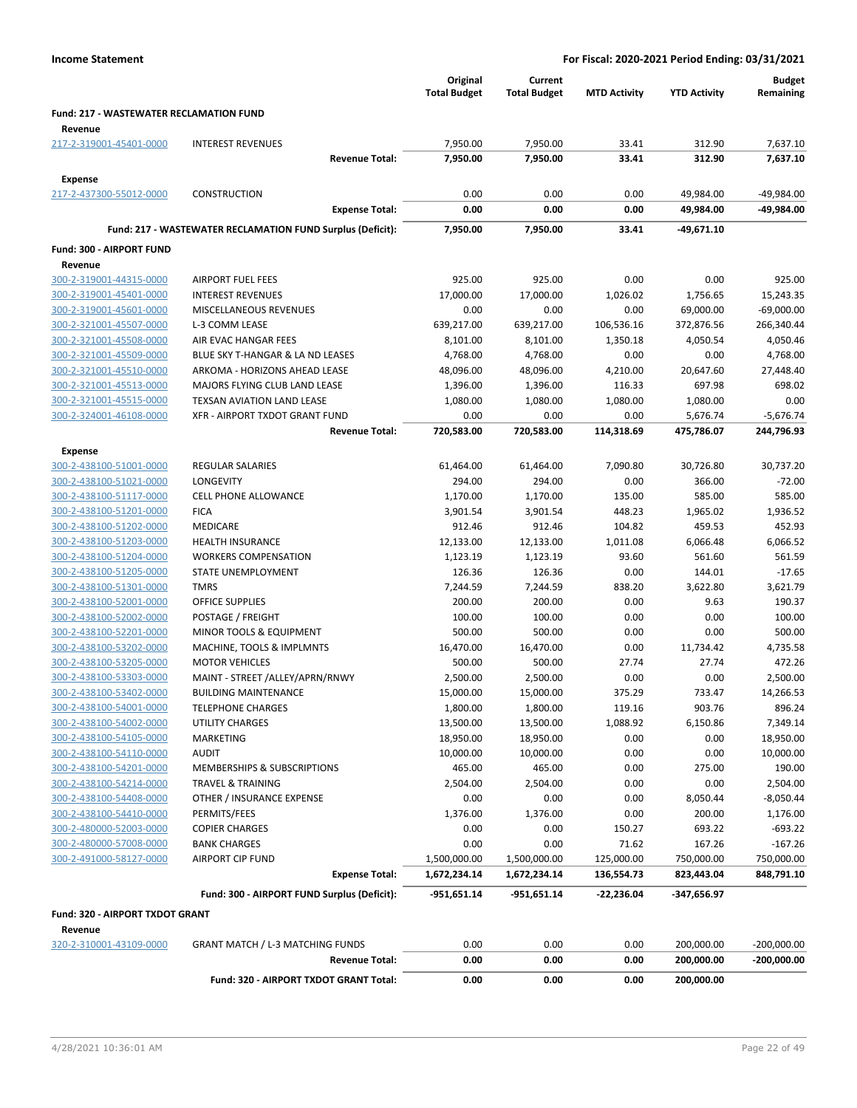|                                                           |                                                            | Original<br><b>Total Budget</b> | Current<br><b>Total Budget</b> | <b>MTD Activity</b> | <b>YTD Activity</b> | <b>Budget</b><br>Remaining |
|-----------------------------------------------------------|------------------------------------------------------------|---------------------------------|--------------------------------|---------------------|---------------------|----------------------------|
| <b>Fund: 217 - WASTEWATER RECLAMATION FUND</b><br>Revenue |                                                            |                                 |                                |                     |                     |                            |
| 217-2-319001-45401-0000                                   | <b>INTEREST REVENUES</b>                                   | 7,950.00                        | 7,950.00                       | 33.41               | 312.90              | 7,637.10                   |
|                                                           | <b>Revenue Total:</b>                                      | 7,950.00                        | 7,950.00                       | 33.41               | 312.90              | 7,637.10                   |
| Expense                                                   |                                                            |                                 |                                |                     |                     |                            |
| 217-2-437300-55012-0000                                   | <b>CONSTRUCTION</b>                                        | 0.00                            | 0.00                           | 0.00                | 49,984.00           | -49,984.00                 |
|                                                           | <b>Expense Total:</b>                                      | 0.00                            | 0.00                           | 0.00                | 49,984.00           | -49,984.00                 |
|                                                           | Fund: 217 - WASTEWATER RECLAMATION FUND Surplus (Deficit): | 7,950.00                        | 7,950.00                       | 33.41               | $-49,671.10$        |                            |
| Fund: 300 - AIRPORT FUND                                  |                                                            |                                 |                                |                     |                     |                            |
| Revenue                                                   |                                                            |                                 |                                |                     |                     |                            |
| 300-2-319001-44315-0000                                   | <b>AIRPORT FUEL FEES</b>                                   | 925.00                          | 925.00                         | 0.00                | 0.00                | 925.00                     |
| 300-2-319001-45401-0000                                   | <b>INTEREST REVENUES</b>                                   | 17,000.00                       | 17,000.00                      | 1,026.02            | 1,756.65            | 15,243.35                  |
| 300-2-319001-45601-0000                                   | MISCELLANEOUS REVENUES                                     | 0.00                            | 0.00                           | 0.00                | 69,000.00           | $-69,000.00$               |
| 300-2-321001-45507-0000                                   | L-3 COMM LEASE                                             | 639,217.00                      | 639,217.00                     | 106,536.16          | 372,876.56          | 266,340.44                 |
| 300-2-321001-45508-0000                                   | AIR EVAC HANGAR FEES                                       | 8,101.00                        | 8,101.00                       | 1,350.18            | 4,050.54            | 4,050.46                   |
| 300-2-321001-45509-0000                                   | BLUE SKY T-HANGAR & LA ND LEASES                           | 4,768.00                        | 4,768.00                       | 0.00                | 0.00                | 4,768.00                   |
| 300-2-321001-45510-0000                                   | ARKOMA - HORIZONS AHEAD LEASE                              | 48,096.00                       | 48,096.00                      | 4,210.00            | 20,647.60           | 27,448.40                  |
| 300-2-321001-45513-0000                                   | MAJORS FLYING CLUB LAND LEASE                              | 1,396.00                        | 1,396.00                       | 116.33              | 697.98              | 698.02                     |
| 300-2-321001-45515-0000                                   | TEXSAN AVIATION LAND LEASE                                 | 1,080.00                        | 1,080.00                       | 1,080.00            | 1,080.00            | 0.00                       |
| 300-2-324001-46108-0000                                   | XFR - AIRPORT TXDOT GRANT FUND                             | 0.00                            | 0.00                           | 0.00                | 5,676.74            | $-5,676.74$                |
|                                                           | <b>Revenue Total:</b>                                      | 720,583.00                      | 720,583.00                     | 114,318.69          | 475,786.07          | 244,796.93                 |
| <b>Expense</b>                                            |                                                            |                                 |                                |                     |                     |                            |
| 300-2-438100-51001-0000                                   | <b>REGULAR SALARIES</b>                                    | 61,464.00                       | 61,464.00                      | 7,090.80            | 30,726.80           | 30,737.20                  |
| 300-2-438100-51021-0000                                   | <b>LONGEVITY</b>                                           | 294.00                          | 294.00                         | 0.00                | 366.00              | $-72.00$                   |
| 300-2-438100-51117-0000                                   | <b>CELL PHONE ALLOWANCE</b>                                | 1,170.00                        | 1,170.00                       | 135.00              | 585.00              | 585.00                     |
| 300-2-438100-51201-0000                                   | <b>FICA</b>                                                | 3,901.54                        | 3,901.54                       | 448.23              | 1,965.02            | 1,936.52                   |
| 300-2-438100-51202-0000                                   | MEDICARE                                                   | 912.46                          | 912.46                         | 104.82              | 459.53              | 452.93                     |
| 300-2-438100-51203-0000                                   | <b>HEALTH INSURANCE</b>                                    | 12,133.00                       | 12,133.00                      | 1,011.08            | 6,066.48            | 6,066.52                   |
| 300-2-438100-51204-0000                                   | <b>WORKERS COMPENSATION</b>                                | 1,123.19                        | 1,123.19                       | 93.60               | 561.60              | 561.59                     |
| 300-2-438100-51205-0000                                   | STATE UNEMPLOYMENT                                         | 126.36                          | 126.36                         | 0.00                | 144.01              | $-17.65$                   |
| 300-2-438100-51301-0000                                   | <b>TMRS</b>                                                | 7,244.59                        | 7,244.59                       | 838.20              | 3,622.80            | 3,621.79                   |
| 300-2-438100-52001-0000                                   | OFFICE SUPPLIES                                            | 200.00                          | 200.00                         | 0.00                | 9.63                | 190.37                     |
| 300-2-438100-52002-0000                                   | POSTAGE / FREIGHT                                          | 100.00                          | 100.00                         | 0.00                | 0.00                | 100.00                     |
| 300-2-438100-52201-0000                                   | MINOR TOOLS & EQUIPMENT                                    | 500.00                          | 500.00                         | 0.00                | 0.00                | 500.00                     |
| 300-2-438100-53202-0000                                   | MACHINE, TOOLS & IMPLMNTS                                  | 16,470.00                       | 16,470.00                      | 0.00                | 11,734.42           | 4,735.58                   |
| 300-2-438100-53205-0000                                   | <b>MOTOR VEHICLES</b>                                      | 500.00                          | 500.00                         | 27.74               | 27.74               | 472.26                     |
| 300-2-438100-53303-0000                                   | MAINT - STREET /ALLEY/APRN/RNWY                            | 2,500.00                        | 2,500.00                       | 0.00                | 0.00                | 2,500.00                   |
| 300-2-438100-53402-0000                                   | <b>BUILDING MAINTENANCE</b>                                | 15,000.00                       | 15,000.00                      | 375.29              | 733.47              | 14,266.53                  |
| 300-2-438100-54001-0000                                   | <b>TELEPHONE CHARGES</b>                                   | 1,800.00                        | 1,800.00                       | 119.16              | 903.76              | 896.24                     |
| 300-2-438100-54002-0000                                   | <b>UTILITY CHARGES</b>                                     | 13,500.00                       | 13,500.00                      | 1,088.92            | 6,150.86            | 7,349.14                   |
| 300-2-438100-54105-0000                                   | MARKETING                                                  | 18,950.00                       | 18,950.00                      | 0.00                | 0.00                | 18,950.00                  |
| 300-2-438100-54110-0000                                   | <b>AUDIT</b>                                               | 10,000.00                       | 10,000.00                      | 0.00                | 0.00                | 10,000.00                  |
| 300-2-438100-54201-0000                                   | MEMBERSHIPS & SUBSCRIPTIONS                                | 465.00                          | 465.00                         | 0.00                | 275.00              | 190.00                     |
| 300-2-438100-54214-0000                                   | TRAVEL & TRAINING                                          | 2,504.00                        | 2,504.00                       | 0.00                | 0.00                | 2,504.00                   |
| 300-2-438100-54408-0000                                   | OTHER / INSURANCE EXPENSE<br>PERMITS/FEES                  | 0.00                            | 0.00<br>1,376.00               | 0.00                | 8,050.44            | $-8,050.44$<br>1,176.00    |
| 300-2-438100-54410-0000<br>300-2-480000-52003-0000        | <b>COPIER CHARGES</b>                                      | 1,376.00<br>0.00                | 0.00                           | 0.00<br>150.27      | 200.00<br>693.22    | $-693.22$                  |
| 300-2-480000-57008-0000                                   | <b>BANK CHARGES</b>                                        | 0.00                            | 0.00                           | 71.62               | 167.26              | $-167.26$                  |
| 300-2-491000-58127-0000                                   | <b>AIRPORT CIP FUND</b>                                    | 1,500,000.00                    | 1,500,000.00                   | 125,000.00          | 750,000.00          | 750,000.00                 |
|                                                           | <b>Expense Total:</b>                                      | 1,672,234.14                    | 1,672,234.14                   | 136,554.73          | 823,443.04          | 848,791.10                 |
|                                                           | Fund: 300 - AIRPORT FUND Surplus (Deficit):                |                                 |                                |                     |                     |                            |
|                                                           |                                                            | -951,651.14                     | -951,651.14                    | -22,236.04          | -347,656.97         |                            |
| Fund: 320 - AIRPORT TXDOT GRANT<br>Revenue                |                                                            |                                 |                                |                     |                     |                            |
| 320-2-310001-43109-0000                                   | <b>GRANT MATCH / L-3 MATCHING FUNDS</b>                    | 0.00                            | 0.00                           | 0.00                | 200,000.00          | $-200,000.00$              |
|                                                           | <b>Revenue Total:</b>                                      | 0.00                            | 0.00                           | 0.00                | 200,000.00          | -200,000.00                |
|                                                           | Fund: 320 - AIRPORT TXDOT GRANT Total:                     | 0.00                            | 0.00                           | 0.00                | 200,000.00          |                            |
|                                                           |                                                            |                                 |                                |                     |                     |                            |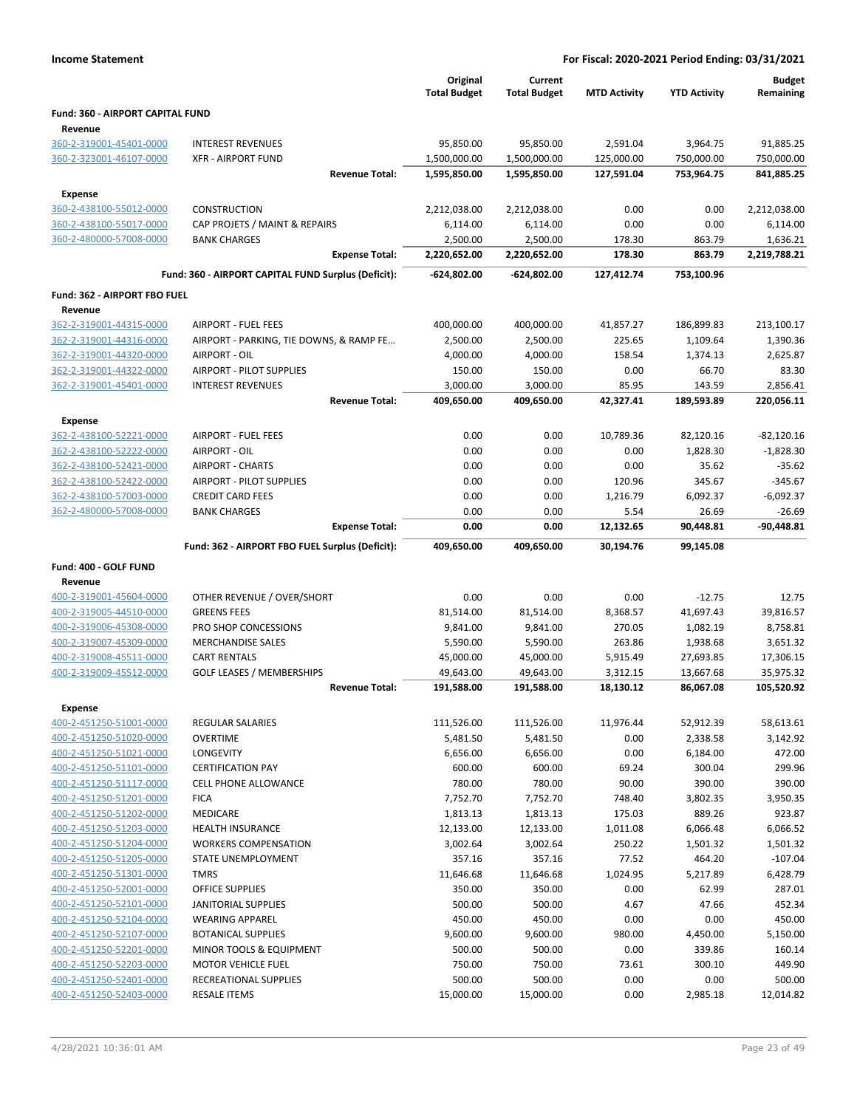|                                         |                                                     | Original<br><b>Total Budget</b> | Current<br><b>Total Budget</b> | <b>MTD Activity</b> | <b>YTD Activity</b> | <b>Budget</b><br>Remaining |
|-----------------------------------------|-----------------------------------------------------|---------------------------------|--------------------------------|---------------------|---------------------|----------------------------|
| <b>Fund: 360 - AIRPORT CAPITAL FUND</b> |                                                     |                                 |                                |                     |                     |                            |
| Revenue                                 |                                                     |                                 |                                |                     |                     |                            |
| 360-2-319001-45401-0000                 | <b>INTEREST REVENUES</b>                            | 95,850.00                       | 95,850.00                      | 2,591.04            | 3,964.75            | 91,885.25                  |
| 360-2-323001-46107-0000                 | <b>XFR - AIRPORT FUND</b>                           | 1,500,000.00                    | 1,500,000.00                   | 125,000.00          | 750,000.00          | 750,000.00                 |
|                                         | <b>Revenue Total:</b>                               | 1,595,850.00                    | 1,595,850.00                   | 127,591.04          | 753,964.75          | 841,885.25                 |
| <b>Expense</b>                          |                                                     |                                 |                                |                     |                     |                            |
| 360-2-438100-55012-0000                 | <b>CONSTRUCTION</b>                                 | 2,212,038.00                    | 2,212,038.00                   | 0.00                | 0.00                | 2,212,038.00               |
| 360-2-438100-55017-0000                 | CAP PROJETS / MAINT & REPAIRS                       | 6,114.00                        | 6,114.00                       | 0.00                | 0.00                | 6,114.00                   |
| 360-2-480000-57008-0000                 | <b>BANK CHARGES</b>                                 | 2,500.00                        | 2,500.00                       | 178.30              | 863.79              | 1,636.21                   |
|                                         | <b>Expense Total:</b>                               | 2,220,652.00                    | 2,220,652.00                   | 178.30              | 863.79              | 2,219,788.21               |
|                                         | Fund: 360 - AIRPORT CAPITAL FUND Surplus (Deficit): | -624,802.00                     | $-624,802.00$                  | 127,412.74          | 753,100.96          |                            |
| Fund: 362 - AIRPORT FBO FUEL            |                                                     |                                 |                                |                     |                     |                            |
| Revenue                                 |                                                     |                                 |                                |                     |                     |                            |
| 362-2-319001-44315-0000                 | <b>AIRPORT - FUEL FEES</b>                          | 400,000.00                      | 400,000.00                     | 41,857.27           | 186,899.83          | 213,100.17                 |
| 362-2-319001-44316-0000                 | AIRPORT - PARKING, TIE DOWNS, & RAMP FE             | 2,500.00                        | 2,500.00                       | 225.65              | 1,109.64            | 1,390.36                   |
| 362-2-319001-44320-0000                 | AIRPORT - OIL                                       | 4,000.00                        | 4,000.00                       | 158.54              | 1,374.13            | 2,625.87                   |
| 362-2-319001-44322-0000                 | <b>AIRPORT - PILOT SUPPLIES</b>                     | 150.00                          | 150.00                         | 0.00                | 66.70               | 83.30                      |
| 362-2-319001-45401-0000                 | <b>INTEREST REVENUES</b>                            | 3,000.00                        | 3,000.00                       | 85.95               | 143.59              | 2,856.41                   |
|                                         | <b>Revenue Total:</b>                               | 409,650.00                      | 409,650.00                     | 42,327.41           | 189.593.89          | 220,056.11                 |
| <b>Expense</b>                          |                                                     |                                 |                                |                     |                     |                            |
| 362-2-438100-52221-0000                 | <b>AIRPORT - FUEL FEES</b>                          | 0.00                            | 0.00                           | 10,789.36           | 82,120.16           | $-82,120.16$               |
| 362-2-438100-52222-0000                 | AIRPORT - OIL                                       | 0.00                            | 0.00                           | 0.00                | 1,828.30            | $-1,828.30$                |
| 362-2-438100-52421-0000                 | <b>AIRPORT - CHARTS</b>                             | 0.00                            | 0.00                           | 0.00                | 35.62               | $-35.62$                   |
| 362-2-438100-52422-0000                 | <b>AIRPORT - PILOT SUPPLIES</b>                     | 0.00                            | 0.00                           | 120.96              | 345.67              | $-345.67$                  |
| 362-2-438100-57003-0000                 | <b>CREDIT CARD FEES</b>                             | 0.00                            | 0.00                           | 1,216.79            | 6,092.37            | $-6,092.37$                |
| 362-2-480000-57008-0000                 | <b>BANK CHARGES</b>                                 | 0.00                            | 0.00                           | 5.54                | 26.69               | $-26.69$                   |
|                                         | <b>Expense Total:</b>                               | 0.00                            | 0.00                           | 12,132.65           | 90,448.81           | $-90,448.81$               |
|                                         |                                                     |                                 |                                |                     |                     |                            |
|                                         | Fund: 362 - AIRPORT FBO FUEL Surplus (Deficit):     | 409,650.00                      | 409,650.00                     | 30,194.76           | 99,145.08           |                            |
| Fund: 400 - GOLF FUND                   |                                                     |                                 |                                |                     |                     |                            |
| Revenue                                 |                                                     |                                 |                                |                     |                     |                            |
| 400-2-319001-45604-0000                 | OTHER REVENUE / OVER/SHORT                          | 0.00                            | 0.00                           | 0.00                | $-12.75$            | 12.75                      |
| 400-2-319005-44510-0000                 | <b>GREENS FEES</b>                                  | 81,514.00                       | 81,514.00                      | 8,368.57            | 41,697.43           | 39,816.57                  |
| 400-2-319006-45308-0000                 | PRO SHOP CONCESSIONS                                | 9,841.00                        | 9,841.00                       | 270.05              | 1,082.19            | 8,758.81                   |
| 400-2-319007-45309-0000                 | <b>MERCHANDISE SALES</b>                            | 5,590.00                        | 5,590.00                       | 263.86              | 1,938.68            | 3,651.32                   |
| 400-2-319008-45511-0000                 | <b>CART RENTALS</b>                                 | 45,000.00                       | 45,000.00                      | 5,915.49            | 27,693.85           | 17,306.15                  |
| 400-2-319009-45512-0000                 | <b>GOLF LEASES / MEMBERSHIPS</b>                    | 49,643.00                       | 49,643.00                      | 3,312.15            | 13,667.68           | 35,975.32                  |
|                                         | <b>Revenue Total:</b>                               | 191,588.00                      | 191,588.00                     | 18,130.12           | 86.067.08           | 105,520.92                 |
| <b>Expense</b>                          |                                                     |                                 |                                |                     |                     |                            |
| 400-2-451250-51001-0000                 | <b>REGULAR SALARIES</b>                             | 111,526.00                      | 111,526.00                     | 11,976.44           | 52,912.39           | 58,613.61                  |
| 400-2-451250-51020-0000                 | <b>OVERTIME</b>                                     | 5,481.50                        | 5,481.50                       | 0.00                | 2,338.58            | 3,142.92                   |
| 400-2-451250-51021-0000                 | LONGEVITY                                           | 6,656.00                        | 6,656.00                       | 0.00                | 6,184.00            | 472.00                     |
| 400-2-451250-51101-0000                 | <b>CERTIFICATION PAY</b>                            | 600.00                          | 600.00                         | 69.24               | 300.04              | 299.96                     |
| 400-2-451250-51117-0000                 | <b>CELL PHONE ALLOWANCE</b>                         | 780.00                          | 780.00                         | 90.00               | 390.00              | 390.00                     |
| 400-2-451250-51201-0000                 | <b>FICA</b>                                         | 7,752.70                        | 7,752.70                       | 748.40              | 3,802.35            | 3,950.35                   |
| 400-2-451250-51202-0000                 | MEDICARE                                            | 1,813.13                        | 1,813.13                       | 175.03              | 889.26              | 923.87                     |
| 400-2-451250-51203-0000                 | <b>HEALTH INSURANCE</b>                             | 12,133.00                       | 12,133.00                      | 1,011.08            | 6,066.48            | 6,066.52                   |
| 400-2-451250-51204-0000                 | <b>WORKERS COMPENSATION</b>                         | 3,002.64                        | 3,002.64                       | 250.22              | 1,501.32            | 1,501.32                   |
| 400-2-451250-51205-0000                 | STATE UNEMPLOYMENT                                  | 357.16                          | 357.16                         | 77.52               | 464.20              | $-107.04$                  |
| 400-2-451250-51301-0000                 | <b>TMRS</b>                                         | 11,646.68                       | 11,646.68                      | 1,024.95            | 5,217.89            | 6,428.79                   |
| 400-2-451250-52001-0000                 | <b>OFFICE SUPPLIES</b>                              | 350.00                          | 350.00                         | 0.00                | 62.99               | 287.01                     |
| 400-2-451250-52101-0000                 | JANITORIAL SUPPLIES                                 | 500.00                          | 500.00                         | 4.67                | 47.66               | 452.34                     |
| 400-2-451250-52104-0000                 | <b>WEARING APPAREL</b>                              | 450.00                          | 450.00                         | 0.00                | 0.00                | 450.00                     |
| 400-2-451250-52107-0000                 | <b>BOTANICAL SUPPLIES</b>                           | 9,600.00                        | 9,600.00                       | 980.00              | 4,450.00            | 5,150.00                   |
| 400-2-451250-52201-0000                 | MINOR TOOLS & EQUIPMENT                             | 500.00                          | 500.00                         | 0.00                | 339.86              | 160.14                     |
| 400-2-451250-52203-0000                 | <b>MOTOR VEHICLE FUEL</b>                           | 750.00                          | 750.00                         | 73.61               | 300.10              | 449.90                     |
| 400-2-451250-52401-0000                 | RECREATIONAL SUPPLIES                               | 500.00                          | 500.00                         | 0.00                | 0.00                | 500.00                     |
| 400-2-451250-52403-0000                 | <b>RESALE ITEMS</b>                                 | 15,000.00                       | 15,000.00                      | 0.00                | 2,985.18            | 12,014.82                  |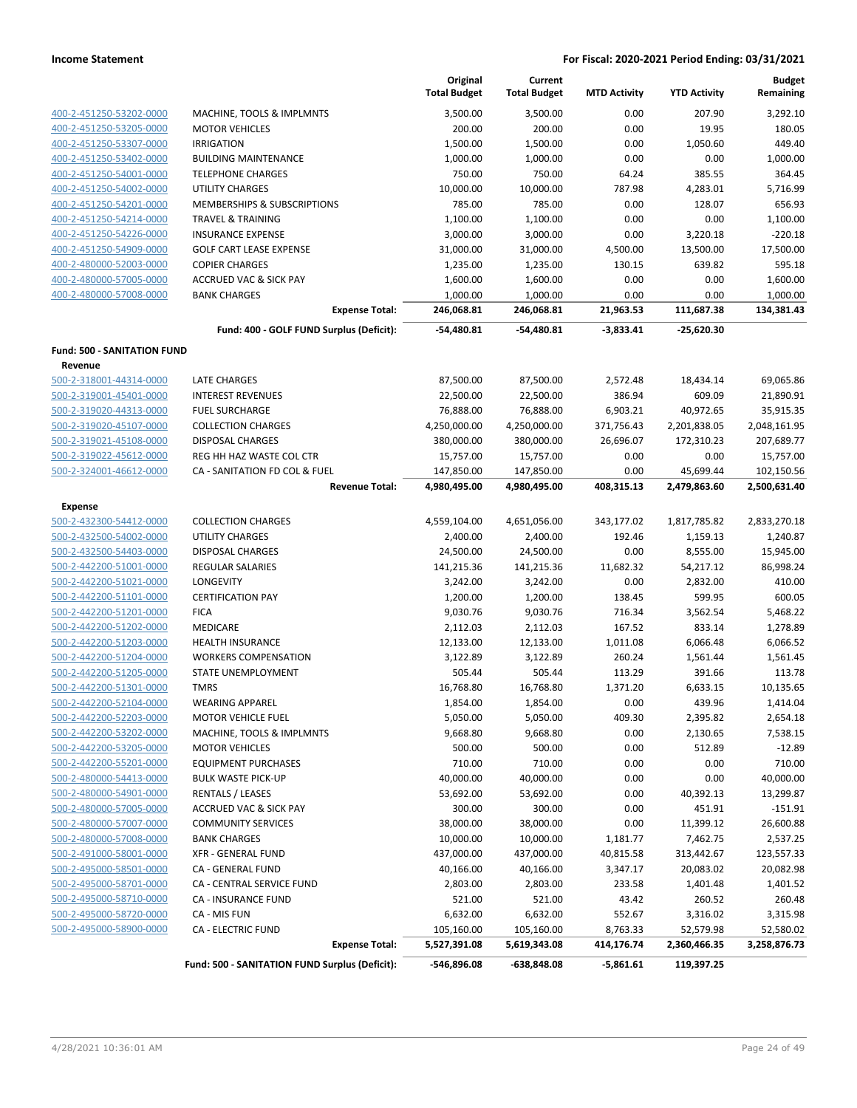|                                    |                                                | Original<br><b>Total Budget</b> | Current<br><b>Total Budget</b> | <b>MTD Activity</b> | <b>YTD Activity</b> | <b>Budget</b><br>Remaining |
|------------------------------------|------------------------------------------------|---------------------------------|--------------------------------|---------------------|---------------------|----------------------------|
| 400-2-451250-53202-0000            | MACHINE, TOOLS & IMPLMNTS                      | 3,500.00                        | 3,500.00                       | 0.00                | 207.90              | 3,292.10                   |
| 400-2-451250-53205-0000            | <b>MOTOR VEHICLES</b>                          | 200.00                          | 200.00                         | 0.00                | 19.95               | 180.05                     |
| 400-2-451250-53307-0000            | <b>IRRIGATION</b>                              | 1,500.00                        | 1,500.00                       | 0.00                | 1,050.60            | 449.40                     |
| 400-2-451250-53402-0000            | <b>BUILDING MAINTENANCE</b>                    | 1,000.00                        | 1,000.00                       | 0.00                | 0.00                | 1,000.00                   |
| 400-2-451250-54001-0000            | <b>TELEPHONE CHARGES</b>                       | 750.00                          | 750.00                         | 64.24               | 385.55              | 364.45                     |
| 400-2-451250-54002-0000            | UTILITY CHARGES                                | 10,000.00                       | 10,000.00                      | 787.98              | 4,283.01            | 5,716.99                   |
| 400-2-451250-54201-0000            | <b>MEMBERSHIPS &amp; SUBSCRIPTIONS</b>         | 785.00                          | 785.00                         | 0.00                | 128.07              | 656.93                     |
| 400-2-451250-54214-0000            | <b>TRAVEL &amp; TRAINING</b>                   | 1,100.00                        | 1,100.00                       | 0.00                | 0.00                | 1,100.00                   |
| 400-2-451250-54226-0000            | <b>INSURANCE EXPENSE</b>                       | 3,000.00                        | 3,000.00                       | 0.00                | 3,220.18            | $-220.18$                  |
| 400-2-451250-54909-0000            | <b>GOLF CART LEASE EXPENSE</b>                 | 31,000.00                       | 31,000.00                      | 4,500.00            | 13,500.00           | 17,500.00                  |
| 400-2-480000-52003-0000            | <b>COPIER CHARGES</b>                          | 1,235.00                        | 1,235.00                       | 130.15              | 639.82              | 595.18                     |
| 400-2-480000-57005-0000            | <b>ACCRUED VAC &amp; SICK PAY</b>              | 1,600.00                        | 1,600.00                       | 0.00                | 0.00                | 1,600.00                   |
| 400-2-480000-57008-0000            | <b>BANK CHARGES</b>                            | 1,000.00                        | 1,000.00                       | 0.00                | 0.00                | 1,000.00                   |
|                                    | <b>Expense Total:</b>                          | 246,068.81                      | 246,068.81                     | 21,963.53           | 111,687.38          | 134,381.43                 |
|                                    | Fund: 400 - GOLF FUND Surplus (Deficit):       | $-54,480.81$                    | -54,480.81                     | $-3,833.41$         | $-25,620.30$        |                            |
| <b>Fund: 500 - SANITATION FUND</b> |                                                |                                 |                                |                     |                     |                            |
| Revenue                            |                                                |                                 |                                |                     |                     |                            |
| 500-2-318001-44314-0000            | <b>LATE CHARGES</b>                            | 87,500.00                       | 87,500.00                      | 2,572.48            | 18,434.14           | 69,065.86                  |
| 500-2-319001-45401-0000            | <b>INTEREST REVENUES</b>                       | 22,500.00                       | 22,500.00                      | 386.94              | 609.09              | 21,890.91                  |
| 500-2-319020-44313-0000            | <b>FUEL SURCHARGE</b>                          | 76,888.00                       | 76,888.00                      | 6,903.21            | 40,972.65           | 35,915.35                  |
| 500-2-319020-45107-0000            | <b>COLLECTION CHARGES</b>                      | 4,250,000.00                    | 4,250,000.00                   | 371,756.43          | 2,201,838.05        | 2,048,161.95               |
| 500-2-319021-45108-0000            | <b>DISPOSAL CHARGES</b>                        | 380,000.00                      | 380,000.00                     | 26,696.07           | 172,310.23          | 207,689.77                 |
| 500-2-319022-45612-0000            | REG HH HAZ WASTE COL CTR                       | 15,757.00                       | 15,757.00                      | 0.00                | 0.00                | 15,757.00                  |
| 500-2-324001-46612-0000            | CA - SANITATION FD COL & FUEL                  | 147,850.00                      | 147,850.00                     | 0.00                | 45,699.44           | 102,150.56                 |
|                                    | <b>Revenue Total:</b>                          | 4,980,495.00                    | 4,980,495.00                   | 408,315.13          | 2,479,863.60        | 2,500,631.40               |
| Expense                            |                                                |                                 |                                |                     |                     |                            |
| 500-2-432300-54412-0000            | <b>COLLECTION CHARGES</b>                      | 4,559,104.00                    | 4,651,056.00                   | 343,177.02          | 1,817,785.82        | 2,833,270.18               |
| 500-2-432500-54002-0000            | UTILITY CHARGES                                | 2,400.00                        | 2,400.00                       | 192.46              | 1,159.13            | 1,240.87                   |
| 500-2-432500-54403-0000            | <b>DISPOSAL CHARGES</b>                        | 24,500.00                       | 24,500.00                      | 0.00                | 8,555.00            | 15,945.00                  |
| 500-2-442200-51001-0000            | REGULAR SALARIES                               | 141,215.36                      | 141,215.36                     | 11,682.32           | 54,217.12           | 86,998.24                  |
| 500-2-442200-51021-0000            | LONGEVITY                                      | 3,242.00                        | 3,242.00                       | 0.00                | 2,832.00            | 410.00                     |
| 500-2-442200-51101-0000            | <b>CERTIFICATION PAY</b>                       | 1,200.00                        | 1,200.00                       | 138.45              | 599.95              | 600.05                     |
| 500-2-442200-51201-0000            | <b>FICA</b>                                    | 9,030.76                        | 9,030.76                       | 716.34              | 3,562.54            | 5,468.22                   |
| 500-2-442200-51202-0000            | MEDICARE                                       | 2,112.03                        | 2,112.03                       | 167.52              | 833.14              | 1,278.89                   |
| 500-2-442200-51203-0000            | <b>HEALTH INSURANCE</b>                        | 12,133.00                       | 12,133.00                      | 1,011.08            | 6,066.48            | 6,066.52                   |
| 500-2-442200-51204-0000            | <b>WORKERS COMPENSATION</b>                    | 3,122.89                        | 3,122.89                       | 260.24              | 1,561.44            | 1,561.45                   |
| 500-2-442200-51205-0000            | STATE UNEMPLOYMENT                             | 505.44                          | 505.44                         | 113.29              | 391.66              | 113.78                     |
| 500-2-442200-51301-0000            | <b>TMRS</b>                                    | 16,768.80                       | 16,768.80                      | 1,371.20            | 6,633.15            | 10,135.65                  |
| 500-2-442200-52104-0000            | <b>WEARING APPAREL</b>                         | 1,854.00                        | 1,854.00                       | 0.00                | 439.96              | 1,414.04                   |
| 500-2-442200-52203-0000            | <b>MOTOR VEHICLE FUEL</b>                      | 5,050.00                        | 5,050.00                       | 409.30              | 2,395.82            | 2,654.18                   |
| 500-2-442200-53202-0000            | MACHINE, TOOLS & IMPLMNTS                      | 9,668.80                        | 9,668.80                       | 0.00                | 2,130.65            | 7,538.15                   |
| 500-2-442200-53205-0000            | <b>MOTOR VEHICLES</b>                          | 500.00                          | 500.00                         | 0.00                | 512.89              | $-12.89$                   |
| 500-2-442200-55201-0000            | <b>EQUIPMENT PURCHASES</b>                     | 710.00                          | 710.00                         | 0.00                | 0.00                | 710.00                     |
| 500-2-480000-54413-0000            | <b>BULK WASTE PICK-UP</b>                      | 40,000.00                       | 40,000.00                      | 0.00                | 0.00                | 40,000.00                  |
| 500-2-480000-54901-0000            | <b>RENTALS / LEASES</b>                        | 53,692.00                       | 53,692.00                      | 0.00                | 40,392.13           | 13,299.87                  |
| 500-2-480000-57005-0000            | <b>ACCRUED VAC &amp; SICK PAY</b>              | 300.00                          | 300.00                         | 0.00                | 451.91              | $-151.91$                  |
| 500-2-480000-57007-0000            | <b>COMMUNITY SERVICES</b>                      | 38,000.00                       | 38,000.00                      | 0.00                | 11,399.12           | 26,600.88                  |
| 500-2-480000-57008-0000            | <b>BANK CHARGES</b>                            | 10,000.00                       | 10,000.00                      | 1,181.77            | 7,462.75            | 2,537.25                   |
| 500-2-491000-58001-0000            | <b>XFR - GENERAL FUND</b>                      | 437,000.00                      | 437,000.00                     | 40,815.58           | 313,442.67          | 123,557.33                 |
| 500-2-495000-58501-0000            | CA - GENERAL FUND                              | 40,166.00                       | 40,166.00                      | 3,347.17            | 20,083.02           | 20,082.98                  |
| 500-2-495000-58701-0000            | CA - CENTRAL SERVICE FUND                      | 2,803.00                        | 2,803.00                       | 233.58              | 1,401.48            | 1,401.52                   |
| 500-2-495000-58710-0000            | <b>CA - INSURANCE FUND</b>                     | 521.00                          | 521.00                         | 43.42               | 260.52              | 260.48                     |
| 500-2-495000-58720-0000            | CA - MIS FUN                                   | 6,632.00                        | 6,632.00                       | 552.67              | 3,316.02            | 3,315.98                   |
| 500-2-495000-58900-0000            | <b>CA - ELECTRIC FUND</b>                      | 105,160.00                      | 105,160.00                     | 8,763.33            | 52,579.98           | 52,580.02                  |
|                                    | <b>Expense Total:</b>                          | 5,527,391.08                    | 5,619,343.08                   | 414,176.74          | 2,360,466.35        | 3,258,876.73               |
|                                    | Fund: 500 - SANITATION FUND Surplus (Deficit): | -546,896.08                     | -638,848.08                    | $-5,861.61$         | 119,397.25          |                            |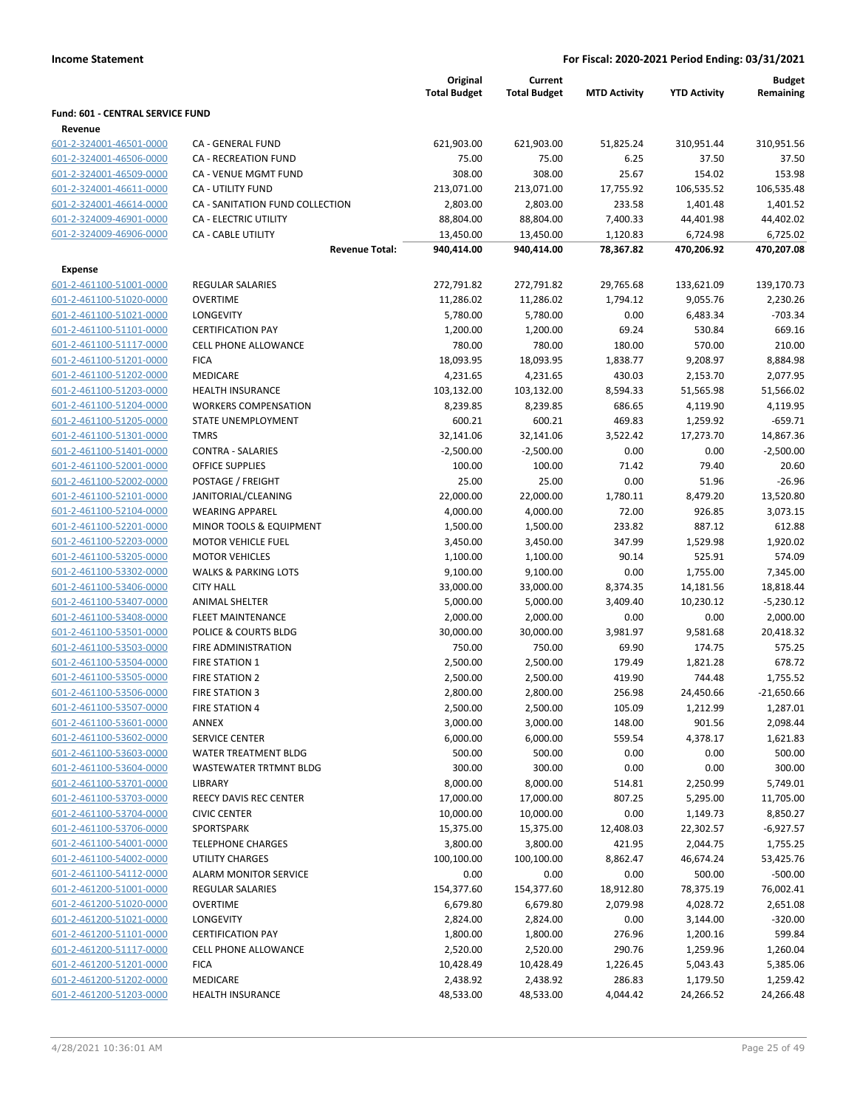|                                  |                                 | Original<br><b>Total Budget</b> | Current<br><b>Total Budget</b> | <b>MTD Activity</b> | <b>YTD Activity</b> | Budget<br>Remaining |
|----------------------------------|---------------------------------|---------------------------------|--------------------------------|---------------------|---------------------|---------------------|
| Fund: 601 - CENTRAL SERVICE FUND |                                 |                                 |                                |                     |                     |                     |
| Revenue                          |                                 |                                 |                                |                     |                     |                     |
| 601-2-324001-46501-0000          | CA - GENERAL FUND               | 621,903.00                      | 621,903.00                     | 51,825.24           | 310,951.44          | 310,951.56          |
| 601-2-324001-46506-0000          | <b>CA - RECREATION FUND</b>     | 75.00                           | 75.00                          | 6.25                | 37.50               | 37.50               |
| 601-2-324001-46509-0000          | CA - VENUE MGMT FUND            | 308.00                          | 308.00                         | 25.67               | 154.02              | 153.98              |
| 601-2-324001-46611-0000          | <b>CA - UTILITY FUND</b>        | 213,071.00                      | 213,071.00                     | 17,755.92           | 106,535.52          | 106,535.48          |
| 601-2-324001-46614-0000          | CA - SANITATION FUND COLLECTION | 2,803.00                        | 2,803.00                       | 233.58              | 1,401.48            | 1,401.52            |
| 601-2-324009-46901-0000          | CA - ELECTRIC UTILITY           | 88,804.00                       | 88,804.00                      | 7,400.33            | 44,401.98           | 44,402.02           |
| 601-2-324009-46906-0000          | <b>CA - CABLE UTILITY</b>       | 13,450.00                       | 13,450.00                      | 1,120.83            | 6,724.98            | 6,725.02            |
|                                  | <b>Revenue Total:</b>           | 940,414.00                      | 940,414.00                     | 78,367.82           | 470,206.92          | 470,207.08          |
| Expense                          |                                 |                                 |                                |                     |                     |                     |
| 601-2-461100-51001-0000          | <b>REGULAR SALARIES</b>         | 272,791.82                      | 272,791.82                     | 29,765.68           | 133,621.09          | 139,170.73          |
| 601-2-461100-51020-0000          | <b>OVERTIME</b>                 | 11,286.02                       | 11,286.02                      | 1,794.12            | 9,055.76            | 2,230.26            |
| 601-2-461100-51021-0000          | LONGEVITY                       | 5,780.00                        | 5,780.00                       | 0.00                | 6,483.34            | $-703.34$           |
| 601-2-461100-51101-0000          | <b>CERTIFICATION PAY</b>        | 1,200.00                        | 1,200.00                       | 69.24               | 530.84              | 669.16              |
| 601-2-461100-51117-0000          | <b>CELL PHONE ALLOWANCE</b>     | 780.00                          | 780.00                         | 180.00              | 570.00              | 210.00              |
| 601-2-461100-51201-0000          | <b>FICA</b>                     | 18,093.95                       | 18,093.95                      | 1,838.77            | 9,208.97            | 8,884.98            |
| 601-2-461100-51202-0000          | MEDICARE                        | 4,231.65                        | 4,231.65                       | 430.03              | 2,153.70            | 2,077.95            |
| 601-2-461100-51203-0000          | <b>HEALTH INSURANCE</b>         | 103,132.00                      | 103,132.00                     | 8,594.33            | 51,565.98           | 51,566.02           |
| 601-2-461100-51204-0000          | <b>WORKERS COMPENSATION</b>     | 8,239.85                        | 8,239.85                       | 686.65              | 4,119.90            | 4,119.95            |
| 601-2-461100-51205-0000          | <b>STATE UNEMPLOYMENT</b>       | 600.21                          | 600.21                         | 469.83              | 1,259.92            | $-659.71$           |
| 601-2-461100-51301-0000          | <b>TMRS</b>                     | 32,141.06                       | 32,141.06                      | 3,522.42            | 17,273.70           | 14,867.36           |
| 601-2-461100-51401-0000          | <b>CONTRA - SALARIES</b>        | $-2,500.00$                     | $-2,500.00$                    | 0.00                | 0.00                | $-2,500.00$         |
| 601-2-461100-52001-0000          | <b>OFFICE SUPPLIES</b>          | 100.00                          | 100.00                         | 71.42               | 79.40               | 20.60               |
| 601-2-461100-52002-0000          | POSTAGE / FREIGHT               | 25.00                           | 25.00                          | 0.00                | 51.96               | $-26.96$            |
| 601-2-461100-52101-0000          | JANITORIAL/CLEANING             | 22,000.00                       | 22,000.00                      | 1,780.11            | 8,479.20            | 13,520.80           |
| 601-2-461100-52104-0000          | <b>WEARING APPAREL</b>          | 4,000.00                        | 4,000.00                       | 72.00               | 926.85              | 3,073.15            |
| 601-2-461100-52201-0000          | MINOR TOOLS & EQUIPMENT         | 1,500.00                        | 1,500.00                       | 233.82              | 887.12              | 612.88              |
| 601-2-461100-52203-0000          | <b>MOTOR VEHICLE FUEL</b>       | 3,450.00                        | 3,450.00                       | 347.99              | 1,529.98            | 1,920.02            |
| 601-2-461100-53205-0000          | <b>MOTOR VEHICLES</b>           | 1,100.00                        | 1,100.00                       | 90.14               | 525.91              | 574.09              |
| 601-2-461100-53302-0000          | <b>WALKS &amp; PARKING LOTS</b> | 9,100.00                        | 9,100.00                       | 0.00                | 1,755.00            | 7,345.00            |
| 601-2-461100-53406-0000          | <b>CITY HALL</b>                | 33,000.00                       | 33,000.00                      | 8,374.35            | 14,181.56           | 18,818.44           |
| 601-2-461100-53407-0000          | <b>ANIMAL SHELTER</b>           | 5,000.00                        | 5,000.00                       | 3,409.40            | 10,230.12           | $-5,230.12$         |
| 601-2-461100-53408-0000          | FLEET MAINTENANCE               | 2,000.00                        | 2,000.00                       | 0.00                | 0.00                | 2,000.00            |
| 601-2-461100-53501-0000          | POLICE & COURTS BLDG            | 30,000.00                       | 30,000.00                      | 3,981.97            | 9,581.68            | 20,418.32           |
| 601-2-461100-53503-0000          | FIRE ADMINISTRATION             | 750.00                          | 750.00                         | 69.90               | 174.75              | 575.25              |
| 601-2-461100-53504-0000          | <b>FIRE STATION 1</b>           | 2,500.00                        | 2,500.00                       | 179.49              | 1,821.28            | 678.72              |
| 601-2-461100-53505-0000          | <b>FIRE STATION 2</b>           | 2,500.00                        | 2,500.00                       | 419.90              | 744.48              | 1,755.52            |
| 601-2-461100-53506-0000          | <b>FIRE STATION 3</b>           | 2,800.00                        | 2,800.00                       | 256.98              | 24,450.66           | $-21,650.66$        |
| 601-2-461100-53507-0000          | <b>FIRE STATION 4</b>           | 2,500.00                        | 2,500.00                       | 105.09              | 1,212.99            | 1,287.01            |
| 601-2-461100-53601-0000          | ANNEX                           | 3,000.00                        | 3,000.00                       | 148.00              | 901.56              | 2,098.44            |
| 601-2-461100-53602-0000          | <b>SERVICE CENTER</b>           | 6,000.00                        | 6,000.00                       | 559.54              | 4,378.17            | 1,621.83            |
| 601-2-461100-53603-0000          | WATER TREATMENT BLDG            | 500.00                          | 500.00                         | 0.00                | 0.00                | 500.00              |
| 601-2-461100-53604-0000          | <b>WASTEWATER TRTMNT BLDG</b>   | 300.00                          | 300.00                         | 0.00                | 0.00                | 300.00              |
| 601-2-461100-53701-0000          | <b>LIBRARY</b>                  | 8,000.00                        | 8,000.00                       | 514.81              | 2,250.99            | 5,749.01            |
| 601-2-461100-53703-0000          | REECY DAVIS REC CENTER          | 17,000.00                       | 17,000.00                      | 807.25              | 5,295.00            | 11,705.00           |
| 601-2-461100-53704-0000          | <b>CIVIC CENTER</b>             | 10,000.00                       | 10,000.00                      | 0.00                | 1,149.73            | 8,850.27            |
| 601-2-461100-53706-0000          | SPORTSPARK                      | 15,375.00                       | 15,375.00                      | 12,408.03           | 22,302.57           | $-6,927.57$         |
| 601-2-461100-54001-0000          | <b>TELEPHONE CHARGES</b>        | 3,800.00                        | 3,800.00                       | 421.95              | 2,044.75            | 1,755.25            |
| 601-2-461100-54002-0000          | UTILITY CHARGES                 | 100,100.00                      | 100,100.00                     | 8,862.47            | 46,674.24           | 53,425.76           |
| 601-2-461100-54112-0000          | ALARM MONITOR SERVICE           | 0.00                            | 0.00                           | 0.00                | 500.00              | $-500.00$           |
| 601-2-461200-51001-0000          | <b>REGULAR SALARIES</b>         | 154,377.60                      | 154,377.60                     | 18,912.80           | 78,375.19           | 76,002.41           |
| 601-2-461200-51020-0000          | <b>OVERTIME</b>                 | 6,679.80                        | 6,679.80                       | 2,079.98            | 4,028.72            | 2,651.08            |
| 601-2-461200-51021-0000          | LONGEVITY                       | 2,824.00                        | 2,824.00                       | 0.00                | 3,144.00            | $-320.00$           |
| 601-2-461200-51101-0000          | <b>CERTIFICATION PAY</b>        | 1,800.00                        | 1,800.00                       | 276.96              | 1,200.16            | 599.84              |
| 601-2-461200-51117-0000          | <b>CELL PHONE ALLOWANCE</b>     | 2,520.00                        | 2,520.00                       | 290.76              | 1,259.96            | 1,260.04            |
| 601-2-461200-51201-0000          | <b>FICA</b>                     | 10,428.49                       | 10,428.49                      | 1,226.45            | 5,043.43            | 5,385.06            |
| 601-2-461200-51202-0000          | MEDICARE                        | 2,438.92                        | 2,438.92                       | 286.83              | 1,179.50            | 1,259.42            |
| 601-2-461200-51203-0000          | <b>HEALTH INSURANCE</b>         | 48,533.00                       | 48,533.00                      | 4,044.42            | 24,266.52           | 24,266.48           |
|                                  |                                 |                                 |                                |                     |                     |                     |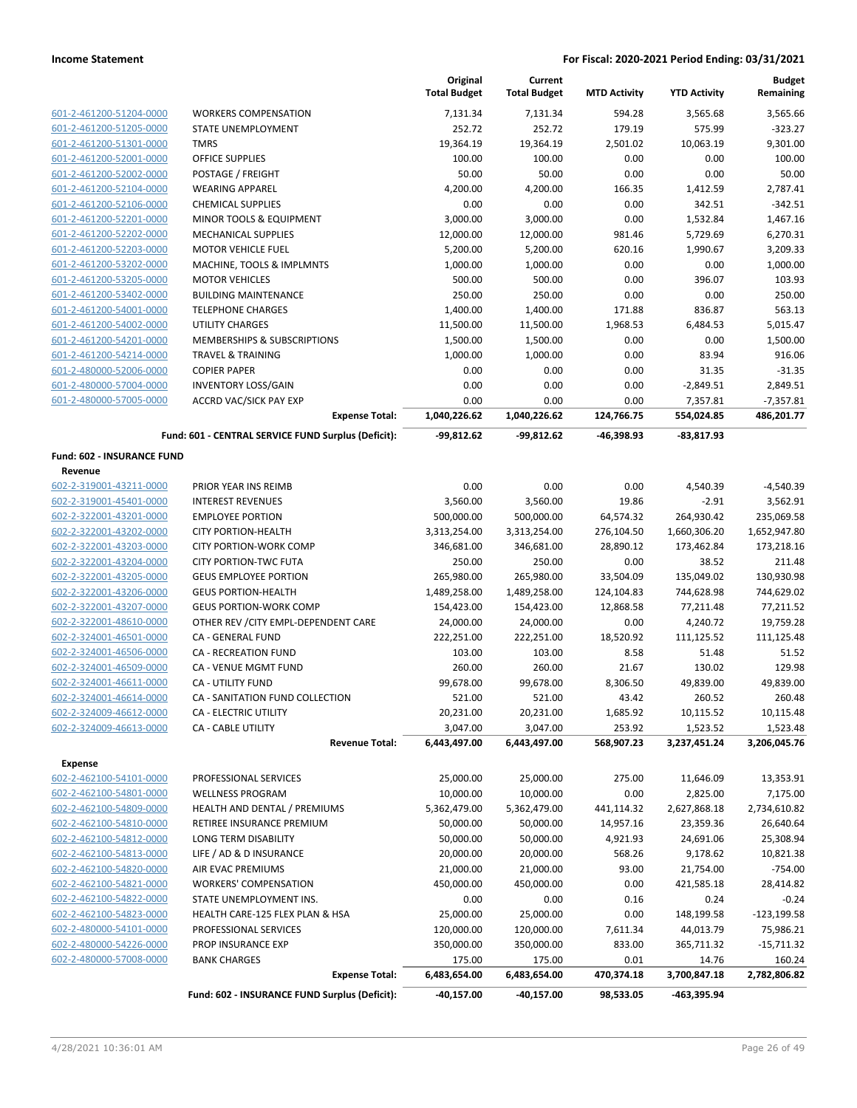|                                                    |                                                     | Original<br><b>Total Budget</b> | Current<br><b>Total Budget</b> | <b>MTD Activity</b> | <b>YTD Activity</b> | <b>Budget</b><br>Remaining |
|----------------------------------------------------|-----------------------------------------------------|---------------------------------|--------------------------------|---------------------|---------------------|----------------------------|
| 601-2-461200-51204-0000                            | <b>WORKERS COMPENSATION</b>                         | 7,131.34                        | 7,131.34                       | 594.28              | 3,565.68            | 3,565.66                   |
| 601-2-461200-51205-0000                            | STATE UNEMPLOYMENT                                  | 252.72                          | 252.72                         | 179.19              | 575.99              | $-323.27$                  |
| 601-2-461200-51301-0000                            | <b>TMRS</b>                                         | 19,364.19                       | 19,364.19                      | 2,501.02            | 10,063.19           | 9,301.00                   |
| 601-2-461200-52001-0000                            | <b>OFFICE SUPPLIES</b>                              | 100.00                          | 100.00                         | 0.00                | 0.00                | 100.00                     |
| 601-2-461200-52002-0000                            | POSTAGE / FREIGHT                                   | 50.00                           | 50.00                          | 0.00                | 0.00                | 50.00                      |
| 601-2-461200-52104-0000                            | <b>WEARING APPAREL</b>                              | 4,200.00                        | 4,200.00                       | 166.35              | 1,412.59            | 2,787.41                   |
| 601-2-461200-52106-0000                            | <b>CHEMICAL SUPPLIES</b>                            | 0.00                            | 0.00                           | 0.00                | 342.51              | $-342.51$                  |
| 601-2-461200-52201-0000                            | MINOR TOOLS & EQUIPMENT                             | 3,000.00                        | 3,000.00                       | 0.00                | 1,532.84            | 1,467.16                   |
| 601-2-461200-52202-0000                            | <b>MECHANICAL SUPPLIES</b>                          | 12,000.00                       | 12,000.00                      | 981.46              | 5,729.69            | 6,270.31                   |
| 601-2-461200-52203-0000                            | <b>MOTOR VEHICLE FUEL</b>                           | 5,200.00                        | 5,200.00                       | 620.16              | 1,990.67            | 3,209.33                   |
| 601-2-461200-53202-0000                            | MACHINE, TOOLS & IMPLMNTS                           | 1,000.00                        | 1,000.00                       | 0.00                | 0.00                | 1,000.00                   |
| 601-2-461200-53205-0000                            | <b>MOTOR VEHICLES</b>                               | 500.00                          | 500.00                         | 0.00                | 396.07              | 103.93                     |
| 601-2-461200-53402-0000                            | <b>BUILDING MAINTENANCE</b>                         | 250.00                          | 250.00                         | 0.00                | 0.00                | 250.00                     |
| 601-2-461200-54001-0000                            | <b>TELEPHONE CHARGES</b>                            | 1,400.00                        | 1,400.00                       | 171.88              | 836.87              | 563.13                     |
| 601-2-461200-54002-0000                            | UTILITY CHARGES<br>MEMBERSHIPS & SUBSCRIPTIONS      | 11,500.00                       | 11,500.00                      | 1,968.53            | 6,484.53            | 5,015.47                   |
| 601-2-461200-54201-0000<br>601-2-461200-54214-0000 | <b>TRAVEL &amp; TRAINING</b>                        | 1,500.00                        | 1,500.00                       | 0.00<br>0.00        | 0.00<br>83.94       | 1,500.00<br>916.06         |
| 601-2-480000-52006-0000                            | <b>COPIER PAPER</b>                                 | 1,000.00<br>0.00                | 1,000.00<br>0.00               | 0.00                | 31.35               | $-31.35$                   |
| 601-2-480000-57004-0000                            | <b>INVENTORY LOSS/GAIN</b>                          | 0.00                            | 0.00                           | 0.00                | $-2,849.51$         | 2,849.51                   |
| 601-2-480000-57005-0000                            | <b>ACCRD VAC/SICK PAY EXP</b>                       | 0.00                            | 0.00                           | 0.00                | 7,357.81            | $-7,357.81$                |
|                                                    | <b>Expense Total:</b>                               | 1,040,226.62                    | 1,040,226.62                   | 124,766.75          | 554,024.85          | 486,201.77                 |
|                                                    | Fund: 601 - CENTRAL SERVICE FUND Surplus (Deficit): | $-99,812.62$                    | -99,812.62                     | -46,398.93          | $-83,817.93$        |                            |
| Fund: 602 - INSURANCE FUND                         |                                                     |                                 |                                |                     |                     |                            |
| Revenue                                            |                                                     |                                 |                                |                     |                     |                            |
| 602-2-319001-43211-0000                            | PRIOR YEAR INS REIMB                                | 0.00                            | 0.00                           | 0.00                | 4,540.39            | $-4,540.39$                |
| 602-2-319001-45401-0000                            | <b>INTEREST REVENUES</b>                            | 3,560.00                        | 3,560.00                       | 19.86               | $-2.91$             | 3,562.91                   |
| 602-2-322001-43201-0000                            | <b>EMPLOYEE PORTION</b>                             | 500,000.00                      | 500,000.00                     | 64,574.32           | 264,930.42          | 235,069.58                 |
| 602-2-322001-43202-0000                            | <b>CITY PORTION-HEALTH</b>                          | 3,313,254.00                    | 3,313,254.00                   | 276,104.50          | 1,660,306.20        | 1,652,947.80               |
| 602-2-322001-43203-0000                            | <b>CITY PORTION-WORK COMP</b>                       | 346,681.00                      | 346,681.00                     | 28,890.12           | 173,462.84          | 173,218.16                 |
| 602-2-322001-43204-0000                            | <b>CITY PORTION-TWC FUTA</b>                        | 250.00                          | 250.00                         | 0.00                | 38.52               | 211.48                     |
| 602-2-322001-43205-0000                            | <b>GEUS EMPLOYEE PORTION</b>                        | 265,980.00                      | 265,980.00                     | 33,504.09           | 135,049.02          | 130,930.98                 |
| 602-2-322001-43206-0000                            | <b>GEUS PORTION-HEALTH</b>                          | 1,489,258.00                    | 1,489,258.00                   | 124,104.83          | 744,628.98          | 744,629.02                 |
| 602-2-322001-43207-0000                            | <b>GEUS PORTION-WORK COMP</b>                       | 154,423.00                      | 154,423.00                     | 12,868.58           | 77,211.48           | 77,211.52                  |
| 602-2-322001-48610-0000                            | OTHER REV / CITY EMPL-DEPENDENT CARE                | 24,000.00                       | 24,000.00                      | 0.00                | 4,240.72            | 19,759.28                  |
| 602-2-324001-46501-0000                            | CA - GENERAL FUND                                   | 222,251.00                      | 222,251.00                     | 18,520.92           | 111,125.52          | 111,125.48                 |
| 602-2-324001-46506-0000<br>602-2-324001-46509-0000 | CA - RECREATION FUND<br>CA - VENUE MGMT FUND        | 103.00<br>260.00                | 103.00<br>260.00               | 8.58<br>21.67       | 51.48<br>130.02     | 51.52<br>129.98            |
| 602-2-324001-46611-0000                            | CA - UTILITY FUND                                   | 99,678.00                       | 99,678.00                      | 8,306.50            | 49,839.00           | 49,839.00                  |
| 602-2-324001-46614-0000                            | CA - SANITATION FUND COLLECTION                     | 521.00                          | 521.00                         | 43.42               | 260.52              | 260.48                     |
| 602-2-324009-46612-0000                            | CA - ELECTRIC UTILITY                               | 20,231.00                       | 20,231.00                      | 1,685.92            | 10,115.52           | 10,115.48                  |
| 602-2-324009-46613-0000                            | CA - CABLE UTILITY                                  | 3,047.00                        | 3,047.00                       | 253.92              | 1,523.52            | 1,523.48                   |
|                                                    | <b>Revenue Total:</b>                               | 6,443,497.00                    | 6,443,497.00                   | 568,907.23          | 3,237,451.24        | 3,206,045.76               |
| <b>Expense</b>                                     |                                                     |                                 |                                |                     |                     |                            |
| 602-2-462100-54101-0000                            | PROFESSIONAL SERVICES                               | 25,000.00                       | 25,000.00                      | 275.00              | 11,646.09           | 13,353.91                  |
| 602-2-462100-54801-0000                            | <b>WELLNESS PROGRAM</b>                             | 10,000.00                       | 10,000.00                      | 0.00                | 2,825.00            | 7,175.00                   |
| 602-2-462100-54809-0000                            | HEALTH AND DENTAL / PREMIUMS                        | 5,362,479.00                    | 5,362,479.00                   | 441,114.32          | 2,627,868.18        | 2,734,610.82               |
| 602-2-462100-54810-0000                            | RETIREE INSURANCE PREMIUM                           | 50,000.00                       | 50,000.00                      | 14,957.16           | 23,359.36           | 26,640.64                  |
| 602-2-462100-54812-0000                            | LONG TERM DISABILITY                                | 50,000.00                       | 50,000.00                      | 4,921.93            | 24,691.06           | 25,308.94                  |
| 602-2-462100-54813-0000                            | LIFE / AD & D INSURANCE                             | 20,000.00                       | 20,000.00                      | 568.26              | 9,178.62            | 10,821.38                  |
| 602-2-462100-54820-0000                            | AIR EVAC PREMIUMS                                   | 21,000.00                       | 21,000.00                      | 93.00               | 21,754.00           | $-754.00$                  |
| 602-2-462100-54821-0000                            | <b>WORKERS' COMPENSATION</b>                        | 450,000.00                      | 450,000.00                     | 0.00                | 421,585.18          | 28,414.82                  |
| 602-2-462100-54822-0000                            | STATE UNEMPLOYMENT INS.                             | 0.00                            | 0.00                           | 0.16                | 0.24                | $-0.24$                    |
| 602-2-462100-54823-0000                            | HEALTH CARE-125 FLEX PLAN & HSA                     | 25,000.00                       | 25,000.00                      | 0.00                | 148,199.58          | $-123,199.58$              |
| 602-2-480000-54101-0000                            | PROFESSIONAL SERVICES                               | 120,000.00                      | 120,000.00                     | 7,611.34            | 44,013.79           | 75,986.21                  |
| 602-2-480000-54226-0000                            | PROP INSURANCE EXP                                  | 350,000.00                      | 350,000.00                     | 833.00              | 365,711.32          | -15,711.32                 |
| 602-2-480000-57008-0000                            | <b>BANK CHARGES</b>                                 | 175.00                          | 175.00                         | 0.01                | 14.76               | 160.24                     |
|                                                    | <b>Expense Total:</b>                               | 6,483,654.00                    | 6,483,654.00                   | 470,374.18          | 3,700,847.18        | 2,782,806.82               |
|                                                    | Fund: 602 - INSURANCE FUND Surplus (Deficit):       | $-40,157.00$                    | $-40,157.00$                   | 98,533.05           | -463,395.94         |                            |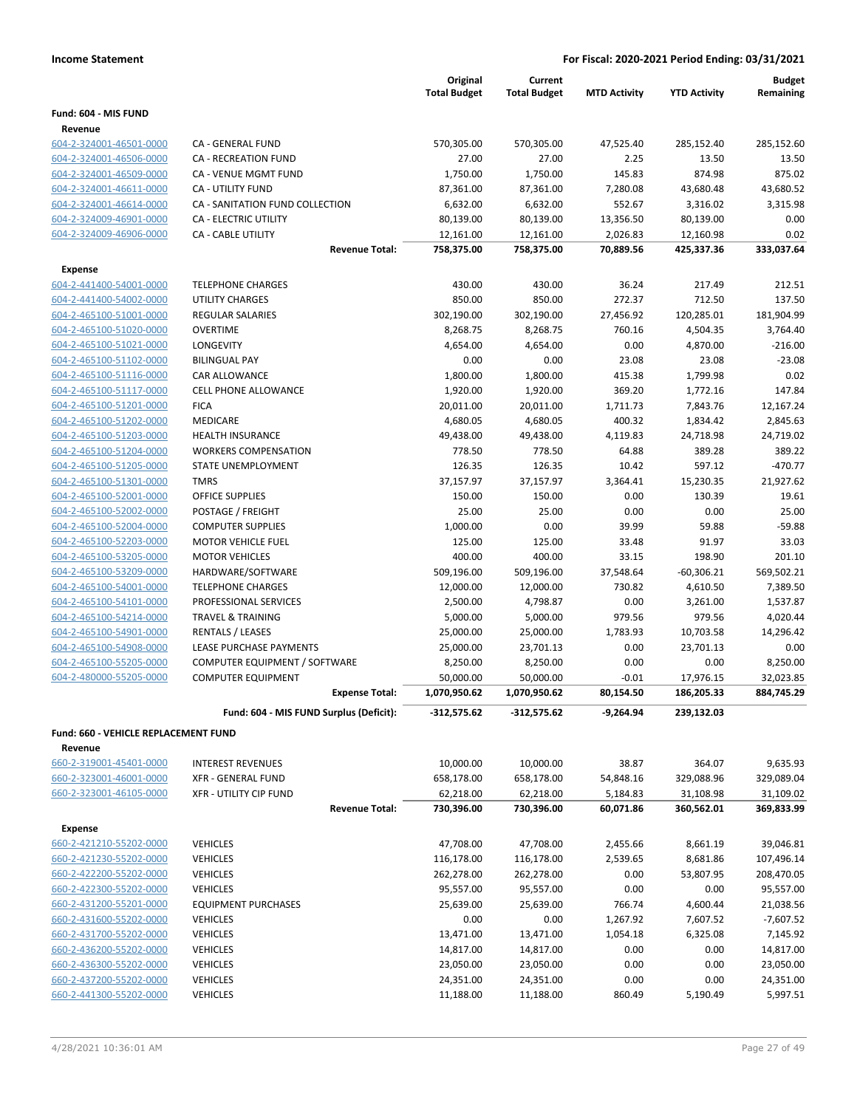|                                      |                                         | Original            | Current             |                     |                     | <b>Budget</b> |
|--------------------------------------|-----------------------------------------|---------------------|---------------------|---------------------|---------------------|---------------|
|                                      |                                         | <b>Total Budget</b> | <b>Total Budget</b> | <b>MTD Activity</b> | <b>YTD Activity</b> | Remaining     |
| Fund: 604 - MIS FUND                 |                                         |                     |                     |                     |                     |               |
| Revenue                              |                                         |                     |                     |                     |                     |               |
| 604-2-324001-46501-0000              | CA - GENERAL FUND                       | 570,305.00          | 570,305.00          | 47,525.40           | 285,152.40          | 285,152.60    |
| 604-2-324001-46506-0000              | <b>CA - RECREATION FUND</b>             | 27.00               | 27.00               | 2.25                | 13.50               | 13.50         |
| 604-2-324001-46509-0000              | <b>CA - VENUE MGMT FUND</b>             | 1,750.00            | 1,750.00            | 145.83              | 874.98              | 875.02        |
| 604-2-324001-46611-0000              | CA - UTILITY FUND                       | 87,361.00           | 87,361.00           | 7,280.08            | 43,680.48           | 43,680.52     |
| 604-2-324001-46614-0000              | CA - SANITATION FUND COLLECTION         | 6,632.00            | 6,632.00            | 552.67              | 3,316.02            | 3,315.98      |
| 604-2-324009-46901-0000              | <b>CA - ELECTRIC UTILITY</b>            | 80,139.00           | 80,139.00           | 13,356.50           | 80,139.00           | 0.00          |
| 604-2-324009-46906-0000              | CA - CABLE UTILITY                      | 12,161.00           | 12,161.00           | 2,026.83            | 12,160.98           | 0.02          |
|                                      | <b>Revenue Total:</b>                   | 758,375.00          | 758,375.00          | 70,889.56           | 425,337.36          | 333,037.64    |
| <b>Expense</b>                       |                                         |                     |                     |                     |                     |               |
| 604-2-441400-54001-0000              | <b>TELEPHONE CHARGES</b>                | 430.00              | 430.00              | 36.24               | 217.49              | 212.51        |
| 604-2-441400-54002-0000              | <b>UTILITY CHARGES</b>                  | 850.00              | 850.00              | 272.37              | 712.50              | 137.50        |
| 604-2-465100-51001-0000              | REGULAR SALARIES                        | 302,190.00          | 302,190.00          | 27,456.92           | 120,285.01          | 181,904.99    |
| 604-2-465100-51020-0000              | <b>OVERTIME</b>                         | 8,268.75            | 8,268.75            | 760.16              | 4,504.35            | 3,764.40      |
| 604-2-465100-51021-0000              | LONGEVITY                               | 4,654.00            | 4,654.00            | 0.00                | 4,870.00            | $-216.00$     |
| 604-2-465100-51102-0000              | <b>BILINGUAL PAY</b>                    | 0.00                | 0.00                | 23.08               | 23.08               | $-23.08$      |
| 604-2-465100-51116-0000              | <b>CAR ALLOWANCE</b>                    | 1,800.00            | 1,800.00            | 415.38              | 1,799.98            | 0.02          |
| 604-2-465100-51117-0000              | <b>CELL PHONE ALLOWANCE</b>             | 1,920.00            | 1,920.00            | 369.20              | 1,772.16            | 147.84        |
| 604-2-465100-51201-0000              | <b>FICA</b>                             | 20,011.00           | 20,011.00           | 1,711.73            | 7,843.76            | 12,167.24     |
| 604-2-465100-51202-0000              | MEDICARE                                | 4,680.05            | 4,680.05            | 400.32              | 1,834.42            | 2,845.63      |
| 604-2-465100-51203-0000              | <b>HEALTH INSURANCE</b>                 | 49,438.00           | 49,438.00           | 4,119.83            | 24,718.98           | 24,719.02     |
| 604-2-465100-51204-0000              | <b>WORKERS COMPENSATION</b>             | 778.50              | 778.50              | 64.88               | 389.28              | 389.22        |
| 604-2-465100-51205-0000              | STATE UNEMPLOYMENT                      | 126.35              | 126.35              | 10.42               | 597.12              | $-470.77$     |
| 604-2-465100-51301-0000              | <b>TMRS</b>                             | 37,157.97           | 37,157.97           | 3,364.41            | 15,230.35           | 21,927.62     |
| 604-2-465100-52001-0000              | <b>OFFICE SUPPLIES</b>                  | 150.00              | 150.00              | 0.00                | 130.39              | 19.61         |
| 604-2-465100-52002-0000              | POSTAGE / FREIGHT                       | 25.00               | 25.00               | 0.00                | 0.00                | 25.00         |
| 604-2-465100-52004-0000              | <b>COMPUTER SUPPLIES</b>                | 1,000.00            | 0.00                | 39.99               | 59.88               | $-59.88$      |
| 604-2-465100-52203-0000              | <b>MOTOR VEHICLE FUEL</b>               | 125.00              | 125.00              | 33.48               | 91.97               | 33.03         |
| 604-2-465100-53205-0000              | <b>MOTOR VEHICLES</b>                   | 400.00              | 400.00              | 33.15               | 198.90              | 201.10        |
| 604-2-465100-53209-0000              | HARDWARE/SOFTWARE                       | 509,196.00          | 509,196.00          | 37,548.64           | $-60,306.21$        | 569,502.21    |
| 604-2-465100-54001-0000              | <b>TELEPHONE CHARGES</b>                | 12,000.00           | 12,000.00           | 730.82              | 4,610.50            | 7,389.50      |
| 604-2-465100-54101-0000              | PROFESSIONAL SERVICES                   | 2,500.00            | 4,798.87            | 0.00                | 3,261.00            | 1,537.87      |
| 604-2-465100-54214-0000              | <b>TRAVEL &amp; TRAINING</b>            | 5,000.00            | 5,000.00            | 979.56              | 979.56              | 4,020.44      |
| 604-2-465100-54901-0000              | RENTALS / LEASES                        | 25,000.00           | 25,000.00           | 1,783.93            | 10,703.58           | 14,296.42     |
| 604-2-465100-54908-0000              | LEASE PURCHASE PAYMENTS                 | 25,000.00           | 23,701.13           | 0.00                | 23,701.13           | 0.00          |
| 604-2-465100-55205-0000              | COMPUTER EQUIPMENT / SOFTWARE           | 8,250.00            | 8,250.00            | 0.00                | 0.00                | 8,250.00      |
| 604-2-480000-55205-0000              | <b>COMPUTER EQUIPMENT</b>               | 50,000.00           | 50,000.00           | $-0.01$             | 17,976.15           | 32,023.85     |
|                                      | <b>Expense Total:</b>                   | 1,070,950.62        | 1,070,950.62        | 80,154.50           | 186,205.33          | 884,745.29    |
|                                      | Fund: 604 - MIS FUND Surplus (Deficit): | $-312,575.62$       | $-312,575.62$       | -9,264.94           | 239,132.03          |               |
| Fund: 660 - VEHICLE REPLACEMENT FUND |                                         |                     |                     |                     |                     |               |
| Revenue                              |                                         |                     |                     |                     |                     |               |
| 660-2-319001-45401-0000              | <b>INTEREST REVENUES</b>                | 10,000.00           | 10,000.00           | 38.87               | 364.07              | 9,635.93      |
| 660-2-323001-46001-0000              | XFR - GENERAL FUND                      | 658,178.00          | 658,178.00          | 54,848.16           | 329,088.96          | 329,089.04    |
| 660-2-323001-46105-0000              | <b>XFR - UTILITY CIP FUND</b>           | 62,218.00           | 62,218.00           | 5,184.83            | 31,108.98           | 31,109.02     |
|                                      | <b>Revenue Total:</b>                   | 730,396.00          | 730,396.00          | 60,071.86           | 360,562.01          | 369,833.99    |
| <b>Expense</b>                       |                                         |                     |                     |                     |                     |               |
| 660-2-421210-55202-0000              | <b>VEHICLES</b>                         | 47,708.00           | 47,708.00           | 2,455.66            | 8,661.19            | 39,046.81     |
| 660-2-421230-55202-0000              | <b>VEHICLES</b>                         | 116,178.00          | 116,178.00          | 2,539.65            | 8,681.86            | 107,496.14    |
| 660-2-422200-55202-0000              | <b>VEHICLES</b>                         | 262,278.00          | 262,278.00          | 0.00                | 53,807.95           | 208,470.05    |
| 660-2-422300-55202-0000              | <b>VEHICLES</b>                         | 95,557.00           | 95,557.00           | 0.00                | 0.00                | 95,557.00     |
| 660-2-431200-55201-0000              | <b>EQUIPMENT PURCHASES</b>              | 25,639.00           | 25,639.00           | 766.74              | 4,600.44            | 21,038.56     |
| 660-2-431600-55202-0000              | <b>VEHICLES</b>                         | 0.00                | 0.00                | 1,267.92            | 7,607.52            | $-7,607.52$   |
| 660-2-431700-55202-0000              | <b>VEHICLES</b>                         | 13,471.00           | 13,471.00           | 1,054.18            | 6,325.08            | 7,145.92      |
| 660-2-436200-55202-0000              | <b>VEHICLES</b>                         | 14,817.00           | 14,817.00           | 0.00                | 0.00                | 14,817.00     |
| 660-2-436300-55202-0000              | <b>VEHICLES</b>                         | 23,050.00           | 23,050.00           | 0.00                | 0.00                | 23,050.00     |
| 660-2-437200-55202-0000              | <b>VEHICLES</b>                         | 24,351.00           | 24,351.00           | 0.00                | 0.00                | 24,351.00     |
| 660-2-441300-55202-0000              | <b>VEHICLES</b>                         | 11,188.00           | 11,188.00           | 860.49              | 5,190.49            | 5,997.51      |
|                                      |                                         |                     |                     |                     |                     |               |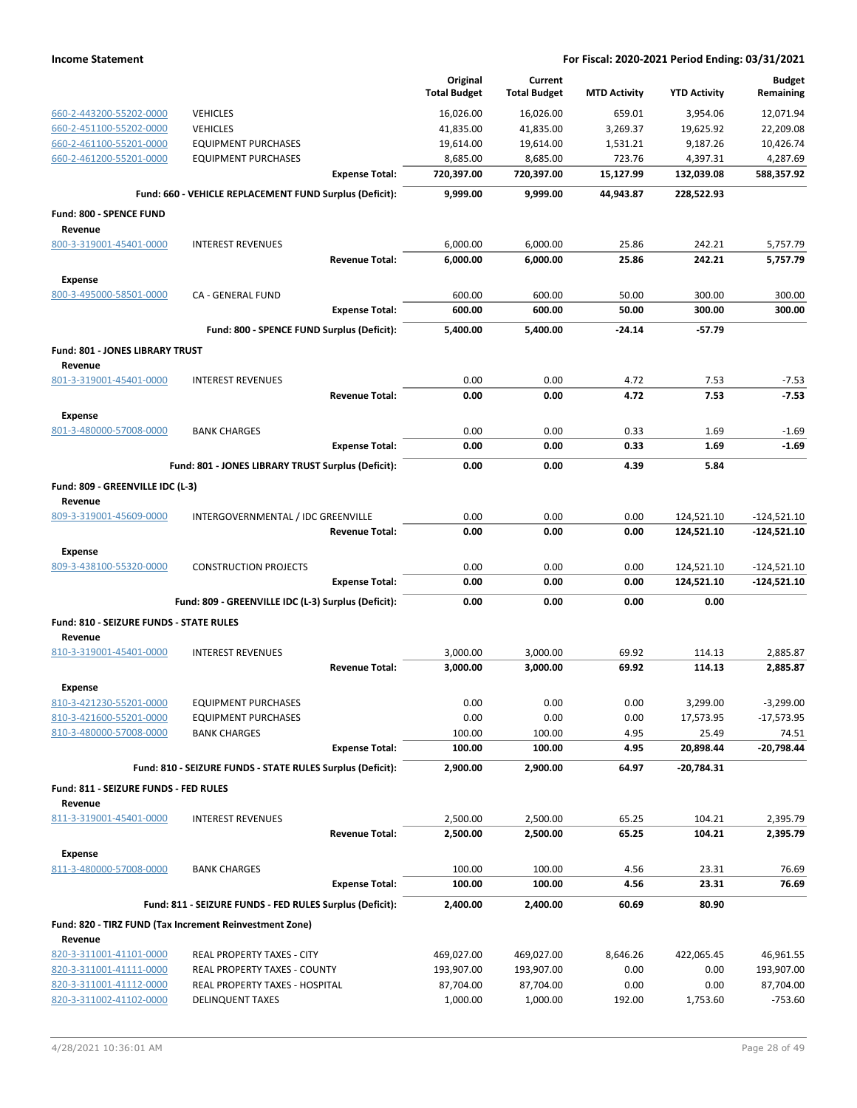|                                                    |                                                            | Original<br><b>Total Budget</b> | Current<br><b>Total Budget</b> | <b>MTD Activity</b> | <b>YTD Activity</b>   | <b>Budget</b><br>Remaining |
|----------------------------------------------------|------------------------------------------------------------|---------------------------------|--------------------------------|---------------------|-----------------------|----------------------------|
| 660-2-443200-55202-0000                            | <b>VEHICLES</b>                                            | 16,026.00                       | 16,026.00                      | 659.01              | 3.954.06              | 12,071.94                  |
| 660-2-451100-55202-0000                            | <b>VEHICLES</b>                                            | 41,835.00                       | 41,835.00                      | 3,269.37            | 19,625.92             | 22,209.08                  |
| 660-2-461100-55201-0000                            | <b>EQUIPMENT PURCHASES</b>                                 | 19,614.00                       | 19,614.00                      | 1,531.21            | 9,187.26              | 10,426.74                  |
| 660-2-461200-55201-0000                            | <b>EQUIPMENT PURCHASES</b>                                 | 8,685.00                        | 8,685.00                       | 723.76              | 4,397.31              | 4,287.69                   |
|                                                    | <b>Expense Total:</b>                                      | 720,397.00                      | 720,397.00                     | 15,127.99           | 132,039.08            | 588,357.92                 |
|                                                    | Fund: 660 - VEHICLE REPLACEMENT FUND Surplus (Deficit):    | 9,999.00                        | 9,999.00                       | 44,943.87           | 228,522.93            |                            |
| <b>Fund: 800 - SPENCE FUND</b>                     |                                                            |                                 |                                |                     |                       |                            |
| Revenue                                            |                                                            |                                 |                                |                     |                       |                            |
| 800-3-319001-45401-0000                            | <b>INTEREST REVENUES</b>                                   | 6,000.00                        | 6,000.00                       | 25.86               | 242.21                | 5,757.79                   |
|                                                    | <b>Revenue Total:</b>                                      | 6.000.00                        | 6,000.00                       | 25.86               | 242.21                | 5,757.79                   |
| <b>Expense</b>                                     |                                                            |                                 |                                |                     |                       |                            |
| 800-3-495000-58501-0000                            | <b>CA - GENERAL FUND</b>                                   | 600.00                          | 600.00                         | 50.00               | 300.00                | 300.00                     |
|                                                    | <b>Expense Total:</b>                                      | 600.00                          | 600.00                         | 50.00               | 300.00                | 300.00                     |
|                                                    | Fund: 800 - SPENCE FUND Surplus (Deficit):                 | 5,400.00                        | 5,400.00                       | $-24.14$            | $-57.79$              |                            |
| <b>Fund: 801 - JONES LIBRARY TRUST</b><br>Revenue  |                                                            |                                 |                                |                     |                       |                            |
| 801-3-319001-45401-0000                            | <b>INTEREST REVENUES</b>                                   | 0.00                            | 0.00                           | 4.72                | 7.53                  | $-7.53$                    |
|                                                    | <b>Revenue Total:</b>                                      | 0.00                            | 0.00                           | 4.72                | 7.53                  | $-7.53$                    |
| <b>Expense</b>                                     |                                                            |                                 |                                |                     |                       |                            |
| 801-3-480000-57008-0000                            | <b>BANK CHARGES</b>                                        | 0.00                            | 0.00                           | 0.33                | 1.69                  | $-1.69$                    |
|                                                    | <b>Expense Total:</b>                                      | 0.00                            | 0.00                           | 0.33                | 1.69                  | $-1.69$                    |
|                                                    | Fund: 801 - JONES LIBRARY TRUST Surplus (Deficit):         | 0.00                            | 0.00                           | 4.39                | 5.84                  |                            |
| Fund: 809 - GREENVILLE IDC (L-3)<br>Revenue        |                                                            |                                 |                                |                     |                       |                            |
| 809-3-319001-45609-0000                            | INTERGOVERNMENTAL / IDC GREENVILLE                         | 0.00                            | 0.00                           | 0.00                | 124,521.10            | $-124,521.10$              |
|                                                    | <b>Revenue Total:</b>                                      | 0.00                            | 0.00                           | 0.00                | 124,521.10            | $-124,521.10$              |
| <b>Expense</b>                                     |                                                            |                                 |                                |                     |                       |                            |
| 809-3-438100-55320-0000                            | <b>CONSTRUCTION PROJECTS</b>                               | 0.00                            | 0.00                           | 0.00                | 124,521.10            | $-124,521.10$              |
|                                                    | <b>Expense Total:</b>                                      | 0.00                            | 0.00                           | 0.00                | 124,521.10            | $-124,521.10$              |
|                                                    | Fund: 809 - GREENVILLE IDC (L-3) Surplus (Deficit):        | 0.00                            | 0.00                           | 0.00                | 0.00                  |                            |
| Fund: 810 - SEIZURE FUNDS - STATE RULES<br>Revenue |                                                            |                                 |                                |                     |                       |                            |
| 810-3-319001-45401-0000                            | <b>INTEREST REVENUES</b>                                   | 3,000.00                        | 3,000.00                       | 69.92               | 114.13                | 2,885.87                   |
|                                                    | <b>Revenue Total:</b>                                      | 3,000.00                        | 3,000.00                       | 69.92               | 114.13                | 2,885.87                   |
| <b>Expense</b>                                     |                                                            |                                 |                                |                     |                       |                            |
| 810-3-421230-55201-0000<br>810-3-421600-55201-0000 | EQUIPMENT PURCHASES<br><b>EQUIPMENT PURCHASES</b>          | 0.00<br>0.00                    | 0.00<br>0.00                   | 0.00<br>0.00        | 3,299.00<br>17,573.95 | $-3,299.00$<br>-17,573.95  |
| 810-3-480000-57008-0000                            | <b>BANK CHARGES</b>                                        | 100.00                          | 100.00                         | 4.95                | 25.49                 | 74.51                      |
|                                                    | <b>Expense Total:</b>                                      | 100.00                          | 100.00                         | 4.95                | 20,898.44             | $-20,798.44$               |
|                                                    | Fund: 810 - SEIZURE FUNDS - STATE RULES Surplus (Deficit): | 2,900.00                        | 2,900.00                       | 64.97               | $-20,784.31$          |                            |
| Fund: 811 - SEIZURE FUNDS - FED RULES              |                                                            |                                 |                                |                     |                       |                            |
| Revenue                                            |                                                            |                                 |                                |                     |                       |                            |
| 811-3-319001-45401-0000                            | <b>INTEREST REVENUES</b>                                   | 2,500.00                        | 2,500.00                       | 65.25               | 104.21                | 2,395.79                   |
|                                                    | <b>Revenue Total:</b>                                      | 2,500.00                        | 2,500.00                       | 65.25               | 104.21                | 2,395.79                   |
| <b>Expense</b>                                     |                                                            |                                 |                                |                     |                       |                            |
| 811-3-480000-57008-0000                            | <b>BANK CHARGES</b>                                        | 100.00                          | 100.00                         | 4.56                | 23.31                 | 76.69                      |
|                                                    | <b>Expense Total:</b>                                      | 100.00                          | 100.00                         | 4.56                | 23.31                 | 76.69                      |
|                                                    | Fund: 811 - SEIZURE FUNDS - FED RULES Surplus (Deficit):   | 2,400.00                        | 2,400.00                       | 60.69               | 80.90                 |                            |
| Revenue                                            | Fund: 820 - TIRZ FUND (Tax Increment Reinvestment Zone)    |                                 |                                |                     |                       |                            |
| 820-3-311001-41101-0000                            | REAL PROPERTY TAXES - CITY                                 | 469,027.00                      | 469,027.00                     | 8,646.26            | 422,065.45            | 46,961.55                  |
| 820-3-311001-41111-0000                            | <b>REAL PROPERTY TAXES - COUNTY</b>                        | 193,907.00                      | 193,907.00                     | 0.00                | 0.00                  | 193,907.00                 |
| 820-3-311001-41112-0000                            | REAL PROPERTY TAXES - HOSPITAL                             | 87,704.00                       | 87,704.00                      | 0.00                | 0.00                  | 87,704.00                  |
| 820-3-311002-41102-0000                            | <b>DELINQUENT TAXES</b>                                    | 1,000.00                        | 1,000.00                       | 192.00              | 1,753.60              | $-753.60$                  |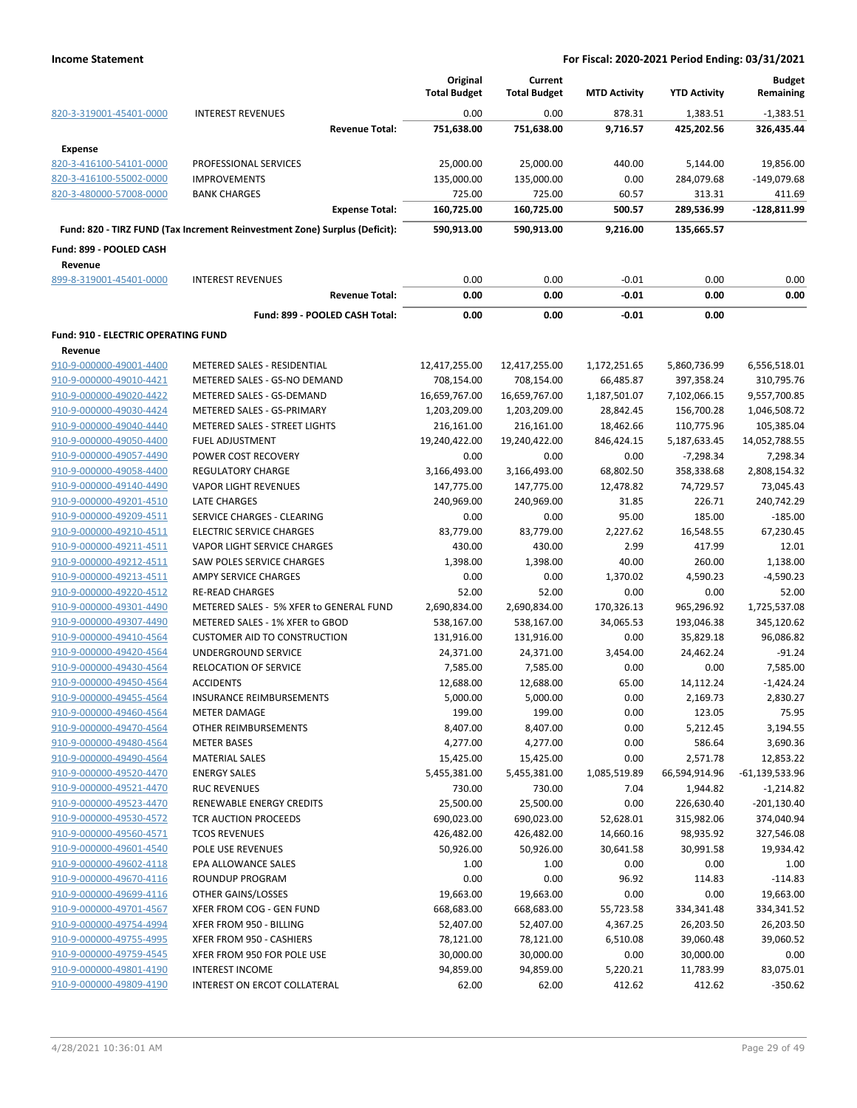|                                            |                                                                            | Original<br><b>Total Budget</b> | Current<br><b>Total Budget</b> | <b>MTD Activity</b> | <b>YTD Activity</b> | <b>Budget</b><br>Remaining |
|--------------------------------------------|----------------------------------------------------------------------------|---------------------------------|--------------------------------|---------------------|---------------------|----------------------------|
| 820-3-319001-45401-0000                    | <b>INTEREST REVENUES</b>                                                   | 0.00                            | 0.00                           | 878.31              | 1,383.51            | $-1,383.51$                |
|                                            | <b>Revenue Total:</b>                                                      | 751,638.00                      | 751,638.00                     | 9,716.57            | 425,202.56          | 326,435.44                 |
| <b>Expense</b>                             |                                                                            |                                 |                                |                     |                     |                            |
| 820-3-416100-54101-0000                    | PROFESSIONAL SERVICES                                                      | 25,000.00                       | 25,000.00                      | 440.00              | 5,144.00            | 19,856.00                  |
| 820-3-416100-55002-0000                    | <b>IMPROVEMENTS</b>                                                        | 135,000.00                      | 135,000.00                     | 0.00                | 284,079.68          | -149,079.68                |
| 820-3-480000-57008-0000                    | <b>BANK CHARGES</b>                                                        | 725.00                          | 725.00                         | 60.57               | 313.31              | 411.69                     |
|                                            | <b>Expense Total:</b>                                                      | 160,725.00                      | 160,725.00                     | 500.57              | 289,536.99          | $-128,811.99$              |
|                                            | Fund: 820 - TIRZ FUND (Tax Increment Reinvestment Zone) Surplus (Deficit): | 590,913.00                      | 590,913.00                     | 9,216.00            | 135,665.57          |                            |
| Fund: 899 - POOLED CASH                    |                                                                            |                                 |                                |                     |                     |                            |
| Revenue                                    |                                                                            |                                 |                                |                     |                     |                            |
| 899-8-319001-45401-0000                    | <b>INTEREST REVENUES</b>                                                   | 0.00                            | 0.00                           | $-0.01$             | 0.00                | 0.00                       |
|                                            | <b>Revenue Total:</b>                                                      | 0.00                            | 0.00                           | $-0.01$             | 0.00                | 0.00                       |
|                                            | Fund: 899 - POOLED CASH Total:                                             | 0.00                            | 0.00                           | $-0.01$             | 0.00                |                            |
| <b>Fund: 910 - ELECTRIC OPERATING FUND</b> |                                                                            |                                 |                                |                     |                     |                            |
| Revenue                                    |                                                                            |                                 |                                |                     |                     |                            |
| 910-9-000000-49001-4400                    | METERED SALES - RESIDENTIAL                                                | 12,417,255.00                   | 12,417,255.00                  | 1,172,251.65        | 5,860,736.99        | 6,556,518.01               |
| 910-9-000000-49010-4421                    | METERED SALES - GS-NO DEMAND                                               | 708,154.00                      | 708,154.00                     | 66,485.87           | 397,358.24          | 310,795.76                 |
| 910-9-000000-49020-4422                    | METERED SALES - GS-DEMAND                                                  | 16,659,767.00                   | 16,659,767.00                  | 1,187,501.07        | 7,102,066.15        | 9,557,700.85               |
| 910-9-000000-49030-4424                    | METERED SALES - GS-PRIMARY                                                 | 1,203,209.00                    | 1,203,209.00                   | 28,842.45           | 156,700.28          | 1,046,508.72               |
| 910-9-000000-49040-4440                    | <b>METERED SALES - STREET LIGHTS</b>                                       | 216,161.00                      | 216,161.00                     | 18,462.66           | 110,775.96          | 105,385.04                 |
| 910-9-000000-49050-4400                    | <b>FUEL ADJUSTMENT</b>                                                     | 19,240,422.00                   | 19,240,422.00                  | 846,424.15          | 5,187,633.45        | 14,052,788.55              |
| 910-9-000000-49057-4490                    | POWER COST RECOVERY                                                        | 0.00                            | 0.00                           | 0.00                | $-7,298.34$         | 7,298.34                   |
| 910-9-000000-49058-4400                    | <b>REGULATORY CHARGE</b>                                                   | 3,166,493.00                    | 3,166,493.00                   | 68,802.50           | 358,338.68          | 2,808,154.32               |
| 910-9-000000-49140-4490                    | <b>VAPOR LIGHT REVENUES</b>                                                | 147,775.00                      | 147,775.00                     | 12,478.82           | 74,729.57           | 73,045.43                  |
| 910-9-000000-49201-4510                    | <b>LATE CHARGES</b>                                                        | 240,969.00                      | 240,969.00                     | 31.85               | 226.71              | 240,742.29                 |
| 910-9-000000-49209-4511                    | SERVICE CHARGES - CLEARING                                                 | 0.00                            | 0.00                           | 95.00               | 185.00              | $-185.00$                  |
| 910-9-000000-49210-4511                    | <b>ELECTRIC SERVICE CHARGES</b>                                            | 83,779.00                       | 83,779.00                      | 2,227.62            | 16,548.55           | 67,230.45                  |
| 910-9-000000-49211-4511                    | VAPOR LIGHT SERVICE CHARGES                                                | 430.00                          | 430.00                         | 2.99                | 417.99              | 12.01                      |
| 910-9-000000-49212-4511                    | SAW POLES SERVICE CHARGES                                                  | 1,398.00                        | 1,398.00                       | 40.00               | 260.00              | 1,138.00                   |
| 910-9-000000-49213-4511                    | AMPY SERVICE CHARGES                                                       | 0.00                            | 0.00                           | 1,370.02            | 4,590.23            | $-4,590.23$                |
| 910-9-000000-49220-4512                    | <b>RE-READ CHARGES</b>                                                     | 52.00                           | 52.00                          | 0.00                | 0.00                | 52.00                      |
| 910-9-000000-49301-4490                    | METERED SALES - 5% XFER to GENERAL FUND                                    | 2,690,834.00                    | 2,690,834.00                   | 170,326.13          | 965,296.92          | 1,725,537.08               |
| 910-9-000000-49307-4490                    | METERED SALES - 1% XFER to GBOD                                            | 538,167.00                      | 538,167.00                     | 34,065.53           | 193,046.38          | 345,120.62                 |
| 910-9-000000-49410-4564                    | <b>CUSTOMER AID TO CONSTRUCTION</b>                                        | 131,916.00                      | 131,916.00                     | 0.00                | 35,829.18           | 96,086.82                  |
| 910-9-000000-49420-4564                    | <b>UNDERGROUND SERVICE</b>                                                 | 24,371.00                       |                                | 3,454.00            |                     | $-91.24$                   |
|                                            |                                                                            |                                 | 24,371.00                      |                     | 24,462.24           |                            |
| 910-9-000000-49430-4564                    | RELOCATION OF SERVICE                                                      | 7,585.00                        | 7,585.00                       | 0.00                | 0.00                | 7,585.00                   |
| 910-9-000000-49450-4564                    | <b>ACCIDENTS</b>                                                           | 12,688.00                       | 12,688.00                      | 65.00               | 14,112.24           | $-1,424.24$                |
| 910-9-000000-49455-4564                    | INSURANCE REIMBURSEMENTS                                                   | 5,000.00                        | 5,000.00                       | 0.00                | 2,169.73            | 2,830.27                   |
| 910-9-000000-49460-4564                    | <b>METER DAMAGE</b>                                                        | 199.00                          | 199.00                         | 0.00                | 123.05              | 75.95                      |
| 910-9-000000-49470-4564                    | OTHER REIMBURSEMENTS                                                       | 8,407.00                        | 8,407.00                       | 0.00                | 5,212.45            | 3,194.55                   |
| 910-9-000000-49480-4564                    | <b>METER BASES</b>                                                         | 4,277.00                        | 4,277.00                       | 0.00                | 586.64              | 3,690.36                   |
| 910-9-000000-49490-4564                    | <b>MATERIAL SALES</b>                                                      | 15,425.00                       | 15,425.00                      | 0.00                | 2,571.78            | 12,853.22                  |
| 910-9-000000-49520-4470                    | <b>ENERGY SALES</b>                                                        | 5,455,381.00                    | 5,455,381.00                   | 1,085,519.89        | 66,594,914.96       | $-61,139,533.96$           |
| 910-9-000000-49521-4470                    | <b>RUC REVENUES</b>                                                        | 730.00                          | 730.00                         | 7.04                | 1,944.82            | $-1,214.82$                |
| 910-9-000000-49523-4470                    | RENEWABLE ENERGY CREDITS                                                   | 25,500.00                       | 25,500.00                      | 0.00                | 226,630.40          | $-201,130.40$              |
| 910-9-000000-49530-4572                    | TCR AUCTION PROCEEDS                                                       | 690,023.00                      | 690,023.00                     | 52,628.01           | 315,982.06          | 374,040.94                 |
| 910-9-000000-49560-4571                    | <b>TCOS REVENUES</b>                                                       | 426,482.00                      | 426,482.00                     | 14,660.16           | 98,935.92           | 327,546.08                 |
| 910-9-000000-49601-4540                    | POLE USE REVENUES                                                          | 50,926.00                       | 50,926.00                      | 30,641.58           | 30,991.58           | 19,934.42                  |
| 910-9-000000-49602-4118                    | EPA ALLOWANCE SALES                                                        | 1.00                            | 1.00                           | 0.00                | 0.00                | 1.00                       |
| 910-9-000000-49670-4116                    | ROUNDUP PROGRAM                                                            | 0.00                            | 0.00                           | 96.92               | 114.83              | $-114.83$                  |
| 910-9-000000-49699-4116                    | OTHER GAINS/LOSSES                                                         | 19,663.00                       | 19,663.00                      | 0.00                | 0.00                | 19,663.00                  |
| 910-9-000000-49701-4567                    | XFER FROM COG - GEN FUND                                                   | 668,683.00                      | 668,683.00                     | 55,723.58           | 334,341.48          | 334,341.52                 |
| 910-9-000000-49754-4994                    | XFER FROM 950 - BILLING                                                    | 52,407.00                       | 52,407.00                      | 4,367.25            | 26,203.50           | 26,203.50                  |
| 910-9-000000-49755-4995                    | XFER FROM 950 - CASHIERS                                                   | 78,121.00                       | 78,121.00                      | 6,510.08            | 39,060.48           | 39,060.52                  |
| 910-9-000000-49759-4545                    | XFER FROM 950 FOR POLE USE                                                 | 30,000.00                       | 30,000.00                      | 0.00                | 30,000.00           | 0.00                       |
| 910-9-000000-49801-4190                    | <b>INTEREST INCOME</b>                                                     | 94,859.00                       | 94,859.00                      | 5,220.21            | 11,783.99           | 83,075.01                  |
| 910-9-000000-49809-4190                    | INTEREST ON ERCOT COLLATERAL                                               | 62.00                           | 62.00                          | 412.62              | 412.62              | $-350.62$                  |
|                                            |                                                                            |                                 |                                |                     |                     |                            |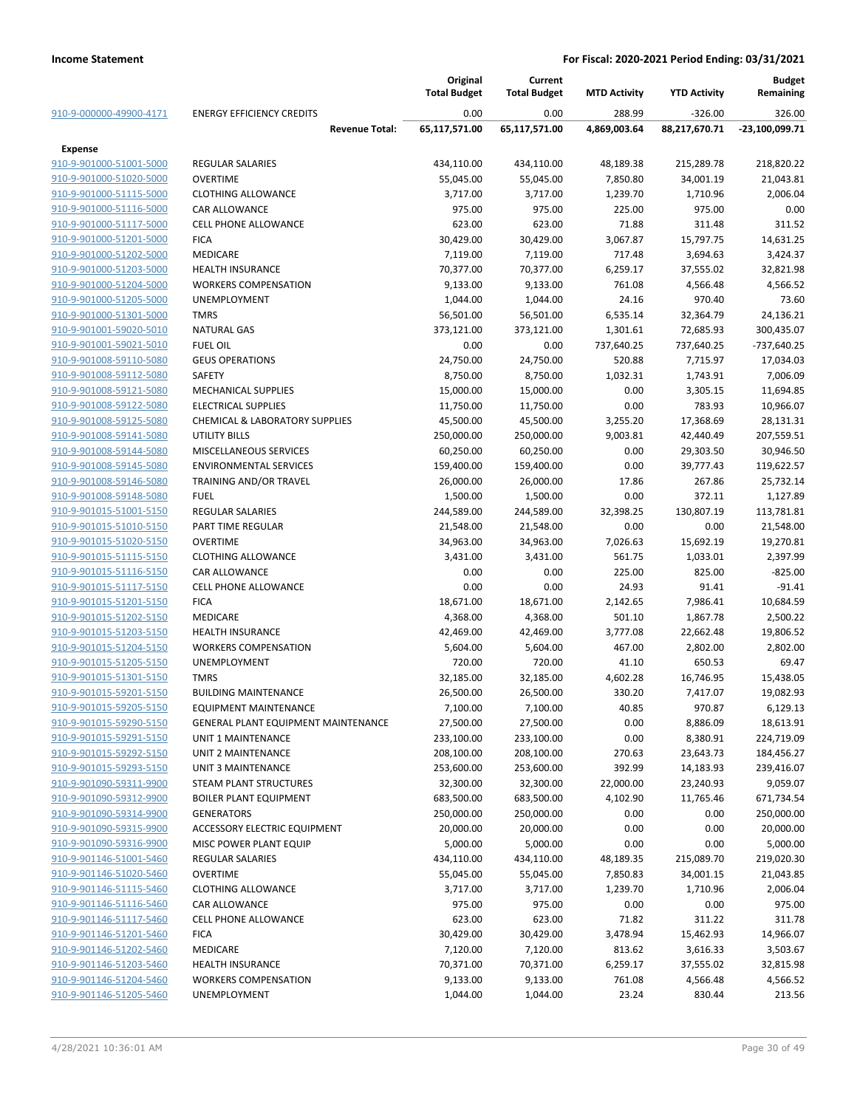|                                                    |                                                                         | Original              | Current               |                     |                        | <b>Budget</b>           |
|----------------------------------------------------|-------------------------------------------------------------------------|-----------------------|-----------------------|---------------------|------------------------|-------------------------|
|                                                    |                                                                         | <b>Total Budget</b>   | <b>Total Budget</b>   | <b>MTD Activity</b> | <b>YTD Activity</b>    | Remaining               |
| 910-9-000000-49900-4171                            | <b>ENERGY EFFICIENCY CREDITS</b>                                        | 0.00                  | 0.00                  | 288.99              | $-326.00$              | 326.00                  |
|                                                    | <b>Revenue Total:</b>                                                   | 65,117,571.00         | 65,117,571.00         | 4,869,003.64        | 88,217,670.71          | $-23,100,099.71$        |
| Expense                                            |                                                                         |                       |                       |                     |                        |                         |
| 910-9-901000-51001-5000                            | <b>REGULAR SALARIES</b>                                                 | 434,110.00            | 434,110.00            | 48,189.38           | 215,289.78             | 218,820.22              |
| 910-9-901000-51020-5000                            | <b>OVERTIME</b>                                                         | 55,045.00             | 55,045.00             | 7,850.80            | 34,001.19              | 21,043.81               |
| 910-9-901000-51115-5000                            | <b>CLOTHING ALLOWANCE</b>                                               | 3,717.00              | 3,717.00              | 1,239.70            | 1,710.96               | 2,006.04                |
| 910-9-901000-51116-5000                            | CAR ALLOWANCE                                                           | 975.00                | 975.00                | 225.00              | 975.00                 | 0.00                    |
| 910-9-901000-51117-5000                            | <b>CELL PHONE ALLOWANCE</b>                                             | 623.00                | 623.00<br>30,429.00   | 71.88               | 311.48                 | 311.52<br>14,631.25     |
| 910-9-901000-51201-5000                            | <b>FICA</b>                                                             | 30,429.00             |                       | 3,067.87            | 15,797.75<br>3,694.63  |                         |
| 910-9-901000-51202-5000<br>910-9-901000-51203-5000 | MEDICARE<br><b>HEALTH INSURANCE</b>                                     | 7,119.00<br>70,377.00 | 7,119.00<br>70,377.00 | 717.48<br>6,259.17  | 37,555.02              | 3,424.37<br>32,821.98   |
| 910-9-901000-51204-5000                            | <b>WORKERS COMPENSATION</b>                                             | 9,133.00              | 9,133.00              | 761.08              | 4,566.48               | 4,566.52                |
| 910-9-901000-51205-5000                            | <b>UNEMPLOYMENT</b>                                                     | 1,044.00              | 1,044.00              | 24.16               | 970.40                 | 73.60                   |
| 910-9-901000-51301-5000                            | <b>TMRS</b>                                                             | 56,501.00             | 56,501.00             | 6,535.14            | 32,364.79              | 24,136.21               |
| 910-9-901001-59020-5010                            | <b>NATURAL GAS</b>                                                      | 373,121.00            | 373,121.00            | 1,301.61            | 72,685.93              | 300,435.07              |
| 910-9-901001-59021-5010                            | <b>FUEL OIL</b>                                                         | 0.00                  | 0.00                  | 737,640.25          | 737,640.25             | $-737,640.25$           |
| 910-9-901008-59110-5080                            | <b>GEUS OPERATIONS</b>                                                  | 24,750.00             | 24,750.00             | 520.88              | 7,715.97               | 17,034.03               |
| 910-9-901008-59112-5080                            | <b>SAFETY</b>                                                           | 8,750.00              | 8,750.00              | 1,032.31            | 1,743.91               | 7,006.09                |
| 910-9-901008-59121-5080                            | <b>MECHANICAL SUPPLIES</b>                                              |                       |                       |                     |                        |                         |
|                                                    |                                                                         | 15,000.00             | 15,000.00             | 0.00                | 3,305.15<br>783.93     | 11,694.85               |
| 910-9-901008-59122-5080                            | <b>ELECTRICAL SUPPLIES</b><br><b>CHEMICAL &amp; LABORATORY SUPPLIES</b> | 11,750.00             | 11,750.00             | 0.00                |                        | 10,966.07               |
| 910-9-901008-59125-5080<br>910-9-901008-59141-5080 |                                                                         | 45,500.00             | 45,500.00             | 3,255.20            | 17,368.69              | 28,131.31               |
| 910-9-901008-59144-5080                            | UTILITY BILLS                                                           | 250,000.00            | 250,000.00            | 9,003.81<br>0.00    | 42,440.49              | 207,559.51              |
| 910-9-901008-59145-5080                            | MISCELLANEOUS SERVICES<br><b>ENVIRONMENTAL SERVICES</b>                 | 60,250.00             | 60,250.00             |                     | 29,303.50<br>39,777.43 | 30,946.50               |
|                                                    |                                                                         | 159,400.00            | 159,400.00            | 0.00                |                        | 119,622.57              |
| 910-9-901008-59146-5080<br>910-9-901008-59148-5080 | TRAINING AND/OR TRAVEL<br><b>FUEL</b>                                   | 26,000.00             | 26,000.00             | 17.86<br>0.00       | 267.86<br>372.11       | 25,732.14<br>1,127.89   |
|                                                    |                                                                         | 1,500.00              | 1,500.00              |                     |                        |                         |
| 910-9-901015-51001-5150                            | <b>REGULAR SALARIES</b><br>PART TIME REGULAR                            | 244,589.00            | 244,589.00            | 32,398.25<br>0.00   | 130,807.19<br>0.00     | 113,781.81<br>21,548.00 |
| 910-9-901015-51010-5150                            | <b>OVERTIME</b>                                                         | 21,548.00             | 21,548.00             |                     |                        |                         |
| 910-9-901015-51020-5150                            | <b>CLOTHING ALLOWANCE</b>                                               | 34,963.00             | 34,963.00             | 7,026.63<br>561.75  | 15,692.19              | 19,270.81               |
| 910-9-901015-51115-5150<br>910-9-901015-51116-5150 | CAR ALLOWANCE                                                           | 3,431.00<br>0.00      | 3,431.00<br>0.00      | 225.00              | 1,033.01<br>825.00     | 2,397.99<br>$-825.00$   |
|                                                    | <b>CELL PHONE ALLOWANCE</b>                                             | 0.00                  | 0.00                  | 24.93               |                        | $-91.41$                |
| 910-9-901015-51117-5150<br>910-9-901015-51201-5150 | <b>FICA</b>                                                             | 18,671.00             | 18,671.00             | 2,142.65            | 91.41<br>7,986.41      | 10,684.59               |
| 910-9-901015-51202-5150                            | <b>MEDICARE</b>                                                         | 4,368.00              | 4,368.00              | 501.10              | 1,867.78               | 2,500.22                |
| 910-9-901015-51203-5150                            | <b>HEALTH INSURANCE</b>                                                 | 42,469.00             | 42,469.00             | 3,777.08            | 22,662.48              | 19,806.52               |
| 910-9-901015-51204-5150                            | <b>WORKERS COMPENSATION</b>                                             | 5,604.00              | 5,604.00              | 467.00              | 2,802.00               | 2,802.00                |
| 910-9-901015-51205-5150                            | <b>UNEMPLOYMENT</b>                                                     | 720.00                | 720.00                | 41.10               | 650.53                 | 69.47                   |
| 910-9-901015-51301-5150                            | <b>TMRS</b>                                                             | 32,185.00             | 32,185.00             | 4,602.28            | 16,746.95              | 15,438.05               |
| 910-9-901015-59201-5150                            | <b>BUILDING MAINTENANCE</b>                                             | 26,500.00             | 26,500.00             | 330.20              | 7,417.07               | 19,082.93               |
| 910-9-901015-59205-5150                            | <b>EQUIPMENT MAINTENANCE</b>                                            | 7,100.00              | 7,100.00              | 40.85               | 970.87                 | 6,129.13                |
| 910-9-901015-59290-5150                            | <b>GENERAL PLANT EQUIPMENT MAINTENANCE</b>                              | 27,500.00             | 27,500.00             | 0.00                | 8,886.09               | 18,613.91               |
| 910-9-901015-59291-5150                            | UNIT 1 MAINTENANCE                                                      | 233,100.00            | 233,100.00            | 0.00                | 8,380.91               | 224,719.09              |
| 910-9-901015-59292-5150                            | UNIT 2 MAINTENANCE                                                      | 208,100.00            | 208,100.00            | 270.63              | 23,643.73              | 184,456.27              |
| 910-9-901015-59293-5150                            | <b>UNIT 3 MAINTENANCE</b>                                               | 253,600.00            | 253,600.00            | 392.99              | 14,183.93              | 239,416.07              |
| 910-9-901090-59311-9900                            | <b>STEAM PLANT STRUCTURES</b>                                           | 32,300.00             | 32,300.00             | 22,000.00           | 23,240.93              | 9,059.07                |
| 910-9-901090-59312-9900                            | <b>BOILER PLANT EQUIPMENT</b>                                           | 683,500.00            | 683,500.00            | 4,102.90            | 11,765.46              | 671,734.54              |
| 910-9-901090-59314-9900                            | <b>GENERATORS</b>                                                       | 250,000.00            | 250,000.00            | 0.00                | 0.00                   | 250,000.00              |
| 910-9-901090-59315-9900                            | <b>ACCESSORY ELECTRIC EQUIPMENT</b>                                     | 20,000.00             | 20,000.00             | 0.00                | 0.00                   | 20,000.00               |
| 910-9-901090-59316-9900                            | MISC POWER PLANT EQUIP                                                  | 5,000.00              | 5,000.00              | 0.00                | 0.00                   | 5,000.00                |
| 910-9-901146-51001-5460                            | <b>REGULAR SALARIES</b>                                                 | 434,110.00            | 434,110.00            | 48,189.35           | 215,089.70             | 219,020.30              |
| 910-9-901146-51020-5460                            | <b>OVERTIME</b>                                                         | 55,045.00             | 55,045.00             | 7,850.83            | 34,001.15              | 21,043.85               |
| 910-9-901146-51115-5460                            | <b>CLOTHING ALLOWANCE</b>                                               | 3,717.00              | 3,717.00              | 1,239.70            | 1,710.96               | 2,006.04                |
| 910-9-901146-51116-5460                            | CAR ALLOWANCE                                                           | 975.00                | 975.00                | 0.00                | 0.00                   | 975.00                  |
| 910-9-901146-51117-5460                            | <b>CELL PHONE ALLOWANCE</b>                                             | 623.00                | 623.00                | 71.82               | 311.22                 | 311.78                  |
| 910-9-901146-51201-5460                            | <b>FICA</b>                                                             | 30,429.00             | 30,429.00             | 3,478.94            | 15,462.93              | 14,966.07               |
| 910-9-901146-51202-5460                            | MEDICARE                                                                | 7,120.00              | 7,120.00              | 813.62              | 3,616.33               | 3,503.67                |
| 910-9-901146-51203-5460                            |                                                                         |                       |                       |                     |                        |                         |
| 910-9-901146-51204-5460                            | <b>HEALTH INSURANCE</b><br><b>WORKERS COMPENSATION</b>                  | 70,371.00             | 70,371.00             | 6,259.17<br>761.08  | 37,555.02              | 32,815.98               |
| 910-9-901146-51205-5460                            | UNEMPLOYMENT                                                            | 9,133.00              | 9,133.00              |                     | 4,566.48               | 4,566.52                |
|                                                    |                                                                         | 1,044.00              | 1,044.00              | 23.24               | 830.44                 | 213.56                  |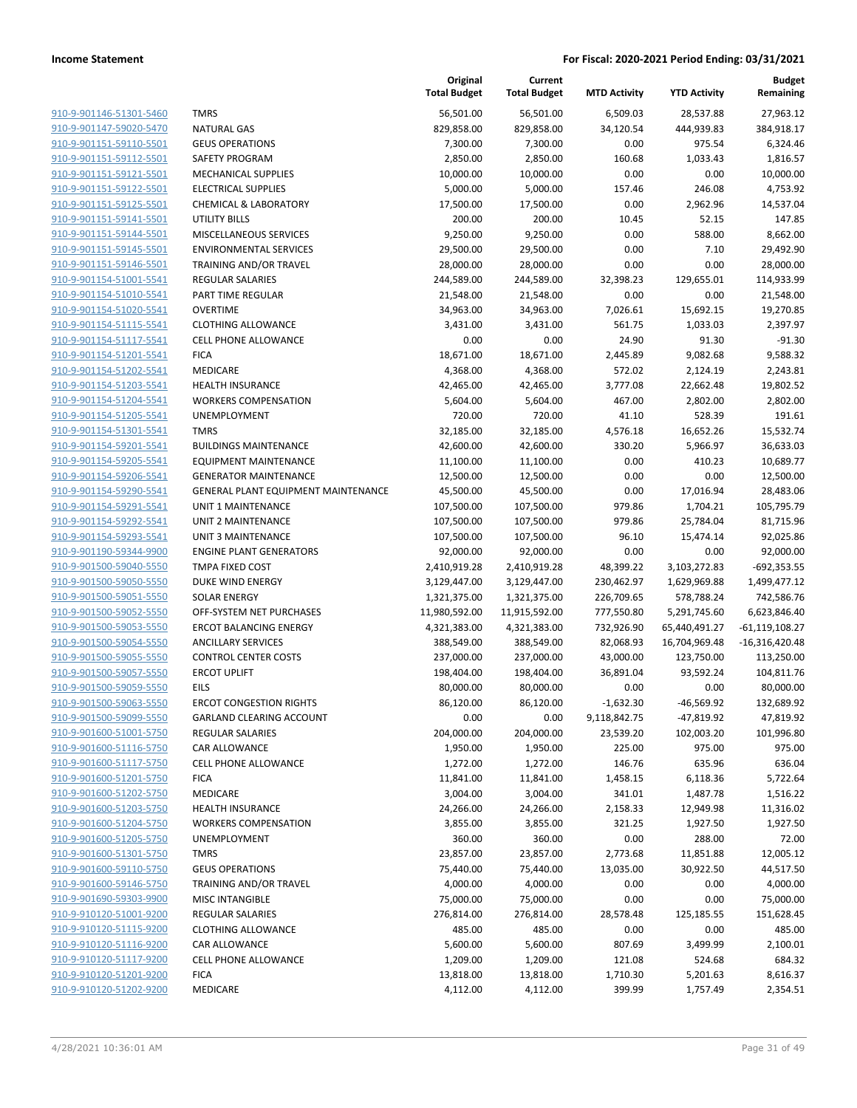|                         |                                            | Original<br><b>Total Budget</b> | Current<br><b>Total Budget</b> | <b>MTD Activity</b> | <b>YTD Activity</b> | <b>Budget</b><br>Remaining |
|-------------------------|--------------------------------------------|---------------------------------|--------------------------------|---------------------|---------------------|----------------------------|
| 910-9-901146-51301-5460 | <b>TMRS</b>                                | 56,501.00                       | 56,501.00                      | 6,509.03            | 28,537.88           | 27,963.12                  |
| 910-9-901147-59020-5470 | <b>NATURAL GAS</b>                         | 829,858.00                      | 829,858.00                     | 34,120.54           | 444,939.83          | 384,918.17                 |
| 910-9-901151-59110-5501 | <b>GEUS OPERATIONS</b>                     | 7,300.00                        | 7,300.00                       | 0.00                | 975.54              | 6,324.46                   |
| 910-9-901151-59112-5501 | SAFETY PROGRAM                             | 2,850.00                        | 2,850.00                       | 160.68              | 1,033.43            | 1,816.57                   |
| 910-9-901151-59121-5501 | <b>MECHANICAL SUPPLIES</b>                 | 10,000.00                       | 10,000.00                      | 0.00                | 0.00                | 10,000.00                  |
| 910-9-901151-59122-5501 | <b>ELECTRICAL SUPPLIES</b>                 | 5,000.00                        | 5,000.00                       | 157.46              | 246.08              | 4,753.92                   |
| 910-9-901151-59125-5501 | <b>CHEMICAL &amp; LABORATORY</b>           | 17,500.00                       | 17,500.00                      | 0.00                | 2,962.96            | 14,537.04                  |
| 910-9-901151-59141-5501 | <b>UTILITY BILLS</b>                       | 200.00                          | 200.00                         | 10.45               | 52.15               | 147.85                     |
| 910-9-901151-59144-5501 | MISCELLANEOUS SERVICES                     | 9,250.00                        | 9,250.00                       | 0.00                | 588.00              | 8,662.00                   |
| 910-9-901151-59145-5501 | <b>ENVIRONMENTAL SERVICES</b>              | 29,500.00                       | 29,500.00                      | 0.00                | 7.10                | 29,492.90                  |
| 910-9-901151-59146-5501 | TRAINING AND/OR TRAVEL                     | 28,000.00                       | 28,000.00                      | 0.00                | 0.00                | 28,000.00                  |
| 910-9-901154-51001-5541 | REGULAR SALARIES                           | 244,589.00                      | 244,589.00                     | 32,398.23           | 129,655.01          | 114,933.99                 |
| 910-9-901154-51010-5541 | PART TIME REGULAR                          | 21,548.00                       | 21,548.00                      | 0.00                | 0.00                | 21,548.00                  |
| 910-9-901154-51020-5541 | <b>OVERTIME</b>                            | 34,963.00                       | 34,963.00                      | 7,026.61            | 15,692.15           | 19,270.85                  |
| 910-9-901154-51115-5541 | <b>CLOTHING ALLOWANCE</b>                  | 3,431.00                        | 3,431.00                       | 561.75              | 1,033.03            | 2,397.97                   |
| 910-9-901154-51117-5541 | <b>CELL PHONE ALLOWANCE</b>                | 0.00                            | 0.00                           | 24.90               | 91.30               | $-91.30$                   |
| 910-9-901154-51201-5541 | <b>FICA</b>                                | 18,671.00                       | 18,671.00                      | 2,445.89            | 9,082.68            | 9,588.32                   |
| 910-9-901154-51202-5541 | MEDICARE                                   | 4,368.00                        | 4,368.00                       | 572.02              | 2,124.19            | 2,243.81                   |
| 910-9-901154-51203-5541 | <b>HEALTH INSURANCE</b>                    | 42,465.00                       | 42,465.00                      | 3,777.08            | 22,662.48           | 19,802.52                  |
| 910-9-901154-51204-5541 | <b>WORKERS COMPENSATION</b>                | 5,604.00                        | 5,604.00                       | 467.00              | 2,802.00            | 2,802.00                   |
| 910-9-901154-51205-5541 | <b>UNEMPLOYMENT</b>                        | 720.00                          | 720.00                         | 41.10               | 528.39              | 191.61                     |
| 910-9-901154-51301-5541 | <b>TMRS</b>                                | 32,185.00                       | 32,185.00                      | 4,576.18            | 16,652.26           | 15,532.74                  |
| 910-9-901154-59201-5541 | <b>BUILDINGS MAINTENANCE</b>               | 42,600.00                       | 42,600.00                      | 330.20              | 5,966.97            | 36,633.03                  |
| 910-9-901154-59205-5541 | <b>EQUIPMENT MAINTENANCE</b>               | 11,100.00                       | 11,100.00                      | 0.00                | 410.23              | 10,689.77                  |
| 910-9-901154-59206-5541 | <b>GENERATOR MAINTENANCE</b>               | 12,500.00                       | 12,500.00                      | 0.00                | 0.00                | 12,500.00                  |
| 910-9-901154-59290-5541 | <b>GENERAL PLANT EQUIPMENT MAINTENANCE</b> | 45,500.00                       | 45,500.00                      | 0.00                | 17,016.94           | 28,483.06                  |
| 910-9-901154-59291-5541 | <b>UNIT 1 MAINTENANCE</b>                  | 107,500.00                      | 107,500.00                     | 979.86              | 1,704.21            | 105,795.79                 |
| 910-9-901154-59292-5541 | UNIT 2 MAINTENANCE                         | 107,500.00                      | 107,500.00                     | 979.86              | 25,784.04           | 81,715.96                  |
| 910-9-901154-59293-5541 | <b>UNIT 3 MAINTENANCE</b>                  | 107,500.00                      | 107,500.00                     | 96.10               | 15,474.14           | 92,025.86                  |
| 910-9-901190-59344-9900 | <b>ENGINE PLANT GENERATORS</b>             | 92,000.00                       | 92,000.00                      | 0.00                | 0.00                | 92,000.00                  |
| 910-9-901500-59040-5550 | TMPA FIXED COST                            | 2,410,919.28                    | 2,410,919.28                   | 48,399.22           | 3,103,272.83        | $-692,353.55$              |
| 910-9-901500-59050-5550 | DUKE WIND ENERGY                           | 3,129,447.00                    | 3,129,447.00                   | 230,462.97          | 1,629,969.88        | 1,499,477.12               |
| 910-9-901500-59051-5550 | <b>SOLAR ENERGY</b>                        | 1,321,375.00                    | 1,321,375.00                   | 226,709.65          | 578,788.24          | 742,586.76                 |
| 910-9-901500-59052-5550 | OFF-SYSTEM NET PURCHASES                   | 11,980,592.00                   | 11,915,592.00                  | 777,550.80          | 5,291,745.60        | 6,623,846.40               |
| 910-9-901500-59053-5550 | <b>ERCOT BALANCING ENERGY</b>              | 4,321,383.00                    | 4,321,383.00                   | 732,926.90          | 65,440,491.27       | $-61, 119, 108.27$         |
| 910-9-901500-59054-5550 | <b>ANCILLARY SERVICES</b>                  | 388,549.00                      | 388,549.00                     | 82,068.93           | 16,704,969.48       | $-16,316,420.48$           |
| 910-9-901500-59055-5550 | <b>CONTROL CENTER COSTS</b>                | 237,000.00                      | 237,000.00                     | 43,000.00           | 123,750.00          | 113,250.00                 |
| 910-9-901500-59057-5550 | <b>ERCOT UPLIFT</b>                        | 198,404.00                      | 198,404.00                     | 36,891.04           | 93,592.24           | 104,811.76                 |
| 910-9-901500-59059-5550 | EILS                                       | 80,000.00                       | 80,000.00                      | 0.00                | 0.00                | 80,000.00                  |
| 910-9-901500-59063-5550 | <b>ERCOT CONGESTION RIGHTS</b>             | 86,120.00                       | 86,120.00                      | $-1,632.30$         | $-46,569.92$        | 132,689.92                 |
| 910-9-901500-59099-5550 | GARLAND CLEARING ACCOUNT                   | 0.00                            | 0.00                           | 9,118,842.75        | -47,819.92          | 47,819.92                  |
| 910-9-901600-51001-5750 | <b>REGULAR SALARIES</b>                    | 204,000.00                      | 204,000.00                     | 23,539.20           | 102,003.20          | 101,996.80                 |
| 910-9-901600-51116-5750 | CAR ALLOWANCE                              | 1,950.00                        | 1,950.00                       | 225.00              | 975.00              | 975.00                     |
| 910-9-901600-51117-5750 | <b>CELL PHONE ALLOWANCE</b>                | 1,272.00                        | 1,272.00                       | 146.76              | 635.96              | 636.04                     |
| 910-9-901600-51201-5750 | <b>FICA</b>                                | 11,841.00                       | 11,841.00                      | 1,458.15            | 6,118.36            | 5,722.64                   |
| 910-9-901600-51202-5750 | MEDICARE                                   | 3,004.00                        | 3,004.00                       | 341.01              | 1,487.78            | 1,516.22                   |
| 910-9-901600-51203-5750 | <b>HEALTH INSURANCE</b>                    | 24,266.00                       | 24,266.00                      | 2,158.33            | 12,949.98           | 11,316.02                  |
| 910-9-901600-51204-5750 | <b>WORKERS COMPENSATION</b>                | 3,855.00                        | 3,855.00                       | 321.25              | 1,927.50            | 1,927.50                   |
| 910-9-901600-51205-5750 | UNEMPLOYMENT                               | 360.00                          | 360.00                         | 0.00                | 288.00              | 72.00                      |
| 910-9-901600-51301-5750 | <b>TMRS</b>                                | 23,857.00                       | 23,857.00                      | 2,773.68            | 11,851.88           | 12,005.12                  |
| 910-9-901600-59110-5750 | <b>GEUS OPERATIONS</b>                     | 75,440.00                       | 75,440.00                      | 13,035.00           | 30,922.50           | 44,517.50                  |
| 910-9-901600-59146-5750 | TRAINING AND/OR TRAVEL                     | 4,000.00                        | 4,000.00                       | 0.00                | 0.00                | 4,000.00                   |
| 910-9-901690-59303-9900 | <b>MISC INTANGIBLE</b>                     | 75,000.00                       | 75,000.00                      | 0.00                | 0.00                | 75,000.00                  |
| 910-9-910120-51001-9200 | <b>REGULAR SALARIES</b>                    | 276,814.00                      | 276,814.00                     | 28,578.48           | 125,185.55          | 151,628.45                 |
| 910-9-910120-51115-9200 | <b>CLOTHING ALLOWANCE</b>                  | 485.00                          | 485.00                         | 0.00                | 0.00                | 485.00                     |
| 910-9-910120-51116-9200 | CAR ALLOWANCE                              | 5,600.00                        | 5,600.00                       | 807.69              | 3,499.99            | 2,100.01                   |
| 910-9-910120-51117-9200 | <b>CELL PHONE ALLOWANCE</b>                | 1,209.00                        | 1,209.00                       | 121.08              | 524.68              | 684.32                     |
| 910-9-910120-51201-9200 | <b>FICA</b>                                | 13,818.00                       | 13,818.00                      | 1,710.30            | 5,201.63            | 8,616.37                   |
| 910-9-910120-51202-9200 | MEDICARE                                   | 4,112.00                        | 4,112.00                       | 399.99              | 1,757.49            | 2,354.51                   |
|                         |                                            |                                 |                                |                     |                     |                            |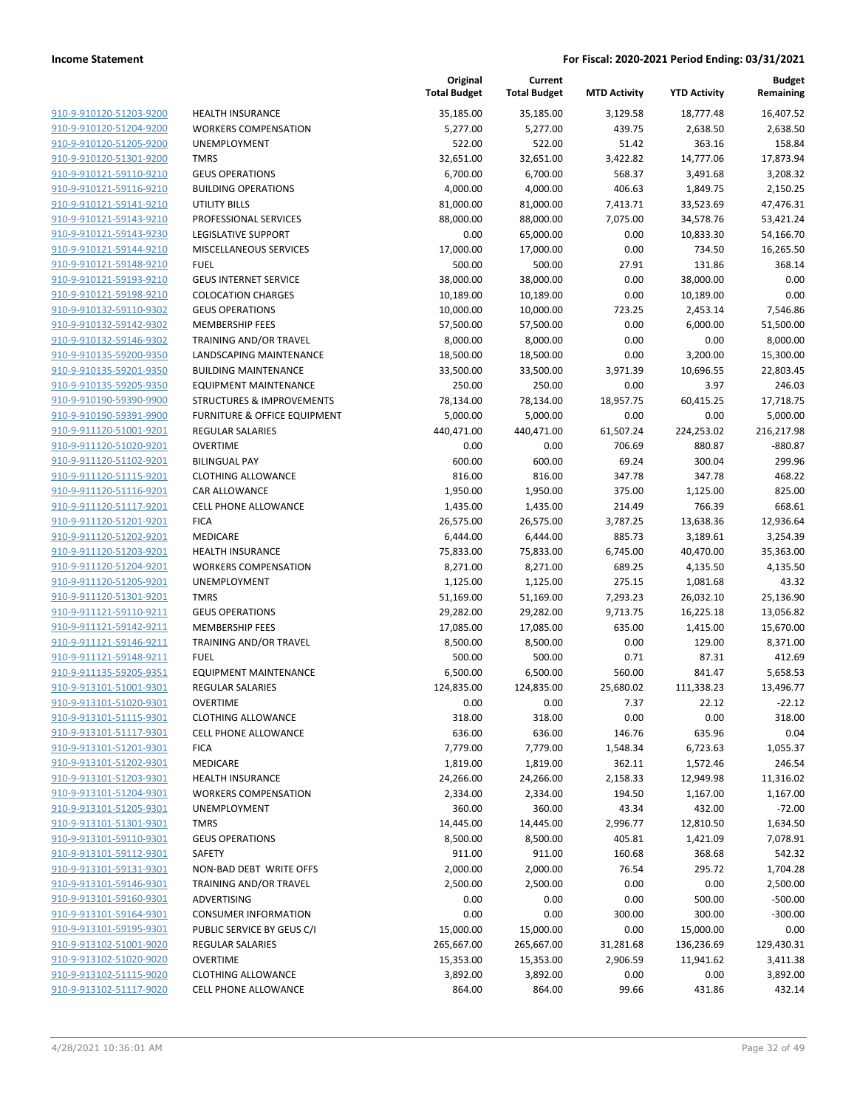|                                                    |                                                        | Original<br><b>Total Budget</b> | Current<br><b>Total Budget</b> | <b>MTD Activity</b> | <b>YTD Activity</b> | Budget<br>Remaining |
|----------------------------------------------------|--------------------------------------------------------|---------------------------------|--------------------------------|---------------------|---------------------|---------------------|
| 910-9-910120-51203-9200                            | <b>HEALTH INSURANCE</b>                                | 35,185.00                       | 35,185.00                      | 3,129.58            | 18,777.48           | 16,407.52           |
| 910-9-910120-51204-9200                            | <b>WORKERS COMPENSATION</b>                            | 5,277.00                        | 5,277.00                       | 439.75              | 2,638.50            | 2,638.50            |
| 910-9-910120-51205-9200                            | <b>UNEMPLOYMENT</b>                                    | 522.00                          | 522.00                         | 51.42               | 363.16              | 158.84              |
| 910-9-910120-51301-9200                            | <b>TMRS</b>                                            | 32,651.00                       | 32,651.00                      | 3,422.82            | 14,777.06           | 17,873.94           |
| 910-9-910121-59110-9210                            | <b>GEUS OPERATIONS</b>                                 | 6,700.00                        | 6,700.00                       | 568.37              | 3,491.68            | 3,208.32            |
| 910-9-910121-59116-9210                            | <b>BUILDING OPERATIONS</b>                             | 4,000.00                        | 4,000.00                       | 406.63              | 1,849.75            | 2,150.25            |
| 910-9-910121-59141-9210                            | <b>UTILITY BILLS</b>                                   | 81,000.00                       | 81,000.00                      | 7,413.71            | 33,523.69           | 47,476.31           |
| 910-9-910121-59143-9210                            | PROFESSIONAL SERVICES                                  | 88,000.00                       | 88,000.00                      | 7,075.00            | 34,578.76           | 53,421.24           |
| 910-9-910121-59143-9230                            | LEGISLATIVE SUPPORT                                    | 0.00                            | 65,000.00                      | 0.00                | 10,833.30           | 54,166.70           |
| 910-9-910121-59144-9210                            | MISCELLANEOUS SERVICES                                 | 17,000.00                       | 17,000.00                      | 0.00                | 734.50              | 16,265.50           |
| 910-9-910121-59148-9210                            | <b>FUEL</b>                                            | 500.00                          | 500.00                         | 27.91               | 131.86              | 368.14              |
| 910-9-910121-59193-9210                            | <b>GEUS INTERNET SERVICE</b>                           | 38,000.00                       | 38,000.00                      | 0.00                | 38,000.00           | 0.00                |
| 910-9-910121-59198-9210                            | <b>COLOCATION CHARGES</b>                              | 10,189.00                       | 10,189.00                      | 0.00                | 10,189.00           | 0.00                |
| 910-9-910132-59110-9302                            | <b>GEUS OPERATIONS</b>                                 | 10,000.00                       | 10,000.00                      | 723.25              | 2,453.14            | 7,546.86            |
| 910-9-910132-59142-9302                            | <b>MEMBERSHIP FEES</b>                                 | 57,500.00                       | 57,500.00                      | 0.00                | 6,000.00            | 51,500.00           |
| 910-9-910132-59146-9302                            | TRAINING AND/OR TRAVEL                                 | 8,000.00                        | 8,000.00                       | 0.00                | 0.00                | 8,000.00            |
| 910-9-910135-59200-9350<br>910-9-910135-59201-9350 | LANDSCAPING MAINTENANCE<br><b>BUILDING MAINTENANCE</b> | 18,500.00                       | 18,500.00                      | 0.00                | 3,200.00            | 15,300.00           |
| 910-9-910135-59205-9350                            | <b>EQUIPMENT MAINTENANCE</b>                           | 33,500.00<br>250.00             | 33,500.00<br>250.00            | 3,971.39<br>0.00    | 10,696.55<br>3.97   | 22,803.45<br>246.03 |
| 910-9-910190-59390-9900                            | <b>STRUCTURES &amp; IMPROVEMENTS</b>                   | 78,134.00                       | 78,134.00                      | 18,957.75           | 60,415.25           | 17,718.75           |
| 910-9-910190-59391-9900                            | FURNITURE & OFFICE EQUIPMENT                           | 5,000.00                        | 5,000.00                       | 0.00                | 0.00                | 5,000.00            |
| 910-9-911120-51001-9201                            | <b>REGULAR SALARIES</b>                                | 440,471.00                      | 440,471.00                     | 61,507.24           | 224,253.02          | 216,217.98          |
| 910-9-911120-51020-9201                            | <b>OVERTIME</b>                                        | 0.00                            | 0.00                           | 706.69              | 880.87              | $-880.87$           |
| 910-9-911120-51102-9201                            | <b>BILINGUAL PAY</b>                                   | 600.00                          | 600.00                         | 69.24               | 300.04              | 299.96              |
| 910-9-911120-51115-9201                            | <b>CLOTHING ALLOWANCE</b>                              | 816.00                          | 816.00                         | 347.78              | 347.78              | 468.22              |
| 910-9-911120-51116-9201                            | CAR ALLOWANCE                                          | 1,950.00                        | 1,950.00                       | 375.00              | 1,125.00            | 825.00              |
| 910-9-911120-51117-9201                            | <b>CELL PHONE ALLOWANCE</b>                            | 1,435.00                        | 1,435.00                       | 214.49              | 766.39              | 668.61              |
| 910-9-911120-51201-9201                            | <b>FICA</b>                                            | 26,575.00                       | 26,575.00                      | 3,787.25            | 13,638.36           | 12,936.64           |
| 910-9-911120-51202-9201                            | MEDICARE                                               | 6,444.00                        | 6,444.00                       | 885.73              | 3,189.61            | 3,254.39            |
| 910-9-911120-51203-9201                            | <b>HEALTH INSURANCE</b>                                | 75,833.00                       | 75,833.00                      | 6,745.00            | 40,470.00           | 35,363.00           |
| 910-9-911120-51204-9201                            | <b>WORKERS COMPENSATION</b>                            | 8,271.00                        | 8,271.00                       | 689.25              | 4,135.50            | 4,135.50            |
| 910-9-911120-51205-9201                            | <b>UNEMPLOYMENT</b>                                    | 1,125.00                        | 1,125.00                       | 275.15              | 1,081.68            | 43.32               |
| 910-9-911120-51301-9201                            | <b>TMRS</b>                                            | 51,169.00                       | 51,169.00                      | 7,293.23            | 26,032.10           | 25,136.90           |
| 910-9-911121-59110-9211                            | <b>GEUS OPERATIONS</b>                                 | 29,282.00                       | 29,282.00                      | 9,713.75            | 16,225.18           | 13,056.82           |
| 910-9-911121-59142-9211                            | <b>MEMBERSHIP FEES</b>                                 | 17,085.00                       | 17,085.00                      | 635.00              | 1,415.00            | 15,670.00           |
| 910-9-911121-59146-9211                            | <b>TRAINING AND/OR TRAVEL</b>                          | 8,500.00                        | 8,500.00                       | 0.00                | 129.00              | 8,371.00            |
| 910-9-911121-59148-9211                            | <b>FUEL</b>                                            | 500.00                          | 500.00                         | 0.71                | 87.31               | 412.69              |
| 910-9-911135-59205-9351                            | <b>EQUIPMENT MAINTENANCE</b>                           | 6,500.00                        | 6,500.00                       | 560.00              | 841.47              | 5,658.53            |
| 910-9-913101-51001-9301                            | <b>REGULAR SALARIES</b>                                | 124,835.00                      | 124,835.00                     | 25,680.02           | 111,338.23          | 13,496.77           |
| 910-9-913101-51020-9301                            | <b>OVERTIME</b>                                        | 0.00                            | 0.00                           | 7.37                | 22.12               | $-22.12$            |
| 910-9-913101-51115-9301                            | <b>CLOTHING ALLOWANCE</b>                              | 318.00                          | 318.00                         | 0.00                | 0.00                | 318.00              |
| 910-9-913101-51117-9301                            | <b>CELL PHONE ALLOWANCE</b>                            | 636.00                          | 636.00                         | 146.76              | 635.96              | 0.04                |
| 910-9-913101-51201-9301                            | <b>FICA</b>                                            | 7,779.00                        | 7,779.00                       | 1,548.34            | 6,723.63            | 1,055.37            |
| 910-9-913101-51202-9301                            | MEDICARE                                               | 1,819.00                        | 1,819.00                       | 362.11              | 1,572.46            | 246.54              |
| 910-9-913101-51203-9301                            | <b>HEALTH INSURANCE</b>                                | 24,266.00                       | 24,266.00                      | 2,158.33            | 12,949.98           | 11,316.02           |
| 910-9-913101-51204-9301                            | <b>WORKERS COMPENSATION</b>                            | 2,334.00                        | 2,334.00                       | 194.50              | 1,167.00            | 1,167.00            |
| 910-9-913101-51205-9301                            | <b>UNEMPLOYMENT</b>                                    | 360.00                          | 360.00                         | 43.34               | 432.00              | $-72.00$            |
| 910-9-913101-51301-9301                            | <b>TMRS</b>                                            | 14,445.00                       | 14,445.00                      | 2,996.77            | 12,810.50           | 1,634.50            |
| 910-9-913101-59110-9301                            | <b>GEUS OPERATIONS</b>                                 | 8,500.00                        | 8,500.00                       | 405.81              | 1,421.09            | 7,078.91            |
| 910-9-913101-59112-9301                            | SAFETY                                                 | 911.00                          | 911.00                         | 160.68              | 368.68              | 542.32              |
| 910-9-913101-59131-9301                            | NON-BAD DEBT WRITE OFFS                                | 2,000.00                        | 2,000.00                       | 76.54               | 295.72              | 1,704.28            |
| 910-9-913101-59146-9301                            | TRAINING AND/OR TRAVEL                                 | 2,500.00                        | 2,500.00                       | 0.00                | 0.00                | 2,500.00            |
| 910-9-913101-59160-9301                            | ADVERTISING                                            | 0.00                            | 0.00                           | 0.00                | 500.00              | $-500.00$           |
| 910-9-913101-59164-9301                            | <b>CONSUMER INFORMATION</b>                            | 0.00                            | 0.00                           | 300.00              | 300.00              | $-300.00$           |
| 910-9-913101-59195-9301                            | PUBLIC SERVICE BY GEUS C/I                             | 15,000.00                       | 15,000.00                      | 0.00                | 15,000.00           | 0.00                |
| 910-9-913102-51001-9020                            | REGULAR SALARIES                                       | 265,667.00                      | 265,667.00                     | 31,281.68           | 136,236.69          | 129,430.31          |
| 910-9-913102-51020-9020                            | <b>OVERTIME</b>                                        | 15,353.00                       | 15,353.00                      | 2,906.59            | 11,941.62           | 3,411.38            |
| 910-9-913102-51115-9020                            | <b>CLOTHING ALLOWANCE</b>                              | 3,892.00                        | 3,892.00                       | 0.00                | 0.00                | 3,892.00            |
| 910-9-913102-51117-9020                            | <b>CELL PHONE ALLOWANCE</b>                            | 864.00                          | 864.00                         | 99.66               | 431.86              | 432.14              |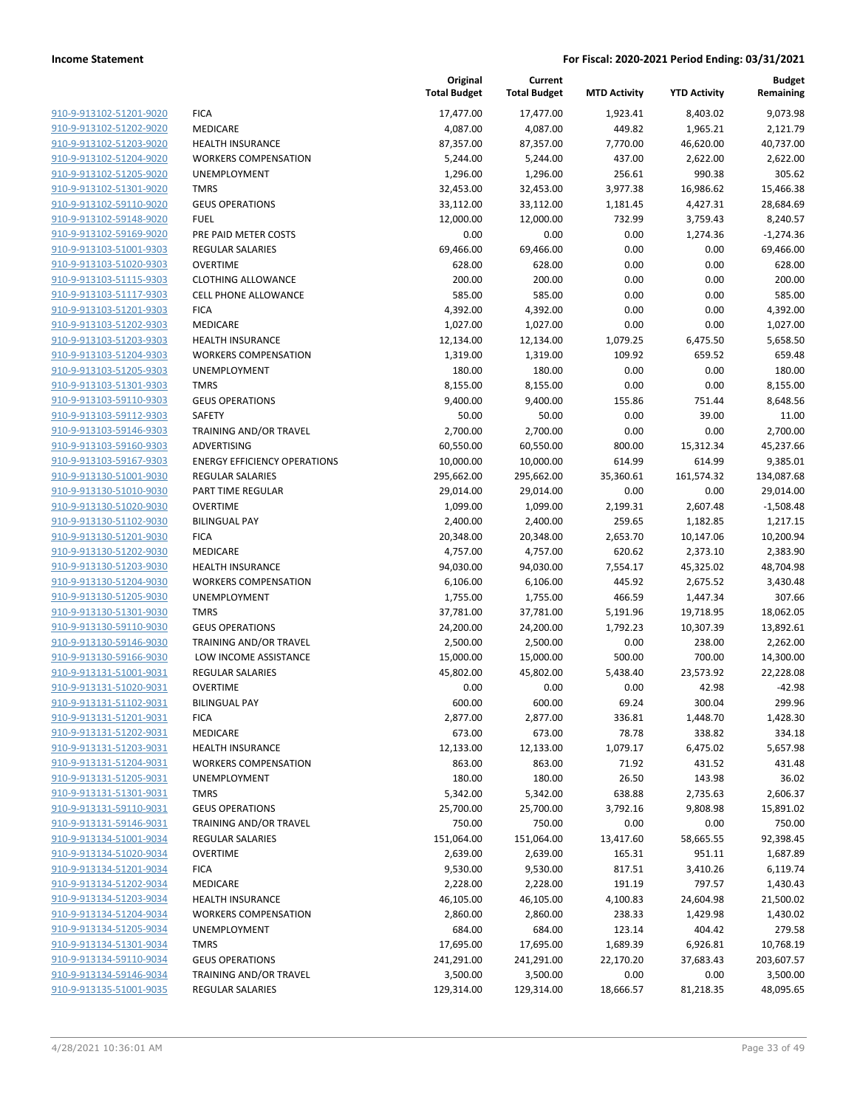|                                                    |                                     | Original<br><b>Total Budget</b> | Current<br><b>Total Budget</b> | <b>MTD Activity</b> | <b>YTD Activity</b>  | <b>Budget</b><br>Remaining |
|----------------------------------------------------|-------------------------------------|---------------------------------|--------------------------------|---------------------|----------------------|----------------------------|
| 910-9-913102-51201-9020                            | <b>FICA</b>                         | 17,477.00                       | 17,477.00                      | 1,923.41            | 8,403.02             | 9,073.98                   |
| 910-9-913102-51202-9020                            | MEDICARE                            | 4,087.00                        | 4,087.00                       | 449.82              | 1,965.21             | 2,121.79                   |
| 910-9-913102-51203-9020                            | <b>HEALTH INSURANCE</b>             | 87,357.00                       | 87,357.00                      | 7,770.00            | 46,620.00            | 40,737.00                  |
| 910-9-913102-51204-9020                            | <b>WORKERS COMPENSATION</b>         | 5,244.00                        | 5,244.00                       | 437.00              | 2,622.00             | 2,622.00                   |
| 910-9-913102-51205-9020                            | <b>UNEMPLOYMENT</b>                 | 1,296.00                        | 1,296.00                       | 256.61              | 990.38               | 305.62                     |
| 910-9-913102-51301-9020                            | <b>TMRS</b>                         | 32,453.00                       | 32,453.00                      | 3,977.38            | 16,986.62            | 15,466.38                  |
| 910-9-913102-59110-9020                            | <b>GEUS OPERATIONS</b>              | 33,112.00                       | 33,112.00                      | 1,181.45            | 4,427.31             | 28,684.69                  |
| 910-9-913102-59148-9020                            | <b>FUEL</b>                         | 12,000.00                       | 12,000.00                      | 732.99              | 3,759.43             | 8,240.57                   |
| 910-9-913102-59169-9020                            | PRE PAID METER COSTS                | 0.00                            | 0.00                           | 0.00                | 1,274.36             | $-1,274.36$                |
| 910-9-913103-51001-9303                            | <b>REGULAR SALARIES</b>             | 69,466.00                       | 69,466.00                      | 0.00                | 0.00                 | 69,466.00                  |
| 910-9-913103-51020-9303                            | <b>OVERTIME</b>                     | 628.00                          | 628.00                         | 0.00                | 0.00                 | 628.00                     |
| 910-9-913103-51115-9303                            | <b>CLOTHING ALLOWANCE</b>           | 200.00                          | 200.00                         | 0.00                | 0.00                 | 200.00                     |
| 910-9-913103-51117-9303                            | <b>CELL PHONE ALLOWANCE</b>         | 585.00                          | 585.00                         | 0.00                | 0.00                 | 585.00                     |
| 910-9-913103-51201-9303                            | <b>FICA</b>                         | 4,392.00                        | 4,392.00                       | 0.00                | 0.00                 | 4,392.00                   |
| 910-9-913103-51202-9303                            | MEDICARE                            | 1,027.00                        | 1,027.00                       | 0.00                | 0.00                 | 1,027.00                   |
| 910-9-913103-51203-9303                            | HEALTH INSURANCE                    | 12,134.00                       | 12,134.00                      | 1,079.25            | 6,475.50             | 5,658.50                   |
| 910-9-913103-51204-9303                            | <b>WORKERS COMPENSATION</b>         | 1,319.00                        | 1,319.00                       | 109.92              | 659.52               | 659.48                     |
| 910-9-913103-51205-9303                            | <b>UNEMPLOYMENT</b>                 | 180.00                          | 180.00                         | 0.00                | 0.00                 | 180.00                     |
| 910-9-913103-51301-9303                            | <b>TMRS</b>                         | 8,155.00                        | 8,155.00                       | 0.00                | 0.00                 | 8,155.00                   |
| 910-9-913103-59110-9303                            | <b>GEUS OPERATIONS</b>              | 9,400.00                        | 9,400.00                       | 155.86              | 751.44               | 8,648.56                   |
| 910-9-913103-59112-9303                            | <b>SAFETY</b>                       | 50.00                           | 50.00                          | 0.00                | 39.00                | 11.00                      |
| 910-9-913103-59146-9303                            | <b>TRAINING AND/OR TRAVEL</b>       | 2,700.00                        | 2,700.00                       | 0.00                | 0.00                 | 2,700.00                   |
| 910-9-913103-59160-9303                            | ADVERTISING                         | 60,550.00                       | 60,550.00                      | 800.00              | 15,312.34            | 45,237.66                  |
| 910-9-913103-59167-9303                            | <b>ENERGY EFFICIENCY OPERATIONS</b> | 10,000.00                       | 10,000.00                      | 614.99              | 614.99               | 9,385.01                   |
| 910-9-913130-51001-9030                            | <b>REGULAR SALARIES</b>             | 295,662.00                      | 295,662.00                     | 35,360.61           | 161,574.32           | 134,087.68                 |
| 910-9-913130-51010-9030                            | PART TIME REGULAR                   | 29,014.00                       | 29,014.00                      | 0.00                | 0.00                 | 29,014.00                  |
| 910-9-913130-51020-9030                            | <b>OVERTIME</b>                     | 1,099.00                        | 1,099.00                       | 2,199.31            | 2,607.48             | $-1,508.48$                |
| 910-9-913130-51102-9030                            | <b>BILINGUAL PAY</b>                | 2,400.00                        | 2,400.00                       | 259.65              | 1,182.85             | 1,217.15                   |
| 910-9-913130-51201-9030                            | <b>FICA</b>                         | 20,348.00                       | 20,348.00                      | 2,653.70            | 10,147.06            | 10,200.94                  |
| 910-9-913130-51202-9030                            | MEDICARE                            | 4,757.00                        | 4,757.00                       | 620.62              | 2,373.10             | 2,383.90                   |
| 910-9-913130-51203-9030                            | <b>HEALTH INSURANCE</b>             | 94,030.00                       | 94,030.00                      | 7,554.17            | 45,325.02            | 48,704.98                  |
| 910-9-913130-51204-9030                            | <b>WORKERS COMPENSATION</b>         | 6,106.00                        | 6,106.00                       | 445.92              | 2,675.52             | 3,430.48                   |
| 910-9-913130-51205-9030                            | <b>UNEMPLOYMENT</b>                 | 1,755.00                        | 1,755.00                       | 466.59              | 1,447.34             | 307.66                     |
| 910-9-913130-51301-9030                            | <b>TMRS</b>                         | 37,781.00                       | 37,781.00                      | 5,191.96            | 19,718.95            | 18,062.05                  |
| 910-9-913130-59110-9030                            | <b>GEUS OPERATIONS</b>              | 24,200.00                       | 24,200.00                      | 1,792.23            | 10,307.39            | 13,892.61                  |
| 910-9-913130-59146-9030                            | TRAINING AND/OR TRAVEL              | 2,500.00                        | 2,500.00                       | 0.00                | 238.00               | 2,262.00                   |
| 910-9-913130-59166-9030                            | LOW INCOME ASSISTANCE               | 15,000.00                       | 15,000.00                      | 500.00              | 700.00               | 14,300.00                  |
| 910-9-913131-51001-9031                            | <b>REGULAR SALARIES</b>             | 45,802.00                       | 45,802.00                      | 5,438.40            | 23,573.92            | 22,228.08                  |
| 910-9-913131-51020-9031                            | <b>OVERTIME</b>                     | 0.00                            | 0.00                           | 0.00                | 42.98                | $-42.98$                   |
| 910-9-913131-51102-9031                            | <b>BILINGUAL PAY</b>                | 600.00                          | 600.00                         | 69.24               | 300.04               | 299.96                     |
| 910-9-913131-51201-9031                            | <b>FICA</b>                         | 2,877.00                        | 2,877.00                       | 336.81              | 1,448.70             | 1,428.30                   |
| 910-9-913131-51202-9031                            | MEDICARE                            | 673.00                          | 673.00                         | 78.78               | 338.82               | 334.18                     |
| 910-9-913131-51203-9031<br>910-9-913131-51204-9031 | <b>HEALTH INSURANCE</b>             | 12,133.00                       | 12,133.00                      | 1,079.17            | 6,475.02             | 5,657.98                   |
|                                                    | <b>WORKERS COMPENSATION</b>         | 863.00                          | 863.00                         | 71.92               | 431.52               | 431.48                     |
| 910-9-913131-51205-9031<br>910-9-913131-51301-9031 | <b>UNEMPLOYMENT</b><br><b>TMRS</b>  | 180.00                          | 180.00                         | 26.50<br>638.88     | 143.98               | 36.02                      |
| 910-9-913131-59110-9031                            | <b>GEUS OPERATIONS</b>              | 5,342.00<br>25,700.00           | 5,342.00<br>25,700.00          | 3,792.16            | 2,735.63<br>9,808.98 | 2,606.37<br>15,891.02      |
| 910-9-913131-59146-9031                            | <b>TRAINING AND/OR TRAVEL</b>       |                                 |                                |                     |                      | 750.00                     |
| 910-9-913134-51001-9034                            | <b>REGULAR SALARIES</b>             | 750.00                          | 750.00                         | 0.00                | 0.00                 | 92,398.45                  |
| 910-9-913134-51020-9034                            | <b>OVERTIME</b>                     | 151,064.00<br>2,639.00          | 151,064.00<br>2,639.00         | 13,417.60<br>165.31 | 58,665.55<br>951.11  | 1,687.89                   |
| 910-9-913134-51201-9034                            | <b>FICA</b>                         | 9,530.00                        | 9,530.00                       | 817.51              | 3,410.26             | 6,119.74                   |
| 910-9-913134-51202-9034                            | MEDICARE                            | 2,228.00                        |                                | 191.19              | 797.57               |                            |
| 910-9-913134-51203-9034                            | <b>HEALTH INSURANCE</b>             | 46,105.00                       | 2,228.00<br>46,105.00          | 4,100.83            | 24,604.98            | 1,430.43<br>21,500.02      |
| 910-9-913134-51204-9034                            | <b>WORKERS COMPENSATION</b>         | 2,860.00                        | 2,860.00                       | 238.33              | 1,429.98             | 1,430.02                   |
| 910-9-913134-51205-9034                            | UNEMPLOYMENT                        | 684.00                          | 684.00                         | 123.14              | 404.42               | 279.58                     |
| 910-9-913134-51301-9034                            | <b>TMRS</b>                         | 17,695.00                       | 17,695.00                      | 1,689.39            | 6,926.81             | 10,768.19                  |
| 910-9-913134-59110-9034                            | <b>GEUS OPERATIONS</b>              | 241,291.00                      | 241,291.00                     | 22,170.20           | 37,683.43            | 203,607.57                 |
| 910-9-913134-59146-9034                            | TRAINING AND/OR TRAVEL              | 3,500.00                        | 3,500.00                       | 0.00                | 0.00                 | 3,500.00                   |
| 910-9-913135-51001-9035                            | <b>REGULAR SALARIES</b>             | 129,314.00                      | 129,314.00                     | 18,666.57           | 81,218.35            | 48,095.65                  |
|                                                    |                                     |                                 |                                |                     |                      |                            |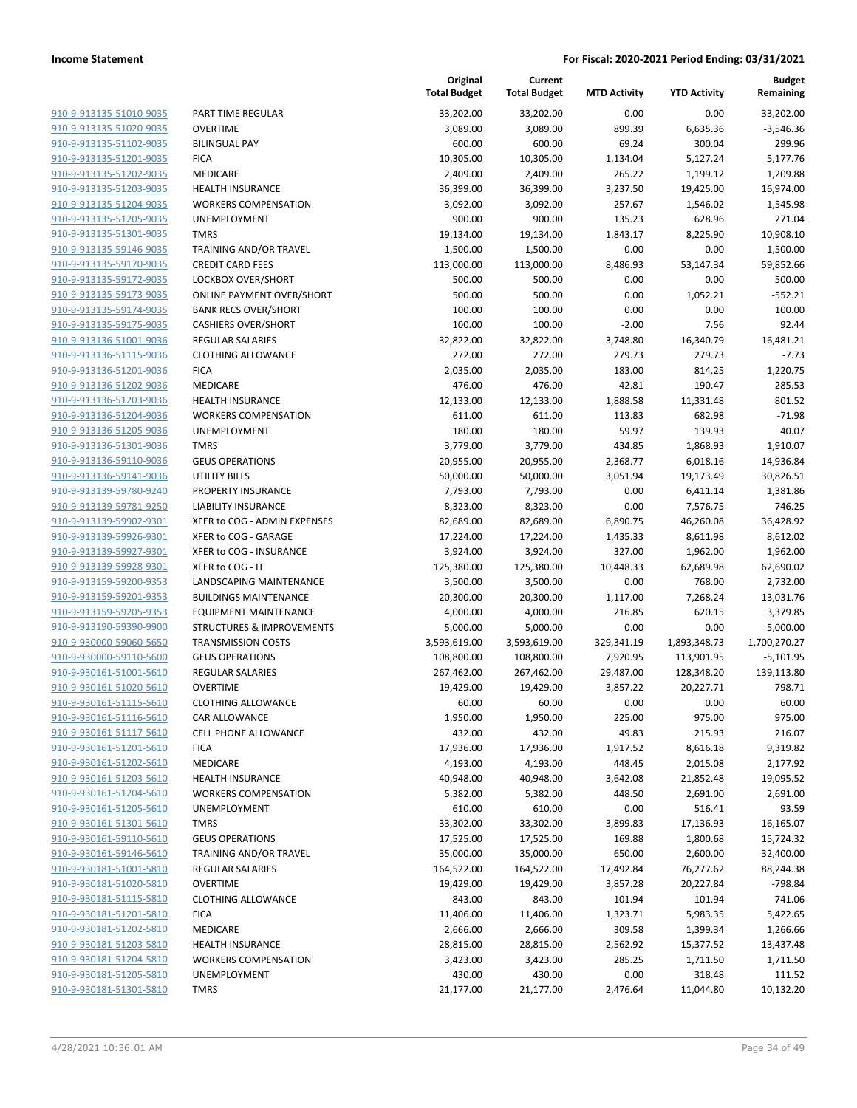| 910-9-913135-51010-9035        | <b>PART TII</b> |
|--------------------------------|-----------------|
| 910-9-913135-51020-9035        | <b>OVERTII</b>  |
| 910-9-913135-51102-9035        | <b>BILINGU</b>  |
| 910-9-913135-51201-9035        | <b>FICA</b>     |
| 910-9-913135-51202-9035        | <b>MEDICA</b>   |
| 910-9-913135-51203-9035        | <b>HEALTH</b>   |
| 910-9-913135-51204-9035        | <b>WORKEI</b>   |
| 910-9-913135-51205-9035        | <b>UNEMP</b>    |
| 910-9-913135-51301-9035        | TMRS            |
| 910-9-913135-59146-9035        | <b>TRAININ</b>  |
| 910-9-913135-59170-9035        | <b>CREDIT</b>   |
| 910-9-913135-59172-9035        | LOCKBO          |
| 910-9-913135-59173-9035        | ONLINE          |
| 910-9-913135-59174-9035        | <b>BANK RI</b>  |
| 910-9-913135-59175-9035        | <b>CASHIEF</b>  |
| 910-9-913136-51001-9036        | REGULA          |
| 910-9-913136-51115-9036        | <b>CLOTHII</b>  |
| 910-9-913136-51201-9036        | <b>FICA</b>     |
| 910-9-913136-51202-9036        | <b>MEDICA</b>   |
| 910-9-913136-51203-9036        | <b>HEALTH</b>   |
| 910-9-913136-51204-9036        | <b>WORKEI</b>   |
| 910-9-913136-51205-9036        | <b>UNEMP</b>    |
| 910-9-913136-51301-9036        | TMRS            |
| 910-9-913136-59110-9036        | <b>GEUS OI</b>  |
| 910-9-913136-59141-9036        | <b>UTILITY</b>  |
| 910-9-913139-59780-9240        | <b>PROPER</b>   |
| 910-9-913139-59781-9250        | LIABILIT        |
| 910-9-913139-59902-9301        | XFER to         |
| 910-9-913139-59926-9301        | XFER to         |
| 910-9-913139-59927-9301        | XFER to         |
| 910-9-913139-59928-9301        | XFER to         |
| 910-9-913159-59200-9353        | LANDSC          |
| 910-9-913159-59201-9353        | <b>BUILDIN</b>  |
| 910-9-913159-59205-9353        | <b>EQUIPM</b>   |
| 910-9-913190-59390-9900        | <b>STRUCT</b>   |
| 910-9-930000-59060-5650        | TRANSN          |
| 910-9-930000-59110-5600        | <b>GEUS OI</b>  |
| 910-9-930161-51001-5610        | REGULA          |
| 910-9-930161-51020-5610        | <b>OVERTII</b>  |
| 910-9-930161-51115-5610        | <b>CLOTHII</b>  |
| 910-9-930161-51116-5610        | CAR ALL         |
| 910-9-930161-51117-5610        | CELL PH         |
| 910-9-930161-51201-5610        | <b>FICA</b>     |
| 910-9-930161-51202-5610        | <b>MEDICA</b>   |
| 910-9-930161-51203-5610        | <b>HEALTH</b>   |
| 910-9-930161-51204-5610        | <b>WORKEI</b>   |
| 910-9-930161-51205-5610        | <b>UNEMP</b>    |
| <u>910-9-930161-51301-5610</u> | TMRS            |
| 910-9-930161-59110-5610        | <b>GEUS OI</b>  |
| 910-9-930161-59146-5610        | <b>TRAININ</b>  |
| 910-9-930181-51001-5810        | REGULA          |
| 910-9-930181-51020-5810        | OVERTII         |
| 910-9-930181-51115-5810        | <b>CLOTHII</b>  |
| 910-9-930181-51201-5810        | <b>FICA</b>     |
| 910-9-930181-51202-5810        | <b>MEDICA</b>   |
| 910-9-930181-51203-5810        | <b>HEALTH</b>   |
| <u>910-9-930181-51204-5810</u> | <b>WORKEI</b>   |
| 910-9-930181-51205-5810        | <b>UNEMP</b>    |
| 910-9-930181-51301-5810        | <b>TMRS</b>     |
|                                |                 |

|                                                    |                                             | Original<br><b>Total Budget</b> | Current<br><b>Total Budget</b> | <b>MTD Activity</b> | <b>YTD Activity</b>  | <b>Budget</b><br>Remaining |
|----------------------------------------------------|---------------------------------------------|---------------------------------|--------------------------------|---------------------|----------------------|----------------------------|
| 910-9-913135-51010-9035                            | PART TIME REGULAR                           | 33,202.00                       | 33,202.00                      | 0.00                | 0.00                 | 33,202.00                  |
| 910-9-913135-51020-9035                            | <b>OVERTIME</b>                             | 3,089.00                        | 3,089.00                       | 899.39              | 6,635.36             | $-3,546.36$                |
| 910-9-913135-51102-9035                            | <b>BILINGUAL PAY</b>                        | 600.00                          | 600.00                         | 69.24               | 300.04               | 299.96                     |
| 910-9-913135-51201-9035                            | <b>FICA</b>                                 | 10,305.00                       | 10,305.00                      | 1,134.04            | 5,127.24             | 5,177.76                   |
| 910-9-913135-51202-9035                            | <b>MEDICARE</b>                             | 2,409.00                        | 2,409.00                       | 265.22              | 1,199.12             | 1,209.88                   |
| 910-9-913135-51203-9035                            | <b>HEALTH INSURANCE</b>                     | 36,399.00                       | 36,399.00                      | 3,237.50            | 19,425.00            | 16,974.00                  |
| 910-9-913135-51204-9035                            | <b>WORKERS COMPENSATION</b>                 | 3,092.00                        | 3,092.00                       | 257.67              | 1,546.02             | 1,545.98                   |
| 910-9-913135-51205-9035                            | <b>UNEMPLOYMENT</b>                         | 900.00                          | 900.00                         | 135.23              | 628.96               | 271.04                     |
| 910-9-913135-51301-9035                            | <b>TMRS</b>                                 | 19,134.00                       | 19,134.00                      | 1,843.17            | 8,225.90             | 10,908.10                  |
| 910-9-913135-59146-9035                            | TRAINING AND/OR TRAVEL                      | 1,500.00                        | 1,500.00                       | 0.00                | 0.00                 | 1,500.00                   |
| 910-9-913135-59170-9035                            | <b>CREDIT CARD FEES</b>                     | 113,000.00                      | 113,000.00                     | 8,486.93            | 53,147.34            | 59,852.66                  |
| 910-9-913135-59172-9035                            | LOCKBOX OVER/SHORT                          | 500.00                          | 500.00                         | 0.00                | 0.00                 | 500.00                     |
| 910-9-913135-59173-9035                            | <b>ONLINE PAYMENT OVER/SHORT</b>            | 500.00                          | 500.00                         | 0.00                | 1,052.21             | $-552.21$                  |
| 910-9-913135-59174-9035                            | <b>BANK RECS OVER/SHORT</b>                 | 100.00                          | 100.00                         | 0.00                | 0.00                 | 100.00                     |
| 910-9-913135-59175-9035                            | <b>CASHIERS OVER/SHORT</b>                  | 100.00                          | 100.00                         | $-2.00$             | 7.56                 | 92.44                      |
| 910-9-913136-51001-9036                            | <b>REGULAR SALARIES</b>                     | 32,822.00                       | 32,822.00                      | 3,748.80            | 16,340.79            | 16,481.21                  |
| 910-9-913136-51115-9036                            | <b>CLOTHING ALLOWANCE</b>                   | 272.00                          | 272.00                         | 279.73              | 279.73               | $-7.73$                    |
| 910-9-913136-51201-9036                            | <b>FICA</b>                                 | 2,035.00                        | 2,035.00                       | 183.00              | 814.25               | 1,220.75                   |
| 910-9-913136-51202-9036                            | <b>MEDICARE</b>                             | 476.00                          | 476.00                         | 42.81               | 190.47               | 285.53                     |
| 910-9-913136-51203-9036                            | <b>HEALTH INSURANCE</b>                     | 12,133.00                       | 12,133.00                      | 1,888.58            | 11,331.48            | 801.52                     |
| 910-9-913136-51204-9036<br>910-9-913136-51205-9036 | <b>WORKERS COMPENSATION</b><br>UNEMPLOYMENT | 611.00                          | 611.00                         | 113.83<br>59.97     | 682.98<br>139.93     | $-71.98$                   |
| 910-9-913136-51301-9036                            | <b>TMRS</b>                                 | 180.00<br>3,779.00              | 180.00<br>3,779.00             | 434.85              | 1,868.93             | 40.07<br>1,910.07          |
| 910-9-913136-59110-9036                            | <b>GEUS OPERATIONS</b>                      | 20,955.00                       | 20,955.00                      | 2,368.77            | 6,018.16             | 14,936.84                  |
| 910-9-913136-59141-9036                            | <b>UTILITY BILLS</b>                        | 50,000.00                       | 50,000.00                      | 3,051.94            | 19,173.49            | 30,826.51                  |
| 910-9-913139-59780-9240                            | PROPERTY INSURANCE                          | 7,793.00                        | 7,793.00                       | 0.00                | 6,411.14             | 1,381.86                   |
| 910-9-913139-59781-9250                            | LIABILITY INSURANCE                         | 8,323.00                        | 8,323.00                       | 0.00                | 7,576.75             | 746.25                     |
| 910-9-913139-59902-9301                            | XFER to COG - ADMIN EXPENSES                | 82,689.00                       | 82,689.00                      | 6,890.75            | 46,260.08            | 36,428.92                  |
| 910-9-913139-59926-9301                            | XFER to COG - GARAGE                        | 17,224.00                       | 17,224.00                      | 1,435.33            | 8,611.98             | 8,612.02                   |
| 910-9-913139-59927-9301                            | XFER to COG - INSURANCE                     | 3,924.00                        | 3,924.00                       | 327.00              | 1,962.00             | 1,962.00                   |
| 910-9-913139-59928-9301                            | XFER to COG - IT                            | 125,380.00                      | 125,380.00                     | 10,448.33           | 62,689.98            | 62,690.02                  |
| 910-9-913159-59200-9353                            | LANDSCAPING MAINTENANCE                     | 3,500.00                        | 3,500.00                       | 0.00                | 768.00               | 2,732.00                   |
| 910-9-913159-59201-9353                            | <b>BUILDINGS MAINTENANCE</b>                | 20,300.00                       | 20,300.00                      | 1,117.00            | 7,268.24             | 13,031.76                  |
| 910-9-913159-59205-9353                            | <b>EQUIPMENT MAINTENANCE</b>                | 4,000.00                        | 4,000.00                       | 216.85              | 620.15               | 3,379.85                   |
| 910-9-913190-59390-9900                            | STRUCTURES & IMPROVEMENTS                   | 5,000.00                        | 5,000.00                       | 0.00                | 0.00                 | 5,000.00                   |
| 910-9-930000-59060-5650                            | <b>TRANSMISSION COSTS</b>                   | 3,593,619.00                    | 3,593,619.00                   | 329,341.19          | 1,893,348.73         | 1,700,270.27               |
| 910-9-930000-59110-5600                            | <b>GEUS OPERATIONS</b>                      | 108,800.00                      | 108,800.00                     | 7,920.95            | 113,901.95           | $-5,101.95$                |
| 910-9-930161-51001-5610                            | <b>REGULAR SALARIES</b>                     | 267,462.00                      | 267,462.00                     | 29,487.00           | 128,348.20           | 139,113.80                 |
| 910-9-930161-51020-5610                            | <b>OVERTIME</b>                             | 19,429.00                       | 19,429.00                      | 3,857.22            | 20,227.71            | $-798.71$                  |
| 910-9-930161-51115-5610                            | <b>CLOTHING ALLOWANCE</b>                   | 60.00                           | 60.00                          | 0.00                | 0.00                 | 60.00                      |
| 910-9-930161-51116-5610                            | <b>CAR ALLOWANCE</b>                        | 1,950.00                        | 1,950.00                       | 225.00              | 975.00               | 975.00                     |
| 910-9-930161-51117-5610                            | CELL PHONE ALLOWANCE                        | 432.00                          | 432.00                         | 49.83               | 215.93               | 216.07                     |
| 910-9-930161-51201-5610                            | <b>FICA</b>                                 | 17,936.00                       | 17,936.00                      | 1,917.52            | 8,616.18             | 9,319.82                   |
| 910-9-930161-51202-5610                            | <b>MEDICARE</b>                             | 4,193.00                        | 4,193.00                       | 448.45              | 2,015.08             | 2,177.92                   |
| 910-9-930161-51203-5610                            | <b>HEALTH INSURANCE</b>                     | 40,948.00                       | 40,948.00                      | 3,642.08            | 21,852.48            | 19,095.52                  |
| 910-9-930161-51204-5610                            | <b>WORKERS COMPENSATION</b>                 | 5,382.00                        | 5,382.00                       | 448.50              | 2,691.00             | 2,691.00                   |
| 910-9-930161-51205-5610                            | UNEMPLOYMENT                                | 610.00                          | 610.00                         | 0.00                | 516.41               | 93.59                      |
| 910-9-930161-51301-5610                            | <b>TMRS</b>                                 | 33,302.00                       | 33,302.00                      | 3,899.83            | 17,136.93            | 16,165.07                  |
| 910-9-930161-59110-5610                            | <b>GEUS OPERATIONS</b>                      | 17,525.00                       | 17,525.00                      | 169.88              | 1,800.68             | 15,724.32                  |
| 910-9-930161-59146-5610                            | TRAINING AND/OR TRAVEL                      | 35,000.00                       | 35,000.00                      | 650.00              | 2,600.00             | 32,400.00                  |
| 910-9-930181-51001-5810                            | REGULAR SALARIES                            | 164,522.00                      | 164,522.00                     | 17,492.84           | 76,277.62            | 88,244.38<br>$-798.84$     |
| 910-9-930181-51020-5810                            | <b>OVERTIME</b>                             | 19,429.00                       | 19,429.00                      | 3,857.28            | 20,227.84            |                            |
| 910-9-930181-51115-5810<br>910-9-930181-51201-5810 | <b>CLOTHING ALLOWANCE</b>                   | 843.00                          | 843.00                         | 101.94              | 101.94               | 741.06                     |
| 910-9-930181-51202-5810                            | <b>FICA</b><br>MEDICARE                     | 11,406.00<br>2,666.00           | 11,406.00<br>2,666.00          | 1,323.71<br>309.58  | 5,983.35<br>1,399.34 | 5,422.65<br>1,266.66       |
| 910-9-930181-51203-5810                            | <b>HEALTH INSURANCE</b>                     | 28,815.00                       | 28,815.00                      | 2,562.92            | 15,377.52            | 13,437.48                  |
| 910-9-930181-51204-5810                            | <b>WORKERS COMPENSATION</b>                 | 3,423.00                        | 3,423.00                       | 285.25              | 1,711.50             | 1,711.50                   |
| 910-9-930181-51205-5810                            | UNEMPLOYMENT                                | 430.00                          | 430.00                         | 0.00                | 318.48               | 111.52                     |
| 910-9-930181-51301-5810                            | <b>TMRS</b>                                 | 21,177.00                       | 21,177.00                      | 2,476.64            | 11,044.80            | 10,132.20                  |
|                                                    |                                             |                                 |                                |                     |                      |                            |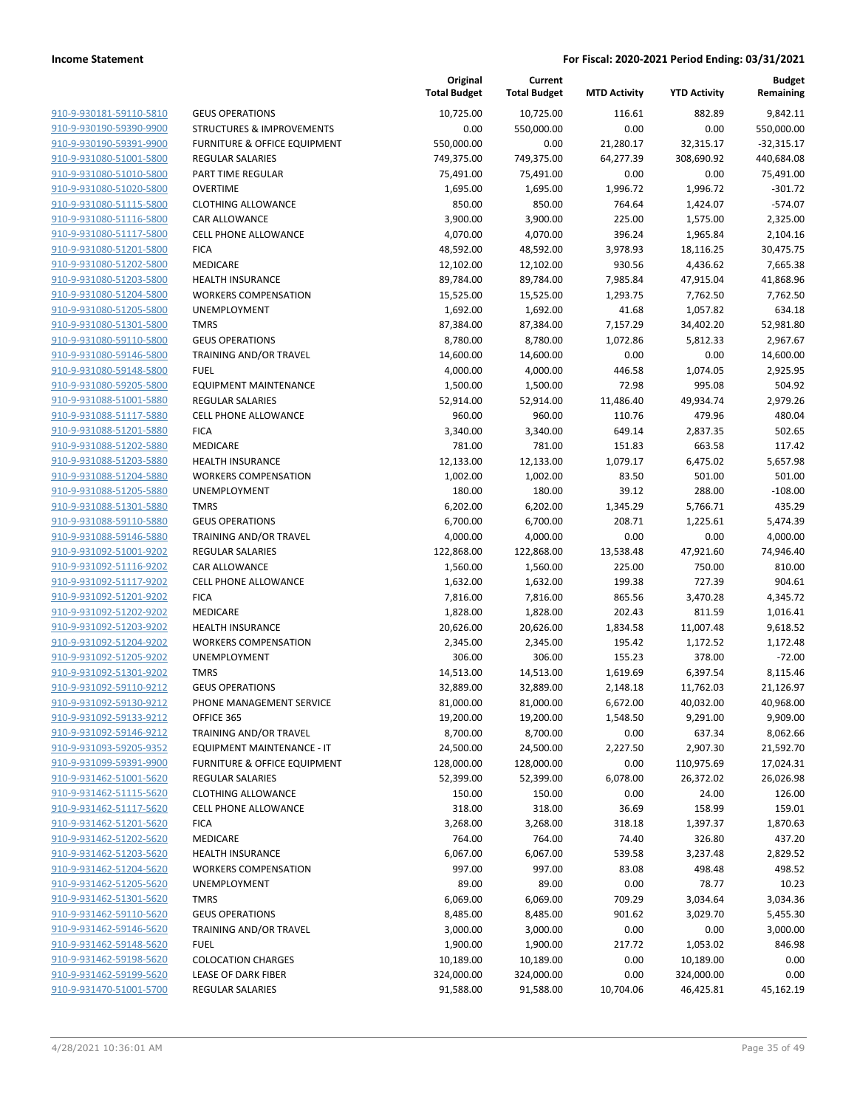|                         |                                         | Original<br><b>Total Budget</b> | Current<br><b>Total Budget</b> | <b>MTD Activity</b> | <b>YTD Activity</b> | Budget<br>Remaining |
|-------------------------|-----------------------------------------|---------------------------------|--------------------------------|---------------------|---------------------|---------------------|
| 910-9-930181-59110-5810 | <b>GEUS OPERATIONS</b>                  | 10,725.00                       | 10,725.00                      | 116.61              | 882.89              | 9,842.11            |
| 910-9-930190-59390-9900 | <b>STRUCTURES &amp; IMPROVEMENTS</b>    | 0.00                            | 550,000.00                     | 0.00                | 0.00                | 550,000.00          |
| 910-9-930190-59391-9900 | <b>FURNITURE &amp; OFFICE EQUIPMENT</b> | 550,000.00                      | 0.00                           | 21,280.17           | 32,315.17           | $-32,315.17$        |
| 910-9-931080-51001-5800 | <b>REGULAR SALARIES</b>                 | 749,375.00                      | 749,375.00                     | 64,277.39           | 308,690.92          | 440,684.08          |
| 910-9-931080-51010-5800 | PART TIME REGULAR                       | 75,491.00                       | 75,491.00                      | 0.00                | 0.00                | 75,491.00           |
| 910-9-931080-51020-5800 | <b>OVERTIME</b>                         | 1,695.00                        | 1,695.00                       | 1,996.72            | 1,996.72            | $-301.72$           |
| 910-9-931080-51115-5800 | <b>CLOTHING ALLOWANCE</b>               | 850.00                          | 850.00                         | 764.64              | 1,424.07            | $-574.07$           |
| 910-9-931080-51116-5800 | CAR ALLOWANCE                           | 3,900.00                        | 3,900.00                       | 225.00              | 1,575.00            | 2,325.00            |
| 910-9-931080-51117-5800 | <b>CELL PHONE ALLOWANCE</b>             | 4,070.00                        | 4,070.00                       | 396.24              | 1,965.84            | 2,104.16            |
| 910-9-931080-51201-5800 | <b>FICA</b>                             | 48,592.00                       | 48,592.00                      | 3,978.93            | 18,116.25           | 30,475.75           |
| 910-9-931080-51202-5800 | MEDICARE                                | 12,102.00                       | 12,102.00                      | 930.56              | 4,436.62            | 7,665.38            |
| 910-9-931080-51203-5800 | <b>HEALTH INSURANCE</b>                 | 89,784.00                       | 89,784.00                      | 7,985.84            | 47,915.04           | 41,868.96           |
| 910-9-931080-51204-5800 | <b>WORKERS COMPENSATION</b>             | 15,525.00                       | 15,525.00                      | 1,293.75            | 7,762.50            | 7,762.50            |
| 910-9-931080-51205-5800 | <b>UNEMPLOYMENT</b>                     | 1,692.00                        | 1,692.00                       | 41.68               | 1,057.82            | 634.18              |
| 910-9-931080-51301-5800 | <b>TMRS</b>                             | 87,384.00                       | 87,384.00                      | 7,157.29            | 34,402.20           | 52,981.80           |
| 910-9-931080-59110-5800 | <b>GEUS OPERATIONS</b>                  | 8,780.00                        | 8,780.00                       | 1,072.86            | 5,812.33            | 2,967.67            |
| 910-9-931080-59146-5800 | TRAINING AND/OR TRAVEL                  | 14,600.00                       | 14,600.00                      | 0.00                | 0.00                | 14,600.00           |
| 910-9-931080-59148-5800 | <b>FUEL</b>                             | 4,000.00                        | 4,000.00                       | 446.58              | 1,074.05            | 2,925.95            |
| 910-9-931080-59205-5800 | <b>EQUIPMENT MAINTENANCE</b>            | 1,500.00                        | 1,500.00                       | 72.98               | 995.08              | 504.92              |
| 910-9-931088-51001-5880 | <b>REGULAR SALARIES</b>                 | 52,914.00                       | 52,914.00                      | 11,486.40           | 49,934.74           | 2,979.26            |
| 910-9-931088-51117-5880 | CELL PHONE ALLOWANCE                    | 960.00                          | 960.00                         | 110.76              | 479.96              | 480.04              |
| 910-9-931088-51201-5880 | <b>FICA</b>                             | 3,340.00                        | 3,340.00                       | 649.14              | 2,837.35            | 502.65              |
| 910-9-931088-51202-5880 | <b>MEDICARE</b>                         | 781.00                          | 781.00                         | 151.83              | 663.58              | 117.42              |
| 910-9-931088-51203-5880 | <b>HEALTH INSURANCE</b>                 | 12,133.00                       | 12,133.00                      | 1,079.17            | 6,475.02            | 5,657.98            |
| 910-9-931088-51204-5880 | <b>WORKERS COMPENSATION</b>             | 1,002.00                        | 1,002.00                       | 83.50               | 501.00              | 501.00              |
| 910-9-931088-51205-5880 | UNEMPLOYMENT                            | 180.00                          | 180.00                         | 39.12               | 288.00              | $-108.00$           |
| 910-9-931088-51301-5880 | <b>TMRS</b>                             | 6,202.00                        | 6,202.00                       | 1,345.29            | 5,766.71            | 435.29              |
| 910-9-931088-59110-5880 | <b>GEUS OPERATIONS</b>                  | 6,700.00                        | 6,700.00                       | 208.71              | 1,225.61            | 5,474.39            |
| 910-9-931088-59146-5880 | TRAINING AND/OR TRAVEL                  | 4,000.00                        | 4,000.00                       | 0.00                | 0.00                | 4,000.00            |
| 910-9-931092-51001-9202 | <b>REGULAR SALARIES</b>                 | 122,868.00                      | 122,868.00                     | 13,538.48           | 47,921.60           | 74,946.40           |
| 910-9-931092-51116-9202 | CAR ALLOWANCE                           | 1,560.00                        | 1,560.00                       | 225.00              | 750.00              | 810.00              |
| 910-9-931092-51117-9202 | <b>CELL PHONE ALLOWANCE</b>             | 1,632.00                        | 1,632.00                       | 199.38              | 727.39              | 904.61              |
| 910-9-931092-51201-9202 | <b>FICA</b>                             | 7,816.00                        | 7,816.00                       | 865.56              | 3,470.28            | 4,345.72            |
| 910-9-931092-51202-9202 | MEDICARE                                | 1,828.00                        | 1,828.00                       | 202.43              | 811.59              | 1,016.41            |
| 910-9-931092-51203-9202 | <b>HEALTH INSURANCE</b>                 | 20,626.00                       | 20,626.00                      | 1,834.58            | 11,007.48           | 9,618.52            |
| 910-9-931092-51204-9202 | <b>WORKERS COMPENSATION</b>             | 2,345.00                        | 2,345.00                       | 195.42              | 1,172.52            | 1,172.48            |
| 910-9-931092-51205-9202 | UNEMPLOYMENT                            | 306.00                          | 306.00                         | 155.23              | 378.00              | $-72.00$            |
| 910-9-931092-51301-9202 | <b>TMRS</b>                             | 14,513.00                       | 14,513.00                      | 1,619.69            | 6,397.54            | 8,115.46            |
| 910-9-931092-59110-9212 | <b>GEUS OPERATIONS</b>                  | 32,889.00                       | 32,889.00                      | 2,148.18            | 11,762.03           | 21,126.97           |
| 910-9-931092-59130-9212 | PHONE MANAGEMENT SERVICE                | 81,000.00                       | 81,000.00                      | 6,672.00            | 40,032.00           | 40,968.00           |
| 910-9-931092-59133-9212 | OFFICE 365                              | 19,200.00                       | 19,200.00                      | 1,548.50            | 9,291.00            | 9,909.00            |
| 910-9-931092-59146-9212 | TRAINING AND/OR TRAVEL                  | 8,700.00                        | 8,700.00                       | 0.00                | 637.34              | 8,062.66            |
| 910-9-931093-59205-9352 | EQUIPMENT MAINTENANCE - IT              | 24,500.00                       | 24,500.00                      | 2,227.50            | 2,907.30            | 21,592.70           |
| 910-9-931099-59391-9900 | FURNITURE & OFFICE EQUIPMENT            | 128,000.00                      | 128,000.00                     | 0.00                | 110,975.69          | 17,024.31           |
| 910-9-931462-51001-5620 | REGULAR SALARIES                        | 52,399.00                       | 52,399.00                      | 6,078.00            | 26,372.02           | 26,026.98           |
| 910-9-931462-51115-5620 | <b>CLOTHING ALLOWANCE</b>               | 150.00                          | 150.00                         | 0.00                | 24.00               | 126.00              |
| 910-9-931462-51117-5620 | <b>CELL PHONE ALLOWANCE</b>             | 318.00                          | 318.00                         | 36.69               | 158.99              | 159.01              |
| 910-9-931462-51201-5620 | <b>FICA</b>                             | 3,268.00                        | 3,268.00                       | 318.18              | 1,397.37            | 1,870.63            |
| 910-9-931462-51202-5620 | MEDICARE                                | 764.00                          | 764.00                         | 74.40               | 326.80              | 437.20              |
| 910-9-931462-51203-5620 | <b>HEALTH INSURANCE</b>                 | 6,067.00                        | 6,067.00                       | 539.58              | 3,237.48            | 2,829.52            |
| 910-9-931462-51204-5620 | <b>WORKERS COMPENSATION</b>             | 997.00                          | 997.00                         | 83.08               | 498.48              | 498.52              |
| 910-9-931462-51205-5620 | <b>UNEMPLOYMENT</b>                     | 89.00                           | 89.00                          | 0.00                | 78.77               | 10.23               |
| 910-9-931462-51301-5620 | <b>TMRS</b>                             | 6,069.00                        | 6,069.00                       | 709.29              | 3,034.64            | 3,034.36            |
| 910-9-931462-59110-5620 | <b>GEUS OPERATIONS</b>                  | 8,485.00                        | 8,485.00                       | 901.62              | 3,029.70            | 5,455.30            |
| 910-9-931462-59146-5620 | TRAINING AND/OR TRAVEL                  | 3,000.00                        | 3,000.00                       | 0.00                | 0.00                | 3,000.00            |
| 910-9-931462-59148-5620 | <b>FUEL</b>                             | 1,900.00                        | 1,900.00                       | 217.72              | 1,053.02            | 846.98              |
| 910-9-931462-59198-5620 | <b>COLOCATION CHARGES</b>               | 10,189.00                       | 10,189.00                      | 0.00                | 10,189.00           | 0.00                |
| 910-9-931462-59199-5620 | LEASE OF DARK FIBER                     | 324,000.00                      | 324,000.00                     | 0.00                | 324,000.00          | 0.00                |
| 910-9-931470-51001-5700 | REGULAR SALARIES                        | 91,588.00                       | 91,588.00                      | 10,704.06           | 46,425.81           | 45,162.19           |
|                         |                                         |                                 |                                |                     |                     |                     |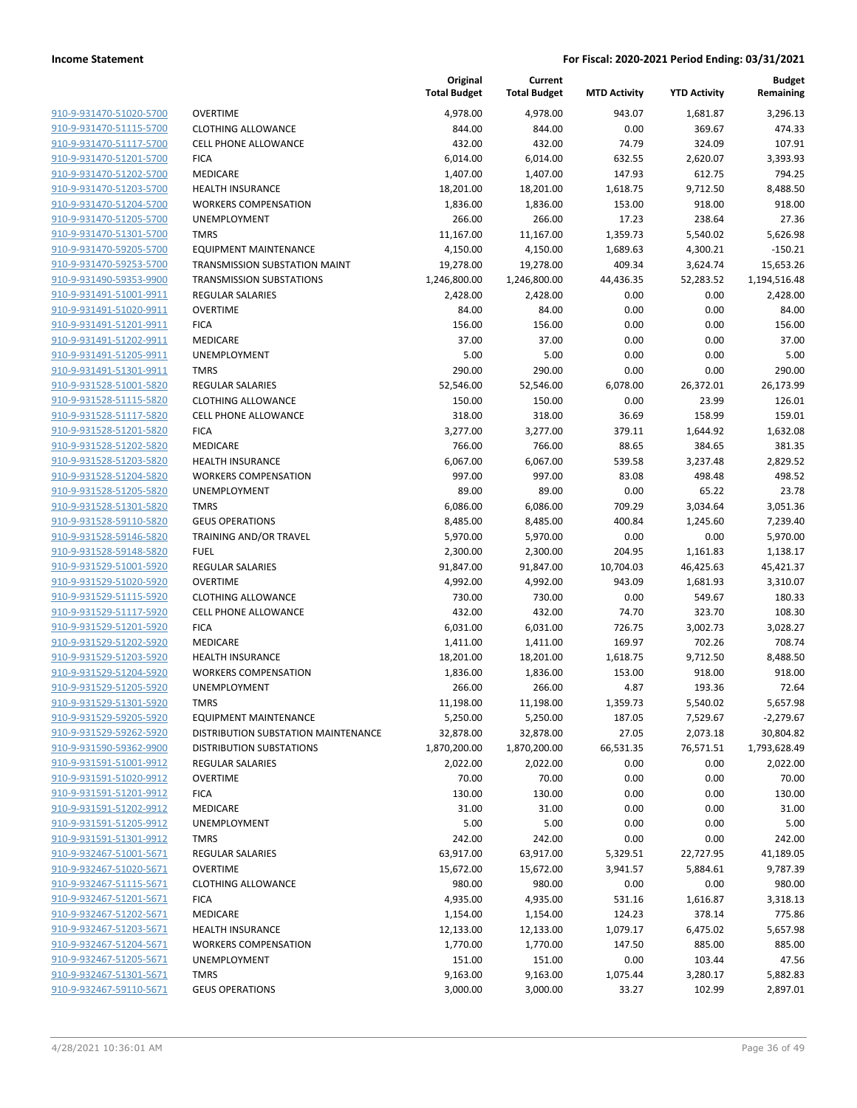| 910-9-931470-51020-5700        |
|--------------------------------|
| 910-9-931470-51115-5700        |
| 910-9-931470-51117-5700        |
| 910-9-931470-51201-5700        |
| 910-9-931470-51202-5700        |
|                                |
| 910-9-931470-51203-5700        |
| 910-9-931470-51204-5700        |
| 910-9-931470-51205-5700        |
| 910-9-931470-51301-5700        |
| 910-9-931470-59205-5700        |
| 910-9-931470-59253-5700        |
| 910-9-931490-59353-9900        |
| 910-9-931491-51001-9911        |
| <u>910-9-931491-51020-9911</u> |
| 910-9-931491-51201-9911        |
| 910-9-931491-51202-9911        |
|                                |
| 910-9-931491-51205-9911        |
| 910-9-931491-51301-9911        |
| 910-9-931528-51001-5820        |
| 910-9-931528-51115-5820        |
| 910-9-931528-51117-5820        |
| 910-9-931528-51201-5820        |
| 910-9-931528-51202-5820        |
| 910-9-931528-51203-5820        |
| 910-9-931528-51204-5820        |
| 910-9-931528-51205-5820        |
|                                |
| 910-9-931528-51301-5820        |
| <u>910-9-931528-59110-5820</u> |
| 910-9-931528-59146-5820        |
| 910-9-931528-59148-5820        |
| 910-9-931529-51001-5920        |
| 910-9-931529-51020-5920        |
| 910-9-931529-51115-5920        |
| 910-9-931529-51117-5920        |
| 910-9-931529-51201-5920        |
| 910-9-931529-51202-5920        |
| 910-9-931529-51203-5920        |
| <u>910-9-931529-51204-5920</u> |
|                                |
| 910-9-931529-51205-5920        |
| 910-9-931529-51301-5920        |
| 910-9-931529-59205-5920        |
| 910-9-931529-59262-5920        |
| <u>910-9-931590-59362-9900</u> |
| 910-9-931591-51001-9912        |
| 910-9-931591-51020-9912        |
| 910-9-931591-51201-9912        |
| 910-9-931591-51202-9912        |
| 910-9-931591-51205-9912        |
| <u>910-9-931591-51301-9912</u> |
| 910-9-932467-51001-5671        |
|                                |
| 910-9-932467-51020-5671        |
| 910-9-932467-51115-5671        |
| 910-9-932467-51201-5671        |
| 910-9-932467-51202-5671        |
| 910-9-932467-51203-5671        |
| 910-9-932467-51204-5671        |
| 910-9-932467-51205-5671        |
| 910-9-932467-51301-5671        |
| 910-9-932467-59110-5671        |
|                                |

|                         |                                      | Original<br><b>Total Budget</b> | Current<br><b>Total Budget</b> | <b>MTD Activity</b> | <b>YTD Activity</b> | <b>Budget</b><br>Remaining |
|-------------------------|--------------------------------------|---------------------------------|--------------------------------|---------------------|---------------------|----------------------------|
| 910-9-931470-51020-5700 | <b>OVERTIME</b>                      | 4,978.00                        | 4,978.00                       | 943.07              | 1,681.87            | 3,296.13                   |
| 910-9-931470-51115-5700 | <b>CLOTHING ALLOWANCE</b>            | 844.00                          | 844.00                         | 0.00                | 369.67              | 474.33                     |
| 910-9-931470-51117-5700 | <b>CELL PHONE ALLOWANCE</b>          | 432.00                          | 432.00                         | 74.79               | 324.09              | 107.91                     |
| 910-9-931470-51201-5700 | <b>FICA</b>                          | 6,014.00                        | 6,014.00                       | 632.55              | 2,620.07            | 3,393.93                   |
| 910-9-931470-51202-5700 | <b>MEDICARE</b>                      | 1,407.00                        | 1,407.00                       | 147.93              | 612.75              | 794.25                     |
| 910-9-931470-51203-5700 | <b>HEALTH INSURANCE</b>              | 18,201.00                       | 18,201.00                      | 1,618.75            | 9,712.50            | 8,488.50                   |
| 910-9-931470-51204-5700 | <b>WORKERS COMPENSATION</b>          | 1,836.00                        | 1,836.00                       | 153.00              | 918.00              | 918.00                     |
| 910-9-931470-51205-5700 | <b>UNEMPLOYMENT</b>                  | 266.00                          | 266.00                         | 17.23               | 238.64              | 27.36                      |
| 910-9-931470-51301-5700 | <b>TMRS</b>                          | 11,167.00                       | 11,167.00                      | 1,359.73            | 5,540.02            | 5,626.98                   |
| 910-9-931470-59205-5700 | <b>EQUIPMENT MAINTENANCE</b>         | 4,150.00                        | 4,150.00                       | 1,689.63            | 4,300.21            | $-150.21$                  |
| 910-9-931470-59253-5700 | <b>TRANSMISSION SUBSTATION MAINT</b> | 19,278.00                       | 19,278.00                      | 409.34              | 3,624.74            | 15,653.26                  |
| 910-9-931490-59353-9900 | <b>TRANSMISSION SUBSTATIONS</b>      | 1,246,800.00                    | 1,246,800.00                   | 44,436.35           | 52,283.52           | 1,194,516.48               |
| 910-9-931491-51001-9911 | <b>REGULAR SALARIES</b>              | 2,428.00                        | 2,428.00                       | 0.00                | 0.00                | 2,428.00                   |
| 910-9-931491-51020-9911 | <b>OVERTIME</b>                      | 84.00                           | 84.00                          | 0.00                | 0.00                | 84.00                      |
| 910-9-931491-51201-9911 | <b>FICA</b>                          | 156.00                          | 156.00                         | 0.00                | 0.00                | 156.00                     |
| 910-9-931491-51202-9911 | MEDICARE                             | 37.00                           | 37.00                          | 0.00                | 0.00                | 37.00                      |
| 910-9-931491-51205-9911 | <b>UNEMPLOYMENT</b>                  | 5.00                            | 5.00                           | 0.00                | 0.00                | 5.00                       |
| 910-9-931491-51301-9911 | <b>TMRS</b>                          | 290.00                          | 290.00                         | 0.00                | 0.00                | 290.00                     |
| 910-9-931528-51001-5820 | <b>REGULAR SALARIES</b>              | 52,546.00                       | 52,546.00                      | 6,078.00            | 26,372.01           | 26,173.99                  |
| 910-9-931528-51115-5820 | <b>CLOTHING ALLOWANCE</b>            | 150.00                          | 150.00                         | 0.00                | 23.99               | 126.01                     |
| 910-9-931528-51117-5820 | <b>CELL PHONE ALLOWANCE</b>          | 318.00                          | 318.00                         | 36.69               | 158.99              | 159.01                     |
| 910-9-931528-51201-5820 | <b>FICA</b>                          | 3,277.00                        | 3,277.00                       | 379.11              | 1,644.92            | 1,632.08                   |
| 910-9-931528-51202-5820 | MEDICARE                             | 766.00                          | 766.00                         | 88.65               | 384.65              | 381.35                     |
| 910-9-931528-51203-5820 | <b>HEALTH INSURANCE</b>              | 6,067.00                        | 6,067.00                       | 539.58              | 3,237.48            | 2,829.52                   |
| 910-9-931528-51204-5820 | <b>WORKERS COMPENSATION</b>          | 997.00                          | 997.00                         | 83.08               | 498.48              | 498.52                     |
| 910-9-931528-51205-5820 | <b>UNEMPLOYMENT</b>                  | 89.00                           | 89.00                          | 0.00                | 65.22               | 23.78                      |
| 910-9-931528-51301-5820 | <b>TMRS</b>                          | 6,086.00                        | 6,086.00                       | 709.29              | 3,034.64            | 3,051.36                   |
| 910-9-931528-59110-5820 | <b>GEUS OPERATIONS</b>               | 8,485.00                        | 8,485.00                       | 400.84              | 1,245.60            | 7,239.40                   |
| 910-9-931528-59146-5820 | TRAINING AND/OR TRAVEL               | 5,970.00                        | 5,970.00                       | 0.00                | 0.00                | 5,970.00                   |
| 910-9-931528-59148-5820 | <b>FUEL</b>                          | 2,300.00                        | 2,300.00                       | 204.95              | 1,161.83            | 1,138.17                   |
| 910-9-931529-51001-5920 | <b>REGULAR SALARIES</b>              | 91,847.00                       | 91,847.00                      | 10,704.03           | 46,425.63           | 45,421.37                  |
| 910-9-931529-51020-5920 | <b>OVERTIME</b>                      | 4,992.00                        | 4,992.00                       | 943.09              | 1,681.93            | 3,310.07                   |
| 910-9-931529-51115-5920 | <b>CLOTHING ALLOWANCE</b>            | 730.00                          | 730.00                         | 0.00                | 549.67              | 180.33                     |
| 910-9-931529-51117-5920 | <b>CELL PHONE ALLOWANCE</b>          | 432.00                          | 432.00                         | 74.70               | 323.70              | 108.30                     |
| 910-9-931529-51201-5920 | <b>FICA</b>                          | 6,031.00                        | 6,031.00                       | 726.75              | 3,002.73            | 3,028.27                   |
| 910-9-931529-51202-5920 | MEDICARE                             | 1,411.00                        | 1,411.00                       | 169.97              | 702.26              | 708.74                     |
| 910-9-931529-51203-5920 | <b>HEALTH INSURANCE</b>              | 18,201.00                       | 18,201.00                      | 1,618.75            | 9,712.50            | 8,488.50                   |
| 910-9-931529-51204-5920 | <b>WORKERS COMPENSATION</b>          | 1,836.00                        | 1,836.00                       | 153.00              | 918.00              | 918.00                     |
| 910-9-931529-51205-5920 | UNEMPLOYMENT                         | 266.00                          | 266.00                         | 4.87                | 193.36              | 72.64                      |
| 910-9-931529-51301-5920 | <b>TMRS</b>                          | 11,198.00                       | 11,198.00                      | 1,359.73            | 5,540.02            | 5,657.98                   |
| 910-9-931529-59205-5920 | <b>EQUIPMENT MAINTENANCE</b>         | 5,250.00                        | 5,250.00                       | 187.05              | 7,529.67            | $-2,279.67$                |
| 910-9-931529-59262-5920 | DISTRIBUTION SUBSTATION MAINTENANCE  | 32,878.00                       | 32,878.00                      | 27.05               | 2,073.18            | 30,804.82                  |
| 910-9-931590-59362-9900 | <b>DISTRIBUTION SUBSTATIONS</b>      | 1,870,200.00                    | 1,870,200.00                   | 66,531.35           | 76,571.51           | 1,793,628.49               |
| 910-9-931591-51001-9912 | <b>REGULAR SALARIES</b>              | 2,022.00                        | 2,022.00                       | 0.00                | 0.00                | 2,022.00                   |
| 910-9-931591-51020-9912 | <b>OVERTIME</b>                      | 70.00                           | 70.00                          | 0.00                | 0.00                | 70.00                      |
| 910-9-931591-51201-9912 | <b>FICA</b>                          | 130.00                          | 130.00                         | 0.00                | 0.00                | 130.00                     |
| 910-9-931591-51202-9912 | MEDICARE                             | 31.00                           | 31.00                          | 0.00                | 0.00                | 31.00                      |
| 910-9-931591-51205-9912 | UNEMPLOYMENT                         | 5.00                            | 5.00                           | 0.00                | 0.00                | 5.00                       |
| 910-9-931591-51301-9912 | <b>TMRS</b>                          | 242.00                          | 242.00                         | 0.00                | 0.00                | 242.00                     |
| 910-9-932467-51001-5671 | <b>REGULAR SALARIES</b>              | 63,917.00                       | 63,917.00                      | 5,329.51            | 22,727.95           | 41,189.05                  |
| 910-9-932467-51020-5671 | <b>OVERTIME</b>                      | 15,672.00                       | 15,672.00                      | 3,941.57            | 5,884.61            | 9,787.39                   |
| 910-9-932467-51115-5671 | <b>CLOTHING ALLOWANCE</b>            | 980.00                          | 980.00                         | 0.00                | 0.00                | 980.00                     |
| 910-9-932467-51201-5671 | <b>FICA</b>                          | 4,935.00                        | 4,935.00                       | 531.16              | 1,616.87            | 3,318.13                   |
| 910-9-932467-51202-5671 | MEDICARE                             | 1,154.00                        | 1,154.00                       | 124.23              | 378.14              | 775.86                     |
| 910-9-932467-51203-5671 | <b>HEALTH INSURANCE</b>              | 12,133.00                       | 12,133.00                      | 1,079.17            | 6,475.02            | 5,657.98                   |
| 910-9-932467-51204-5671 | <b>WORKERS COMPENSATION</b>          | 1,770.00                        | 1,770.00                       | 147.50              | 885.00              | 885.00                     |
| 910-9-932467-51205-5671 | UNEMPLOYMENT                         | 151.00                          | 151.00                         | 0.00                | 103.44              | 47.56                      |
| 910-9-932467-51301-5671 | <b>TMRS</b>                          | 9,163.00                        | 9,163.00                       | 1,075.44            | 3,280.17            | 5,882.83                   |
| 910-9-932467-59110-5671 | <b>GEUS OPERATIONS</b>               | 3,000.00                        | 3,000.00                       | 33.27               | 102.99              | 2,897.01                   |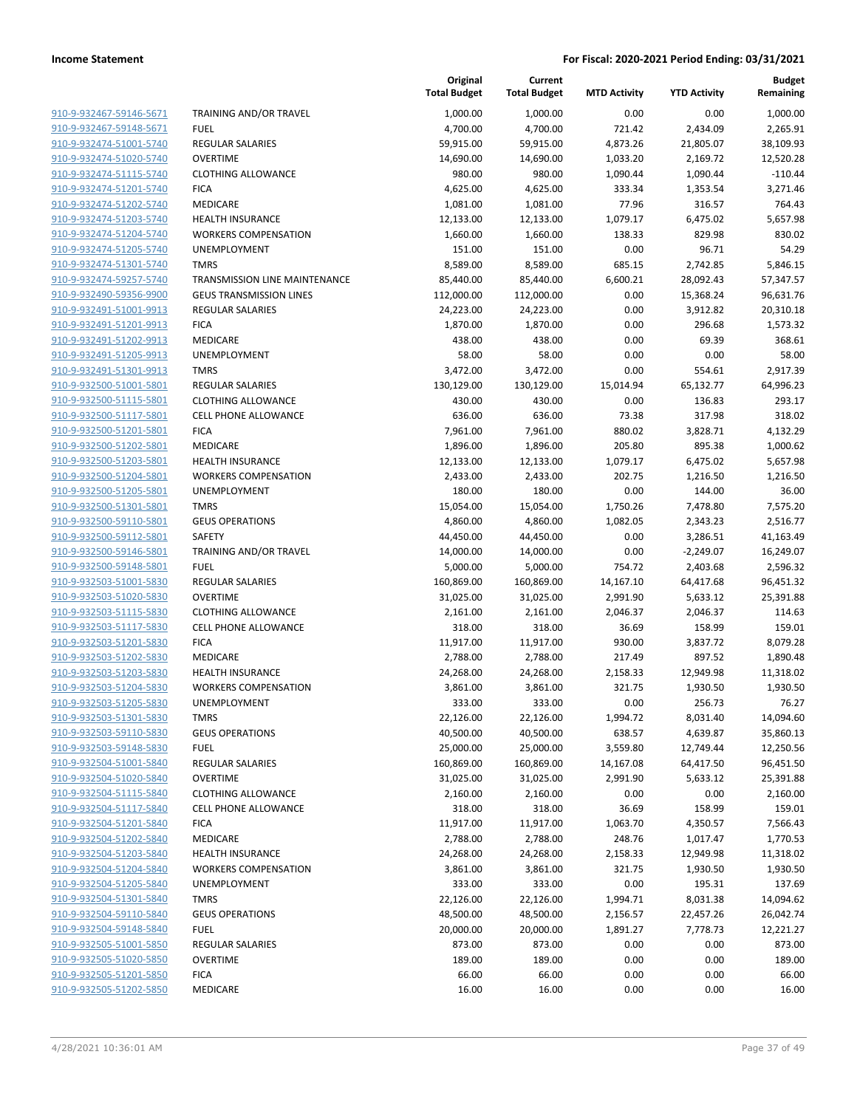| 910-9-932467-59146-5671                            |
|----------------------------------------------------|
| 910-9-932467-59148-5671                            |
| 910-9-932474-51001-5740                            |
| 910-9-932474-51020-5740                            |
| <u>910-9-932474-51115-5740</u>                     |
| 910-9-932474-51201-5740                            |
| 910-9-932474-51202-5740                            |
| 910-9-932474-51203-5740                            |
| 910-9-932474-51204-5740                            |
| 910-9-932474-51205-5740                            |
| 910-9-932474-51301-5740                            |
| 910-9-932474-59257-5740                            |
| 910-9-932490-59356-9900                            |
| 910-9-932491-51001-9913                            |
| <u>910-9-932491-51201-9913</u>                     |
| <u>910-9-932491-51202-9913</u>                     |
| 910-9-932491-51205-9913                            |
| 910-9-932491-51301-9913                            |
| 910-9-932500-51001-5801                            |
| 910-9-932500-51115-5801                            |
| 910-9-932500-51117-5801                            |
| 910-9-932500-51201-5801                            |
| 910-9-932500-51202-5801                            |
| 910-9-932500-51203-5801                            |
| 910-9-932500-51204-5801                            |
| <u>910-9-932500-51205-5801</u>                     |
| 910-9-932500-51301-5801                            |
| 910-9-932500-59110-5801                            |
| 910-9-932500-59112-5801                            |
| 910-9-932500-59146-5801                            |
| <u>910-9-932500-59148-5801</u>                     |
| 910-9-932503-51001-5830                            |
| 910-9-932503-51020-5830                            |
| 910-9-932503-51115-5830                            |
| <u>910-9-932503-51117-5830</u>                     |
| 910-9-932503-51201-5830                            |
| 910-9-932503-51202-5830                            |
| 910-9-932503-51203-5830                            |
| 910-9-932503-51204-5830<br>910-9-932503-51205-5830 |
| <u>910-9-932503-51301-5830</u>                     |
| 910-9-932503-59110-5830                            |
| <u>910-9-932503-59148-5830</u>                     |
| 910-9-932504-51001-5840                            |
| 910-9-932504-51020-5840                            |
| 910-9-932504-51115-5840                            |
| 910-9-932504-51117-5840                            |
| 910-9-932504-51201-5840                            |
| 910-9-932504-51202-5840                            |
| 910-9-932504-51203-5840                            |
| 910-9-932504-51204-5840                            |
| 910-9-932504-51205-5840                            |
| 910-9-932504-51301-5840                            |
| 910-9-932504-59110-5840                            |
| 910-9-932504-59148-5840                            |
| 910-9-932505-51001-5850                            |
| 910-9-932505-51020-5850                            |
| 910-9-932505-51201-5850                            |
| 910-9-932505-51202-5850                            |
|                                                    |

|                         |                                | Original<br><b>Total Budget</b> | Current<br><b>Total Budget</b> | <b>MTD Activity</b> | <b>YTD Activity</b> | <b>Budget</b><br>Remaining |
|-------------------------|--------------------------------|---------------------------------|--------------------------------|---------------------|---------------------|----------------------------|
| 910-9-932467-59146-5671 | TRAINING AND/OR TRAVEL         | 1,000.00                        | 1,000.00                       | 0.00                | 0.00                | 1,000.00                   |
| 910-9-932467-59148-5671 | <b>FUEL</b>                    | 4,700.00                        | 4,700.00                       | 721.42              | 2,434.09            | 2,265.91                   |
| 910-9-932474-51001-5740 | <b>REGULAR SALARIES</b>        | 59,915.00                       | 59,915.00                      | 4,873.26            | 21,805.07           | 38,109.93                  |
| 910-9-932474-51020-5740 | <b>OVERTIME</b>                | 14,690.00                       | 14,690.00                      | 1,033.20            | 2,169.72            | 12,520.28                  |
| 910-9-932474-51115-5740 | <b>CLOTHING ALLOWANCE</b>      | 980.00                          | 980.00                         | 1,090.44            | 1,090.44            | $-110.44$                  |
| 910-9-932474-51201-5740 | <b>FICA</b>                    | 4,625.00                        | 4,625.00                       | 333.34              | 1,353.54            | 3,271.46                   |
| 910-9-932474-51202-5740 | MEDICARE                       | 1,081.00                        | 1,081.00                       | 77.96               | 316.57              | 764.43                     |
| 910-9-932474-51203-5740 | <b>HEALTH INSURANCE</b>        | 12,133.00                       | 12,133.00                      | 1,079.17            | 6,475.02            | 5,657.98                   |
| 910-9-932474-51204-5740 | <b>WORKERS COMPENSATION</b>    | 1,660.00                        | 1,660.00                       | 138.33              | 829.98              | 830.02                     |
| 910-9-932474-51205-5740 | UNEMPLOYMENT                   | 151.00                          | 151.00                         | 0.00                | 96.71               | 54.29                      |
| 910-9-932474-51301-5740 | <b>TMRS</b>                    | 8,589.00                        | 8,589.00                       | 685.15              | 2,742.85            | 5,846.15                   |
| 910-9-932474-59257-5740 | TRANSMISSION LINE MAINTENANCE  | 85,440.00                       | 85,440.00                      | 6,600.21            | 28,092.43           | 57,347.57                  |
| 910-9-932490-59356-9900 | <b>GEUS TRANSMISSION LINES</b> | 112,000.00                      | 112,000.00                     | 0.00                | 15,368.24           | 96,631.76                  |
| 910-9-932491-51001-9913 | <b>REGULAR SALARIES</b>        | 24,223.00                       | 24,223.00                      | 0.00                | 3,912.82            | 20,310.18                  |
| 910-9-932491-51201-9913 | <b>FICA</b>                    | 1,870.00                        | 1,870.00                       | 0.00                | 296.68              | 1,573.32                   |
| 910-9-932491-51202-9913 | MEDICARE                       | 438.00                          | 438.00                         | 0.00                | 69.39               | 368.61                     |
| 910-9-932491-51205-9913 | <b>UNEMPLOYMENT</b>            | 58.00                           | 58.00                          | 0.00                | 0.00                | 58.00                      |
| 910-9-932491-51301-9913 | <b>TMRS</b>                    | 3,472.00                        | 3,472.00                       | 0.00                | 554.61              | 2,917.39                   |
| 910-9-932500-51001-5801 | REGULAR SALARIES               | 130,129.00                      | 130,129.00                     | 15,014.94           | 65,132.77           | 64,996.23                  |
| 910-9-932500-51115-5801 | <b>CLOTHING ALLOWANCE</b>      | 430.00                          | 430.00                         | 0.00                | 136.83              | 293.17                     |
| 910-9-932500-51117-5801 | <b>CELL PHONE ALLOWANCE</b>    | 636.00                          | 636.00                         | 73.38               | 317.98              | 318.02                     |
| 910-9-932500-51201-5801 | <b>FICA</b>                    | 7,961.00                        | 7,961.00                       | 880.02              | 3,828.71            | 4,132.29                   |
| 910-9-932500-51202-5801 | MEDICARE                       | 1,896.00                        | 1,896.00                       | 205.80              | 895.38              | 1,000.62                   |
| 910-9-932500-51203-5801 | <b>HEALTH INSURANCE</b>        | 12,133.00                       | 12,133.00                      | 1,079.17            | 6,475.02            | 5,657.98                   |
| 910-9-932500-51204-5801 | <b>WORKERS COMPENSATION</b>    | 2,433.00                        | 2,433.00                       | 202.75              | 1,216.50            | 1,216.50                   |
| 910-9-932500-51205-5801 | UNEMPLOYMENT                   | 180.00                          | 180.00                         | 0.00                | 144.00              | 36.00                      |
| 910-9-932500-51301-5801 | <b>TMRS</b>                    | 15,054.00                       | 15,054.00                      | 1,750.26            | 7,478.80            | 7,575.20                   |
| 910-9-932500-59110-5801 | <b>GEUS OPERATIONS</b>         | 4,860.00                        | 4,860.00                       | 1,082.05            | 2,343.23            | 2,516.77                   |
| 910-9-932500-59112-5801 | <b>SAFETY</b>                  | 44,450.00                       | 44,450.00                      | 0.00                | 3,286.51            | 41,163.49                  |
| 910-9-932500-59146-5801 | TRAINING AND/OR TRAVEL         | 14,000.00                       | 14,000.00                      | 0.00                | $-2,249.07$         | 16,249.07                  |
| 910-9-932500-59148-5801 | <b>FUEL</b>                    | 5,000.00                        | 5,000.00                       | 754.72              | 2,403.68            | 2,596.32                   |
| 910-9-932503-51001-5830 | <b>REGULAR SALARIES</b>        | 160,869.00                      | 160,869.00                     | 14,167.10           | 64,417.68           | 96,451.32                  |
| 910-9-932503-51020-5830 | <b>OVERTIME</b>                | 31,025.00                       | 31,025.00                      | 2,991.90            | 5,633.12            | 25,391.88                  |
| 910-9-932503-51115-5830 | <b>CLOTHING ALLOWANCE</b>      | 2,161.00                        | 2,161.00                       | 2,046.37            | 2,046.37            | 114.63                     |
| 910-9-932503-51117-5830 | <b>CELL PHONE ALLOWANCE</b>    | 318.00                          | 318.00                         | 36.69               | 158.99              | 159.01                     |
| 910-9-932503-51201-5830 | <b>FICA</b>                    | 11,917.00                       | 11,917.00                      | 930.00              | 3,837.72            | 8,079.28                   |
| 910-9-932503-51202-5830 | MEDICARE                       | 2,788.00                        | 2,788.00                       | 217.49              | 897.52              | 1,890.48                   |
| 910-9-932503-51203-5830 | <b>HEALTH INSURANCE</b>        | 24,268.00                       | 24,268.00                      | 2,158.33            | 12,949.98           | 11,318.02                  |
| 910-9-932503-51204-5830 | <b>WORKERS COMPENSATION</b>    | 3,861.00                        | 3,861.00                       | 321.75              | 1,930.50            | 1,930.50                   |
| 910-9-932503-51205-5830 | UNEMPLOYMENT                   | 333.00                          | 333.00                         | 0.00                | 256.73              | 76.27                      |
| 910-9-932503-51301-5830 | <b>TMRS</b>                    | 22,126.00                       | 22,126.00                      | 1,994.72            | 8,031.40            | 14,094.60                  |
| 910-9-932503-59110-5830 | <b>GEUS OPERATIONS</b>         | 40,500.00                       | 40,500.00                      | 638.57              | 4,639.87            | 35,860.13                  |
| 910-9-932503-59148-5830 | <b>FUEL</b>                    | 25,000.00                       | 25,000.00                      | 3,559.80            | 12,749.44           | 12,250.56                  |
| 910-9-932504-51001-5840 | REGULAR SALARIES               | 160,869.00                      | 160,869.00                     | 14,167.08           | 64,417.50           | 96,451.50                  |
| 910-9-932504-51020-5840 | <b>OVERTIME</b>                | 31,025.00                       | 31,025.00                      | 2,991.90            | 5,633.12            | 25,391.88                  |
| 910-9-932504-51115-5840 | <b>CLOTHING ALLOWANCE</b>      | 2,160.00                        | 2,160.00                       | 0.00                | 0.00                | 2,160.00                   |
| 910-9-932504-51117-5840 | <b>CELL PHONE ALLOWANCE</b>    | 318.00                          | 318.00                         | 36.69               | 158.99              | 159.01                     |
| 910-9-932504-51201-5840 | <b>FICA</b>                    | 11,917.00                       | 11,917.00                      | 1,063.70            | 4,350.57            | 7,566.43                   |
| 910-9-932504-51202-5840 | MEDICARE                       | 2,788.00                        | 2,788.00                       | 248.76              | 1,017.47            | 1,770.53                   |
| 910-9-932504-51203-5840 | <b>HEALTH INSURANCE</b>        | 24,268.00                       | 24,268.00                      | 2,158.33            | 12,949.98           | 11,318.02                  |
| 910-9-932504-51204-5840 | <b>WORKERS COMPENSATION</b>    | 3,861.00                        | 3,861.00                       | 321.75              | 1,930.50            | 1,930.50                   |
| 910-9-932504-51205-5840 | UNEMPLOYMENT                   | 333.00                          | 333.00                         | 0.00                | 195.31              | 137.69                     |
| 910-9-932504-51301-5840 | <b>TMRS</b>                    | 22,126.00                       | 22,126.00                      | 1,994.71            | 8,031.38            | 14,094.62                  |
| 910-9-932504-59110-5840 | <b>GEUS OPERATIONS</b>         | 48,500.00                       | 48,500.00                      | 2,156.57            | 22,457.26           | 26,042.74                  |
| 910-9-932504-59148-5840 | <b>FUEL</b>                    | 20,000.00                       | 20,000.00                      | 1,891.27            | 7,778.73            | 12,221.27                  |
| 910-9-932505-51001-5850 | <b>REGULAR SALARIES</b>        | 873.00                          | 873.00                         | 0.00                | 0.00                | 873.00                     |
| 910-9-932505-51020-5850 | <b>OVERTIME</b>                | 189.00                          | 189.00                         | 0.00                | 0.00                | 189.00                     |
| 910-9-932505-51201-5850 | <b>FICA</b>                    | 66.00                           | 66.00                          | 0.00                | 0.00                | 66.00                      |
| 910-9-932505-51202-5850 | MEDICARE                       | 16.00                           | 16.00                          | 0.00                | 0.00                | 16.00                      |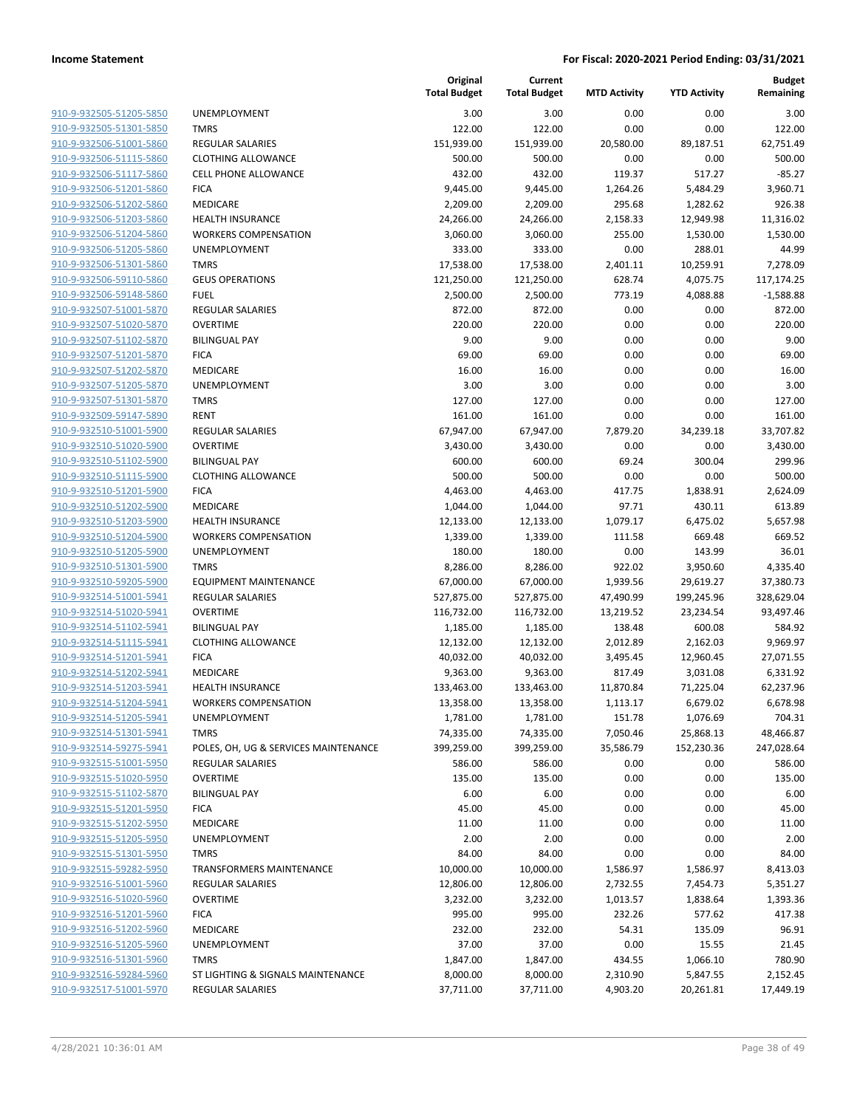| 910-9-932505-51205-5850        |
|--------------------------------|
| 910-9-932505-51301-5850        |
| 910-9-932506-51001-5860        |
| 910-9-932506-51115-5860        |
| 910-9-932506-51117-5860        |
| 910-9-932506-51201-5860        |
| 910-9-932506-51202-5860        |
| 910-9-932506-51203-5860        |
| 910-9-932506-51204-5860        |
| 910-9-932506-51205-5860        |
| 910-9-932506-51301-5860        |
| 910-9-932506-59110-5860        |
|                                |
| 910-9-932506-59148-5860        |
| 910-9-932507-51001-5870        |
| 910-9-932507-51020-5870        |
| 910-9-932507-51102-5870        |
| 910-9-932507-51201-5870        |
| 910-9-932507-51202-5870        |
| 910-9-932507-51205-5870        |
| 910-9-932507-51301-5870        |
| 910-9-932509-59147-5890        |
| 910-9-932510-51001-5900        |
| 910-9-932510-51020-5900        |
| 910-9-932510-51102-5900        |
| 910-9-932510-51115-5900        |
| 910-9-932510-51201-5900        |
| 910-9-932510-51202-5900        |
| 910-9-932510-51203-5900        |
| 910-9-932510-51204-5900        |
|                                |
| 910-9-932510-51205-5900        |
| 910-9-932510-51301-5900        |
| 910-9-932510-59205-5900        |
| 910-9-932514-51001-5941        |
| 910-9-932514-51020-5941        |
| 910-9-932514-51102-5941        |
| 910-9-932514-51115-5941        |
| 910-9-932514-51201-5941        |
| 910-9-932514-51202-5941        |
| 910-9-932514-51203-5941        |
| 910-9-932514-51204-5941        |
| 910-9-932514-51205-5941        |
| <u>910-9-932514-51301-5941</u> |
| <u>910-9-932514-59275-5941</u> |
| 910-9-932515-51001-5950        |
| <u>910-9-932515-51020-5950</u> |
| 910-9-932515-51102-5870        |
|                                |
| 910-9-932515-51201-5950        |
| <u>910-9-932515-51202-5950</u> |
| 910-9-932515-51205-5950        |
| 910-9-932515-51301-5950        |
| 910-9-932515-59282-5950        |
| 910-9-932516-51001-5960        |
| 910-9-932516-51020-5960        |
| 910-9-932516-51201-5960        |
| 910-9-932516-51202-5960        |
| <u>910-9-932516-51205-5960</u> |
| <u>910-9-932516-51301-5960</u> |
|                                |
| <u>910-9-932516-59284-5960</u> |
| 910-9-932517-51001-5970        |

|                         |                                      | Original<br><b>Total Budget</b> | Current<br><b>Total Budget</b> | <b>MTD Activity</b> | <b>YTD Activity</b> | <b>Budget</b><br>Remaining |
|-------------------------|--------------------------------------|---------------------------------|--------------------------------|---------------------|---------------------|----------------------------|
| 910-9-932505-51205-5850 | <b>UNEMPLOYMENT</b>                  | 3.00                            | 3.00                           | 0.00                | 0.00                | 3.00                       |
| 910-9-932505-51301-5850 | <b>TMRS</b>                          | 122.00                          | 122.00                         | 0.00                | 0.00                | 122.00                     |
| 910-9-932506-51001-5860 | <b>REGULAR SALARIES</b>              | 151,939.00                      | 151,939.00                     | 20,580.00           | 89,187.51           | 62,751.49                  |
| 910-9-932506-51115-5860 | <b>CLOTHING ALLOWANCE</b>            | 500.00                          | 500.00                         | 0.00                | 0.00                | 500.00                     |
| 910-9-932506-51117-5860 | <b>CELL PHONE ALLOWANCE</b>          | 432.00                          | 432.00                         | 119.37              | 517.27              | $-85.27$                   |
| 910-9-932506-51201-5860 | <b>FICA</b>                          | 9,445.00                        | 9,445.00                       | 1,264.26            | 5,484.29            | 3,960.71                   |
| 910-9-932506-51202-5860 | MEDICARE                             | 2,209.00                        | 2,209.00                       | 295.68              | 1,282.62            | 926.38                     |
| 910-9-932506-51203-5860 | <b>HEALTH INSURANCE</b>              | 24,266.00                       | 24,266.00                      | 2,158.33            | 12,949.98           | 11,316.02                  |
| 910-9-932506-51204-5860 | <b>WORKERS COMPENSATION</b>          | 3,060.00                        | 3,060.00                       | 255.00              | 1,530.00            | 1,530.00                   |
| 910-9-932506-51205-5860 | <b>UNEMPLOYMENT</b>                  | 333.00                          | 333.00                         | 0.00                | 288.01              | 44.99                      |
| 910-9-932506-51301-5860 | <b>TMRS</b>                          | 17,538.00                       | 17,538.00                      | 2,401.11            | 10,259.91           | 7,278.09                   |
| 910-9-932506-59110-5860 | <b>GEUS OPERATIONS</b>               | 121,250.00                      | 121,250.00                     | 628.74              | 4,075.75            | 117,174.25                 |
| 910-9-932506-59148-5860 | <b>FUEL</b>                          | 2,500.00                        | 2,500.00                       | 773.19              | 4,088.88            | $-1,588.88$                |
| 910-9-932507-51001-5870 | <b>REGULAR SALARIES</b>              | 872.00                          | 872.00                         | 0.00                | 0.00                | 872.00                     |
| 910-9-932507-51020-5870 | <b>OVERTIME</b>                      | 220.00                          | 220.00                         | 0.00                | 0.00                | 220.00                     |
| 910-9-932507-51102-5870 | <b>BILINGUAL PAY</b>                 | 9.00                            | 9.00                           | 0.00                | 0.00                | 9.00                       |
| 910-9-932507-51201-5870 | <b>FICA</b>                          | 69.00                           | 69.00                          | 0.00                | 0.00                | 69.00                      |
| 910-9-932507-51202-5870 | <b>MEDICARE</b>                      | 16.00                           | 16.00                          | 0.00                | 0.00                | 16.00                      |
| 910-9-932507-51205-5870 | <b>UNEMPLOYMENT</b>                  | 3.00                            | 3.00                           | 0.00                | 0.00                | 3.00                       |
| 910-9-932507-51301-5870 | <b>TMRS</b>                          | 127.00                          | 127.00                         | 0.00                | 0.00                | 127.00                     |
| 910-9-932509-59147-5890 | <b>RENT</b>                          | 161.00                          | 161.00                         | 0.00                | 0.00                | 161.00                     |
| 910-9-932510-51001-5900 | REGULAR SALARIES                     | 67,947.00                       | 67,947.00                      | 7,879.20            | 34,239.18           | 33,707.82                  |
| 910-9-932510-51020-5900 | <b>OVERTIME</b>                      | 3,430.00                        | 3,430.00                       | 0.00                | 0.00                | 3,430.00                   |
| 910-9-932510-51102-5900 | <b>BILINGUAL PAY</b>                 | 600.00                          | 600.00                         | 69.24               | 300.04              | 299.96                     |
| 910-9-932510-51115-5900 | <b>CLOTHING ALLOWANCE</b>            | 500.00                          | 500.00                         | 0.00                | 0.00                | 500.00                     |
| 910-9-932510-51201-5900 | <b>FICA</b>                          | 4,463.00                        | 4,463.00                       | 417.75              | 1,838.91            | 2,624.09                   |
| 910-9-932510-51202-5900 | MEDICARE                             | 1,044.00                        | 1,044.00                       | 97.71               | 430.11              | 613.89                     |
| 910-9-932510-51203-5900 | <b>HEALTH INSURANCE</b>              | 12,133.00                       | 12,133.00                      | 1,079.17            | 6,475.02            | 5,657.98                   |
| 910-9-932510-51204-5900 | <b>WORKERS COMPENSATION</b>          | 1,339.00                        | 1,339.00                       | 111.58              | 669.48              | 669.52                     |
| 910-9-932510-51205-5900 | <b>UNEMPLOYMENT</b>                  | 180.00                          | 180.00                         | 0.00                | 143.99              | 36.01                      |
| 910-9-932510-51301-5900 | <b>TMRS</b>                          | 8,286.00                        | 8,286.00                       | 922.02              | 3,950.60            | 4,335.40                   |
| 910-9-932510-59205-5900 | <b>EQUIPMENT MAINTENANCE</b>         | 67,000.00                       | 67,000.00                      | 1,939.56            | 29,619.27           | 37,380.73                  |
| 910-9-932514-51001-5941 | REGULAR SALARIES                     | 527,875.00                      | 527,875.00                     | 47,490.99           | 199,245.96          | 328,629.04                 |
| 910-9-932514-51020-5941 | <b>OVERTIME</b>                      | 116,732.00                      | 116,732.00                     | 13,219.52           | 23,234.54           | 93,497.46                  |
| 910-9-932514-51102-5941 | <b>BILINGUAL PAY</b>                 | 1,185.00                        | 1,185.00                       | 138.48              | 600.08              | 584.92                     |
| 910-9-932514-51115-5941 | <b>CLOTHING ALLOWANCE</b>            | 12,132.00                       | 12,132.00                      | 2,012.89            | 2,162.03            | 9,969.97                   |
| 910-9-932514-51201-5941 | <b>FICA</b>                          | 40,032.00                       | 40,032.00                      | 3,495.45            | 12,960.45           | 27,071.55                  |
| 910-9-932514-51202-5941 | MEDICARE                             | 9,363.00                        | 9,363.00                       | 817.49              | 3,031.08            | 6,331.92                   |
| 910-9-932514-51203-5941 | <b>HEALTH INSURANCE</b>              | 133,463.00                      | 133,463.00                     | 11,870.84           | 71,225.04           | 62,237.96                  |
| 910-9-932514-51204-5941 | <b>WORKERS COMPENSATION</b>          | 13,358.00                       | 13,358.00                      | 1,113.17            | 6,679.02            | 6,678.98                   |
| 910-9-932514-51205-5941 | UNEMPLOYMENT                         | 1,781.00                        | 1,781.00                       | 151.78              | 1,076.69            | 704.31                     |
| 910-9-932514-51301-5941 | <b>TMRS</b>                          | 74,335.00                       | 74,335.00                      | 7,050.46            | 25,868.13           | 48,466.87                  |
| 910-9-932514-59275-5941 | POLES, OH, UG & SERVICES MAINTENANCE | 399,259.00                      | 399,259.00                     | 35,586.79           | 152,230.36          | 247,028.64                 |
| 910-9-932515-51001-5950 | <b>REGULAR SALARIES</b>              | 586.00                          | 586.00                         | 0.00                | 0.00                | 586.00                     |
| 910-9-932515-51020-5950 | <b>OVERTIME</b>                      | 135.00                          | 135.00                         | 0.00                | 0.00                | 135.00                     |
| 910-9-932515-51102-5870 | <b>BILINGUAL PAY</b>                 | 6.00                            | 6.00                           | 0.00                | 0.00                | 6.00                       |
| 910-9-932515-51201-5950 | <b>FICA</b>                          | 45.00                           | 45.00                          | 0.00                | 0.00                | 45.00                      |
| 910-9-932515-51202-5950 | MEDICARE                             | 11.00                           | 11.00                          | 0.00                | 0.00                | 11.00                      |
| 910-9-932515-51205-5950 | <b>UNEMPLOYMENT</b>                  | 2.00                            | 2.00                           | 0.00                | 0.00                | 2.00                       |
| 910-9-932515-51301-5950 | <b>TMRS</b>                          | 84.00                           | 84.00                          | 0.00                | 0.00                | 84.00                      |
| 910-9-932515-59282-5950 | TRANSFORMERS MAINTENANCE             | 10,000.00                       | 10,000.00                      | 1,586.97            | 1,586.97            | 8,413.03                   |
| 910-9-932516-51001-5960 | REGULAR SALARIES                     | 12,806.00                       | 12,806.00                      | 2,732.55            | 7,454.73            | 5,351.27                   |
| 910-9-932516-51020-5960 | <b>OVERTIME</b>                      | 3,232.00                        | 3,232.00                       | 1,013.57            | 1,838.64            | 1,393.36                   |
| 910-9-932516-51201-5960 | <b>FICA</b>                          | 995.00                          | 995.00                         | 232.26              | 577.62              | 417.38                     |
| 910-9-932516-51202-5960 | MEDICARE                             | 232.00                          | 232.00                         | 54.31               | 135.09              | 96.91                      |
| 910-9-932516-51205-5960 | UNEMPLOYMENT                         | 37.00                           | 37.00                          | 0.00                | 15.55               | 21.45                      |
| 910-9-932516-51301-5960 | <b>TMRS</b>                          | 1,847.00                        | 1,847.00                       | 434.55              | 1,066.10            | 780.90                     |
| 910-9-932516-59284-5960 | ST LIGHTING & SIGNALS MAINTENANCE    | 8,000.00                        | 8,000.00                       | 2,310.90            | 5,847.55            | 2,152.45                   |
| 910-9-932517-51001-5970 | REGULAR SALARIES                     | 37,711.00                       | 37,711.00                      | 4,903.20            | 20,261.81           | 17,449.19                  |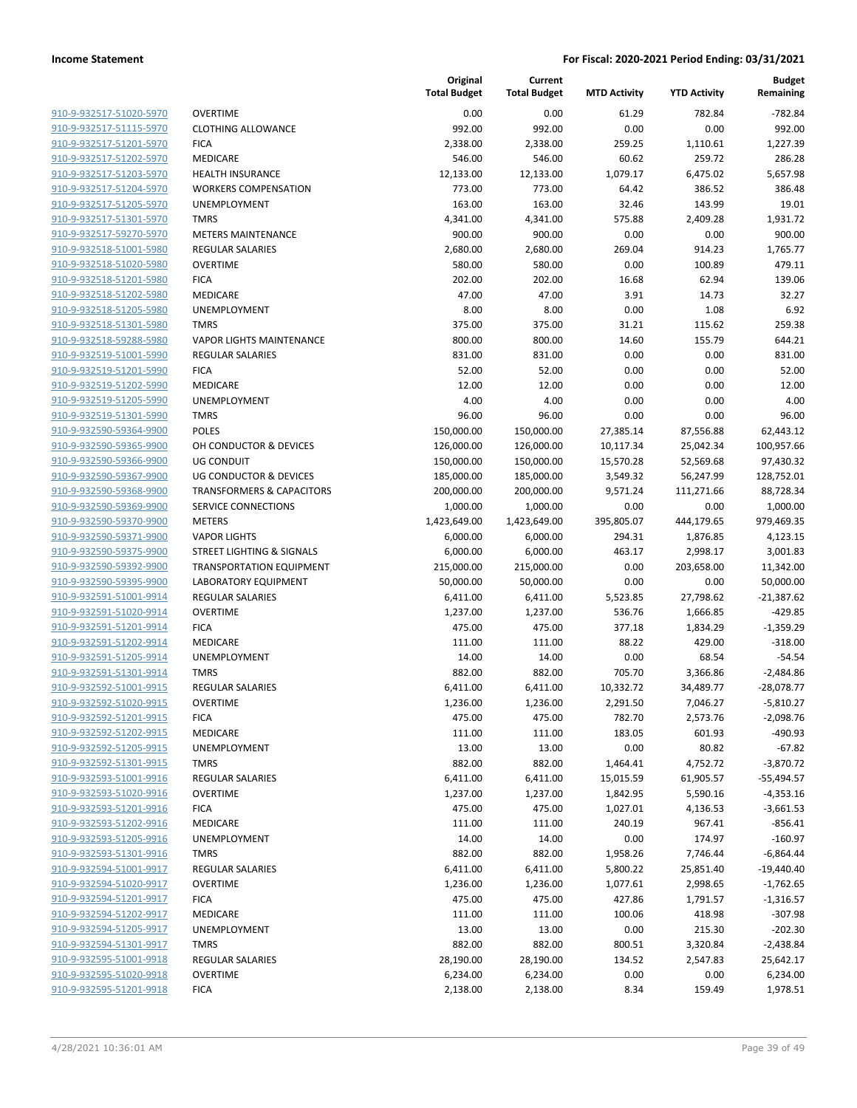| 910-9-932517-51020-5970        |
|--------------------------------|
| 910-9-932517-51115-5970        |
| 910-9-932517-51201-5970        |
| 910-9-932517-51202-5970        |
| 910-9-932517-51203-5970        |
| 910-9-932517-51204-5970        |
| 910-9-932517-51205-5970        |
| 910-9-932517-51301-5970        |
| 910-9-932517-59270-5970        |
| 910-9-932518-51001-5980        |
| <u>910-9-932518-51020-5980</u> |
| 910-9-932518-51201-5980        |
| 910-9-932518-51202-5980        |
| 910-9-932518-51205-5980        |
| 910-9-932518-51301-5980        |
| <u>910-9-932518-59288-5980</u> |
| 910-9-932519-51001-5990        |
| 910-9-932519-51201-5990        |
| 910-9-932519-51202-5990        |
| 910-9-932519-51205-5990        |
| <u>910-9-932519-51301-5990</u> |
| 910-9-932590-59364-9900        |
| 910-9-932590-59365-9900        |
| 910-9-932590-59366-9900        |
| 910-9-932590-59367-9900        |
|                                |
| <u>910-9-932590-59368-9900</u> |
| 910-9-932590-59369-9900        |
| 910-9-932590-59370-9900        |
| 910-9-932590-59371-9900        |
| 910-9-932590-59375-9900        |
| <u>910-9-932590-59392-9900</u> |
| 910-9-932590-59395-9900        |
| 910-9-932591-51001-9914        |
| 910-9-932591-51020-9914        |
| <u>910-9-932591-51201-9914</u> |
| 910-9-932591-51202-9914        |
| <u>910-9-932591-51205-9914</u> |
| 910-9-932591-51301-9914        |
| 910-9-932592-51001-9915        |
| 910-9-932592-51020-9915        |
| <u>910-9-932592-51201-991</u>  |
| 910-9-932592-51202-9915        |
| 910-9-932592-51205-9915        |
| 910-9-932592-51301-9915        |
| <u>910-9-932593-51001-9916</u> |
| 910-9-932593-51020-9916        |
| 910-9-932593-51201-9916        |
| <u>910-9-932593-51202-9916</u> |
| <u>910-9-932593-51205-9916</u> |
| <u>910-9-932593-51301-9916</u> |
| <u>910-9-932594-51001-9917</u> |
| 910-9-932594-51020-9917        |
| 910-9-932594-51201-9917        |
| 910-9-932594-51202-9917        |
| <u>910-9-932594-51205-9917</u> |
| <u>910-9-932594-51301-9917</u> |
| 910-9-932595-51001-9918        |
| <u>910-9-932595-51020-9918</u> |
| 910-9-932595-51201-9918        |
|                                |

|                         |                                      | Original<br><b>Total Budget</b> | Current<br><b>Total Budget</b> | <b>MTD Activity</b> | <b>YTD Activity</b> | Budget<br>Remaining |
|-------------------------|--------------------------------------|---------------------------------|--------------------------------|---------------------|---------------------|---------------------|
| 910-9-932517-51020-5970 | <b>OVERTIME</b>                      | 0.00                            | 0.00                           | 61.29               | 782.84              | $-782.84$           |
| 910-9-932517-51115-5970 | <b>CLOTHING ALLOWANCE</b>            | 992.00                          | 992.00                         | 0.00                | 0.00                | 992.00              |
| 910-9-932517-51201-5970 | <b>FICA</b>                          | 2,338.00                        | 2,338.00                       | 259.25              | 1,110.61            | 1,227.39            |
| 910-9-932517-51202-5970 | <b>MEDICARE</b>                      | 546.00                          | 546.00                         | 60.62               | 259.72              | 286.28              |
| 910-9-932517-51203-5970 | <b>HEALTH INSURANCE</b>              | 12,133.00                       | 12,133.00                      | 1,079.17            | 6,475.02            | 5,657.98            |
| 910-9-932517-51204-5970 | <b>WORKERS COMPENSATION</b>          | 773.00                          | 773.00                         | 64.42               | 386.52              | 386.48              |
| 910-9-932517-51205-5970 | <b>UNEMPLOYMENT</b>                  | 163.00                          | 163.00                         | 32.46               | 143.99              | 19.01               |
| 910-9-932517-51301-5970 | <b>TMRS</b>                          | 4,341.00                        | 4,341.00                       | 575.88              | 2,409.28            | 1,931.72            |
| 910-9-932517-59270-5970 | <b>METERS MAINTENANCE</b>            | 900.00                          | 900.00                         | 0.00                | 0.00                | 900.00              |
| 910-9-932518-51001-5980 | <b>REGULAR SALARIES</b>              | 2,680.00                        | 2,680.00                       | 269.04              | 914.23              | 1,765.77            |
| 910-9-932518-51020-5980 | <b>OVERTIME</b>                      | 580.00                          | 580.00                         | 0.00                | 100.89              | 479.11              |
| 910-9-932518-51201-5980 | <b>FICA</b>                          | 202.00                          | 202.00                         | 16.68               | 62.94               | 139.06              |
| 910-9-932518-51202-5980 | MEDICARE                             | 47.00                           | 47.00                          | 3.91                | 14.73               | 32.27               |
| 910-9-932518-51205-5980 | UNEMPLOYMENT                         | 8.00                            | 8.00                           | 0.00                | 1.08                | 6.92                |
| 910-9-932518-51301-5980 | <b>TMRS</b>                          | 375.00                          | 375.00                         | 31.21               | 115.62              | 259.38              |
| 910-9-932518-59288-5980 | <b>VAPOR LIGHTS MAINTENANCE</b>      | 800.00                          | 800.00                         | 14.60               | 155.79              | 644.21              |
| 910-9-932519-51001-5990 | <b>REGULAR SALARIES</b>              | 831.00                          | 831.00                         | 0.00                | 0.00                | 831.00              |
| 910-9-932519-51201-5990 | <b>FICA</b>                          | 52.00                           | 52.00                          | 0.00                | 0.00                | 52.00               |
| 910-9-932519-51202-5990 | MEDICARE                             | 12.00                           | 12.00                          | 0.00                | 0.00                | 12.00               |
| 910-9-932519-51205-5990 | <b>UNEMPLOYMENT</b>                  | 4.00                            | 4.00                           | 0.00                | 0.00                | 4.00                |
| 910-9-932519-51301-5990 | <b>TMRS</b>                          | 96.00                           | 96.00                          | 0.00                | 0.00                | 96.00               |
| 910-9-932590-59364-9900 | <b>POLES</b>                         | 150,000.00                      | 150,000.00                     | 27,385.14           | 87,556.88           | 62,443.12           |
| 910-9-932590-59365-9900 | OH CONDUCTOR & DEVICES               | 126,000.00                      | 126,000.00                     | 10,117.34           | 25,042.34           | 100,957.66          |
| 910-9-932590-59366-9900 | <b>UG CONDUIT</b>                    | 150,000.00                      | 150,000.00                     | 15,570.28           | 52,569.68           | 97,430.32           |
| 910-9-932590-59367-9900 | <b>UG CONDUCTOR &amp; DEVICES</b>    | 185,000.00                      | 185,000.00                     | 3,549.32            | 56,247.99           | 128,752.01          |
| 910-9-932590-59368-9900 | <b>TRANSFORMERS &amp; CAPACITORS</b> | 200,000.00                      | 200,000.00                     | 9,571.24            | 111,271.66          | 88,728.34           |
| 910-9-932590-59369-9900 | SERVICE CONNECTIONS                  | 1,000.00                        | 1,000.00                       | 0.00                | 0.00                | 1,000.00            |
| 910-9-932590-59370-9900 | <b>METERS</b>                        | 1,423,649.00                    | 1,423,649.00                   | 395,805.07          | 444,179.65          | 979,469.35          |
| 910-9-932590-59371-9900 | <b>VAPOR LIGHTS</b>                  | 6,000.00                        | 6,000.00                       | 294.31              | 1,876.85            | 4,123.15            |
| 910-9-932590-59375-9900 | STREET LIGHTING & SIGNALS            | 6,000.00                        | 6,000.00                       | 463.17              | 2,998.17            | 3,001.83            |
| 910-9-932590-59392-9900 | TRANSPORTATION EQUIPMENT             | 215,000.00                      | 215,000.00                     | 0.00                | 203,658.00          | 11,342.00           |
| 910-9-932590-59395-9900 | <b>LABORATORY EQUIPMENT</b>          | 50,000.00                       | 50,000.00                      | 0.00                | 0.00                | 50,000.00           |
| 910-9-932591-51001-9914 | <b>REGULAR SALARIES</b>              | 6,411.00                        | 6,411.00                       | 5,523.85            | 27,798.62           | $-21,387.62$        |
| 910-9-932591-51020-9914 | <b>OVERTIME</b>                      | 1,237.00                        | 1,237.00                       | 536.76              | 1,666.85            | $-429.85$           |
| 910-9-932591-51201-9914 | <b>FICA</b>                          | 475.00                          | 475.00                         | 377.18              | 1,834.29            | $-1,359.29$         |
| 910-9-932591-51202-9914 | MEDICARE                             | 111.00                          | 111.00                         | 88.22               | 429.00              | $-318.00$           |
| 910-9-932591-51205-9914 | UNEMPLOYMENT                         | 14.00                           | 14.00                          | 0.00                | 68.54               | $-54.54$            |
| 910-9-932591-51301-9914 | <b>TMRS</b>                          | 882.00                          | 882.00                         | 705.70              | 3,366.86            | $-2,484.86$         |
| 910-9-932592-51001-9915 | <b>REGULAR SALARIES</b>              | 6,411.00                        | 6,411.00                       | 10,332.72           | 34,489.77           | $-28,078.77$        |
| 910-9-932592-51020-9915 | <b>OVERTIME</b>                      | 1,236.00                        | 1,236.00                       | 2,291.50            | 7,046.27            | $-5,810.27$         |
| 910-9-932592-51201-9915 | <b>FICA</b>                          | 475.00                          | 475.00                         | 782.70              | 2,573.76            | $-2,098.76$         |
| 910-9-932592-51202-9915 | MEDICARE                             | 111.00                          | 111.00                         | 183.05              | 601.93              | $-490.93$           |
| 910-9-932592-51205-9915 | UNEMPLOYMENT                         | 13.00                           | 13.00                          | 0.00                | 80.82               | $-67.82$            |
| 910-9-932592-51301-9915 | <b>TMRS</b>                          | 882.00                          | 882.00                         | 1,464.41            | 4,752.72            | $-3,870.72$         |
| 910-9-932593-51001-9916 | REGULAR SALARIES                     | 6,411.00                        | 6,411.00                       | 15,015.59           | 61,905.57           | -55,494.57          |
| 910-9-932593-51020-9916 | <b>OVERTIME</b>                      | 1,237.00                        | 1,237.00                       | 1,842.95            | 5,590.16            | -4,353.16           |
| 910-9-932593-51201-9916 | <b>FICA</b>                          | 475.00                          | 475.00                         | 1,027.01            | 4,136.53            | $-3,661.53$         |
| 910-9-932593-51202-9916 | MEDICARE                             | 111.00                          | 111.00                         | 240.19              | 967.41              | $-856.41$           |
| 910-9-932593-51205-9916 | UNEMPLOYMENT                         | 14.00                           | 14.00                          | 0.00                | 174.97              | $-160.97$           |
| 910-9-932593-51301-9916 | <b>TMRS</b>                          | 882.00                          | 882.00                         | 1,958.26            | 7,746.44            | $-6,864.44$         |
| 910-9-932594-51001-9917 | <b>REGULAR SALARIES</b>              | 6,411.00                        | 6,411.00                       | 5,800.22            | 25,851.40           | $-19,440.40$        |
| 910-9-932594-51020-9917 | <b>OVERTIME</b>                      | 1,236.00                        | 1,236.00                       | 1,077.61            | 2,998.65            | $-1,762.65$         |
| 910-9-932594-51201-9917 | <b>FICA</b>                          | 475.00                          | 475.00                         | 427.86              | 1,791.57            | $-1,316.57$         |
| 910-9-932594-51202-9917 | MEDICARE                             | 111.00                          | 111.00                         | 100.06              | 418.98              | $-307.98$           |
| 910-9-932594-51205-9917 | UNEMPLOYMENT                         | 13.00                           | 13.00                          | 0.00                | 215.30              | $-202.30$           |
| 910-9-932594-51301-9917 | <b>TMRS</b>                          | 882.00                          | 882.00                         | 800.51              | 3,320.84            | $-2,438.84$         |
| 910-9-932595-51001-9918 | REGULAR SALARIES                     | 28,190.00                       | 28,190.00                      | 134.52              | 2,547.83            | 25,642.17           |
| 910-9-932595-51020-9918 | <b>OVERTIME</b>                      | 6,234.00                        | 6,234.00                       | 0.00                | 0.00                | 6,234.00            |
| 910-9-932595-51201-9918 | <b>FICA</b>                          | 2,138.00                        | 2,138.00                       | 8.34                | 159.49              | 1,978.51            |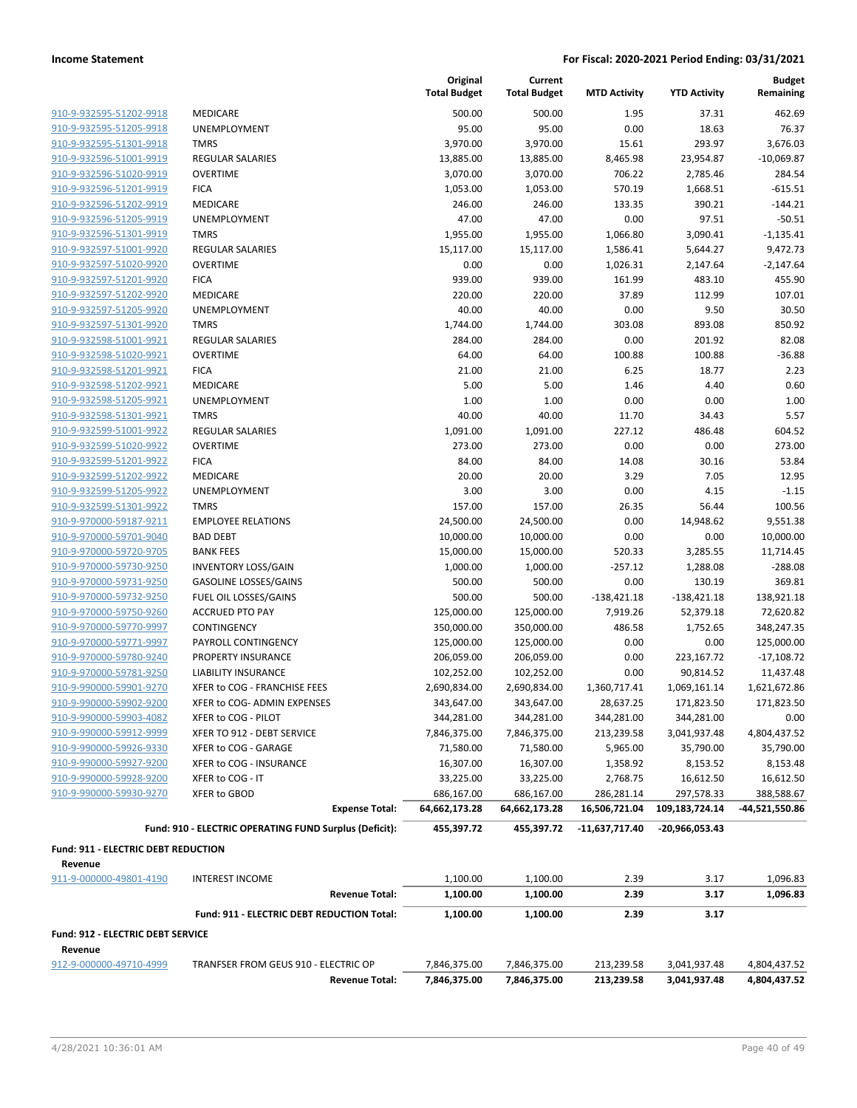**Current**

**Original**

**Budget**

|                                                     |                                                        | <b>Total Budget</b>      | <b>Total Budget</b>      | <b>MTD Activity</b> | <b>YTD Activity</b> | Remaining                 |
|-----------------------------------------------------|--------------------------------------------------------|--------------------------|--------------------------|---------------------|---------------------|---------------------------|
| 910-9-932595-51202-9918                             | <b>MEDICARE</b>                                        | 500.00                   | 500.00                   | 1.95                | 37.31               | 462.69                    |
| 910-9-932595-51205-9918                             | <b>UNEMPLOYMENT</b>                                    | 95.00                    | 95.00                    | 0.00                | 18.63               | 76.37                     |
| 910-9-932595-51301-9918                             | <b>TMRS</b>                                            | 3,970.00                 | 3,970.00                 | 15.61               | 293.97              | 3,676.03                  |
| 910-9-932596-51001-9919                             | <b>REGULAR SALARIES</b>                                | 13,885.00                | 13,885.00                | 8,465.98            | 23,954.87           | $-10,069.87$              |
| 910-9-932596-51020-9919                             | <b>OVERTIME</b>                                        | 3,070.00                 | 3,070.00                 | 706.22              | 2,785.46            | 284.54                    |
| 910-9-932596-51201-9919                             | <b>FICA</b>                                            | 1,053.00                 | 1,053.00                 | 570.19              | 1,668.51            | $-615.51$                 |
| 910-9-932596-51202-9919                             | <b>MEDICARE</b>                                        | 246.00                   | 246.00                   | 133.35              | 390.21              | $-144.21$                 |
| 910-9-932596-51205-9919                             | UNEMPLOYMENT                                           | 47.00                    | 47.00                    | 0.00                | 97.51               | $-50.51$                  |
| 910-9-932596-51301-9919                             | <b>TMRS</b>                                            | 1,955.00                 | 1,955.00                 | 1,066.80            | 3,090.41            | $-1,135.41$               |
| 910-9-932597-51001-9920                             | <b>REGULAR SALARIES</b>                                | 15,117.00                | 15,117.00                | 1,586.41            | 5,644.27            | 9,472.73                  |
| 910-9-932597-51020-9920                             | <b>OVERTIME</b>                                        | 0.00                     | 0.00                     | 1,026.31            | 2,147.64            | $-2,147.64$               |
| 910-9-932597-51201-9920                             | <b>FICA</b>                                            | 939.00                   | 939.00                   | 161.99              | 483.10              | 455.90                    |
| 910-9-932597-51202-9920                             | <b>MEDICARE</b>                                        | 220.00                   | 220.00                   | 37.89               | 112.99              | 107.01                    |
| 910-9-932597-51205-9920                             | UNEMPLOYMENT                                           | 40.00                    | 40.00                    | 0.00                | 9.50                | 30.50                     |
| 910-9-932597-51301-9920                             | <b>TMRS</b>                                            | 1,744.00                 | 1,744.00                 | 303.08              | 893.08              | 850.92                    |
| 910-9-932598-51001-9921                             | <b>REGULAR SALARIES</b>                                | 284.00                   | 284.00                   | 0.00                | 201.92              | 82.08                     |
| 910-9-932598-51020-9921                             | <b>OVERTIME</b>                                        | 64.00                    | 64.00                    | 100.88              | 100.88              | $-36.88$                  |
| 910-9-932598-51201-9921                             | <b>FICA</b>                                            | 21.00                    | 21.00                    | 6.25                | 18.77               | 2.23                      |
| 910-9-932598-51202-9921                             | <b>MEDICARE</b>                                        | 5.00                     | 5.00                     | 1.46                | 4.40                | 0.60                      |
| 910-9-932598-51205-9921                             | UNEMPLOYMENT                                           | 1.00                     | 1.00                     | 0.00                | 0.00                | 1.00                      |
| 910-9-932598-51301-9921                             | <b>TMRS</b>                                            | 40.00                    | 40.00                    | 11.70               | 34.43               | 5.57                      |
| 910-9-932599-51001-9922                             | <b>REGULAR SALARIES</b>                                | 1,091.00                 | 1,091.00                 | 227.12              | 486.48              | 604.52                    |
| 910-9-932599-51020-9922                             | <b>OVERTIME</b>                                        | 273.00                   | 273.00                   | 0.00                | 0.00                | 273.00                    |
| 910-9-932599-51201-9922                             | <b>FICA</b>                                            | 84.00                    | 84.00                    | 14.08               | 30.16               | 53.84                     |
| 910-9-932599-51202-9922                             | <b>MEDICARE</b>                                        | 20.00                    | 20.00                    | 3.29                | 7.05                | 12.95                     |
| 910-9-932599-51205-9922                             | UNEMPLOYMENT                                           | 3.00                     | 3.00                     | 0.00                | 4.15                | $-1.15$                   |
| 910-9-932599-51301-9922                             | <b>TMRS</b>                                            | 157.00                   | 157.00                   | 26.35               | 56.44               | 100.56                    |
| 910-9-970000-59187-9211                             | <b>EMPLOYEE RELATIONS</b>                              | 24,500.00                | 24,500.00                | 0.00                | 14,948.62           | 9,551.38                  |
| 910-9-970000-59701-9040                             | <b>BAD DEBT</b>                                        | 10,000.00                | 10,000.00                | 0.00                | 0.00                | 10,000.00                 |
| 910-9-970000-59720-9705                             | <b>BANK FEES</b>                                       | 15,000.00                | 15,000.00                | 520.33              | 3,285.55            | 11,714.45                 |
| 910-9-970000-59730-9250                             | <b>INVENTORY LOSS/GAIN</b>                             | 1,000.00                 | 1,000.00                 | $-257.12$           | 1,288.08            | $-288.08$                 |
| 910-9-970000-59731-9250                             | <b>GASOLINE LOSSES/GAINS</b>                           | 500.00                   | 500.00                   | 0.00                | 130.19              | 369.81                    |
| 910-9-970000-59732-9250                             | FUEL OIL LOSSES/GAINS                                  | 500.00                   | 500.00                   | $-138,421.18$       | $-138,421.18$       | 138,921.18                |
| 910-9-970000-59750-9260<br>910-9-970000-59770-9997  | <b>ACCRUED PTO PAY</b>                                 | 125,000.00               | 125,000.00               | 7,919.26            | 52,379.18           | 72,620.82                 |
| 910-9-970000-59771-9997                             | CONTINGENCY<br>PAYROLL CONTINGENCY                     | 350,000.00               | 350,000.00               | 486.58              | 1,752.65            | 348,247.35<br>125,000.00  |
| 910-9-970000-59780-9240                             | PROPERTY INSURANCE                                     | 125,000.00<br>206,059.00 | 125,000.00<br>206,059.00 | 0.00<br>0.00        | 0.00<br>223,167.72  |                           |
| 910-9-970000-59781-9250                             | <b>LIABILITY INSURANCE</b>                             | 102,252.00               | 102,252.00               | 0.00                | 90,814.52           | $-17,108.72$<br>11,437.48 |
| 910-9-990000-59901-9270                             | XFER to COG - FRANCHISE FEES                           | 2,690,834.00             | 2,690,834.00             | 1,360,717.41        | 1,069,161.14        | 1,621,672.86              |
| 910-9-990000-59902-9200                             | XFER to COG- ADMIN EXPENSES                            | 343,647.00               | 343,647.00               | 28,637.25           | 171,823.50          | 171,823.50                |
| 910-9-990000-59903-4082                             | XFER to COG - PILOT                                    | 344,281.00               | 344,281.00               | 344,281.00          | 344,281.00          | 0.00                      |
| 910-9-990000-59912-9999                             | XFER TO 912 - DEBT SERVICE                             | 7,846,375.00             | 7,846,375.00             | 213,239.58          | 3,041,937.48        | 4,804,437.52              |
| 910-9-990000-59926-9330                             | XFER to COG - GARAGE                                   | 71,580.00                | 71,580.00                | 5,965.00            | 35,790.00           | 35,790.00                 |
| 910-9-990000-59927-9200                             | XFER to COG - INSURANCE                                | 16,307.00                | 16,307.00                | 1,358.92            | 8,153.52            | 8,153.48                  |
| 910-9-990000-59928-9200                             | XFER to COG - IT                                       | 33,225.00                | 33,225.00                | 2,768.75            | 16,612.50           | 16,612.50                 |
| 910-9-990000-59930-9270                             | XFER to GBOD                                           | 686,167.00               | 686,167.00               | 286,281.14          | 297,578.33          | 388,588.67                |
|                                                     | <b>Expense Total:</b>                                  | 64,662,173.28            | 64,662,173.28            | 16,506,721.04       | 109,183,724.14      | -44,521,550.86            |
|                                                     | Fund: 910 - ELECTRIC OPERATING FUND Surplus (Deficit): | 455,397.72               | 455,397.72               | -11,637,717.40      | -20,966,053.43      |                           |
| <b>Fund: 911 - ELECTRIC DEBT REDUCTION</b>          |                                                        |                          |                          |                     |                     |                           |
| Revenue                                             |                                                        |                          |                          |                     |                     |                           |
| 911-9-000000-49801-4190                             | <b>INTEREST INCOME</b>                                 | 1,100.00                 | 1,100.00                 | 2.39                | 3.17                | 1,096.83                  |
|                                                     | <b>Revenue Total:</b>                                  | 1,100.00                 | 1,100.00                 | 2.39                | 3.17                | 1,096.83                  |
|                                                     | Fund: 911 - ELECTRIC DEBT REDUCTION Total:             | 1,100.00                 | 1,100.00                 | 2.39                | 3.17                |                           |
| <b>Fund: 912 - ELECTRIC DEBT SERVICE</b><br>Revenue |                                                        |                          |                          |                     |                     |                           |
| 912-9-000000-49710-4999                             | TRANFSER FROM GEUS 910 - ELECTRIC OP                   | 7,846,375.00             | 7,846,375.00             | 213,239.58          | 3,041,937.48        | 4,804,437.52              |
|                                                     | <b>Revenue Total:</b>                                  | 7,846,375.00             | 7,846,375.00             | 213,239.58          | 3,041,937.48        | 4,804,437.52              |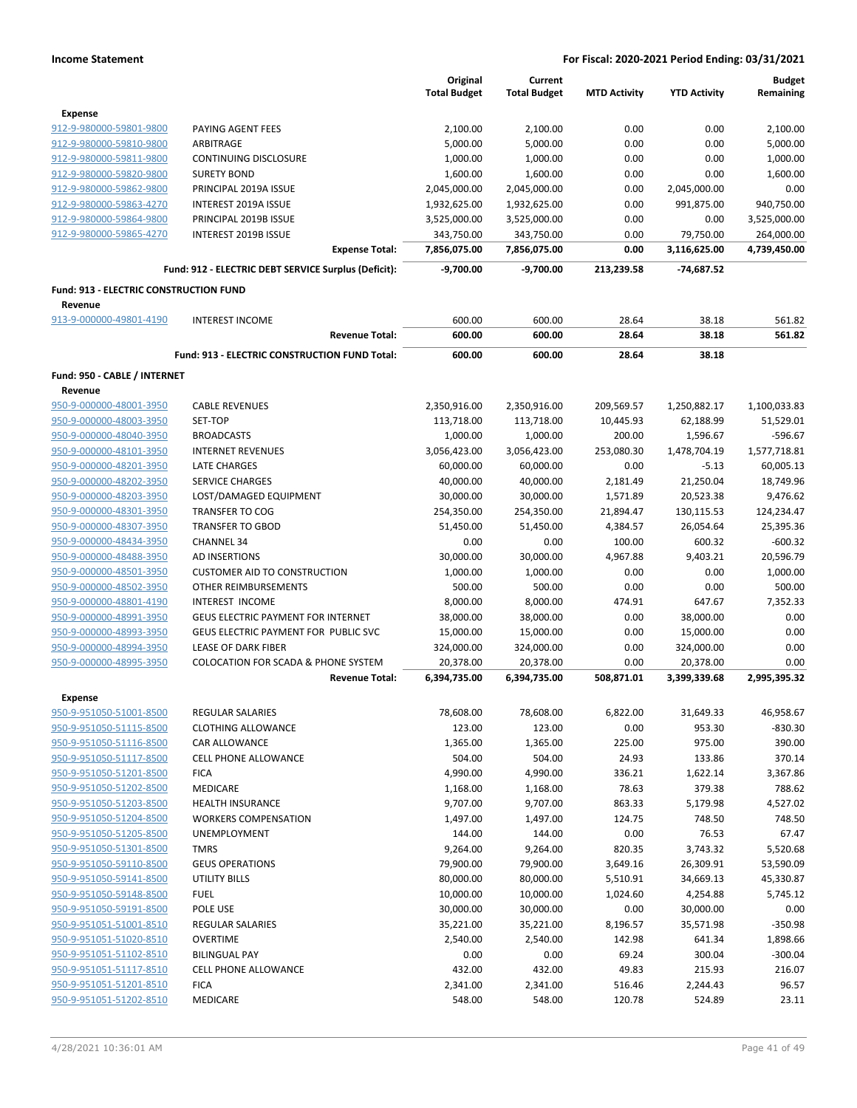|                                                    |                                                                         | Original<br><b>Total Budget</b> | Current<br><b>Total Budget</b> | <b>MTD Activity</b> | <b>YTD Activity</b>       | <b>Budget</b><br>Remaining |
|----------------------------------------------------|-------------------------------------------------------------------------|---------------------------------|--------------------------------|---------------------|---------------------------|----------------------------|
| <b>Expense</b>                                     |                                                                         |                                 |                                |                     |                           |                            |
| 912-9-980000-59801-9800                            | PAYING AGENT FEES                                                       | 2,100.00                        | 2,100.00                       | 0.00                | 0.00                      | 2,100.00                   |
| 912-9-980000-59810-9800                            | ARBITRAGE                                                               | 5,000.00                        | 5,000.00                       | 0.00                | 0.00                      | 5,000.00                   |
| 912-9-980000-59811-9800                            | <b>CONTINUING DISCLOSURE</b>                                            | 1,000.00                        | 1,000.00                       | 0.00                | 0.00                      | 1,000.00                   |
| 912-9-980000-59820-9800                            | <b>SURETY BOND</b>                                                      | 1,600.00                        | 1,600.00                       | 0.00                | 0.00                      | 1,600.00                   |
| 912-9-980000-59862-9800                            | PRINCIPAL 2019A ISSUE                                                   | 2,045,000.00                    | 2,045,000.00                   | 0.00                | 2,045,000.00              | 0.00                       |
| 912-9-980000-59863-4270                            | <b>INTEREST 2019A ISSUE</b>                                             | 1,932,625.00                    | 1,932,625.00                   | 0.00                | 991,875.00                | 940,750.00                 |
| 912-9-980000-59864-9800                            | PRINCIPAL 2019B ISSUE                                                   | 3,525,000.00                    | 3,525,000.00                   | 0.00                | 0.00                      | 3,525,000.00               |
| 912-9-980000-59865-4270                            | INTEREST 2019B ISSUE                                                    | 343,750.00                      | 343,750.00                     | 0.00                | 79,750.00                 | 264,000.00                 |
|                                                    | <b>Expense Total:</b>                                                   | 7,856,075.00                    | 7,856,075.00                   | 0.00                | 3,116,625.00              | 4,739,450.00               |
|                                                    | Fund: 912 - ELECTRIC DEBT SERVICE Surplus (Deficit):                    | $-9,700.00$                     | $-9,700.00$                    | 213,239.58          | -74,687.52                |                            |
| <b>Fund: 913 - ELECTRIC CONSTRUCTION FUND</b>      |                                                                         |                                 |                                |                     |                           |                            |
| Revenue<br>913-9-000000-49801-4190                 | <b>INTEREST INCOME</b>                                                  | 600.00                          | 600.00                         | 28.64               | 38.18                     | 561.82                     |
|                                                    | <b>Revenue Total:</b>                                                   | 600.00                          | 600.00                         | 28.64               | 38.18                     | 561.82                     |
|                                                    | Fund: 913 - ELECTRIC CONSTRUCTION FUND Total:                           | 600.00                          | 600.00                         | 28.64               | 38.18                     |                            |
| Fund: 950 - CABLE / INTERNET                       |                                                                         |                                 |                                |                     |                           |                            |
| Revenue                                            |                                                                         |                                 |                                |                     |                           |                            |
|                                                    |                                                                         |                                 | 2,350,916.00                   | 209,569.57          |                           | 1,100,033.83               |
| 950-9-000000-48001-3950                            | <b>CABLE REVENUES</b>                                                   | 2,350,916.00                    |                                |                     | 1,250,882.17              | 51,529.01                  |
| 950-9-000000-48003-3950<br>950-9-000000-48040-3950 | SET-TOP                                                                 | 113,718.00                      | 113,718.00                     | 10,445.93           | 62,188.99                 |                            |
|                                                    | <b>BROADCASTS</b>                                                       | 1,000.00                        | 1,000.00                       | 200.00              | 1,596.67                  | $-596.67$                  |
| 950-9-000000-48101-3950                            | <b>INTERNET REVENUES</b>                                                | 3,056,423.00                    | 3,056,423.00                   | 253,080.30          | 1,478,704.19              | 1,577,718.81               |
| 950-9-000000-48201-3950                            | <b>LATE CHARGES</b>                                                     | 60,000.00                       | 60,000.00                      | 0.00                | $-5.13$                   | 60,005.13                  |
| 950-9-000000-48202-3950                            | <b>SERVICE CHARGES</b>                                                  | 40,000.00                       | 40,000.00                      | 2,181.49            | 21,250.04                 | 18,749.96                  |
| 950-9-000000-48203-3950                            | LOST/DAMAGED EQUIPMENT                                                  | 30,000.00                       | 30,000.00                      | 1,571.89            | 20,523.38                 | 9,476.62                   |
| 950-9-000000-48301-3950                            | <b>TRANSFER TO COG</b>                                                  | 254,350.00                      | 254,350.00                     | 21,894.47           | 130,115.53                | 124,234.47                 |
| 950-9-000000-48307-3950                            | <b>TRANSFER TO GBOD</b>                                                 | 51,450.00                       | 51,450.00                      | 4,384.57            | 26,054.64                 | 25,395.36                  |
| 950-9-000000-48434-3950                            | <b>CHANNEL 34</b>                                                       | 0.00                            | 0.00                           | 100.00              | 600.32                    | $-600.32$                  |
| 950-9-000000-48488-3950                            | AD INSERTIONS                                                           | 30,000.00                       | 30,000.00                      | 4,967.88            | 9,403.21                  | 20,596.79                  |
| 950-9-000000-48501-3950                            | <b>CUSTOMER AID TO CONSTRUCTION</b>                                     | 1,000.00                        | 1,000.00                       | 0.00                | 0.00                      | 1,000.00                   |
| 950-9-000000-48502-3950                            | OTHER REIMBURSEMENTS                                                    | 500.00                          | 500.00                         | 0.00                | 0.00                      | 500.00                     |
| 950-9-000000-48801-4190                            | INTEREST INCOME                                                         | 8,000.00                        | 8,000.00                       | 474.91              | 647.67                    | 7,352.33                   |
| 950-9-000000-48991-3950                            | <b>GEUS ELECTRIC PAYMENT FOR INTERNET</b>                               | 38,000.00                       | 38,000.00                      | 0.00                | 38,000.00                 | 0.00                       |
| 950-9-000000-48993-3950                            | <b>GEUS ELECTRIC PAYMENT FOR PUBLIC SVC</b>                             | 15,000.00                       | 15,000.00                      | 0.00                | 15,000.00                 | 0.00                       |
| 950-9-000000-48994-3950                            | <b>LEASE OF DARK FIBER</b>                                              | 324,000.00                      | 324,000.00                     | 0.00                | 324,000.00                | 0.00                       |
| 950-9-000000-48995-3950                            | <b>COLOCATION FOR SCADA &amp; PHONE SYSTEM</b><br><b>Revenue Total:</b> | 20,378.00                       | 20,378.00                      | 0.00                | 20,378.00<br>3,399,339.68 | 0.00<br>2,995,395.32       |
|                                                    |                                                                         | 6,394,735.00                    | 6,394,735.00                   | 508,871.01          |                           |                            |
| Expense<br>950-9-951050-51001-8500                 | REGULAR SALARIES                                                        | 78,608.00                       | 78,608.00                      | 6,822.00            | 31,649.33                 | 46,958.67                  |
| 950-9-951050-51115-8500                            | <b>CLOTHING ALLOWANCE</b>                                               | 123.00                          | 123.00                         | 0.00                | 953.30                    | $-830.30$                  |
| 950-9-951050-51116-8500                            | CAR ALLOWANCE                                                           | 1,365.00                        | 1,365.00                       | 225.00              | 975.00                    | 390.00                     |
| 950-9-951050-51117-8500                            | CELL PHONE ALLOWANCE                                                    | 504.00                          | 504.00                         | 24.93               | 133.86                    | 370.14                     |
| 950-9-951050-51201-8500                            | <b>FICA</b>                                                             | 4,990.00                        | 4,990.00                       | 336.21              | 1,622.14                  | 3,367.86                   |
| 950-9-951050-51202-8500                            | MEDICARE                                                                | 1,168.00                        | 1,168.00                       | 78.63               | 379.38                    | 788.62                     |
| 950-9-951050-51203-8500                            | <b>HEALTH INSURANCE</b>                                                 | 9,707.00                        | 9,707.00                       | 863.33              | 5,179.98                  | 4,527.02                   |
| 950-9-951050-51204-8500                            | <b>WORKERS COMPENSATION</b>                                             | 1,497.00                        | 1,497.00                       | 124.75              | 748.50                    | 748.50                     |
| 950-9-951050-51205-8500                            | <b>UNEMPLOYMENT</b>                                                     | 144.00                          | 144.00                         | 0.00                | 76.53                     | 67.47                      |
| 950-9-951050-51301-8500                            | <b>TMRS</b>                                                             | 9,264.00                        | 9,264.00                       | 820.35              | 3,743.32                  | 5,520.68                   |
| 950-9-951050-59110-8500                            | <b>GEUS OPERATIONS</b>                                                  |                                 | 79,900.00                      |                     |                           |                            |
|                                                    |                                                                         | 79,900.00                       |                                | 3,649.16            | 26,309.91                 | 53,590.09                  |
| 950-9-951050-59141-8500                            | UTILITY BILLS                                                           | 80,000.00                       | 80,000.00                      | 5,510.91            | 34,669.13                 | 45,330.87                  |
| 950-9-951050-59148-8500                            | <b>FUEL</b>                                                             | 10,000.00                       | 10,000.00                      | 1,024.60            | 4,254.88                  | 5,745.12                   |
| 950-9-951050-59191-8500                            | POLE USE                                                                | 30,000.00                       | 30,000.00                      | 0.00                | 30,000.00                 | 0.00                       |
| 950-9-951051-51001-8510                            | REGULAR SALARIES                                                        | 35,221.00                       | 35,221.00                      | 8,196.57            | 35,571.98                 | $-350.98$                  |
| 950-9-951051-51020-8510                            | <b>OVERTIME</b>                                                         | 2,540.00                        | 2,540.00                       | 142.98              | 641.34                    | 1,898.66                   |
| 950-9-951051-51102-8510                            | <b>BILINGUAL PAY</b>                                                    | 0.00                            | 0.00                           | 69.24               | 300.04                    | $-300.04$                  |
| 950-9-951051-51117-8510                            | <b>CELL PHONE ALLOWANCE</b>                                             | 432.00                          | 432.00                         | 49.83               | 215.93                    | 216.07                     |
| 950-9-951051-51201-8510                            | <b>FICA</b>                                                             | 2,341.00                        | 2,341.00                       | 516.46              | 2,244.43                  | 96.57                      |
| 950-9-951051-51202-8510                            | MEDICARE                                                                | 548.00                          | 548.00                         | 120.78              | 524.89                    | 23.11                      |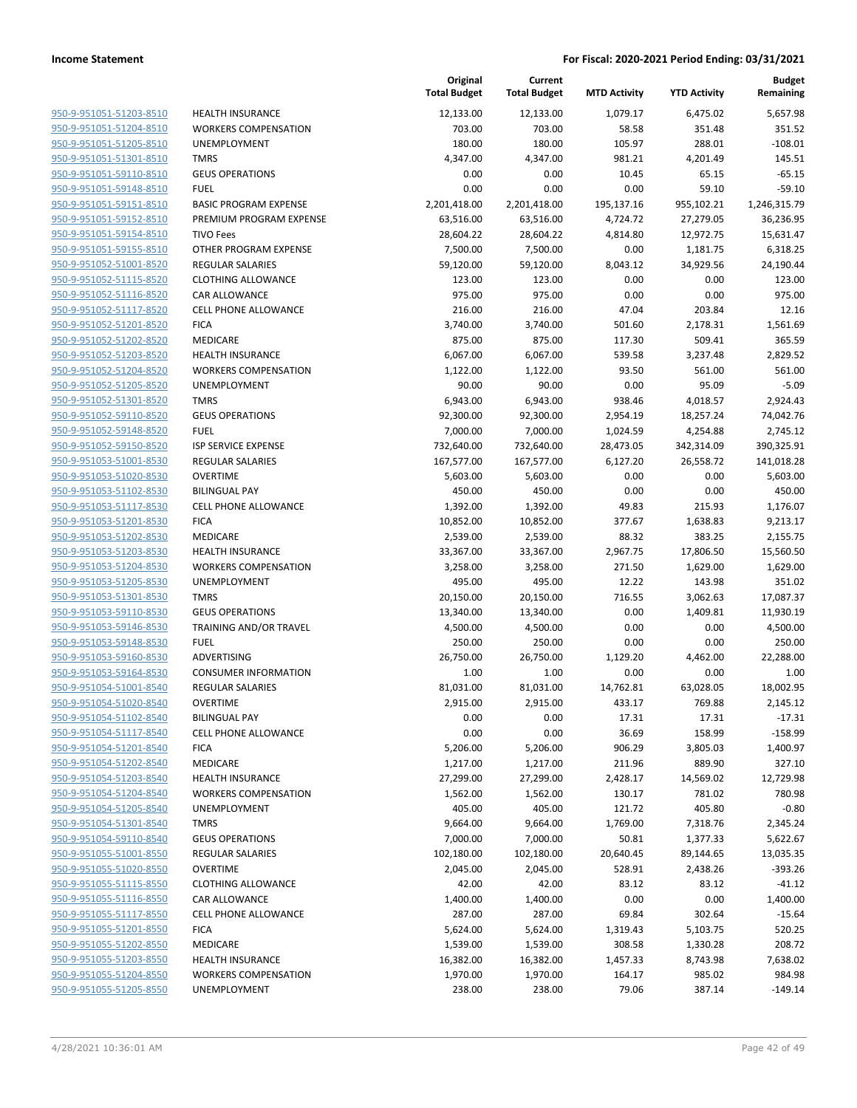|                         |                               | Original<br><b>Total Budget</b> | Current<br><b>Total Budget</b> | <b>MTD Activity</b> | <b>YTD Activity</b> | <b>Budget</b><br>Remaining |
|-------------------------|-------------------------------|---------------------------------|--------------------------------|---------------------|---------------------|----------------------------|
| 950-9-951051-51203-8510 | <b>HEALTH INSURANCE</b>       | 12,133.00                       | 12,133.00                      | 1,079.17            | 6,475.02            | 5,657.98                   |
| 950-9-951051-51204-8510 | <b>WORKERS COMPENSATION</b>   | 703.00                          | 703.00                         | 58.58               | 351.48              | 351.52                     |
| 950-9-951051-51205-8510 | UNEMPLOYMENT                  | 180.00                          | 180.00                         | 105.97              | 288.01              | $-108.01$                  |
| 950-9-951051-51301-8510 | <b>TMRS</b>                   | 4,347.00                        | 4,347.00                       | 981.21              | 4,201.49            | 145.51                     |
| 950-9-951051-59110-8510 | <b>GEUS OPERATIONS</b>        | 0.00                            | 0.00                           | 10.45               | 65.15               | $-65.15$                   |
| 950-9-951051-59148-8510 | <b>FUEL</b>                   | 0.00                            | 0.00                           | 0.00                | 59.10               | $-59.10$                   |
| 950-9-951051-59151-8510 | <b>BASIC PROGRAM EXPENSE</b>  | 2,201,418.00                    | 2,201,418.00                   | 195,137.16          | 955,102.21          | 1,246,315.79               |
| 950-9-951051-59152-8510 | PREMIUM PROGRAM EXPENSE       | 63,516.00                       | 63,516.00                      | 4,724.72            | 27,279.05           | 36,236.95                  |
| 950-9-951051-59154-8510 | <b>TIVO Fees</b>              | 28,604.22                       | 28,604.22                      | 4,814.80            | 12,972.75           | 15,631.47                  |
| 950-9-951051-59155-8510 | OTHER PROGRAM EXPENSE         | 7,500.00                        | 7,500.00                       | 0.00                | 1,181.75            | 6,318.25                   |
| 950-9-951052-51001-8520 | <b>REGULAR SALARIES</b>       | 59,120.00                       | 59,120.00                      | 8,043.12            | 34,929.56           | 24,190.44                  |
| 950-9-951052-51115-8520 | <b>CLOTHING ALLOWANCE</b>     | 123.00                          | 123.00                         | 0.00                | 0.00                | 123.00                     |
| 950-9-951052-51116-8520 | CAR ALLOWANCE                 | 975.00                          | 975.00                         | 0.00                | 0.00                | 975.00                     |
| 950-9-951052-51117-8520 | <b>CELL PHONE ALLOWANCE</b>   | 216.00                          | 216.00                         | 47.04               | 203.84              | 12.16                      |
| 950-9-951052-51201-8520 | <b>FICA</b>                   | 3,740.00                        | 3,740.00                       | 501.60              | 2,178.31            | 1,561.69                   |
| 950-9-951052-51202-8520 | MEDICARE                      | 875.00                          | 875.00                         | 117.30              | 509.41              | 365.59                     |
| 950-9-951052-51203-8520 | <b>HEALTH INSURANCE</b>       | 6,067.00                        | 6,067.00                       | 539.58              | 3,237.48            | 2,829.52                   |
| 950-9-951052-51204-8520 | <b>WORKERS COMPENSATION</b>   | 1,122.00                        | 1,122.00                       | 93.50               | 561.00              | 561.00                     |
| 950-9-951052-51205-8520 | <b>UNEMPLOYMENT</b>           | 90.00                           | 90.00                          | 0.00                | 95.09               | $-5.09$                    |
| 950-9-951052-51301-8520 | <b>TMRS</b>                   | 6,943.00                        | 6,943.00                       | 938.46              | 4,018.57            | 2,924.43                   |
| 950-9-951052-59110-8520 | <b>GEUS OPERATIONS</b>        | 92,300.00                       | 92,300.00                      | 2,954.19            | 18,257.24           | 74,042.76                  |
| 950-9-951052-59148-8520 | <b>FUEL</b>                   | 7,000.00                        | 7,000.00                       | 1,024.59            | 4,254.88            | 2,745.12                   |
| 950-9-951052-59150-8520 | <b>ISP SERVICE EXPENSE</b>    | 732,640.00                      | 732,640.00                     | 28,473.05           | 342,314.09          | 390,325.91                 |
| 950-9-951053-51001-8530 | <b>REGULAR SALARIES</b>       | 167,577.00                      | 167,577.00                     | 6,127.20            | 26,558.72           | 141,018.28                 |
| 950-9-951053-51020-8530 | <b>OVERTIME</b>               | 5,603.00                        | 5,603.00                       | 0.00                | 0.00                | 5,603.00                   |
| 950-9-951053-51102-8530 | <b>BILINGUAL PAY</b>          | 450.00                          | 450.00                         | 0.00                | 0.00                | 450.00                     |
| 950-9-951053-51117-8530 | <b>CELL PHONE ALLOWANCE</b>   | 1,392.00                        | 1,392.00                       | 49.83               | 215.93              | 1,176.07                   |
| 950-9-951053-51201-8530 | <b>FICA</b>                   | 10,852.00                       | 10,852.00                      | 377.67              | 1,638.83            | 9,213.17                   |
| 950-9-951053-51202-8530 | MEDICARE                      | 2,539.00                        | 2,539.00                       | 88.32               | 383.25              | 2,155.75                   |
| 950-9-951053-51203-8530 | <b>HEALTH INSURANCE</b>       | 33,367.00                       | 33,367.00                      | 2,967.75            | 17,806.50           | 15,560.50                  |
| 950-9-951053-51204-8530 | <b>WORKERS COMPENSATION</b>   | 3,258.00                        | 3,258.00                       | 271.50              | 1,629.00            | 1,629.00                   |
| 950-9-951053-51205-8530 | UNEMPLOYMENT                  | 495.00                          | 495.00                         | 12.22               | 143.98              | 351.02                     |
| 950-9-951053-51301-8530 | <b>TMRS</b>                   | 20,150.00                       | 20,150.00                      | 716.55              | 3,062.63            | 17,087.37                  |
| 950-9-951053-59110-8530 | <b>GEUS OPERATIONS</b>        | 13,340.00                       | 13,340.00                      | 0.00                | 1,409.81            | 11,930.19                  |
| 950-9-951053-59146-8530 | <b>TRAINING AND/OR TRAVEL</b> | 4,500.00                        | 4,500.00                       | 0.00                | 0.00                | 4,500.00                   |
| 950-9-951053-59148-8530 | <b>FUEL</b>                   | 250.00                          | 250.00                         | 0.00                | 0.00                | 250.00                     |
| 950-9-951053-59160-8530 | ADVERTISING                   | 26,750.00                       | 26,750.00                      | 1,129.20            | 4,462.00            | 22,288.00                  |
| 950-9-951053-59164-8530 | <b>CONSUMER INFORMATION</b>   | 1.00                            | 1.00                           | 0.00                | 0.00                | 1.00                       |
| 950-9-951054-51001-8540 | <b>REGULAR SALARIES</b>       | 81,031.00                       | 81,031.00                      | 14,762.81           | 63,028.05           | 18,002.95                  |
| 950-9-951054-51020-8540 | <b>OVERTIME</b>               | 2,915.00                        | 2,915.00                       | 433.17              | 769.88              | 2,145.12                   |
| 950-9-951054-51102-8540 | <b>BILINGUAL PAY</b>          | 0.00                            | 0.00                           | 17.31               | 17.31               | $-17.31$                   |
| 950-9-951054-51117-8540 | <b>CELL PHONE ALLOWANCE</b>   | 0.00                            | 0.00                           | 36.69               | 158.99              | $-158.99$                  |
| 950-9-951054-51201-8540 | <b>FICA</b>                   | 5,206.00                        | 5,206.00                       | 906.29              | 3,805.03            | 1,400.97                   |
| 950-9-951054-51202-8540 | <b>MEDICARE</b>               | 1,217.00                        | 1,217.00                       | 211.96              | 889.90              | 327.10                     |
| 950-9-951054-51203-8540 | <b>HEALTH INSURANCE</b>       | 27,299.00                       | 27,299.00                      | 2,428.17            | 14,569.02           | 12,729.98                  |
| 950-9-951054-51204-8540 | <b>WORKERS COMPENSATION</b>   | 1,562.00                        | 1,562.00                       | 130.17              | 781.02              | 780.98                     |
| 950-9-951054-51205-8540 | UNEMPLOYMENT                  | 405.00                          | 405.00                         | 121.72              | 405.80              | $-0.80$                    |
| 950-9-951054-51301-8540 | <b>TMRS</b>                   | 9,664.00                        | 9,664.00                       | 1,769.00            | 7,318.76            | 2,345.24                   |
| 950-9-951054-59110-8540 | <b>GEUS OPERATIONS</b>        | 7,000.00                        | 7,000.00                       | 50.81               | 1,377.33            | 5,622.67                   |
| 950-9-951055-51001-8550 | REGULAR SALARIES              | 102,180.00                      | 102,180.00                     | 20,640.45           | 89,144.65           | 13,035.35                  |
| 950-9-951055-51020-8550 | <b>OVERTIME</b>               | 2,045.00                        | 2,045.00                       | 528.91              | 2,438.26            | $-393.26$                  |
| 950-9-951055-51115-8550 | <b>CLOTHING ALLOWANCE</b>     | 42.00                           | 42.00                          | 83.12               | 83.12               | $-41.12$                   |
| 950-9-951055-51116-8550 | CAR ALLOWANCE                 | 1,400.00                        | 1,400.00                       | 0.00                | 0.00                | 1,400.00                   |
| 950-9-951055-51117-8550 | <b>CELL PHONE ALLOWANCE</b>   | 287.00                          | 287.00                         | 69.84               | 302.64              | $-15.64$                   |
| 950-9-951055-51201-8550 | <b>FICA</b>                   | 5,624.00                        | 5,624.00                       | 1,319.43            | 5,103.75            | 520.25                     |
| 950-9-951055-51202-8550 | MEDICARE                      | 1,539.00                        | 1,539.00                       | 308.58              | 1,330.28            | 208.72                     |
| 950-9-951055-51203-8550 | <b>HEALTH INSURANCE</b>       | 16,382.00                       | 16,382.00                      | 1,457.33            | 8,743.98            | 7,638.02                   |
| 950-9-951055-51204-8550 | <b>WORKERS COMPENSATION</b>   | 1,970.00                        | 1,970.00                       | 164.17              | 985.02              | 984.98                     |
| 950-9-951055-51205-8550 | UNEMPLOYMENT                  | 238.00                          | 238.00                         | 79.06               | 387.14              | $-149.14$                  |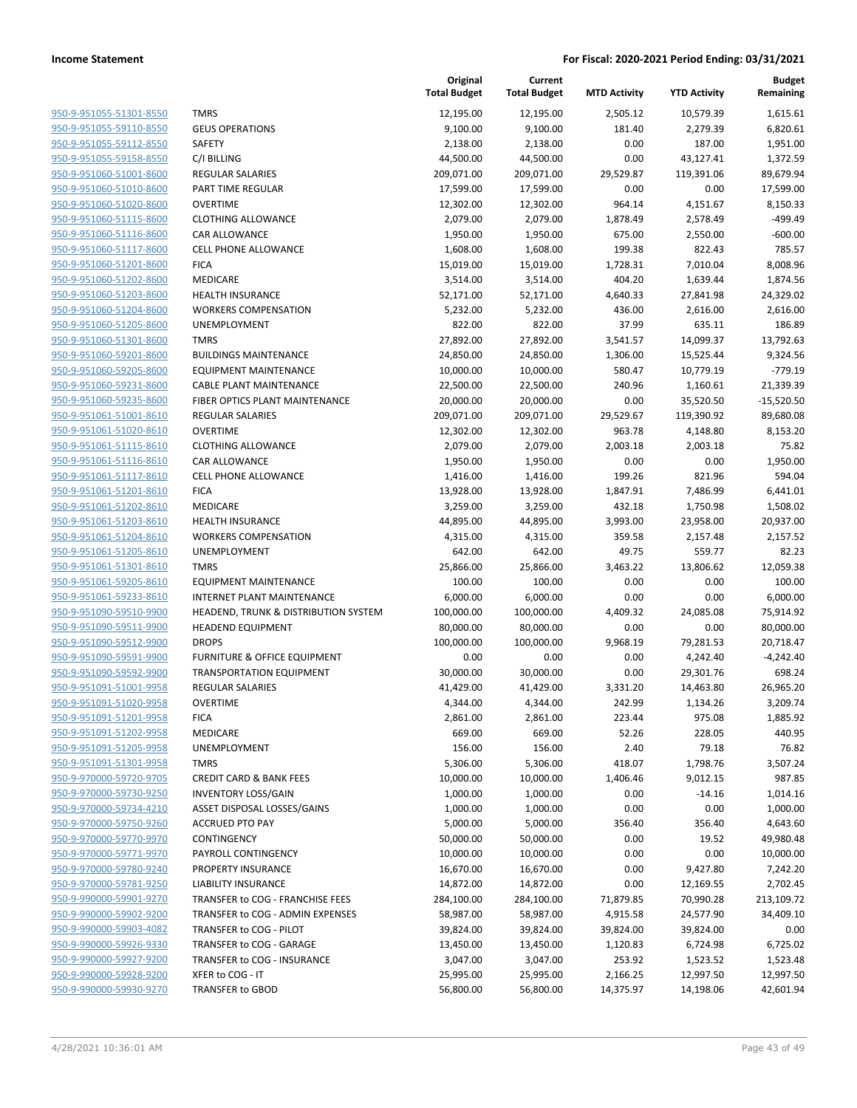| 950-9-951055-51301-8550        |
|--------------------------------|
| 950-9-951055-59110-8550        |
| 950-9-951055-59112-8550        |
| 950-9-951055-59158-8550        |
| <u>950-9-951060-51001-8600</u> |
| 950-9-951060-51010-8600        |
| 950-9-951060-51020-8600        |
| 950-9-951060-51115-8600        |
| 950-9-951060-51116-8600        |
| 950-9-951060-51117-8600        |
| 950-9-951060-51201-8600        |
| 950-9-951060-51202-8600        |
| 950-9-951060-51203-8600        |
| 950-9-951060-51204-8600        |
|                                |
| <u>950-9-951060-51205-8600</u> |
| 950-9-951060-51301-8600        |
| 950-9-951060-59201-8600        |
| 950-9-951060-59205-8600        |
| 950-9-951060-59231-8600        |
| 950-9-951060-59235-8600        |
| 950-9-951061-51001-8610        |
| 950-9-951061-51020-8610        |
| 950-9-951061-51115-8610        |
| 950-9-951061-51116-8610        |
| <u>950-9-951061-51117-8610</u> |
| 950-9-951061-51201-8610        |
| 950-9-951061-51202-8610        |
| 950-9-951061-51203-8610        |
| 950-9-951061-51204-8610        |
| <u>950-9-951061-51205-8610</u> |
| 950-9-951061-51301-8610        |
| 950-9-951061-59205-8610        |
| 950-9-951061-59233-8610        |
| 950-9-951090-59510-9900        |
| 950-9-951090-59511-9900        |
| 950-9-951090-59512-9900        |
| 950-9-951090-59591-9900        |
| 950-9-951090-59592-9900        |
|                                |
| 950-9-951091-51001-9958        |
| 950-9-951091-51020-9958        |
| 950-9-951091-51201-9958        |
| <u>950-9-951091-51202-9958</u> |
| 950-9-951091-51205-9958        |
| 950-9-951091-51301-9958        |
| 950-9-970000-59720-9705        |
| <u>950-9-970000-59730-9250</u> |
| 950-9-970000-59734-4210        |
| 950-9-970000-59750-9260        |
| 950-9-970000-59770-9970        |
| <u>950-9-970000-59771-9970</u> |
| <u>950-9-970000-59780-9240</u> |
| <u>950-9-970000-59781-9250</u> |
| 950-9-990000-59901-9270        |
| 950-9-990000-59902-9200        |
| <u>950-9-990000-59903-4082</u> |
| <u>950-9-990000-59926-9330</u> |
|                                |
| <u>950-9-990000-59927-9200</u> |
| <u>950-9-990000-59928-9200</u> |
| 950-9-990000-59930-9270        |

|                         |                                      | Original<br><b>Total Budget</b> | Current<br><b>Total Budget</b> | <b>MTD Activity</b> | <b>YTD Activity</b> | <b>Budget</b><br>Remaining |
|-------------------------|--------------------------------------|---------------------------------|--------------------------------|---------------------|---------------------|----------------------------|
| 950-9-951055-51301-8550 | <b>TMRS</b>                          | 12,195.00                       | 12,195.00                      | 2,505.12            | 10,579.39           | 1,615.61                   |
| 950-9-951055-59110-8550 | <b>GEUS OPERATIONS</b>               | 9,100.00                        | 9,100.00                       | 181.40              | 2,279.39            | 6,820.61                   |
| 950-9-951055-59112-8550 | SAFETY                               | 2,138.00                        | 2,138.00                       | 0.00                | 187.00              | 1,951.00                   |
| 950-9-951055-59158-8550 | C/I BILLING                          | 44,500.00                       | 44,500.00                      | 0.00                | 43,127.41           | 1,372.59                   |
| 950-9-951060-51001-8600 | <b>REGULAR SALARIES</b>              | 209,071.00                      | 209,071.00                     | 29,529.87           | 119,391.06          | 89,679.94                  |
| 950-9-951060-51010-8600 | PART TIME REGULAR                    | 17,599.00                       | 17,599.00                      | 0.00                | 0.00                | 17,599.00                  |
| 950-9-951060-51020-8600 | <b>OVERTIME</b>                      | 12,302.00                       | 12,302.00                      | 964.14              | 4,151.67            | 8,150.33                   |
| 950-9-951060-51115-8600 | <b>CLOTHING ALLOWANCE</b>            | 2,079.00                        | 2,079.00                       | 1,878.49            | 2,578.49            | $-499.49$                  |
| 950-9-951060-51116-8600 | CAR ALLOWANCE                        | 1,950.00                        | 1,950.00                       | 675.00              | 2,550.00            | $-600.00$                  |
| 950-9-951060-51117-8600 | <b>CELL PHONE ALLOWANCE</b>          | 1,608.00                        | 1,608.00                       | 199.38              | 822.43              | 785.57                     |
| 950-9-951060-51201-8600 | <b>FICA</b>                          | 15,019.00                       | 15,019.00                      | 1,728.31            | 7,010.04            | 8,008.96                   |
| 950-9-951060-51202-8600 | MEDICARE                             | 3,514.00                        | 3,514.00                       | 404.20              | 1,639.44            | 1,874.56                   |
| 950-9-951060-51203-8600 | <b>HEALTH INSURANCE</b>              | 52,171.00                       | 52,171.00                      | 4,640.33            | 27,841.98           | 24,329.02                  |
| 950-9-951060-51204-8600 | <b>WORKERS COMPENSATION</b>          | 5,232.00                        | 5,232.00                       | 436.00              | 2,616.00            | 2,616.00                   |
| 950-9-951060-51205-8600 | <b>UNEMPLOYMENT</b>                  | 822.00                          | 822.00                         | 37.99               | 635.11              | 186.89                     |
| 950-9-951060-51301-8600 | <b>TMRS</b>                          | 27,892.00                       | 27,892.00                      | 3,541.57            | 14,099.37           | 13,792.63                  |
| 950-9-951060-59201-8600 | <b>BUILDINGS MAINTENANCE</b>         | 24,850.00                       | 24,850.00                      | 1,306.00            | 15,525.44           | 9,324.56                   |
| 950-9-951060-59205-8600 | <b>EQUIPMENT MAINTENANCE</b>         | 10,000.00                       | 10,000.00                      | 580.47              | 10,779.19           | $-779.19$                  |
| 950-9-951060-59231-8600 | <b>CABLE PLANT MAINTENANCE</b>       | 22,500.00                       | 22,500.00                      | 240.96              | 1,160.61            | 21,339.39                  |
| 950-9-951060-59235-8600 | FIBER OPTICS PLANT MAINTENANCE       | 20,000.00                       | 20,000.00                      | 0.00                | 35,520.50           | $-15,520.50$               |
| 950-9-951061-51001-8610 | <b>REGULAR SALARIES</b>              | 209,071.00                      | 209,071.00                     | 29,529.67           | 119,390.92          | 89,680.08                  |
| 950-9-951061-51020-8610 | <b>OVERTIME</b>                      | 12,302.00                       | 12,302.00                      | 963.78              | 4,148.80            | 8,153.20                   |
| 950-9-951061-51115-8610 | <b>CLOTHING ALLOWANCE</b>            | 2,079.00                        | 2,079.00                       | 2,003.18            | 2,003.18            | 75.82                      |
| 950-9-951061-51116-8610 | CAR ALLOWANCE                        | 1,950.00                        | 1,950.00                       | 0.00                | 0.00                | 1,950.00                   |
| 950-9-951061-51117-8610 | <b>CELL PHONE ALLOWANCE</b>          | 1,416.00                        | 1,416.00                       | 199.26              | 821.96              | 594.04                     |
| 950-9-951061-51201-8610 | <b>FICA</b>                          | 13,928.00                       | 13,928.00                      | 1,847.91            | 7,486.99            | 6,441.01                   |
| 950-9-951061-51202-8610 | MEDICARE                             | 3,259.00                        | 3,259.00                       | 432.18              | 1,750.98            | 1,508.02                   |
| 950-9-951061-51203-8610 | <b>HEALTH INSURANCE</b>              | 44,895.00                       | 44,895.00                      | 3,993.00            | 23,958.00           | 20,937.00                  |
| 950-9-951061-51204-8610 | <b>WORKERS COMPENSATION</b>          | 4,315.00                        | 4,315.00                       | 359.58              | 2,157.48            | 2,157.52                   |
| 950-9-951061-51205-8610 | <b>UNEMPLOYMENT</b>                  | 642.00                          | 642.00                         | 49.75               | 559.77              | 82.23                      |
| 950-9-951061-51301-8610 | <b>TMRS</b>                          | 25,866.00                       | 25,866.00                      | 3,463.22            | 13,806.62           | 12,059.38                  |
| 950-9-951061-59205-8610 | <b>EQUIPMENT MAINTENANCE</b>         | 100.00                          | 100.00                         | 0.00                | 0.00                | 100.00                     |
| 950-9-951061-59233-8610 | <b>INTERNET PLANT MAINTENANCE</b>    | 6,000.00                        | 6,000.00                       | 0.00                | 0.00                | 6,000.00                   |
| 950-9-951090-59510-9900 | HEADEND, TRUNK & DISTRIBUTION SYSTEM | 100,000.00                      | 100,000.00                     | 4,409.32            | 24,085.08           | 75,914.92                  |
| 950-9-951090-59511-9900 | <b>HEADEND EQUIPMENT</b>             | 80,000.00                       | 80,000.00                      | 0.00                | 0.00                | 80,000.00                  |
| 950-9-951090-59512-9900 | <b>DROPS</b>                         | 100,000.00                      | 100,000.00                     | 9,968.19            | 79,281.53           | 20,718.47                  |
| 950-9-951090-59591-9900 | FURNITURE & OFFICE EQUIPMENT         | 0.00                            | 0.00                           | 0.00                | 4,242.40            | $-4,242.40$                |
| 950-9-951090-59592-9900 | <b>TRANSPORTATION EQUIPMENT</b>      | 30,000.00                       | 30,000.00                      | 0.00                | 29,301.76           | 698.24                     |
| 950-9-951091-51001-9958 | <b>REGULAR SALARIES</b>              | 41,429.00                       | 41,429.00                      | 3,331.20            | 14,463.80           | 26,965.20                  |
| 950-9-951091-51020-9958 | OVERTIME                             | 4,344.00                        | 4,344.00                       | 242.99              | 1,134.26            | 3,209.74                   |
| 950-9-951091-51201-9958 | <b>FICA</b>                          | 2,861.00                        | 2,861.00                       | 223.44              | 975.08              | 1,885.92                   |
| 950-9-951091-51202-9958 | MEDICARE                             | 669.00                          | 669.00                         | 52.26               | 228.05              | 440.95                     |
| 950-9-951091-51205-9958 | UNEMPLOYMENT                         | 156.00                          | 156.00                         | 2.40                | 79.18               | 76.82                      |
| 950-9-951091-51301-9958 | <b>TMRS</b>                          | 5,306.00                        | 5,306.00                       | 418.07              | 1,798.76            | 3,507.24                   |
| 950-9-970000-59720-9705 | <b>CREDIT CARD &amp; BANK FEES</b>   | 10,000.00                       | 10,000.00                      | 1,406.46            | 9,012.15            | 987.85                     |
| 950-9-970000-59730-9250 | <b>INVENTORY LOSS/GAIN</b>           | 1,000.00                        | 1,000.00                       | 0.00                | $-14.16$            | 1,014.16                   |
| 950-9-970000-59734-4210 | ASSET DISPOSAL LOSSES/GAINS          | 1,000.00                        | 1,000.00                       | 0.00                | 0.00                | 1,000.00                   |
| 950-9-970000-59750-9260 | <b>ACCRUED PTO PAY</b>               | 5,000.00                        | 5,000.00                       | 356.40              | 356.40              | 4,643.60                   |
| 950-9-970000-59770-9970 | CONTINGENCY                          | 50,000.00                       | 50,000.00                      | 0.00                | 19.52               | 49,980.48                  |
| 950-9-970000-59771-9970 | PAYROLL CONTINGENCY                  | 10,000.00                       | 10,000.00                      | 0.00                | 0.00                | 10,000.00                  |
| 950-9-970000-59780-9240 | PROPERTY INSURANCE                   | 16,670.00                       | 16,670.00                      | 0.00                | 9,427.80            | 7,242.20                   |
| 950-9-970000-59781-9250 | LIABILITY INSURANCE                  | 14,872.00                       | 14,872.00                      | 0.00                | 12,169.55           | 2,702.45                   |
| 950-9-990000-59901-9270 | TRANSFER to COG - FRANCHISE FEES     | 284,100.00                      | 284,100.00                     | 71,879.85           | 70,990.28           | 213,109.72                 |
| 950-9-990000-59902-9200 | TRANSFER to COG - ADMIN EXPENSES     | 58,987.00                       | 58,987.00                      | 4,915.58            | 24,577.90           | 34,409.10                  |
| 950-9-990000-59903-4082 | TRANSFER to COG - PILOT              | 39,824.00                       | 39,824.00                      | 39,824.00           | 39,824.00           | 0.00                       |
| 950-9-990000-59926-9330 | TRANSFER to COG - GARAGE             | 13,450.00                       | 13,450.00                      | 1,120.83            | 6,724.98            | 6,725.02                   |
| 950-9-990000-59927-9200 | TRANSFER to COG - INSURANCE          | 3,047.00                        | 3,047.00                       | 253.92              | 1,523.52            | 1,523.48                   |
| 950-9-990000-59928-9200 | XFER to COG - IT                     | 25,995.00                       | 25,995.00                      | 2,166.25            | 12,997.50           | 12,997.50                  |
| 950-9-990000-59930-9270 | TRANSFER to GBOD                     | 56,800.00                       | 56,800.00                      | 14,375.97           | 14,198.06           | 42,601.94                  |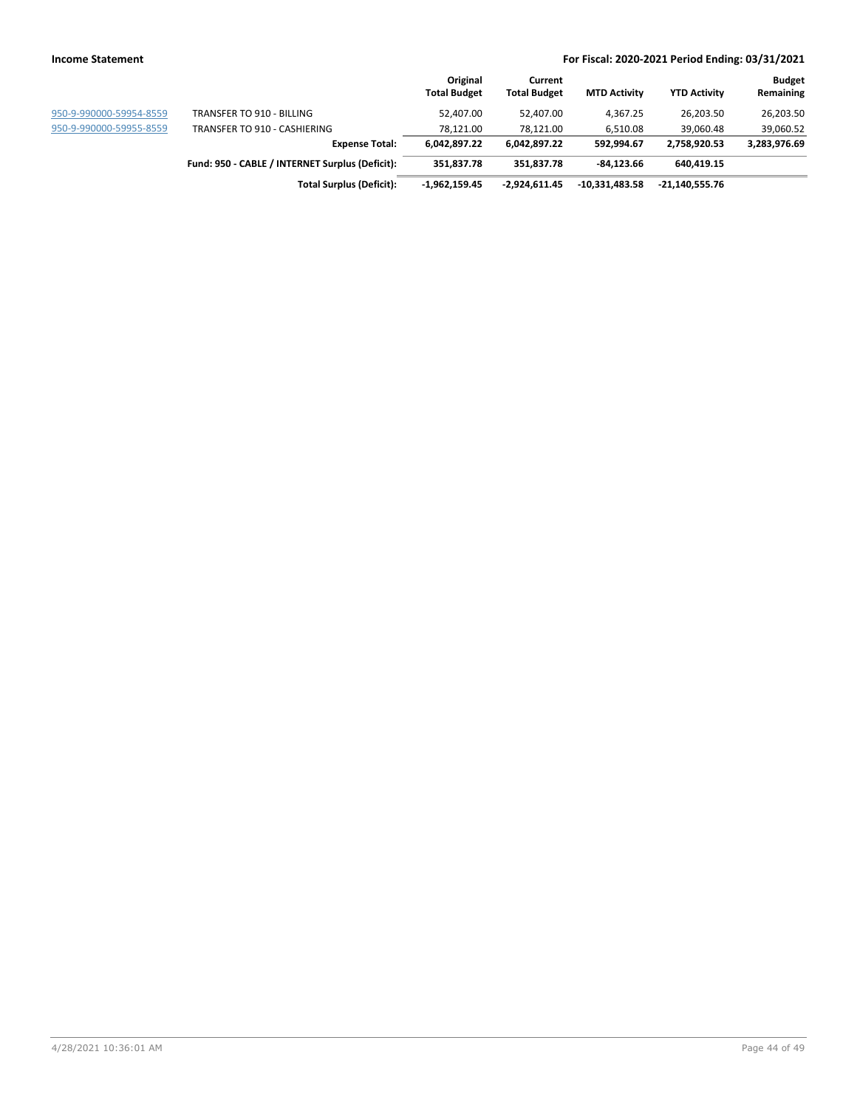|  | ncome Statement |
|--|-----------------|
|--|-----------------|

|                         |                                                 | Original            | Current             |                     |                     | <b>Budget</b> |
|-------------------------|-------------------------------------------------|---------------------|---------------------|---------------------|---------------------|---------------|
|                         |                                                 | <b>Total Budget</b> | <b>Total Budget</b> | <b>MTD Activity</b> | <b>YTD Activity</b> | Remaining     |
| 950-9-990000-59954-8559 | TRANSFER TO 910 - BILLING                       | 52,407.00           | 52,407.00           | 4.367.25            | 26.203.50           | 26,203.50     |
| 950-9-990000-59955-8559 | TRANSFER TO 910 - CASHIERING                    | 78.121.00           | 78.121.00           | 6.510.08            | 39.060.48           | 39,060.52     |
|                         | <b>Expense Total:</b>                           | 6,042,897.22        | 6,042,897.22        | 592.994.67          | 2.758.920.53        | 3,283,976.69  |
|                         | Fund: 950 - CABLE / INTERNET Surplus (Deficit): | 351.837.78          | 351,837.78          | -84.123.66          | 640,419.15          |               |
|                         | <b>Total Surplus (Deficit):</b>                 | $-1,962,159.45$     | $-2.924.611.45$     | $-10,331,483.58$    | -21,140,555.76      |               |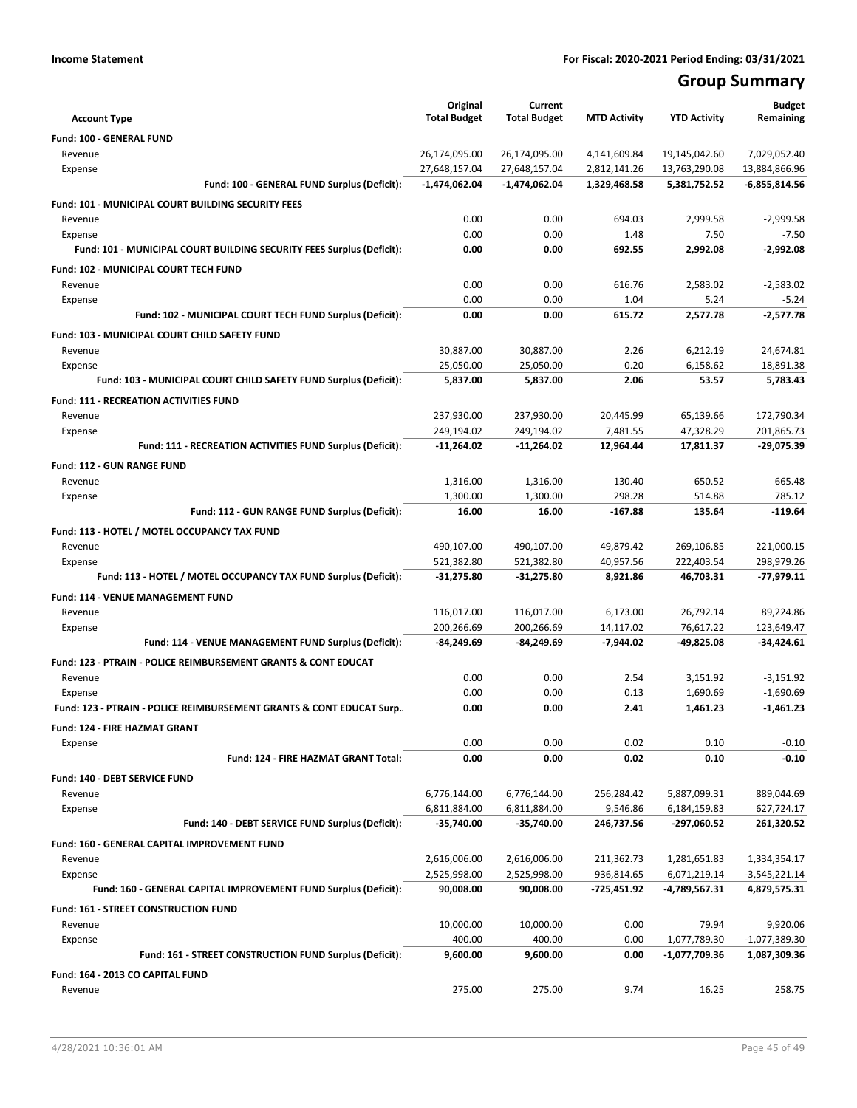## **Group Summary**

| <b>Account Type</b>                                                            | Original<br><b>Total Budget</b> | Current<br><b>Total Budget</b> | <b>MTD Activity</b>    | <b>YTD Activity</b>     | <b>Budget</b><br>Remaining |
|--------------------------------------------------------------------------------|---------------------------------|--------------------------------|------------------------|-------------------------|----------------------------|
| Fund: 100 - GENERAL FUND                                                       |                                 |                                |                        |                         |                            |
| Revenue                                                                        | 26,174,095.00                   | 26,174,095.00                  | 4,141,609.84           | 19,145,042.60           | 7,029,052.40               |
| Expense                                                                        | 27,648,157.04                   | 27,648,157.04                  | 2,812,141.26           | 13,763,290.08           | 13,884,866.96              |
| Fund: 100 - GENERAL FUND Surplus (Deficit):                                    | $-1,474,062.04$                 | $-1,474,062.04$                | 1,329,468.58           | 5,381,752.52            | $-6,855,814.56$            |
| Fund: 101 - MUNICIPAL COURT BUILDING SECURITY FEES                             |                                 |                                |                        |                         |                            |
| Revenue                                                                        | 0.00                            | 0.00                           | 694.03                 | 2,999.58                | $-2,999.58$                |
| Expense                                                                        | 0.00                            | 0.00                           | 1.48                   | 7.50                    | $-7.50$                    |
| Fund: 101 - MUNICIPAL COURT BUILDING SECURITY FEES Surplus (Deficit):          | 0.00                            | 0.00                           | 692.55                 | 2,992.08                | $-2,992.08$                |
| Fund: 102 - MUNICIPAL COURT TECH FUND                                          |                                 |                                |                        |                         |                            |
| Revenue                                                                        | 0.00                            | 0.00                           | 616.76                 | 2,583.02                | $-2,583.02$                |
| Expense                                                                        | 0.00                            | 0.00                           | 1.04                   | 5.24                    | $-5.24$                    |
| Fund: 102 - MUNICIPAL COURT TECH FUND Surplus (Deficit):                       | 0.00                            | 0.00                           | 615.72                 | 2,577.78                | $-2,577.78$                |
| Fund: 103 - MUNICIPAL COURT CHILD SAFETY FUND                                  |                                 |                                |                        |                         |                            |
| Revenue                                                                        | 30,887.00                       | 30,887.00                      | 2.26                   | 6,212.19                | 24,674.81                  |
| Expense                                                                        | 25,050.00                       | 25,050.00                      | 0.20                   | 6,158.62                | 18,891.38                  |
| Fund: 103 - MUNICIPAL COURT CHILD SAFETY FUND Surplus (Deficit):               | 5,837.00                        | 5,837.00                       | 2.06                   | 53.57                   | 5,783.43                   |
| <b>Fund: 111 - RECREATION ACTIVITIES FUND</b>                                  |                                 |                                |                        |                         |                            |
| Revenue                                                                        | 237,930.00                      | 237,930.00                     | 20,445.99              | 65,139.66               | 172,790.34                 |
| Expense                                                                        | 249,194.02                      | 249,194.02                     | 7,481.55               | 47,328.29               | 201,865.73                 |
| Fund: 111 - RECREATION ACTIVITIES FUND Surplus (Deficit):                      | $-11,264.02$                    | $-11,264.02$                   | 12,964.44              | 17,811.37               | -29,075.39                 |
|                                                                                |                                 |                                |                        |                         |                            |
| <b>Fund: 112 - GUN RANGE FUND</b>                                              |                                 |                                |                        |                         |                            |
| Revenue                                                                        | 1,316.00<br>1,300.00            | 1,316.00<br>1,300.00           | 130.40<br>298.28       | 650.52<br>514.88        | 665.48<br>785.12           |
| Expense<br>Fund: 112 - GUN RANGE FUND Surplus (Deficit):                       | 16.00                           | 16.00                          | $-167.88$              | 135.64                  | $-119.64$                  |
|                                                                                |                                 |                                |                        |                         |                            |
| Fund: 113 - HOTEL / MOTEL OCCUPANCY TAX FUND                                   |                                 |                                |                        |                         |                            |
| Revenue                                                                        | 490,107.00                      | 490,107.00                     | 49,879.42              | 269,106.85              | 221,000.15                 |
| Expense<br>Fund: 113 - HOTEL / MOTEL OCCUPANCY TAX FUND Surplus (Deficit):     | 521,382.80<br>-31,275.80        | 521,382.80<br>-31,275.80       | 40,957.56<br>8,921.86  | 222,403.54<br>46,703.31 | 298,979.26<br>-77,979.11   |
|                                                                                |                                 |                                |                        |                         |                            |
| Fund: 114 - VENUE MANAGEMENT FUND                                              |                                 |                                |                        |                         |                            |
| Revenue                                                                        | 116,017.00                      | 116,017.00                     | 6,173.00               | 26,792.14               | 89,224.86                  |
| Expense<br>Fund: 114 - VENUE MANAGEMENT FUND Surplus (Deficit):                | 200,266.69<br>-84,249.69        | 200,266.69<br>-84,249.69       | 14,117.02<br>-7,944.02 | 76,617.22<br>-49,825.08 | 123,649.47<br>-34,424.61   |
|                                                                                |                                 |                                |                        |                         |                            |
| <b>Fund: 123 - PTRAIN - POLICE REIMBURSEMENT GRANTS &amp; CONT EDUCAT</b>      |                                 |                                |                        |                         |                            |
| Revenue                                                                        | 0.00                            | 0.00                           | 2.54                   | 3,151.92                | $-3,151.92$                |
| Expense<br>Fund: 123 - PTRAIN - POLICE REIMBURSEMENT GRANTS & CONT EDUCAT Surp | 0.00<br>0.00                    | 0.00<br>0.00                   | 0.13<br>2.41           | 1,690.69<br>1,461.23    | $-1,690.69$<br>$-1,461.23$ |
|                                                                                |                                 |                                |                        |                         |                            |
| Fund: 124 - FIRE HAZMAT GRANT                                                  |                                 |                                |                        |                         |                            |
| Expense                                                                        | 0.00                            | 0.00                           | 0.02                   | 0.10                    | $-0.10$                    |
| Fund: 124 - FIRE HAZMAT GRANT Total:                                           | 0.00                            | 0.00                           | 0.02                   | 0.10                    | $-0.10$                    |
| Fund: 140 - DEBT SERVICE FUND                                                  |                                 |                                |                        |                         |                            |
| Revenue                                                                        | 6,776,144.00                    | 6,776,144.00                   | 256,284.42             | 5,887,099.31            | 889,044.69                 |
| Expense                                                                        | 6,811,884.00                    | 6,811,884.00                   | 9,546.86               | 6,184,159.83            | 627,724.17                 |
| Fund: 140 - DEBT SERVICE FUND Surplus (Deficit):                               | -35,740.00                      | $-35,740.00$                   | 246,737.56             | -297,060.52             | 261,320.52                 |
| Fund: 160 - GENERAL CAPITAL IMPROVEMENT FUND                                   |                                 |                                |                        |                         |                            |
| Revenue                                                                        | 2,616,006.00                    | 2,616,006.00                   | 211,362.73             | 1,281,651.83            | 1,334,354.17               |
| Expense                                                                        | 2,525,998.00                    | 2,525,998.00                   | 936,814.65             | 6,071,219.14            | -3,545,221.14              |
| Fund: 160 - GENERAL CAPITAL IMPROVEMENT FUND Surplus (Deficit):                | 90,008.00                       | 90,008.00                      | -725,451.92            | -4,789,567.31           | 4,879,575.31               |
| Fund: 161 - STREET CONSTRUCTION FUND                                           |                                 |                                |                        |                         |                            |
| Revenue                                                                        | 10,000.00                       | 10,000.00                      | 0.00                   | 79.94                   | 9,920.06                   |
| Expense                                                                        | 400.00                          | 400.00                         | 0.00                   | 1,077,789.30            | -1,077,389.30              |
| Fund: 161 - STREET CONSTRUCTION FUND Surplus (Deficit):                        | 9,600.00                        | 9,600.00                       | 0.00                   | -1,077,709.36           | 1,087,309.36               |
| Fund: 164 - 2013 CO CAPITAL FUND                                               |                                 |                                |                        |                         |                            |
| Revenue                                                                        | 275.00                          | 275.00                         | 9.74                   | 16.25                   | 258.75                     |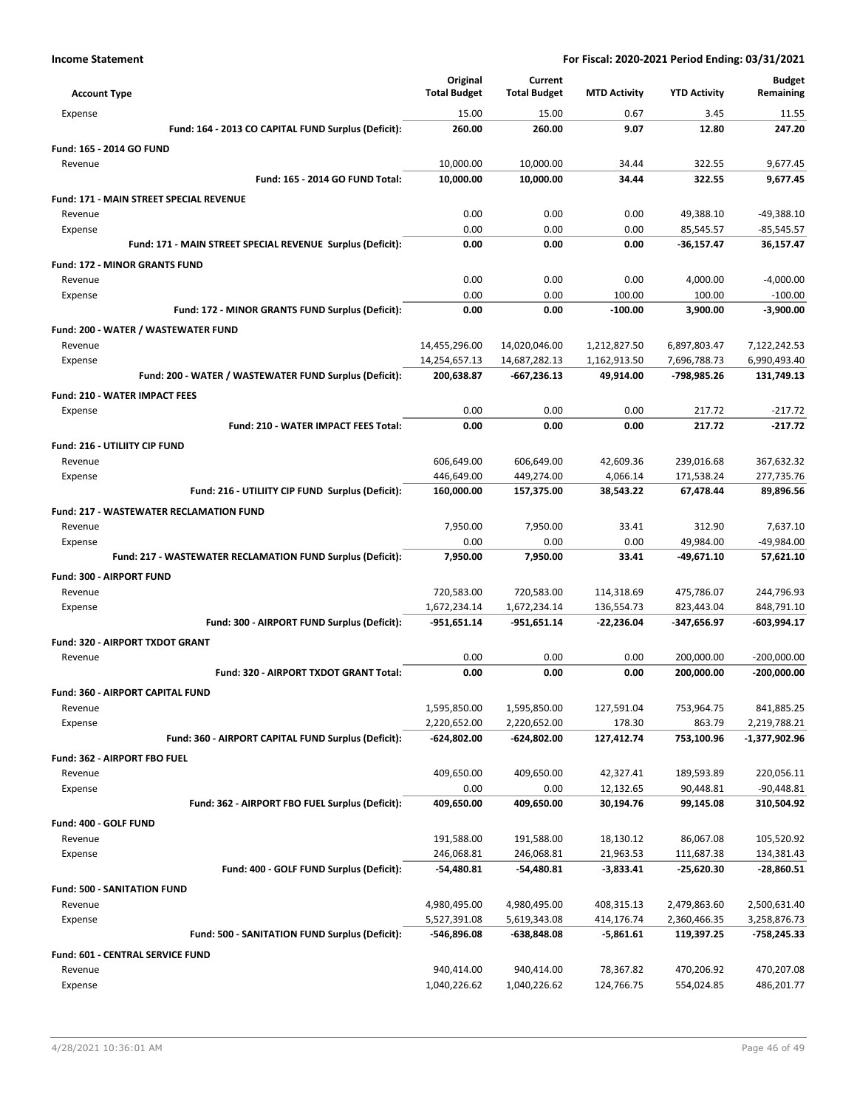|                                                            | Original            | Current             |                     |                     | <b>Budget</b> |
|------------------------------------------------------------|---------------------|---------------------|---------------------|---------------------|---------------|
| <b>Account Type</b>                                        | <b>Total Budget</b> | <b>Total Budget</b> | <b>MTD Activity</b> | <b>YTD Activity</b> | Remaining     |
| Expense                                                    | 15.00               | 15.00               | 0.67                | 3.45                | 11.55         |
| Fund: 164 - 2013 CO CAPITAL FUND Surplus (Deficit):        | 260.00              | 260.00              | 9.07                | 12.80               | 247.20        |
| Fund: 165 - 2014 GO FUND                                   |                     |                     |                     |                     |               |
| Revenue                                                    | 10,000.00           | 10,000.00           | 34.44               | 322.55              | 9,677.45      |
| Fund: 165 - 2014 GO FUND Total:                            | 10,000.00           | 10,000.00           | 34.44               | 322.55              | 9,677.45      |
| Fund: 171 - MAIN STREET SPECIAL REVENUE                    |                     |                     |                     |                     |               |
| Revenue                                                    | 0.00                | 0.00                | 0.00                | 49,388.10           | -49,388.10    |
| Expense                                                    | 0.00                | 0.00                | 0.00                | 85,545.57           | $-85,545.57$  |
| Fund: 171 - MAIN STREET SPECIAL REVENUE Surplus (Deficit): | 0.00                | 0.00                | 0.00                | $-36,157.47$        | 36,157.47     |
| <b>Fund: 172 - MINOR GRANTS FUND</b>                       |                     |                     |                     |                     |               |
| Revenue                                                    | 0.00                | 0.00                | 0.00                | 4,000.00            | $-4,000.00$   |
| Expense                                                    | 0.00                | 0.00                | 100.00              | 100.00              | $-100.00$     |
| Fund: 172 - MINOR GRANTS FUND Surplus (Deficit):           | 0.00                | 0.00                | $-100.00$           | 3,900.00            | $-3,900.00$   |
| Fund: 200 - WATER / WASTEWATER FUND                        |                     |                     |                     |                     |               |
| Revenue                                                    | 14,455,296.00       | 14,020,046.00       | 1,212,827.50        | 6,897,803.47        | 7,122,242.53  |
| Expense                                                    | 14,254,657.13       | 14,687,282.13       | 1,162,913.50        | 7,696,788.73        | 6,990,493.40  |
| Fund: 200 - WATER / WASTEWATER FUND Surplus (Deficit):     | 200,638.87          | $-667,236.13$       | 49,914.00           | -798,985.26         | 131,749.13    |
| <b>Fund: 210 - WATER IMPACT FEES</b>                       |                     |                     |                     |                     |               |
| Expense                                                    | 0.00                | 0.00                | 0.00                | 217.72              | $-217.72$     |
| Fund: 210 - WATER IMPACT FEES Total:                       | 0.00                | 0.00                | 0.00                | 217.72              | $-217.72$     |
| Fund: 216 - UTILIITY CIP FUND                              |                     |                     |                     |                     |               |
| Revenue                                                    | 606,649.00          | 606,649.00          | 42,609.36           | 239,016.68          | 367,632.32    |
| Expense                                                    | 446,649.00          | 449,274.00          | 4,066.14            | 171,538.24          | 277,735.76    |
| Fund: 216 - UTILIITY CIP FUND Surplus (Deficit):           | 160,000.00          | 157,375.00          | 38,543.22           | 67,478.44           | 89,896.56     |
|                                                            |                     |                     |                     |                     |               |
| <b>Fund: 217 - WASTEWATER RECLAMATION FUND</b><br>Revenue  | 7,950.00            | 7,950.00            | 33.41               | 312.90              | 7,637.10      |
| Expense                                                    | 0.00                | 0.00                | 0.00                | 49,984.00           | -49,984.00    |
| Fund: 217 - WASTEWATER RECLAMATION FUND Surplus (Deficit): | 7,950.00            | 7,950.00            | 33.41               | -49,671.10          | 57,621.10     |
|                                                            |                     |                     |                     |                     |               |
| Fund: 300 - AIRPORT FUND                                   |                     |                     |                     |                     |               |
| Revenue                                                    | 720,583.00          | 720,583.00          | 114,318.69          | 475,786.07          | 244,796.93    |
| Expense<br>Fund: 300 - AIRPORT FUND Surplus (Deficit):     | 1,672,234.14        | 1,672,234.14        | 136,554.73          | 823,443.04          | 848,791.10    |
|                                                            | -951,651.14         | -951,651.14         | -22,236.04          | -347,656.97         | -603,994.17   |
| Fund: 320 - AIRPORT TXDOT GRANT                            |                     |                     |                     |                     |               |
| Revenue                                                    | 0.00                | 0.00                | 0.00                | 200,000.00          | $-200,000.00$ |
| Fund: 320 - AIRPORT TXDOT GRANT Total:                     | 0.00                | 0.00                | 0.00                | 200,000.00          | -200,000.00   |
| <b>Fund: 360 - AIRPORT CAPITAL FUND</b>                    |                     |                     |                     |                     |               |
| Revenue                                                    | 1,595,850.00        | 1,595,850.00        | 127,591.04          | 753,964.75          | 841,885.25    |
| Expense                                                    | 2,220,652.00        | 2,220,652.00        | 178.30              | 863.79              | 2,219,788.21  |
| Fund: 360 - AIRPORT CAPITAL FUND Surplus (Deficit):        | $-624,802.00$       | $-624,802.00$       | 127,412.74          | 753,100.96          | -1,377,902.96 |
| Fund: 362 - AIRPORT FBO FUEL                               |                     |                     |                     |                     |               |
| Revenue                                                    | 409,650.00          | 409,650.00          | 42,327.41           | 189,593.89          | 220,056.11    |
| Expense                                                    | 0.00                | 0.00                | 12,132.65           | 90,448.81           | $-90,448.81$  |
| Fund: 362 - AIRPORT FBO FUEL Surplus (Deficit):            | 409,650.00          | 409,650.00          | 30,194.76           | 99,145.08           | 310,504.92    |
| Fund: 400 - GOLF FUND                                      |                     |                     |                     |                     |               |
| Revenue                                                    | 191,588.00          | 191,588.00          | 18,130.12           | 86,067.08           | 105,520.92    |
| Expense                                                    | 246,068.81          | 246,068.81          | 21,963.53           | 111,687.38          | 134,381.43    |
| Fund: 400 - GOLF FUND Surplus (Deficit):                   | -54,480.81          | -54,480.81          | $-3,833.41$         | $-25,620.30$        | $-28,860.51$  |
| <b>Fund: 500 - SANITATION FUND</b>                         |                     |                     |                     |                     |               |
| Revenue                                                    | 4,980,495.00        | 4,980,495.00        | 408,315.13          | 2,479,863.60        | 2,500,631.40  |
| Expense                                                    | 5,527,391.08        | 5,619,343.08        | 414,176.74          | 2,360,466.35        | 3,258,876.73  |
| Fund: 500 - SANITATION FUND Surplus (Deficit):             | -546,896.08         | -638,848.08         | $-5,861.61$         | 119,397.25          | -758,245.33   |
| Fund: 601 - CENTRAL SERVICE FUND                           |                     |                     |                     |                     |               |
| Revenue                                                    | 940,414.00          | 940,414.00          | 78,367.82           | 470,206.92          | 470,207.08    |
| Expense                                                    | 1,040,226.62        | 1,040,226.62        | 124,766.75          | 554,024.85          | 486,201.77    |
|                                                            |                     |                     |                     |                     |               |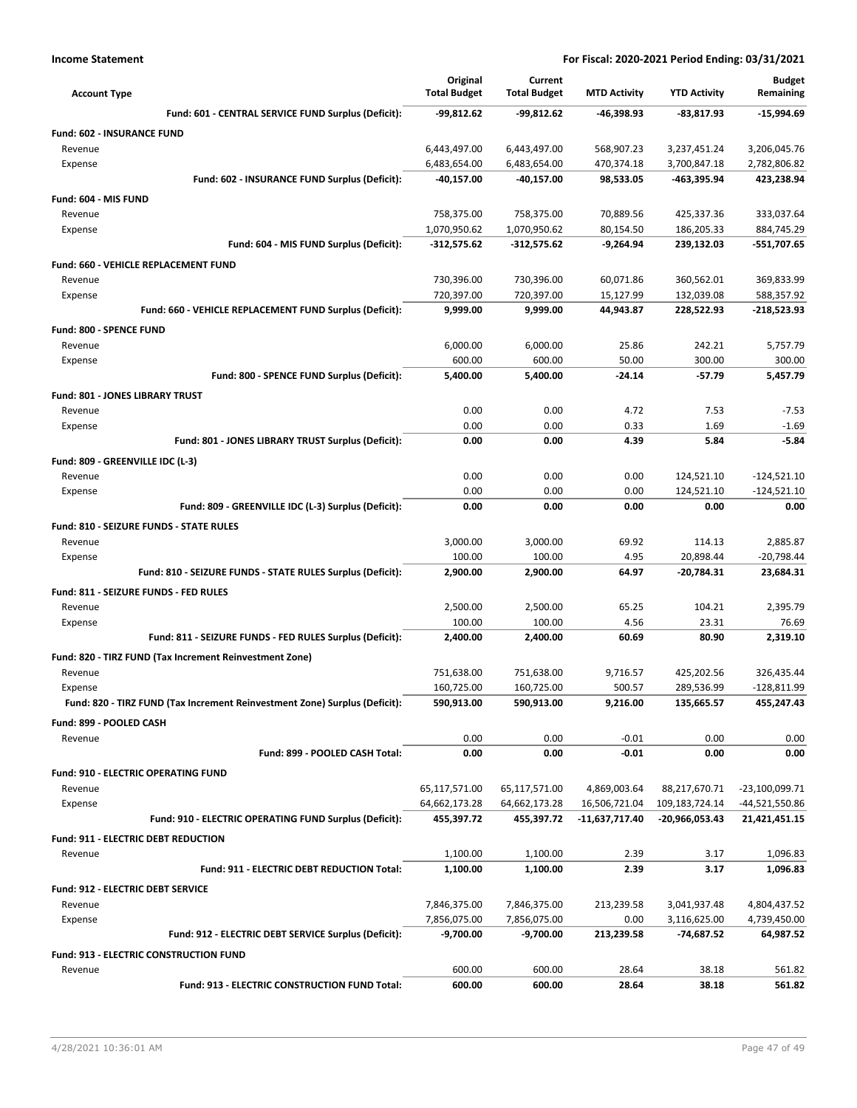| <b>Account Type</b>                                                        | Original<br><b>Total Budget</b> | Current<br><b>Total Budget</b> | <b>MTD Activity</b>    | <b>YTD Activity</b>      | <b>Budget</b><br>Remaining  |
|----------------------------------------------------------------------------|---------------------------------|--------------------------------|------------------------|--------------------------|-----------------------------|
| Fund: 601 - CENTRAL SERVICE FUND Surplus (Deficit):                        | -99,812.62                      | $-99,812.62$                   | -46,398.93             | $-83,817.93$             | $-15,994.69$                |
| Fund: 602 - INSURANCE FUND                                                 |                                 |                                |                        |                          |                             |
| Revenue                                                                    | 6,443,497.00                    | 6,443,497.00                   | 568,907.23             | 3,237,451.24             | 3,206,045.76                |
| Expense                                                                    | 6,483,654.00                    | 6,483,654.00                   | 470,374.18             | 3,700,847.18             | 2,782,806.82                |
| Fund: 602 - INSURANCE FUND Surplus (Deficit):                              | -40,157.00                      | -40,157.00                     | 98,533.05              | -463,395.94              | 423,238.94                  |
| Fund: 604 - MIS FUND                                                       |                                 |                                |                        |                          |                             |
| Revenue                                                                    | 758,375.00                      | 758,375.00                     | 70,889.56              | 425,337.36               | 333,037.64                  |
| Expense                                                                    | 1,070,950.62                    | 1,070,950.62                   | 80,154.50              | 186,205.33               | 884,745.29                  |
| Fund: 604 - MIS FUND Surplus (Deficit):                                    | $-312,575.62$                   | $-312,575.62$                  | $-9,264.94$            | 239,132.03               | $-551,707.65$               |
| Fund: 660 - VEHICLE REPLACEMENT FUND                                       |                                 |                                |                        |                          |                             |
| Revenue                                                                    | 730,396.00                      | 730,396.00                     | 60,071.86              | 360,562.01               | 369,833.99                  |
| Expense<br>Fund: 660 - VEHICLE REPLACEMENT FUND Surplus (Deficit):         | 720,397.00<br>9,999.00          | 720,397.00<br>9,999.00         | 15,127.99<br>44,943.87 | 132,039.08<br>228,522.93 | 588,357.92<br>-218,523.93   |
|                                                                            |                                 |                                |                        |                          |                             |
| <b>Fund: 800 - SPENCE FUND</b><br>Revenue                                  | 6,000.00                        | 6,000.00                       | 25.86                  | 242.21                   | 5,757.79                    |
| Expense                                                                    | 600.00                          | 600.00                         | 50.00                  | 300.00                   | 300.00                      |
| Fund: 800 - SPENCE FUND Surplus (Deficit):                                 | 5,400.00                        | 5.400.00                       | $-24.14$               | $-57.79$                 | 5.457.79                    |
| Fund: 801 - JONES LIBRARY TRUST                                            |                                 |                                |                        |                          |                             |
| Revenue                                                                    | 0.00                            | 0.00                           | 4.72                   | 7.53                     | $-7.53$                     |
| Expense                                                                    | 0.00                            | 0.00                           | 0.33                   | 1.69                     | $-1.69$                     |
| Fund: 801 - JONES LIBRARY TRUST Surplus (Deficit):                         | 0.00                            | 0.00                           | 4.39                   | 5.84                     | $-5.84$                     |
| Fund: 809 - GREENVILLE IDC (L-3)                                           |                                 |                                |                        |                          |                             |
| Revenue                                                                    | 0.00                            | 0.00                           | 0.00                   | 124,521.10               | $-124,521.10$               |
| Expense                                                                    | 0.00                            | 0.00                           | 0.00                   | 124,521.10               | $-124,521.10$               |
| Fund: 809 - GREENVILLE IDC (L-3) Surplus (Deficit):                        | 0.00                            | 0.00                           | 0.00                   | 0.00                     | 0.00                        |
| Fund: 810 - SEIZURE FUNDS - STATE RULES                                    |                                 |                                |                        |                          |                             |
| Revenue                                                                    | 3,000.00                        | 3,000.00                       | 69.92                  | 114.13                   | 2,885.87                    |
| Expense                                                                    | 100.00                          | 100.00                         | 4.95                   | 20,898.44                | $-20,798.44$                |
| Fund: 810 - SEIZURE FUNDS - STATE RULES Surplus (Deficit):                 | 2,900.00                        | 2,900.00                       | 64.97                  | -20,784.31               | 23,684.31                   |
| Fund: 811 - SEIZURE FUNDS - FED RULES                                      |                                 |                                |                        |                          |                             |
| Revenue                                                                    | 2,500.00                        | 2,500.00                       | 65.25                  | 104.21                   | 2,395.79                    |
| Expense                                                                    | 100.00<br>2,400.00              | 100.00                         | 4.56<br>60.69          | 23.31<br>80.90           | 76.69<br>2,319.10           |
| Fund: 811 - SEIZURE FUNDS - FED RULES Surplus (Deficit):                   |                                 | 2,400.00                       |                        |                          |                             |
| Fund: 820 - TIRZ FUND (Tax Increment Reinvestment Zone)                    |                                 |                                |                        |                          |                             |
| Revenue<br>Expense                                                         | 751,638.00<br>160,725.00        | 751,638.00<br>160,725.00       | 9,716.57<br>500.57     | 425,202.56<br>289,536.99 | 326,435.44<br>$-128,811.99$ |
| Fund: 820 - TIRZ FUND (Tax Increment Reinvestment Zone) Surplus (Deficit): | 590,913.00                      | 590,913.00                     | 9,216.00               | 135,665.57               | 455,247.43                  |
| Fund: 899 - POOLED CASH                                                    |                                 |                                |                        |                          |                             |
| Revenue                                                                    | 0.00                            | 0.00                           | $-0.01$                | 0.00                     | 0.00                        |
| Fund: 899 - POOLED CASH Total:                                             | 0.00                            | 0.00                           | $-0.01$                | 0.00                     | 0.00                        |
| <b>Fund: 910 - ELECTRIC OPERATING FUND</b>                                 |                                 |                                |                        |                          |                             |
| Revenue                                                                    | 65,117,571.00                   | 65,117,571.00                  | 4,869,003.64           | 88,217,670.71            | -23,100,099.71              |
| Expense                                                                    | 64,662,173.28                   | 64,662,173.28                  | 16,506,721.04          | 109,183,724.14           | -44,521,550.86              |
| Fund: 910 - ELECTRIC OPERATING FUND Surplus (Deficit):                     | 455,397.72                      | 455,397.72                     | -11,637,717.40         | -20,966,053.43           | 21,421,451.15               |
| Fund: 911 - ELECTRIC DEBT REDUCTION                                        |                                 |                                |                        |                          |                             |
| Revenue                                                                    | 1,100.00                        | 1,100.00                       | 2.39                   | 3.17                     | 1,096.83                    |
| Fund: 911 - ELECTRIC DEBT REDUCTION Total:                                 | 1,100.00                        | 1,100.00                       | 2.39                   | 3.17                     | 1,096.83                    |
| Fund: 912 - ELECTRIC DEBT SERVICE                                          |                                 |                                |                        |                          |                             |
| Revenue                                                                    | 7,846,375.00                    | 7,846,375.00                   | 213,239.58             | 3,041,937.48             | 4,804,437.52                |
| Expense                                                                    | 7,856,075.00                    | 7,856,075.00                   | 0.00                   | 3,116,625.00             | 4,739,450.00                |
| Fund: 912 - ELECTRIC DEBT SERVICE Surplus (Deficit):                       | -9,700.00                       | -9,700.00                      | 213,239.58             | -74,687.52               | 64,987.52                   |
| Fund: 913 - ELECTRIC CONSTRUCTION FUND                                     |                                 |                                |                        |                          |                             |
| Revenue                                                                    | 600.00                          | 600.00                         | 28.64                  | 38.18                    | 561.82                      |
| Fund: 913 - ELECTRIC CONSTRUCTION FUND Total:                              | 600.00                          | 600.00                         | 28.64                  | 38.18                    | 561.82                      |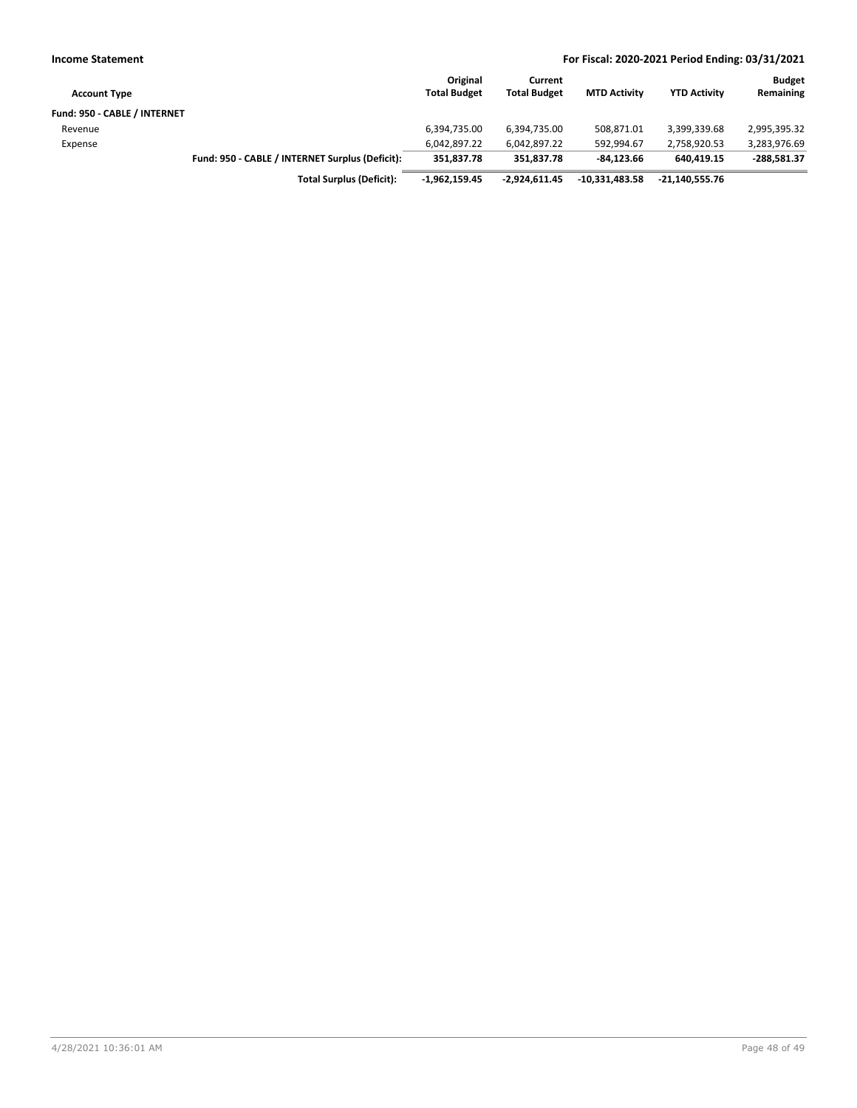| <b>Income Statement</b>      |                                                 | For Fiscal: 2020-2021 Period Ending: 03/31/2021 |                                |                     |                     |                            |
|------------------------------|-------------------------------------------------|-------------------------------------------------|--------------------------------|---------------------|---------------------|----------------------------|
| <b>Account Type</b>          |                                                 | Original<br><b>Total Budget</b>                 | Current<br><b>Total Budget</b> | <b>MTD Activity</b> | <b>YTD Activity</b> | <b>Budget</b><br>Remaining |
| Fund: 950 - CABLE / INTERNET |                                                 |                                                 |                                |                     |                     |                            |
| Revenue                      |                                                 | 6,394,735.00                                    | 6,394,735.00                   | 508,871.01          | 3,399,339.68        | 2,995,395.32               |
| Expense                      |                                                 | 6,042,897.22                                    | 6,042,897.22                   | 592.994.67          | 2,758,920.53        | 3,283,976.69               |
|                              | Fund: 950 - CABLE / INTERNET Surplus (Deficit): | 351.837.78                                      | 351.837.78                     | $-84.123.66$        | 640.419.15          | $-288,581.37$              |
|                              | <b>Total Surplus (Deficit):</b>                 | $-1.962.159.45$                                 | $-2.924.611.45$                | $-10.331.483.58$    | -21.140.555.76      |                            |